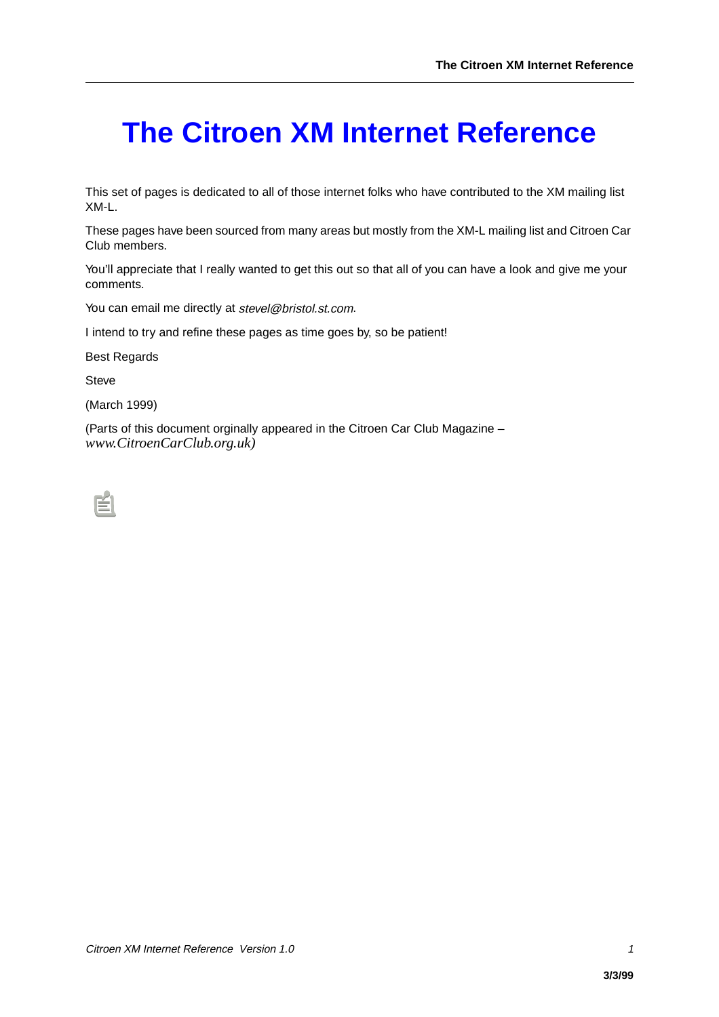# <span id="page-0-0"></span>**The Citroen XM Internet Reference**

This set of pages is dedicated to all of those internet folks who have contributed to the XM mailing list XM-L.

These pages have been sourced from many areas but mostly from the XM-L mailing list and Citroen Car Club members.

You'll appreciate that I really wanted to get this out so that all of you can have a look and give me your comments.

You can email me directly at stevel@bristol.st.com.

I intend to try and refine these pages as time goes by, so be patient!

Best Regards

**Steve** 

(March 1999)

(Parts of this document orginally appeared in the Citroen Car Club Magazine – *www.CitroenCarClub.org.uk)*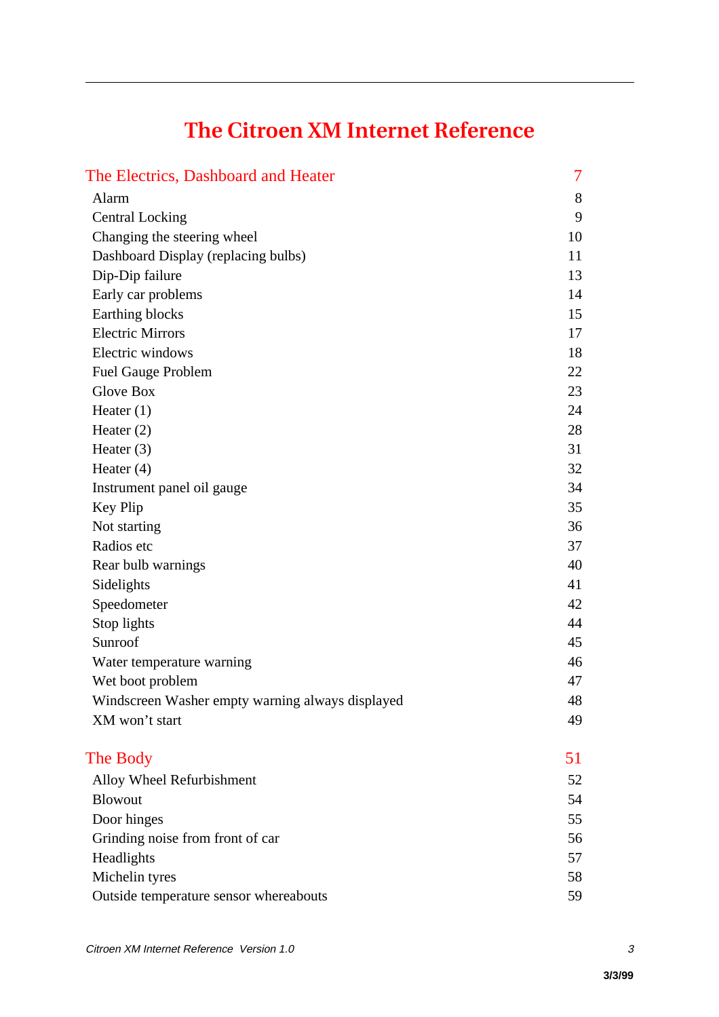# **[The Citroen XM Internet Reference](#page-0-0)**

| $\overline{7}$<br>The Electrics, Dashboard and Heater<br>8<br>Alarm<br>9<br><b>Central Locking</b><br>Changing the steering wheel<br>10<br>11<br>Dashboard Display (replacing bulbs)<br>Dip-Dip failure<br>13<br>Early car problems<br>14<br>Earthing blocks<br>15<br><b>Electric Mirrors</b><br>17<br>Electric windows<br>18<br>22<br><b>Fuel Gauge Problem</b><br>Glove Box<br>23<br>Heater $(1)$<br>24<br>28<br>Heater $(2)$<br>Heater $(3)$<br>31<br>32<br>Heater $(4)$<br>34<br>Instrument panel oil gauge<br>35<br>Key Plip<br>Not starting<br>36<br>Radios etc<br>37<br>Rear bulb warnings<br>40<br>Sidelights<br>41<br>Speedometer<br>42<br>44<br>Stop lights<br>Sunroof<br>45<br>Water temperature warning<br>46<br>Wet boot problem<br>47<br>48<br>Windscreen Washer empty warning always displayed |
|---------------------------------------------------------------------------------------------------------------------------------------------------------------------------------------------------------------------------------------------------------------------------------------------------------------------------------------------------------------------------------------------------------------------------------------------------------------------------------------------------------------------------------------------------------------------------------------------------------------------------------------------------------------------------------------------------------------------------------------------------------------------------------------------------------------|
|                                                                                                                                                                                                                                                                                                                                                                                                                                                                                                                                                                                                                                                                                                                                                                                                               |
|                                                                                                                                                                                                                                                                                                                                                                                                                                                                                                                                                                                                                                                                                                                                                                                                               |
|                                                                                                                                                                                                                                                                                                                                                                                                                                                                                                                                                                                                                                                                                                                                                                                                               |
|                                                                                                                                                                                                                                                                                                                                                                                                                                                                                                                                                                                                                                                                                                                                                                                                               |
|                                                                                                                                                                                                                                                                                                                                                                                                                                                                                                                                                                                                                                                                                                                                                                                                               |
|                                                                                                                                                                                                                                                                                                                                                                                                                                                                                                                                                                                                                                                                                                                                                                                                               |
|                                                                                                                                                                                                                                                                                                                                                                                                                                                                                                                                                                                                                                                                                                                                                                                                               |
|                                                                                                                                                                                                                                                                                                                                                                                                                                                                                                                                                                                                                                                                                                                                                                                                               |
|                                                                                                                                                                                                                                                                                                                                                                                                                                                                                                                                                                                                                                                                                                                                                                                                               |
|                                                                                                                                                                                                                                                                                                                                                                                                                                                                                                                                                                                                                                                                                                                                                                                                               |
|                                                                                                                                                                                                                                                                                                                                                                                                                                                                                                                                                                                                                                                                                                                                                                                                               |
|                                                                                                                                                                                                                                                                                                                                                                                                                                                                                                                                                                                                                                                                                                                                                                                                               |
|                                                                                                                                                                                                                                                                                                                                                                                                                                                                                                                                                                                                                                                                                                                                                                                                               |
|                                                                                                                                                                                                                                                                                                                                                                                                                                                                                                                                                                                                                                                                                                                                                                                                               |
|                                                                                                                                                                                                                                                                                                                                                                                                                                                                                                                                                                                                                                                                                                                                                                                                               |
|                                                                                                                                                                                                                                                                                                                                                                                                                                                                                                                                                                                                                                                                                                                                                                                                               |
|                                                                                                                                                                                                                                                                                                                                                                                                                                                                                                                                                                                                                                                                                                                                                                                                               |
|                                                                                                                                                                                                                                                                                                                                                                                                                                                                                                                                                                                                                                                                                                                                                                                                               |
|                                                                                                                                                                                                                                                                                                                                                                                                                                                                                                                                                                                                                                                                                                                                                                                                               |
|                                                                                                                                                                                                                                                                                                                                                                                                                                                                                                                                                                                                                                                                                                                                                                                                               |
|                                                                                                                                                                                                                                                                                                                                                                                                                                                                                                                                                                                                                                                                                                                                                                                                               |
|                                                                                                                                                                                                                                                                                                                                                                                                                                                                                                                                                                                                                                                                                                                                                                                                               |
|                                                                                                                                                                                                                                                                                                                                                                                                                                                                                                                                                                                                                                                                                                                                                                                                               |
|                                                                                                                                                                                                                                                                                                                                                                                                                                                                                                                                                                                                                                                                                                                                                                                                               |
|                                                                                                                                                                                                                                                                                                                                                                                                                                                                                                                                                                                                                                                                                                                                                                                                               |
|                                                                                                                                                                                                                                                                                                                                                                                                                                                                                                                                                                                                                                                                                                                                                                                                               |
|                                                                                                                                                                                                                                                                                                                                                                                                                                                                                                                                                                                                                                                                                                                                                                                                               |
|                                                                                                                                                                                                                                                                                                                                                                                                                                                                                                                                                                                                                                                                                                                                                                                                               |
| 49<br>XM won't start                                                                                                                                                                                                                                                                                                                                                                                                                                                                                                                                                                                                                                                                                                                                                                                          |
| The Body<br>51                                                                                                                                                                                                                                                                                                                                                                                                                                                                                                                                                                                                                                                                                                                                                                                                |
| Alloy Wheel Refurbishment<br>52                                                                                                                                                                                                                                                                                                                                                                                                                                                                                                                                                                                                                                                                                                                                                                               |
| Blowout<br>54                                                                                                                                                                                                                                                                                                                                                                                                                                                                                                                                                                                                                                                                                                                                                                                                 |
| Door hinges<br>55                                                                                                                                                                                                                                                                                                                                                                                                                                                                                                                                                                                                                                                                                                                                                                                             |
| Grinding noise from front of car<br>56                                                                                                                                                                                                                                                                                                                                                                                                                                                                                                                                                                                                                                                                                                                                                                        |
| Headlights<br>57                                                                                                                                                                                                                                                                                                                                                                                                                                                                                                                                                                                                                                                                                                                                                                                              |
| Michelin tyres<br>58                                                                                                                                                                                                                                                                                                                                                                                                                                                                                                                                                                                                                                                                                                                                                                                          |
| Outside temperature sensor whereabouts<br>59                                                                                                                                                                                                                                                                                                                                                                                                                                                                                                                                                                                                                                                                                                                                                                  |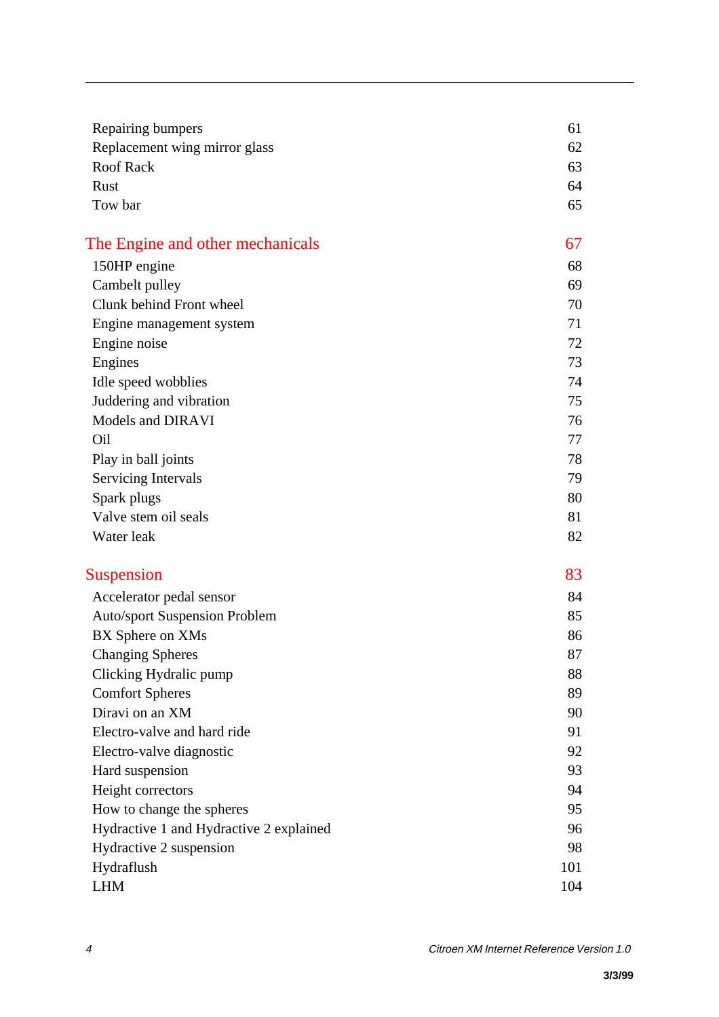| Repairing bumpers                       | 61  |
|-----------------------------------------|-----|
| Replacement wing mirror glass           | 62  |
| Roof Rack                               | 63  |
| Rust                                    | 64  |
| Tow bar                                 | 65  |
| The Engine and other mechanicals        | 67  |
| 150HP engine                            | 68  |
| Cambelt pulley                          | 69  |
| Clunk behind Front wheel                | 70  |
| Engine management system                | 71  |
| Engine noise                            | 72  |
| Engines                                 | 73  |
| Idle speed wobblies                     | 74  |
| Juddering and vibration                 | 75  |
| Models and DIRAVI                       | 76  |
| Oil                                     | 77  |
| Play in ball joints                     | 78  |
| Servicing Intervals                     | 79  |
| Spark plugs                             | 80  |
| Valve stem oil seals                    | 81  |
| Water leak                              | 82  |
| Suspension                              | 83  |
| Accelerator pedal sensor                | 84  |
| Auto/sport Suspension Problem           | 85  |
| BX Sphere on XMs                        | 86  |
| <b>Changing Spheres</b>                 | 87  |
| Clicking Hydralic pump                  | 88  |
| <b>Comfort Spheres</b>                  | 89  |
| Diravi on an XM                         | 90  |
| Electro-valve and hard ride             | 91  |
| Electro-valve diagnostic                | 92  |
| Hard suspension                         | 93  |
| Height correctors                       | 94  |
| How to change the spheres               | 95  |
| Hydractive 1 and Hydractive 2 explained | 96  |
| Hydractive 2 suspension                 | 98  |
| Hydraflush                              | 101 |
| <b>LHM</b>                              | 104 |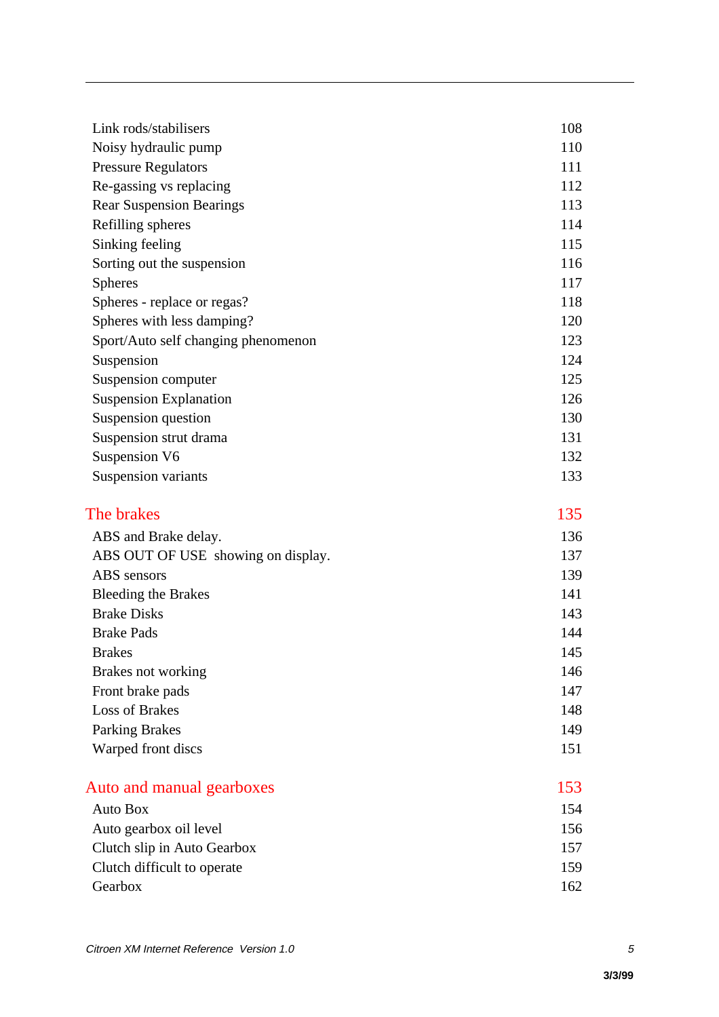| Link rods/stabilisers               | 108 |
|-------------------------------------|-----|
| Noisy hydraulic pump                | 110 |
| <b>Pressure Regulators</b>          | 111 |
| Re-gassing vs replacing             | 112 |
| <b>Rear Suspension Bearings</b>     | 113 |
| Refilling spheres                   | 114 |
| Sinking feeling                     | 115 |
| Sorting out the suspension          | 116 |
| <b>Spheres</b>                      | 117 |
| Spheres - replace or regas?         | 118 |
| Spheres with less damping?          | 120 |
| Sport/Auto self changing phenomenon | 123 |
| Suspension                          | 124 |
| Suspension computer                 | 125 |
| <b>Suspension Explanation</b>       | 126 |
| Suspension question                 | 130 |
| Suspension strut drama              | 131 |
| Suspension V6                       | 132 |
| Suspension variants                 | 133 |
| The brakes                          | 135 |
| ABS and Brake delay.                | 136 |
| ABS OUT OF USE showing on display.  | 137 |
| ABS sensors                         | 139 |
| <b>Bleeding the Brakes</b>          | 141 |
| <b>Brake Disks</b>                  | 143 |
| <b>Brake Pads</b>                   | 144 |
| <b>Brakes</b>                       | 145 |
| Brakes not working                  | 146 |
| Front brake pads                    | 147 |
| <b>Loss of Brakes</b>               | 148 |
| <b>Parking Brakes</b>               | 149 |
| Warped front discs                  | 151 |
| Auto and manual gearboxes           | 153 |
| Auto Box                            | 154 |
| Auto gearbox oil level              | 156 |
| Clutch slip in Auto Gearbox         | 157 |
| Clutch difficult to operate         | 159 |
| Gearbox                             | 162 |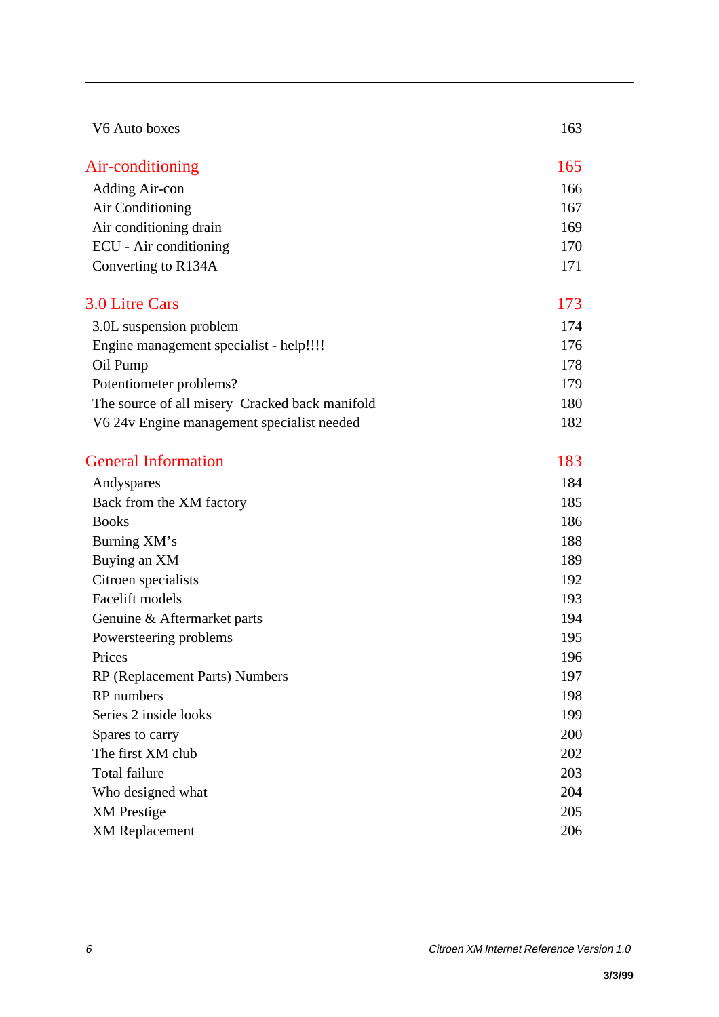| V6 Auto boxes                                  | 163 |
|------------------------------------------------|-----|
| Air-conditioning                               | 165 |
| Adding Air-con                                 | 166 |
| Air Conditioning                               | 167 |
| Air conditioning drain                         | 169 |
| ECU - Air conditioning                         | 170 |
| Converting to R134A                            | 171 |
| 3.0 Litre Cars                                 | 173 |
| 3.0L suspension problem                        | 174 |
| Engine management specialist - help!!!!        | 176 |
| Oil Pump                                       | 178 |
| Potentiometer problems?                        | 179 |
| The source of all misery Cracked back manifold | 180 |
| V6 24v Engine management specialist needed     | 182 |
| <b>General Information</b>                     | 183 |
| Andyspares                                     | 184 |
| Back from the XM factory                       | 185 |
| <b>Books</b>                                   | 186 |
| Burning XM's                                   | 188 |
| Buying an XM                                   | 189 |
| Citroen specialists                            | 192 |
| <b>Facelift models</b>                         | 193 |
| Genuine & Aftermarket parts                    | 194 |
| Powersteering problems                         | 195 |
| Prices                                         | 196 |
| RP (Replacement Parts) Numbers                 | 197 |
| RP numbers                                     | 198 |
| Series 2 inside looks                          | 199 |
| Spares to carry                                | 200 |
| The first XM club                              | 202 |
| Total failure                                  | 203 |
| Who designed what                              | 204 |
| <b>XM</b> Prestige                             | 205 |
| <b>XM Replacement</b>                          | 206 |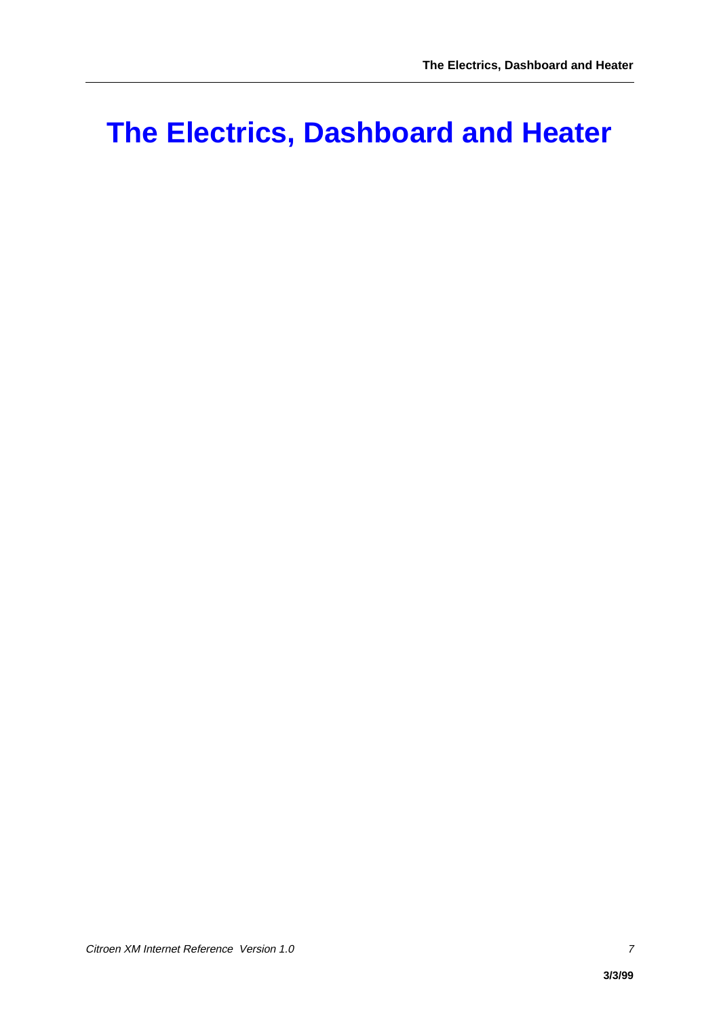# <span id="page-6-0"></span>**The Electrics, Dashboard and Heater**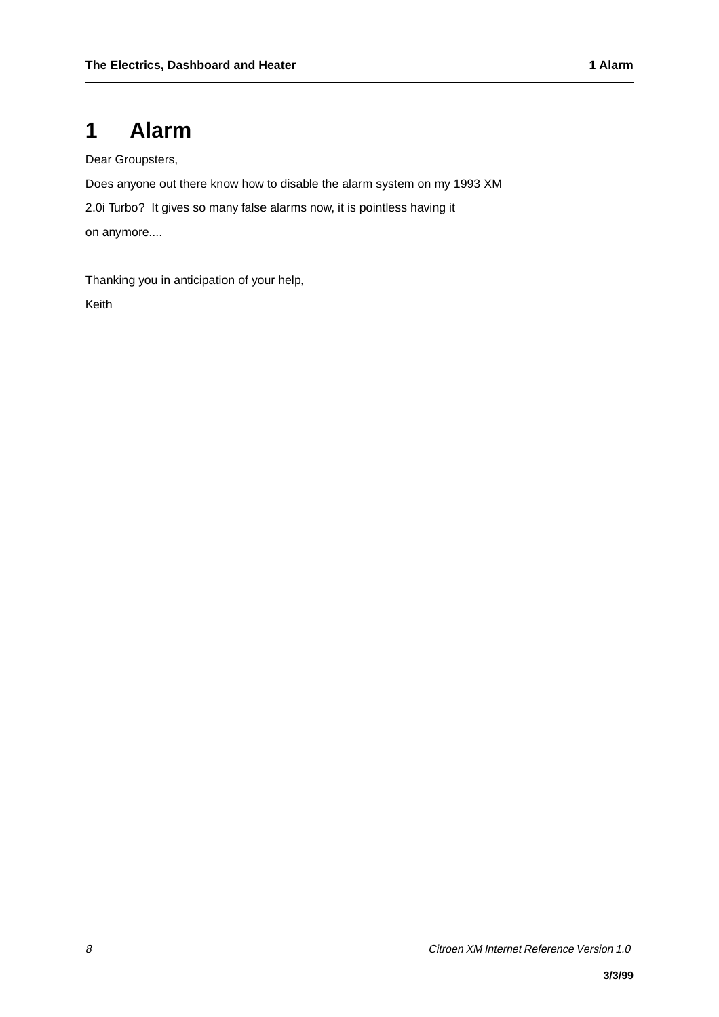### <span id="page-7-0"></span>**1 Alarm**

Dear Groupsters,

Does anyone out there know how to disable the alarm system on my 1993 XM 2.0i Turbo? It gives so many false alarms now, it is pointless having it on anymore....

Thanking you in anticipation of your help, Keith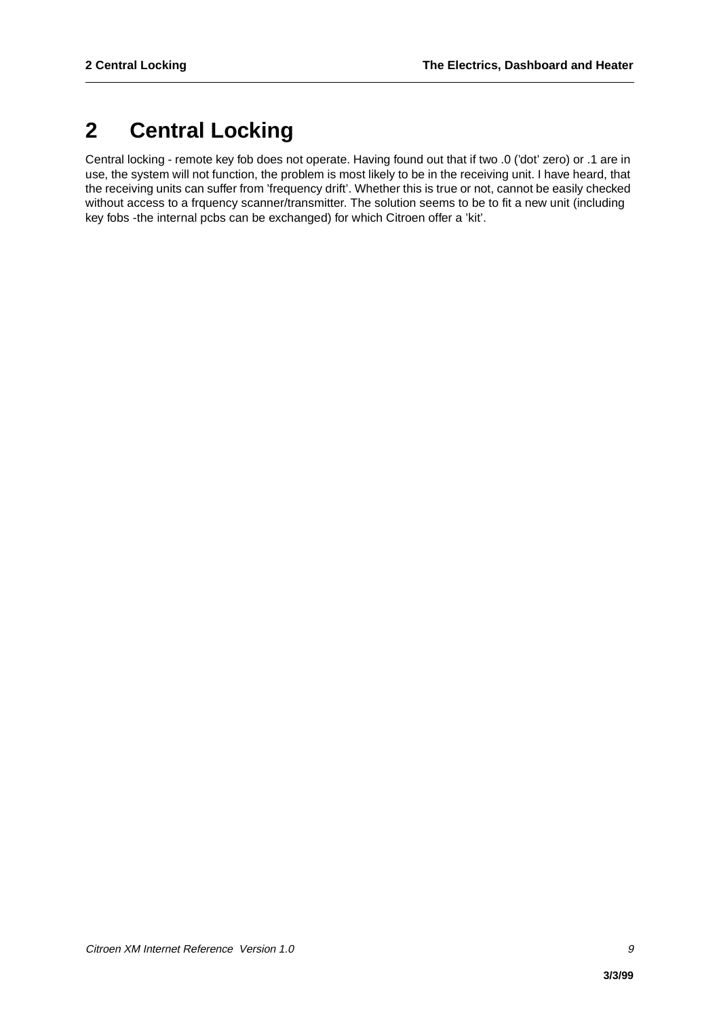# <span id="page-8-0"></span>**2 Central Locking**

Central locking - remote key fob does not operate. Having found out that if two .0 ('dot' zero) or .1 are in use, the system will not function, the problem is most likely to be in the receiving unit. I have heard, that the receiving units can suffer from 'frequency drift'. Whether this is true or not, cannot be easily checked without access to a frquency scanner/transmitter. The solution seems to be to fit a new unit (including key fobs -the internal pcbs can be exchanged) for which Citroen offer a 'kit'.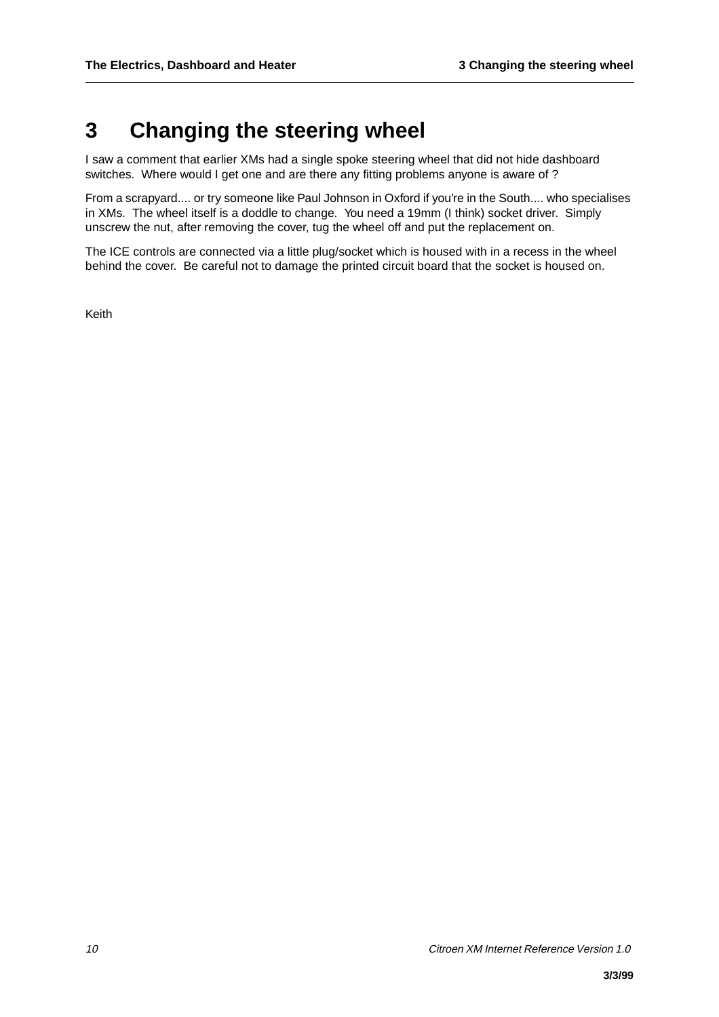### <span id="page-9-0"></span>**3 Changing the steering wheel**

I saw a comment that earlier XMs had a single spoke steering wheel that did not hide dashboard switches. Where would I get one and are there any fitting problems anyone is aware of ?

From a scrapyard.... or try someone like Paul Johnson in Oxford if you're in the South.... who specialises in XMs. The wheel itself is a doddle to change. You need a 19mm (I think) socket driver. Simply unscrew the nut, after removing the cover, tug the wheel off and put the replacement on.

The ICE controls are connected via a little plug/socket which is housed with in a recess in the wheel behind the cover. Be careful not to damage the printed circuit board that the socket is housed on.

Keith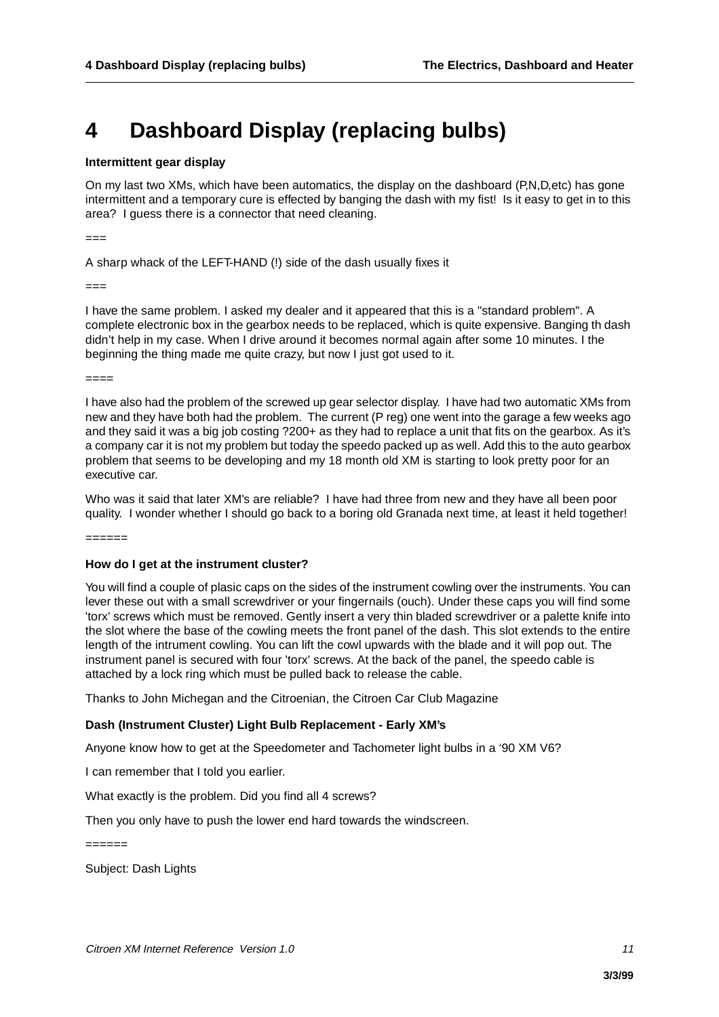### <span id="page-10-0"></span>**4 Dashboard Display (replacing bulbs)**

### **Intermittent gear display**

On my last two XMs, which have been automatics, the display on the dashboard (P,N,D,etc) has gone intermittent and a temporary cure is effected by banging the dash with my fist! Is it easy to get in to this area? I guess there is a connector that need cleaning.

 $==$ 

A sharp whack of the LEFT-HAND (!) side of the dash usually fixes it

===

I have the same problem. I asked my dealer and it appeared that this is a "standard problem". A complete electronic box in the gearbox needs to be replaced, which is quite expensive. Banging th dash didn't help in my case. When I drive around it becomes normal again after some 10 minutes. I the beginning the thing made me quite crazy, but now I just got used to it.

====

I have also had the problem of the screwed up gear selector display. I have had two automatic XMs from new and they have both had the problem. The current (P reg) one went into the garage a few weeks ago and they said it was a big job costing ?200+ as they had to replace a unit that fits on the gearbox. As it's a company car it is not my problem but today the speedo packed up as well. Add this to the auto gearbox problem that seems to be developing and my 18 month old XM is starting to look pretty poor for an executive car.

Who was it said that later XM's are reliable? I have had three from new and they have all been poor quality. I wonder whether I should go back to a boring old Granada next time, at least it held together!

======

### **How do I get at the instrument cluster?**

You will find a couple of plasic caps on the sides of the instrument cowling over the instruments. You can lever these out with a small screwdriver or your fingernails (ouch). Under these caps you will find some 'torx' screws which must be removed. Gently insert a very thin bladed screwdriver or a palette knife into the slot where the base of the cowling meets the front panel of the dash. This slot extends to the entire length of the intrument cowling. You can lift the cowl upwards with the blade and it will pop out. The instrument panel is secured with four 'torx' screws. At the back of the panel, the speedo cable is attached by a lock ring which must be pulled back to release the cable.

Thanks to John Michegan and the Citroenian, the Citroen Car Club Magazine

### **Dash (Instrument Cluster) Light Bulb Replacement - Early XM's**

Anyone know how to get at the Speedometer and Tachometer light bulbs in a '90 XM V6?

I can remember that I told you earlier.

What exactly is the problem. Did you find all 4 screws?

Then you only have to push the lower end hard towards the windscreen.

Subject: Dash Lights

======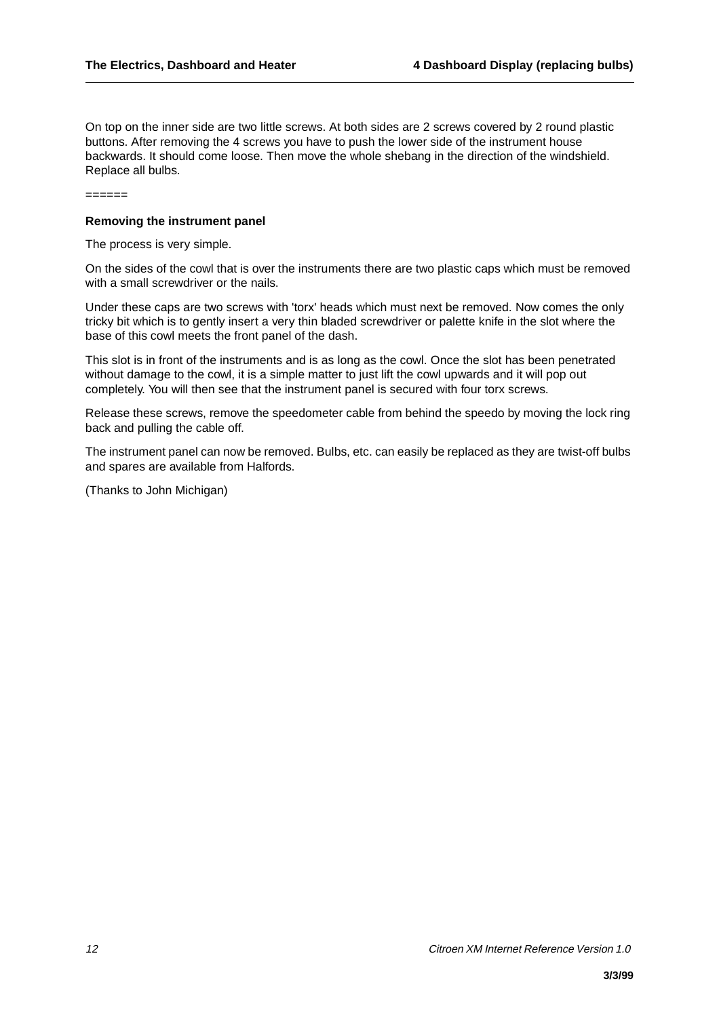On top on the inner side are two little screws. At both sides are 2 screws covered by 2 round plastic buttons. After removing the 4 screws you have to push the lower side of the instrument house backwards. It should come loose. Then move the whole shebang in the direction of the windshield. Replace all bulbs.

 $=====$ 

### **Removing the instrument panel**

The process is very simple.

On the sides of the cowl that is over the instruments there are two plastic caps which must be removed with a small screwdriver or the nails.

Under these caps are two screws with 'torx' heads which must next be removed. Now comes the only tricky bit which is to gently insert a very thin bladed screwdriver or palette knife in the slot where the base of this cowl meets the front panel of the dash.

This slot is in front of the instruments and is as long as the cowl. Once the slot has been penetrated without damage to the cowl, it is a simple matter to just lift the cowl upwards and it will pop out completely. You will then see that the instrument panel is secured with four torx screws.

Release these screws, remove the speedometer cable from behind the speedo by moving the lock ring back and pulling the cable off.

The instrument panel can now be removed. Bulbs, etc. can easily be replaced as they are twist-off bulbs and spares are available from Halfords.

(Thanks to John Michigan)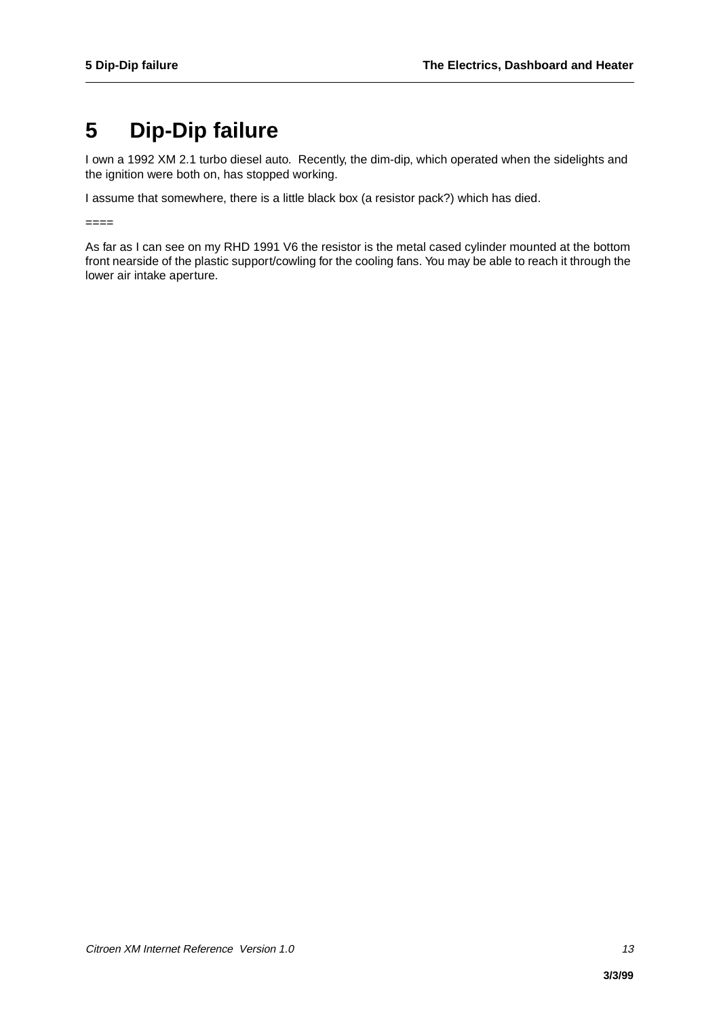### <span id="page-12-0"></span>**5 Dip-Dip failure**

I own a 1992 XM 2.1 turbo diesel auto. Recently, the dim-dip, which operated when the sidelights and the ignition were both on, has stopped working.

I assume that somewhere, there is a little black box (a resistor pack?) which has died.

 $=$ 

As far as I can see on my RHD 1991 V6 the resistor is the metal cased cylinder mounted at the bottom front nearside of the plastic support/cowling for the cooling fans. You may be able to reach it through the lower air intake aperture.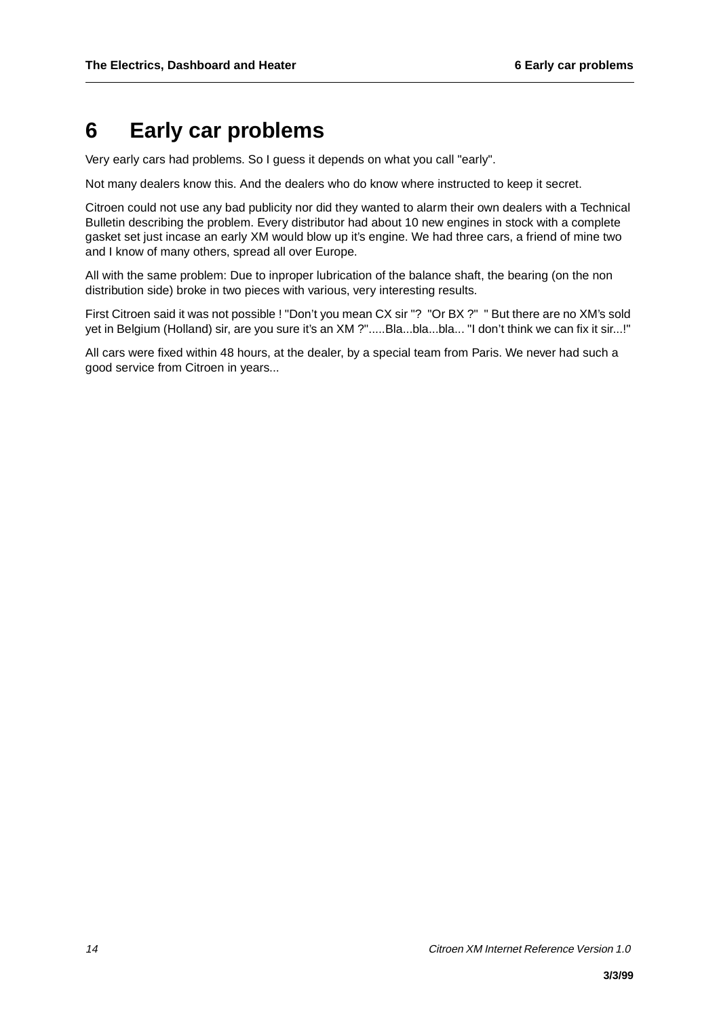### <span id="page-13-0"></span>**6 Early car problems**

Very early cars had problems. So I guess it depends on what you call "early".

Not many dealers know this. And the dealers who do know where instructed to keep it secret.

Citroen could not use any bad publicity nor did they wanted to alarm their own dealers with a Technical Bulletin describing the problem. Every distributor had about 10 new engines in stock with a complete gasket set just incase an early XM would blow up it's engine. We had three cars, a friend of mine two and I know of many others, spread all over Europe.

All with the same problem: Due to inproper lubrication of the balance shaft, the bearing (on the non distribution side) broke in two pieces with various, very interesting results.

First Citroen said it was not possible ! "Don't you mean CX sir "? "Or BX ?" " But there are no XM's sold yet in Belgium (Holland) sir, are you sure it's an XM ?".....Bla...bla...bla... "I don't think we can fix it sir...!"

All cars were fixed within 48 hours, at the dealer, by a special team from Paris. We never had such a good service from Citroen in years...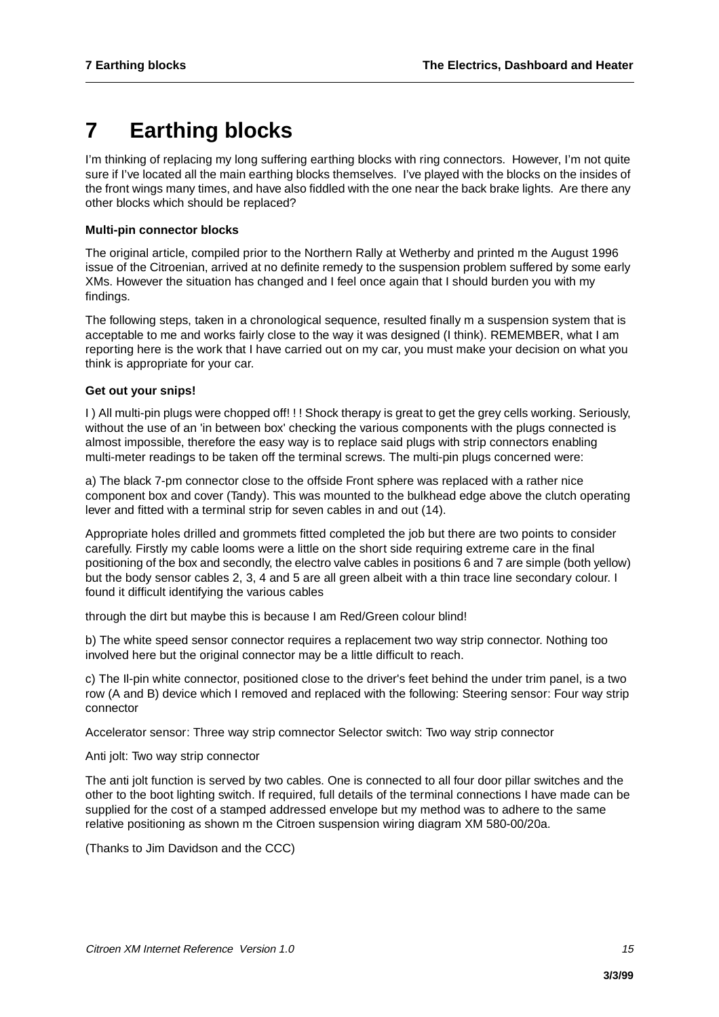# <span id="page-14-0"></span>**7 Earthing blocks**

I'm thinking of replacing my long suffering earthing blocks with ring connectors. However, I'm not quite sure if I've located all the main earthing blocks themselves. I've played with the blocks on the insides of the front wings many times, and have also fiddled with the one near the back brake lights. Are there any other blocks which should be replaced?

### **Multi-pin connector blocks**

The original article, compiled prior to the Northern Rally at Wetherby and printed m the August 1996 issue of the Citroenian, arrived at no definite remedy to the suspension problem suffered by some early XMs. However the situation has changed and I feel once again that I should burden you with my findings.

The following steps, taken in a chronological sequence, resulted finally m a suspension system that is acceptable to me and works fairly close to the way it was designed (I think). REMEMBER, what I am reporting here is the work that I have carried out on my car, you must make your decision on what you think is appropriate for your car.

### **Get out your snips!**

I ) All multi-pin plugs were chopped off! ! ! Shock therapy is great to get the grey cells working. Seriously, without the use of an 'in between box' checking the various components with the plugs connected is almost impossible, therefore the easy way is to replace said plugs with strip connectors enabling multi-meter readings to be taken off the terminal screws. The multi-pin plugs concerned were:

a) The black 7-pm connector close to the offside Front sphere was replaced with a rather nice component box and cover (Tandy). This was mounted to the bulkhead edge above the clutch operating lever and fitted with a terminal strip for seven cables in and out (14).

Appropriate holes drilled and grommets fitted completed the job but there are two points to consider carefully. Firstly my cable looms were a little on the short side requiring extreme care in the final positioning of the box and secondly, the electro valve cables in positions 6 and 7 are simple (both yellow) but the body sensor cables 2, 3, 4 and 5 are all green albeit with a thin trace line secondary colour. I found it difficult identifying the various cables

through the dirt but maybe this is because I am Red/Green colour blind!

b) The white speed sensor connector requires a replacement two way strip connector. Nothing too involved here but the original connector may be a little difficult to reach.

c) The Il-pin white connector, positioned close to the driver's feet behind the under trim panel, is a two row (A and B) device which I removed and replaced with the following: Steering sensor: Four way strip connector

Accelerator sensor: Three way strip comnector Selector switch: Two way strip connector

Anti jolt: Two way strip connector

The anti jolt function is served by two cables. One is connected to all four door pillar switches and the other to the boot lighting switch. If required, full details of the terminal connections I have made can be supplied for the cost of a stamped addressed envelope but my method was to adhere to the same relative positioning as shown m the Citroen suspension wiring diagram XM 580-00/20a.

(Thanks to Jim Davidson and the CCC)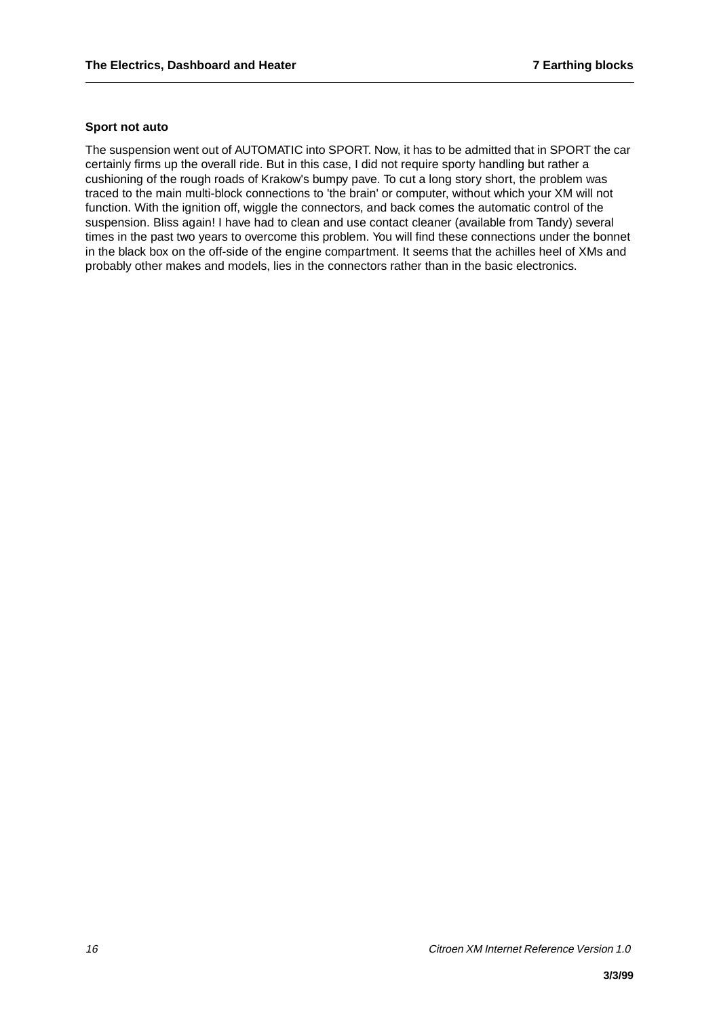### **Sport not auto**

The suspension went out of AUTOMATIC into SPORT. Now, it has to be admitted that in SPORT the car certainly firms up the overall ride. But in this case, I did not require sporty handling but rather a cushioning of the rough roads of Krakow's bumpy pave. To cut a long story short, the problem was traced to the main multi-block connections to 'the brain' or computer, without which your XM will not function. With the ignition off, wiggle the connectors, and back comes the automatic control of the suspension. Bliss again! I have had to clean and use contact cleaner (available from Tandy) several times in the past two years to overcome this problem. You will find these connections under the bonnet in the black box on the off-side of the engine compartment. It seems that the achilles heel of XMs and probably other makes and models, lies in the connectors rather than in the basic electronics.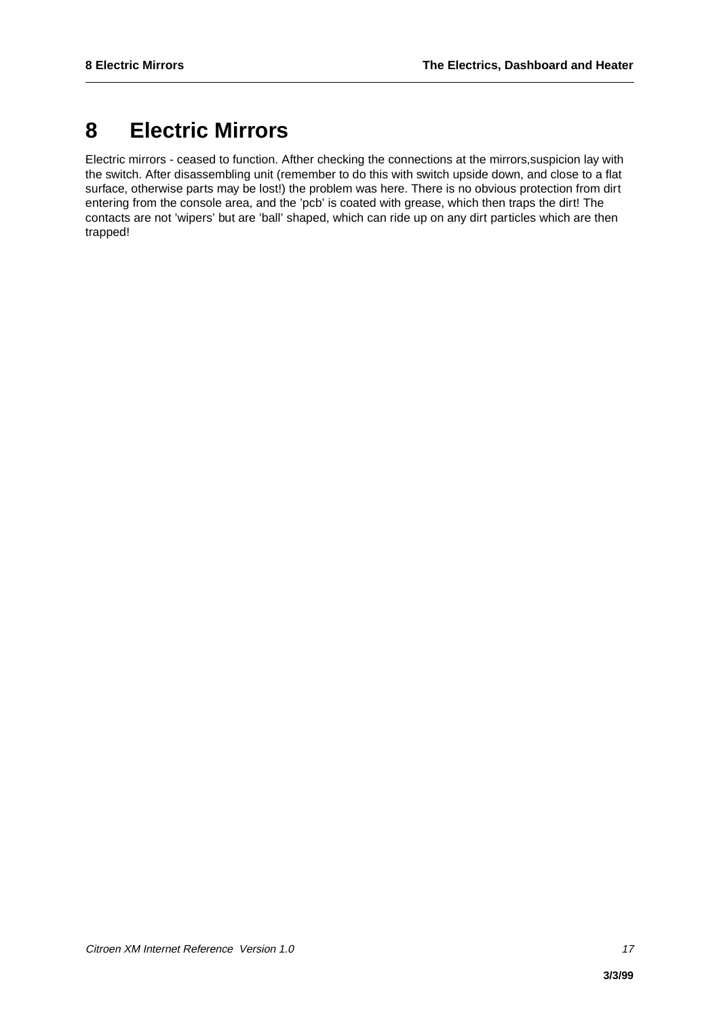### <span id="page-16-0"></span>**8 Electric Mirrors**

Electric mirrors - ceased to function. Afther checking the connections at the mirrors,suspicion lay with the switch. After disassembling unit (remember to do this with switch upside down, and close to a flat surface, otherwise parts may be lost!) the problem was here. There is no obvious protection from dirt entering from the console area, and the 'pcb' is coated with grease, which then traps the dirt! The contacts are not 'wipers' but are 'ball' shaped, which can ride up on any dirt particles which are then trapped!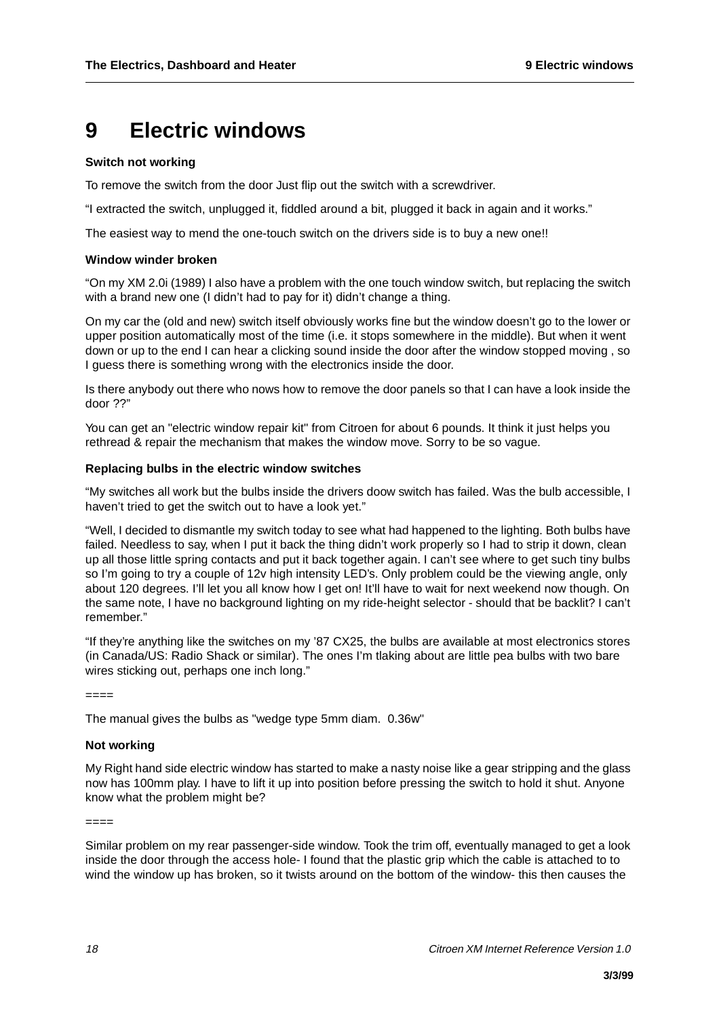### <span id="page-17-0"></span>**9 Electric windows**

### **Switch not working**

To remove the switch from the door Just flip out the switch with a screwdriver.

"I extracted the switch, unplugged it, fiddled around a bit, plugged it back in again and it works."

The easiest way to mend the one-touch switch on the drivers side is to buy a new one!!

### **Window winder broken**

"On my XM 2.0i (1989) I also have a problem with the one touch window switch, but replacing the switch with a brand new one (I didn't had to pay for it) didn't change a thing.

On my car the (old and new) switch itself obviously works fine but the window doesn't go to the lower or upper position automatically most of the time (i.e. it stops somewhere in the middle). But when it went down or up to the end I can hear a clicking sound inside the door after the window stopped moving , so I guess there is something wrong with the electronics inside the door.

Is there anybody out there who nows how to remove the door panels so that I can have a look inside the door ??"

You can get an "electric window repair kit" from Citroen for about 6 pounds. It think it just helps you rethread & repair the mechanism that makes the window move. Sorry to be so vague.

### **Replacing bulbs in the electric window switches**

"My switches all work but the bulbs inside the drivers doow switch has failed. Was the bulb accessible, I haven't tried to get the switch out to have a look yet."

"Well, I decided to dismantle my switch today to see what had happened to the lighting. Both bulbs have failed. Needless to say, when I put it back the thing didn't work properly so I had to strip it down, clean up all those little spring contacts and put it back together again. I can't see where to get such tiny bulbs so I'm going to try a couple of 12v high intensity LED's. Only problem could be the viewing angle, only about 120 degrees. I'll let you all know how I get on! It'll have to wait for next weekend now though. On the same note, I have no background lighting on my ride-height selector - should that be backlit? I can't remember."

"If they're anything like the switches on my '87 CX25, the bulbs are available at most electronics stores (in Canada/US: Radio Shack or similar). The ones I'm tlaking about are little pea bulbs with two bare wires sticking out, perhaps one inch long."

====

The manual gives the bulbs as "wedge type 5mm diam. 0.36w"

### **Not working**

My Right hand side electric window has started to make a nasty noise like a gear stripping and the glass now has 100mm play. I have to lift it up into position before pressing the switch to hold it shut. Anyone know what the problem might be?

====

Similar problem on my rear passenger-side window. Took the trim off, eventually managed to get a look inside the door through the access hole- I found that the plastic grip which the cable is attached to to wind the window up has broken, so it twists around on the bottom of the window- this then causes the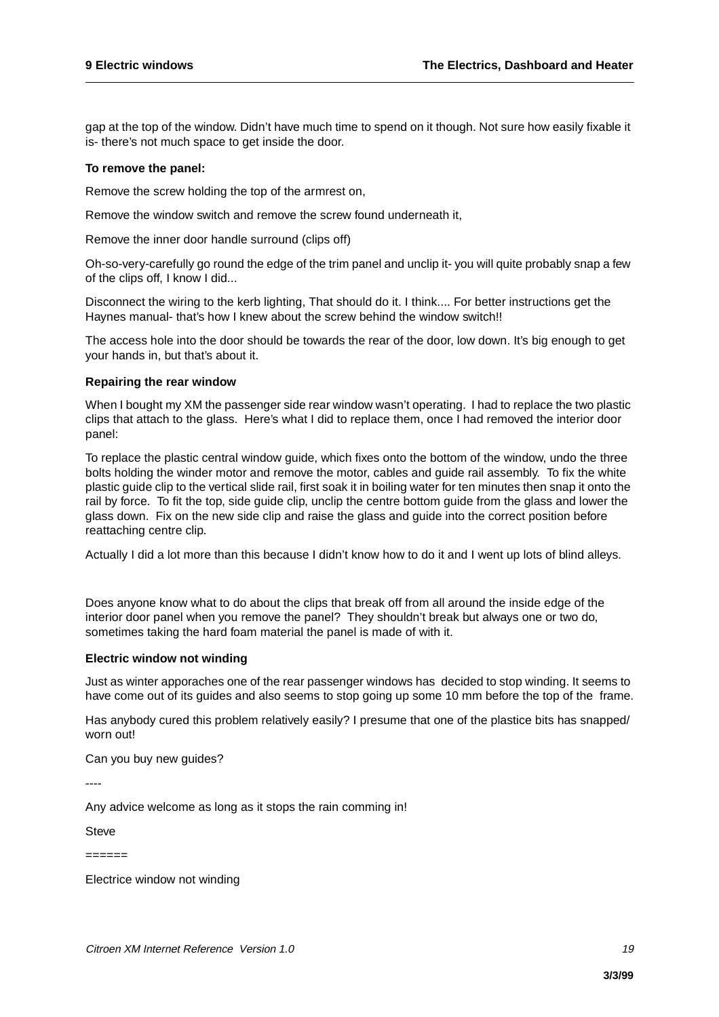gap at the top of the window. Didn't have much time to spend on it though. Not sure how easily fixable it is- there's not much space to get inside the door.

#### **To remove the panel:**

Remove the screw holding the top of the armrest on,

Remove the window switch and remove the screw found underneath it,

Remove the inner door handle surround (clips off)

Oh-so-very-carefully go round the edge of the trim panel and unclip it- you will quite probably snap a few of the clips off, I know I did...

Disconnect the wiring to the kerb lighting, That should do it. I think.... For better instructions get the Haynes manual- that's how I knew about the screw behind the window switch!!

The access hole into the door should be towards the rear of the door, low down. It's big enough to get your hands in, but that's about it.

#### **Repairing the rear window**

When I bought my XM the passenger side rear window wasn't operating. I had to replace the two plastic clips that attach to the glass. Here's what I did to replace them, once I had removed the interior door panel:

To replace the plastic central window guide, which fixes onto the bottom of the window, undo the three bolts holding the winder motor and remove the motor, cables and guide rail assembly. To fix the white plastic guide clip to the vertical slide rail, first soak it in boiling water for ten minutes then snap it onto the rail by force. To fit the top, side quide clip, unclip the centre bottom quide from the glass and lower the glass down. Fix on the new side clip and raise the glass and guide into the correct position before reattaching centre clip.

Actually I did a lot more than this because I didn't know how to do it and I went up lots of blind alleys.

Does anyone know what to do about the clips that break off from all around the inside edge of the interior door panel when you remove the panel? They shouldn't break but always one or two do, sometimes taking the hard foam material the panel is made of with it.

#### **Electric window not winding**

Just as winter apporaches one of the rear passenger windows has decided to stop winding. It seems to have come out of its guides and also seems to stop going up some 10 mm before the top of the frame.

Has anybody cured this problem relatively easily? I presume that one of the plastice bits has snapped/ worn out!

Can you buy new guides?

----

Any advice welcome as long as it stops the rain comming in!

**Steve** 

 $=$ 

Electrice window not winding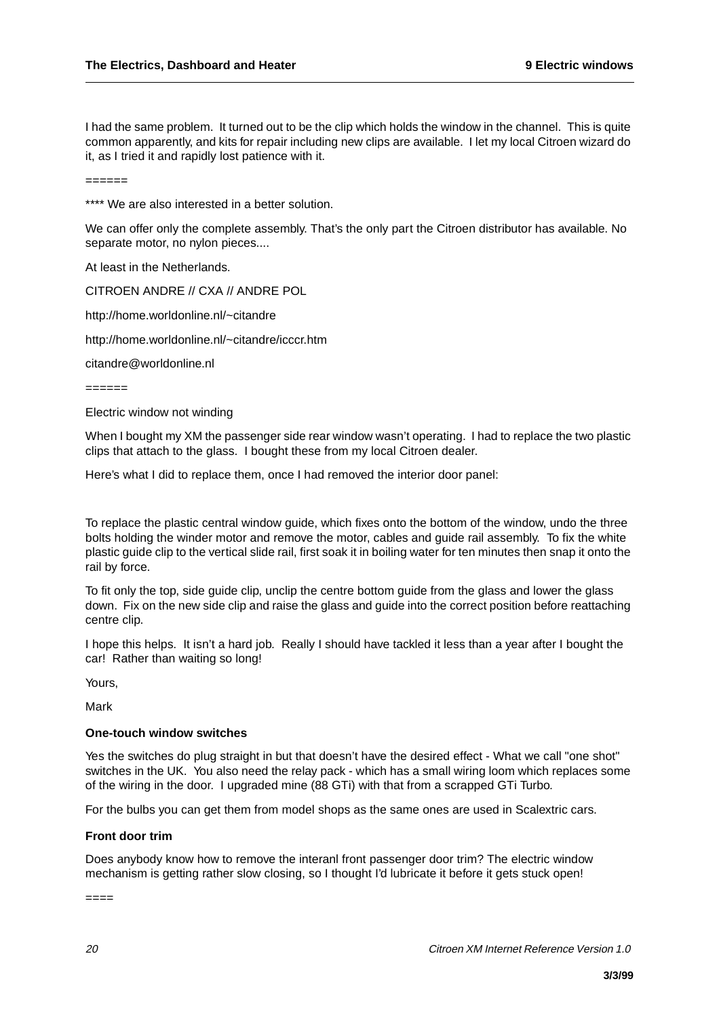I had the same problem. It turned out to be the clip which holds the window in the channel. This is quite common apparently, and kits for repair including new clips are available. I let my local Citroen wizard do it, as I tried it and rapidly lost patience with it.

======

\*\*\*\* We are also interested in a better solution.

We can offer only the complete assembly. That's the only part the Citroen distributor has available. No separate motor, no nylon pieces....

At least in the Netherlands.

CITROEN ANDRE // CXA // ANDRE POL

http://home.worldonline.nl/~citandre

http://home.worldonline.nl/~citandre/icccr.htm

citandre@worldonline.nl

======

Electric window not winding

When I bought my XM the passenger side rear window wasn't operating. I had to replace the two plastic clips that attach to the glass. I bought these from my local Citroen dealer.

Here's what I did to replace them, once I had removed the interior door panel:

To replace the plastic central window guide, which fixes onto the bottom of the window, undo the three bolts holding the winder motor and remove the motor, cables and guide rail assembly. To fix the white plastic guide clip to the vertical slide rail, first soak it in boiling water for ten minutes then snap it onto the rail by force.

To fit only the top, side guide clip, unclip the centre bottom guide from the glass and lower the glass down. Fix on the new side clip and raise the glass and guide into the correct position before reattaching centre clip.

I hope this helps. It isn't a hard job. Really I should have tackled it less than a year after I bought the car! Rather than waiting so long!

Yours,

Mark

### **One-touch window switches**

Yes the switches do plug straight in but that doesn't have the desired effect - What we call "one shot" switches in the UK. You also need the relay pack - which has a small wiring loom which replaces some of the wiring in the door. I upgraded mine (88 GTi) with that from a scrapped GTi Turbo.

For the bulbs you can get them from model shops as the same ones are used in Scalextric cars.

### **Front door trim**

Does anybody know how to remove the interanl front passenger door trim? The electric window mechanism is getting rather slow closing, so I thought I'd lubricate it before it gets stuck open!

====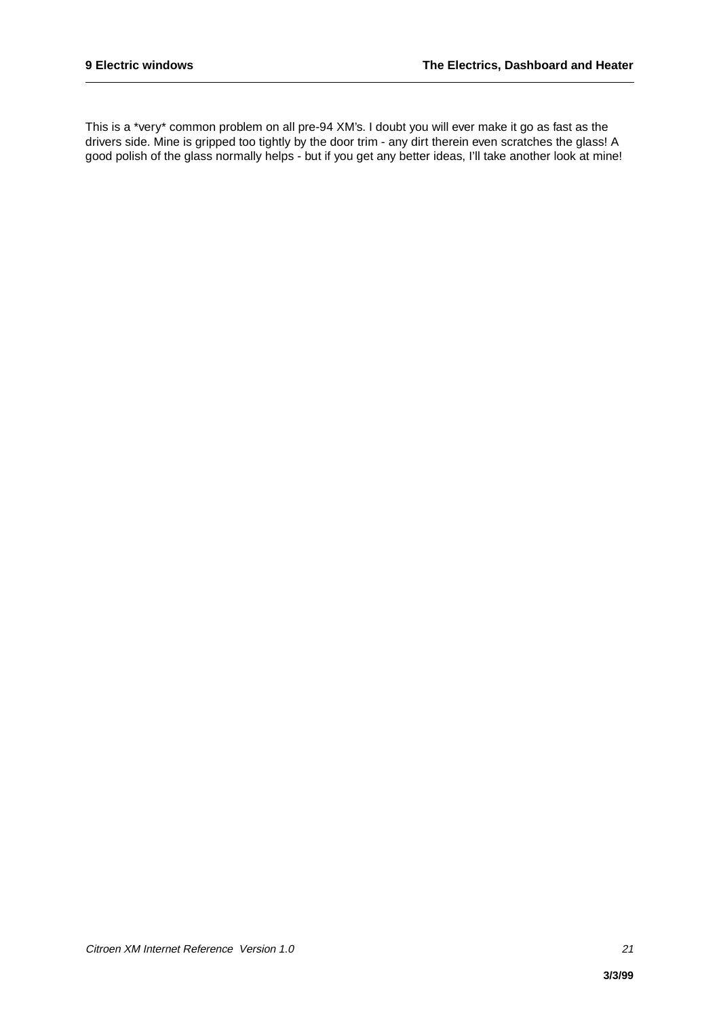This is a \*very\* common problem on all pre-94 XM's. I doubt you will ever make it go as fast as the drivers side. Mine is gripped too tightly by the door trim - any dirt therein even scratches the glass! A good polish of the glass normally helps - but if you get any better ideas, I'll take another look at mine!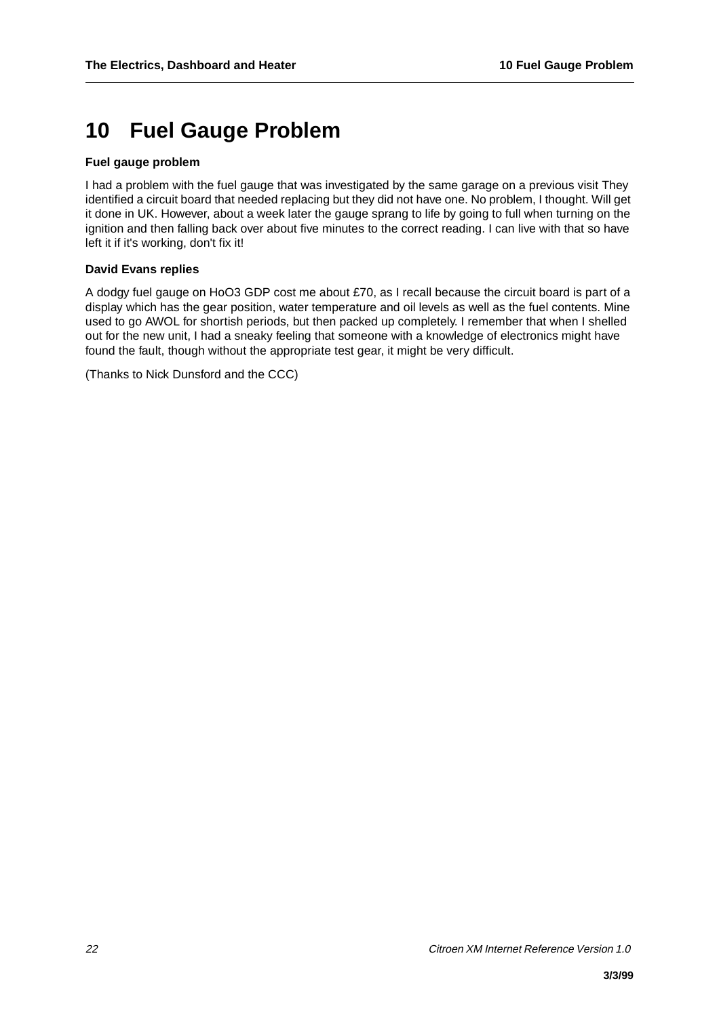### <span id="page-21-0"></span>**10 Fuel Gauge Problem**

### **Fuel gauge problem**

I had a problem with the fuel gauge that was investigated by the same garage on a previous visit They identified a circuit board that needed replacing but they did not have one. No problem, I thought. Will get it done in UK. However, about a week later the gauge sprang to life by going to full when turning on the ignition and then falling back over about five minutes to the correct reading. I can live with that so have left it if it's working, don't fix it!

### **David Evans replies**

A dodgy fuel gauge on HoO3 GDP cost me about £70, as I recall because the circuit board is part of a display which has the gear position, water temperature and oil levels as well as the fuel contents. Mine used to go AWOL for shortish periods, but then packed up completely. I remember that when I shelled out for the new unit, I had a sneaky feeling that someone with a knowledge of electronics might have found the fault, though without the appropriate test gear, it might be very difficult.

(Thanks to Nick Dunsford and the CCC)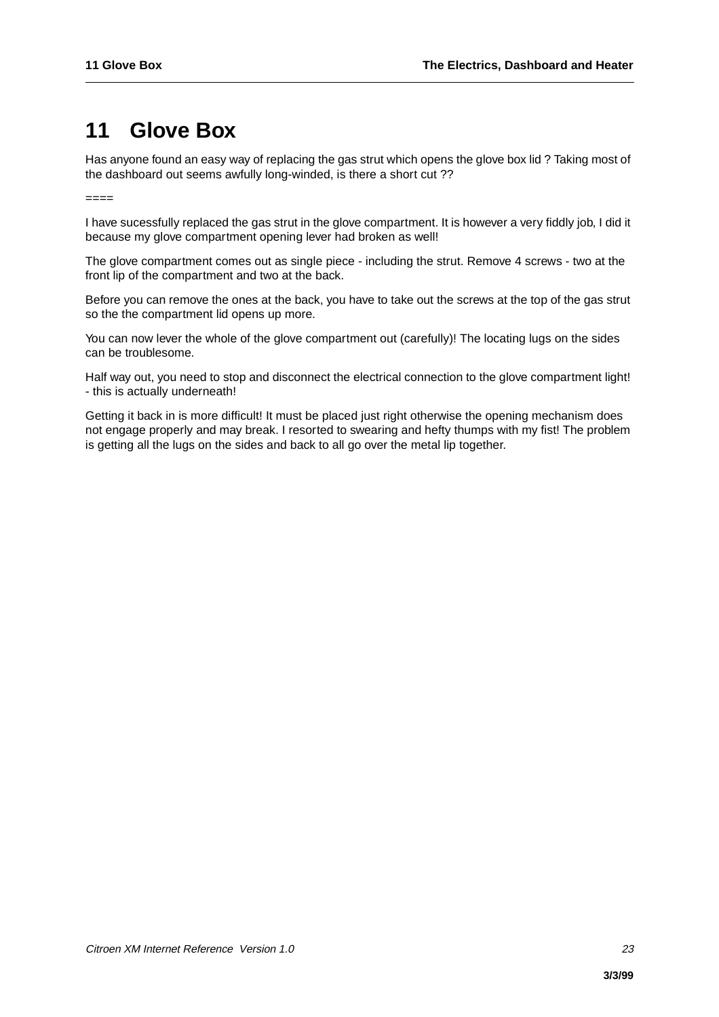### <span id="page-22-0"></span>**11 Glove Box**

Has anyone found an easy way of replacing the gas strut which opens the glove box lid ? Taking most of the dashboard out seems awfully long-winded, is there a short cut ??

 $====$ 

I have sucessfully replaced the gas strut in the glove compartment. It is however a very fiddly job, I did it because my glove compartment opening lever had broken as well!

The glove compartment comes out as single piece - including the strut. Remove 4 screws - two at the front lip of the compartment and two at the back.

Before you can remove the ones at the back, you have to take out the screws at the top of the gas strut so the the compartment lid opens up more.

You can now lever the whole of the glove compartment out (carefully)! The locating lugs on the sides can be troublesome.

Half way out, you need to stop and disconnect the electrical connection to the glove compartment light! - this is actually underneath!

Getting it back in is more difficult! It must be placed just right otherwise the opening mechanism does not engage properly and may break. I resorted to swearing and hefty thumps with my fist! The problem is getting all the lugs on the sides and back to all go over the metal lip together.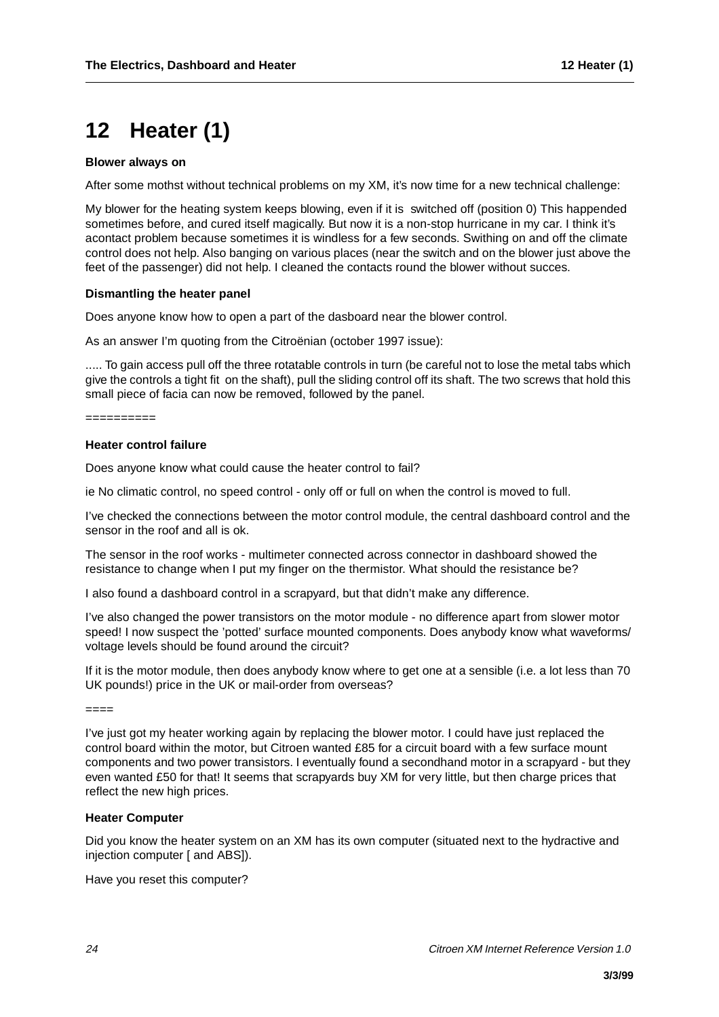# <span id="page-23-0"></span>**12 Heater (1)**

### **Blower always on**

After some mothst without technical problems on my XM, it's now time for a new technical challenge:

My blower for the heating system keeps blowing, even if it is switched off (position 0) This happended sometimes before, and cured itself magically. But now it is a non-stop hurricane in my car. I think it's acontact problem because sometimes it is windless for a few seconds. Swithing on and off the climate control does not help. Also banging on various places (near the switch and on the blower just above the feet of the passenger) did not help. I cleaned the contacts round the blower without succes.

### **Dismantling the heater panel**

Does anyone know how to open a part of the dasboard near the blower control.

As an answer I'm quoting from the Citroënian (october 1997 issue):

..... To gain access pull off the three rotatable controls in turn (be careful not to lose the metal tabs which give the controls a tight fit on the shaft), pull the sliding control off its shaft. The two screws that hold this small piece of facia can now be removed, followed by the panel.

#### ==========

#### **Heater control failure**

Does anyone know what could cause the heater control to fail?

ie No climatic control, no speed control - only off or full on when the control is moved to full.

I've checked the connections between the motor control module, the central dashboard control and the sensor in the roof and all is ok.

The sensor in the roof works - multimeter connected across connector in dashboard showed the resistance to change when I put my finger on the thermistor. What should the resistance be?

I also found a dashboard control in a scrapyard, but that didn't make any difference.

I've also changed the power transistors on the motor module - no difference apart from slower motor speed! I now suspect the 'potted' surface mounted components. Does anybody know what waveforms/ voltage levels should be found around the circuit?

If it is the motor module, then does anybody know where to get one at a sensible (i.e. a lot less than 70 UK pounds!) price in the UK or mail-order from overseas?

 $====$ 

I've just got my heater working again by replacing the blower motor. I could have just replaced the control board within the motor, but Citroen wanted £85 for a circuit board with a few surface mount components and two power transistors. I eventually found a secondhand motor in a scrapyard - but they even wanted £50 for that! It seems that scrapyards buy XM for very little, but then charge prices that reflect the new high prices.

### **Heater Computer**

Did you know the heater system on an XM has its own computer (situated next to the hydractive and injection computer [ and ABS]).

Have you reset this computer?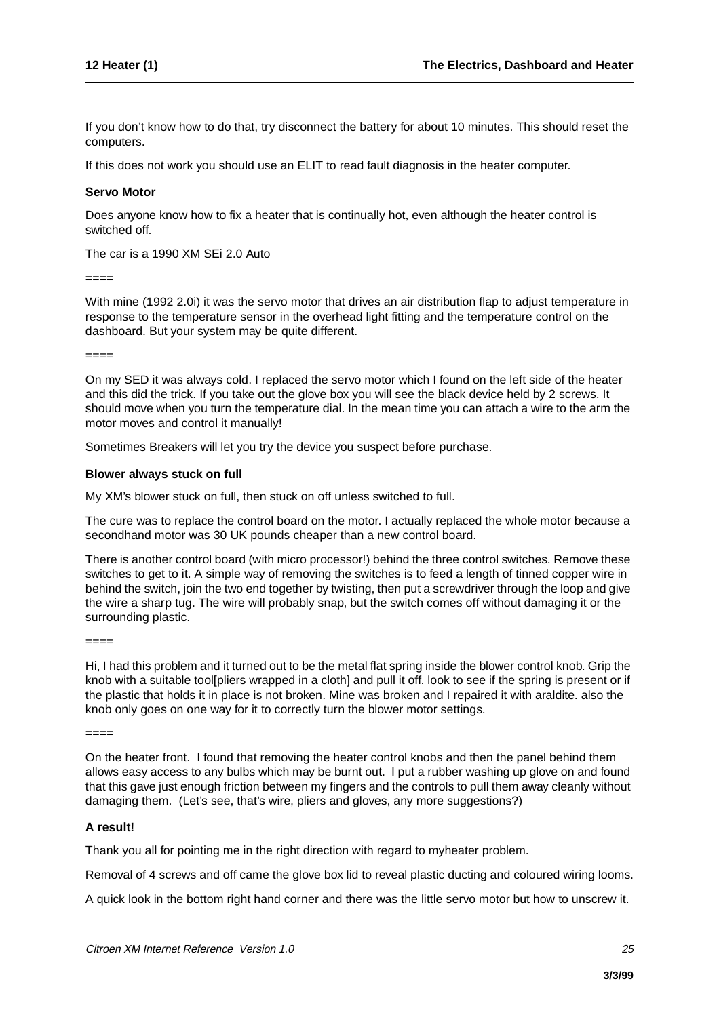If you don't know how to do that, try disconnect the battery for about 10 minutes. This should reset the computers.

If this does not work you should use an ELIT to read fault diagnosis in the heater computer.

#### **Servo Motor**

Does anyone know how to fix a heater that is continually hot, even although the heater control is switched off.

The car is a 1990 XM SEi 2.0 Auto

====

With mine (1992 2.0i) it was the servo motor that drives an air distribution flap to adjust temperature in response to the temperature sensor in the overhead light fitting and the temperature control on the dashboard. But your system may be quite different.

====

On my SED it was always cold. I replaced the servo motor which I found on the left side of the heater and this did the trick. If you take out the glove box you will see the black device held by 2 screws. It should move when you turn the temperature dial. In the mean time you can attach a wire to the arm the motor moves and control it manually!

Sometimes Breakers will let you try the device you suspect before purchase.

#### **Blower always stuck on full**

My XM's blower stuck on full, then stuck on off unless switched to full.

The cure was to replace the control board on the motor. I actually replaced the whole motor because a secondhand motor was 30 UK pounds cheaper than a new control board.

There is another control board (with micro processor!) behind the three control switches. Remove these switches to get to it. A simple way of removing the switches is to feed a length of tinned copper wire in behind the switch, join the two end together by twisting, then put a screwdriver through the loop and give the wire a sharp tug. The wire will probably snap, but the switch comes off without damaging it or the surrounding plastic.

 $====$ 

Hi, I had this problem and it turned out to be the metal flat spring inside the blower control knob. Grip the knob with a suitable tool[pliers wrapped in a cloth] and pull it off. look to see if the spring is present or if the plastic that holds it in place is not broken. Mine was broken and I repaired it with araldite. also the knob only goes on one way for it to correctly turn the blower motor settings.

 $====$ 

On the heater front. I found that removing the heater control knobs and then the panel behind them allows easy access to any bulbs which may be burnt out. I put a rubber washing up glove on and found that this gave just enough friction between my fingers and the controls to pull them away cleanly without damaging them. (Let's see, that's wire, pliers and gloves, any more suggestions?)

### **A result!**

Thank you all for pointing me in the right direction with regard to myheater problem.

Removal of 4 screws and off came the glove box lid to reveal plastic ducting and coloured wiring looms.

A quick look in the bottom right hand corner and there was the little servo motor but how to unscrew it.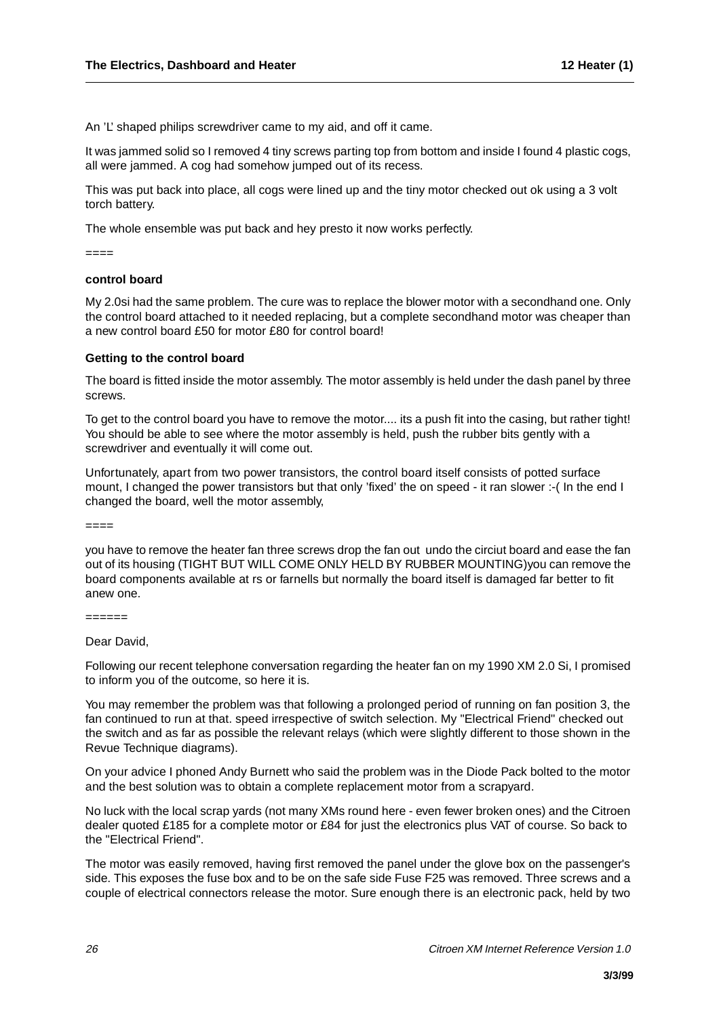An 'L' shaped philips screwdriver came to my aid, and off it came.

It was jammed solid so I removed 4 tiny screws parting top from bottom and inside I found 4 plastic cogs, all were jammed. A cog had somehow jumped out of its recess.

This was put back into place, all cogs were lined up and the tiny motor checked out ok using a 3 volt torch battery.

The whole ensemble was put back and hey presto it now works perfectly.

====

#### **control board**

My 2.0si had the same problem. The cure was to replace the blower motor with a secondhand one. Only the control board attached to it needed replacing, but a complete secondhand motor was cheaper than a new control board £50 for motor £80 for control board!

#### **Getting to the control board**

The board is fitted inside the motor assembly. The motor assembly is held under the dash panel by three screws.

To get to the control board you have to remove the motor.... its a push fit into the casing, but rather tight! You should be able to see where the motor assembly is held, push the rubber bits gently with a screwdriver and eventually it will come out.

Unfortunately, apart from two power transistors, the control board itself consists of potted surface mount, I changed the power transistors but that only 'fixed' the on speed - it ran slower :-( In the end I changed the board, well the motor assembly,

====

you have to remove the heater fan three screws drop the fan out undo the circiut board and ease the fan out of its housing (TIGHT BUT WILL COME ONLY HELD BY RUBBER MOUNTING)you can remove the board components available at rs or farnells but normally the board itself is damaged far better to fit anew one.

======

Dear David,

Following our recent telephone conversation regarding the heater fan on my 1990 XM 2.0 Si, I promised to inform you of the outcome, so here it is.

You may remember the problem was that following a prolonged period of running on fan position 3, the fan continued to run at that. speed irrespective of switch selection. My "Electrical Friend" checked out the switch and as far as possible the relevant relays (which were slightly different to those shown in the Revue Technique diagrams).

On your advice I phoned Andy Burnett who said the problem was in the Diode Pack bolted to the motor and the best solution was to obtain a complete replacement motor from a scrapyard.

No luck with the local scrap yards (not many XMs round here - even fewer broken ones) and the Citroen dealer quoted £185 for a complete motor or £84 for just the electronics plus VAT of course. So back to the "Electrical Friend".

The motor was easily removed, having first removed the panel under the glove box on the passenger's side. This exposes the fuse box and to be on the safe side Fuse F25 was removed. Three screws and a couple of electrical connectors release the motor. Sure enough there is an electronic pack, held by two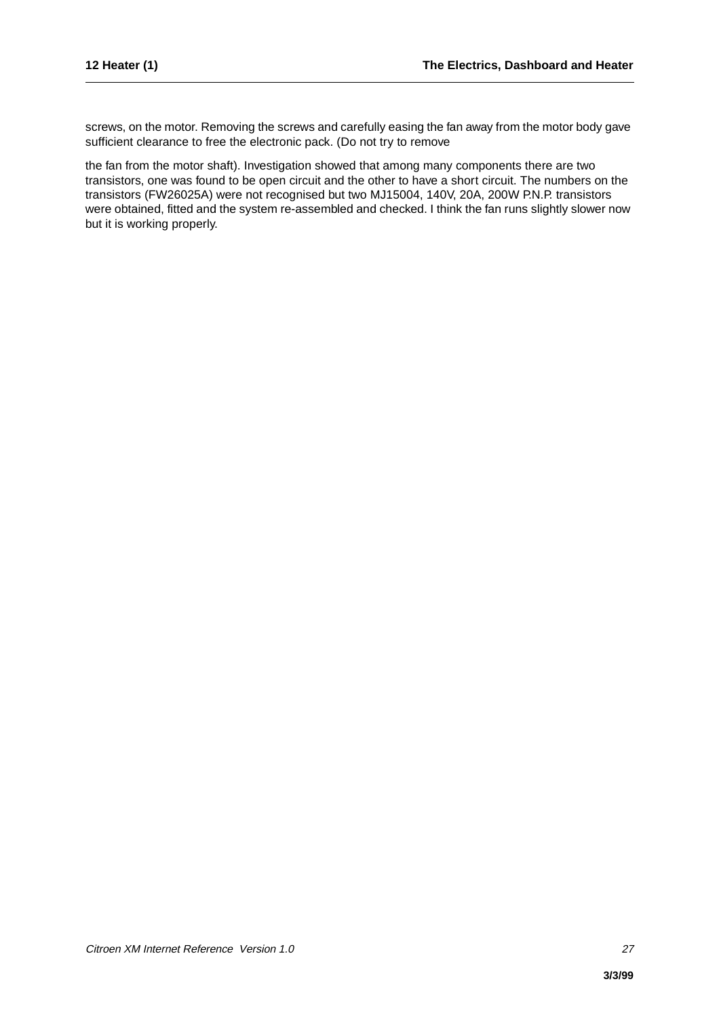screws, on the motor. Removing the screws and carefully easing the fan away from the motor body gave sufficient clearance to free the electronic pack. (Do not try to remove

the fan from the motor shaft). Investigation showed that among many components there are two transistors, one was found to be open circuit and the other to have a short circuit. The numbers on the transistors (FW26025A) were not recognised but two MJ15004, 140V, 20A, 200W P.N.P. transistors were obtained, fitted and the system re-assembled and checked. I think the fan runs slightly slower now but it is working properly.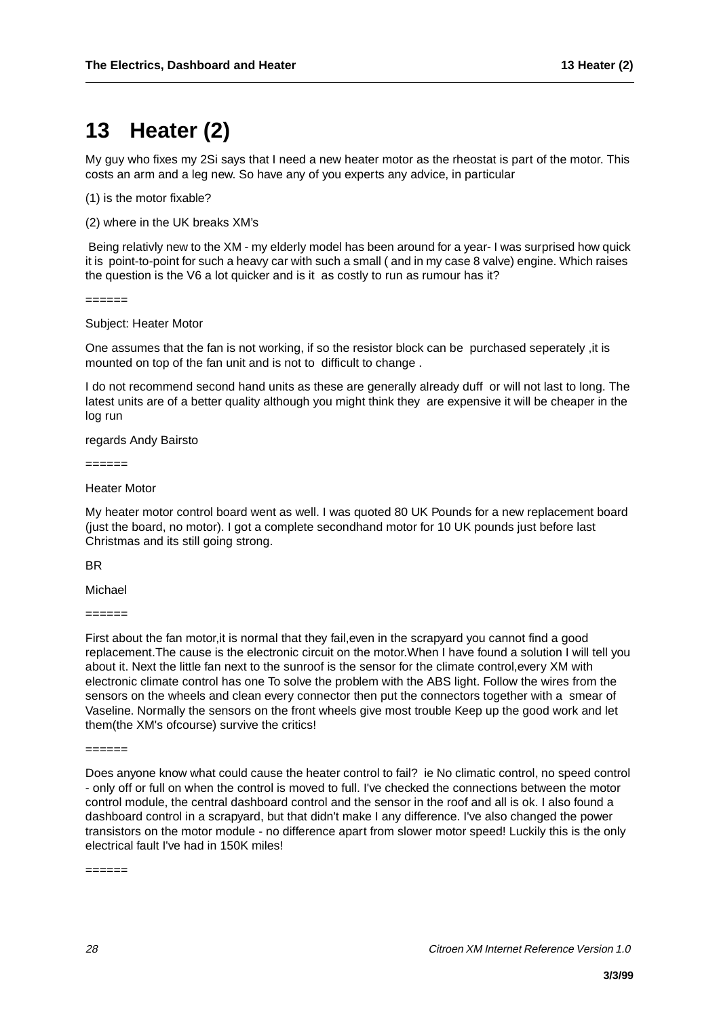### <span id="page-27-0"></span>**13 Heater (2)**

My guy who fixes my 2Si says that I need a new heater motor as the rheostat is part of the motor. This costs an arm and a leg new. So have any of you experts any advice, in particular

(1) is the motor fixable?

(2) where in the UK breaks XM's

 Being relativly new to the XM - my elderly model has been around for a year- I was surprised how quick it is point-to-point for such a heavy car with such a small ( and in my case 8 valve) engine. Which raises the question is the V6 a lot quicker and is it as costly to run as rumour has it?

 $=$ 

Subject: Heater Motor

One assumes that the fan is not working, if so the resistor block can be purchased seperately ,it is mounted on top of the fan unit and is not to difficult to change .

I do not recommend second hand units as these are generally already duff or will not last to long. The latest units are of a better quality although you might think they are expensive it will be cheaper in the log run

regards Andy Bairsto

======

Heater Motor

My heater motor control board went as well. I was quoted 80 UK Pounds for a new replacement board (just the board, no motor). I got a complete secondhand motor for 10 UK pounds just before last Christmas and its still going strong.

BR

Michael

======

First about the fan motor,it is normal that they fail,even in the scrapyard you cannot find a good replacement.The cause is the electronic circuit on the motor.When I have found a solution I will tell you about it. Next the little fan next to the sunroof is the sensor for the climate control,every XM with electronic climate control has one To solve the problem with the ABS light. Follow the wires from the sensors on the wheels and clean every connector then put the connectors together with a smear of Vaseline. Normally the sensors on the front wheels give most trouble Keep up the good work and let them(the XM's ofcourse) survive the critics!

======

Does anyone know what could cause the heater control to fail? ie No climatic control, no speed control - only off or full on when the control is moved to full. I've checked the connections between the motor control module, the central dashboard control and the sensor in the roof and all is ok. I also found a dashboard control in a scrapyard, but that didn't make I any difference. I've also changed the power transistors on the motor module - no difference apart from slower motor speed! Luckily this is the only electrical fault I've had in 150K miles!

======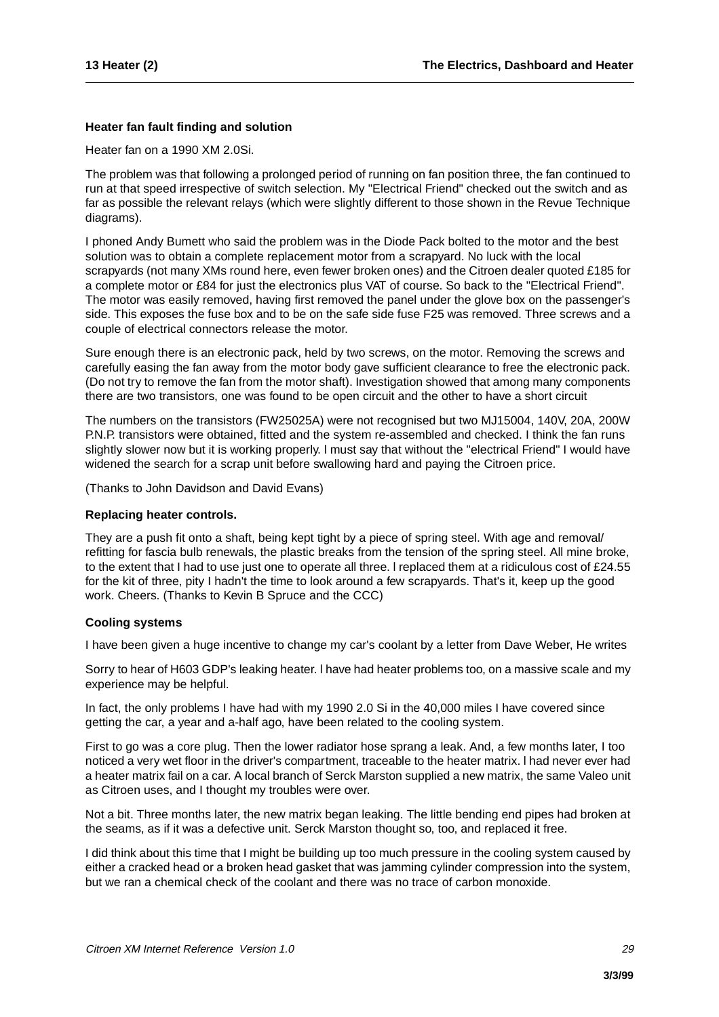### **Heater fan fault finding and solution**

Heater fan on a 1990 XM 2.0Si.

The problem was that following a prolonged period of running on fan position three, the fan continued to run at that speed irrespective of switch selection. My "Electrical Friend" checked out the switch and as far as possible the relevant relays (which were slightly different to those shown in the Revue Technique diagrams).

I phoned Andy Bumett who said the problem was in the Diode Pack bolted to the motor and the best solution was to obtain a complete replacement motor from a scrapyard. No luck with the local scrapyards (not many XMs round here, even fewer broken ones) and the Citroen dealer quoted £185 for a complete motor or £84 for just the electronics plus VAT of course. So back to the "Electrical Friend". The motor was easily removed, having first removed the panel under the glove box on the passenger's side. This exposes the fuse box and to be on the safe side fuse F25 was removed. Three screws and a couple of electrical connectors release the motor.

Sure enough there is an electronic pack, held by two screws, on the motor. Removing the screws and carefully easing the fan away from the motor body gave sufficient clearance to free the electronic pack. (Do not try to remove the fan from the motor shaft). Investigation showed that among many components there are two transistors, one was found to be open circuit and the other to have a short circuit

The numbers on the transistors (FW25025A) were not recognised but two MJ15004, 140V, 20A, 200W P.N.P. transistors were obtained, fitted and the system re-assembled and checked. I think the fan runs slightly slower now but it is working properly. l must say that without the "electrical Friend" I would have widened the search for a scrap unit before swallowing hard and paying the Citroen price.

(Thanks to John Davidson and David Evans)

### **Replacing heater controls.**

They are a push fit onto a shaft, being kept tight by a piece of spring steel. With age and removal/ refitting for fascia bulb renewals, the plastic breaks from the tension of the spring steel. All mine broke, to the extent that I had to use just one to operate all three. l replaced them at a ridiculous cost of £24.55 for the kit of three, pity I hadn't the time to look around a few scrapyards. That's it, keep up the good work. Cheers. (Thanks to Kevin B Spruce and the CCC)

### **Cooling systems**

I have been given a huge incentive to change my car's coolant by a letter from Dave Weber, He writes

Sorry to hear of H603 GDP's leaking heater. l have had heater problems too, on a massive scale and my experience may be helpful.

In fact, the only problems I have had with my 1990 2.0 Si in the 40,000 miles I have covered since getting the car, a year and a-half ago, have been related to the cooling system.

First to go was a core plug. Then the lower radiator hose sprang a leak. And, a few months later, I too noticed a very wet floor in the driver's compartment, traceable to the heater matrix. l had never ever had a heater matrix fail on a car. A local branch of Serck Marston supplied a new matrix, the same Valeo unit as Citroen uses, and I thought my troubles were over.

Not a bit. Three months later, the new matrix began leaking. The little bending end pipes had broken at the seams, as if it was a defective unit. Serck Marston thought so, too, and replaced it free.

I did think about this time that I might be building up too much pressure in the cooling system caused by either a cracked head or a broken head gasket that was jamming cylinder compression into the system, but we ran a chemical check of the coolant and there was no trace of carbon monoxide.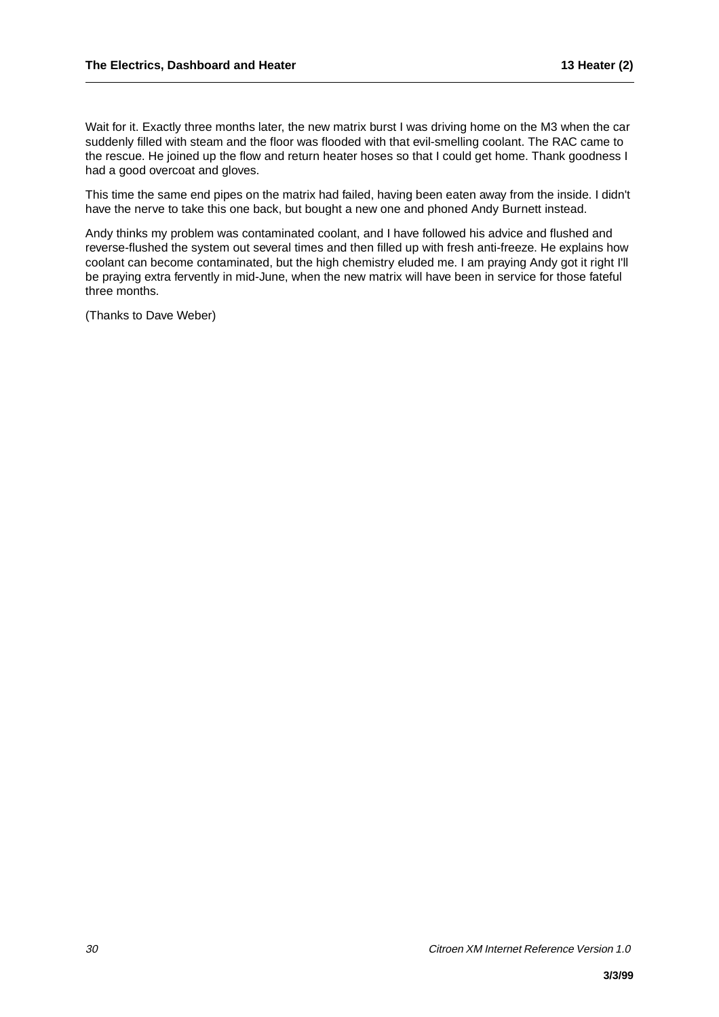Wait for it. Exactly three months later, the new matrix burst I was driving home on the M3 when the car suddenly filled with steam and the floor was flooded with that evil-smelling coolant. The RAC came to the rescue. He joined up the flow and return heater hoses so that I could get home. Thank goodness I had a good overcoat and gloves.

This time the same end pipes on the matrix had failed, having been eaten away from the inside. I didn't have the nerve to take this one back, but bought a new one and phoned Andy Burnett instead.

Andy thinks my problem was contaminated coolant, and I have followed his advice and flushed and reverse-flushed the system out several times and then filled up with fresh anti-freeze. He explains how coolant can become contaminated, but the high chemistry eluded me. I am praying Andy got it right I'll be praying extra fervently in mid-June, when the new matrix will have been in service for those fateful three months.

(Thanks to Dave Weber)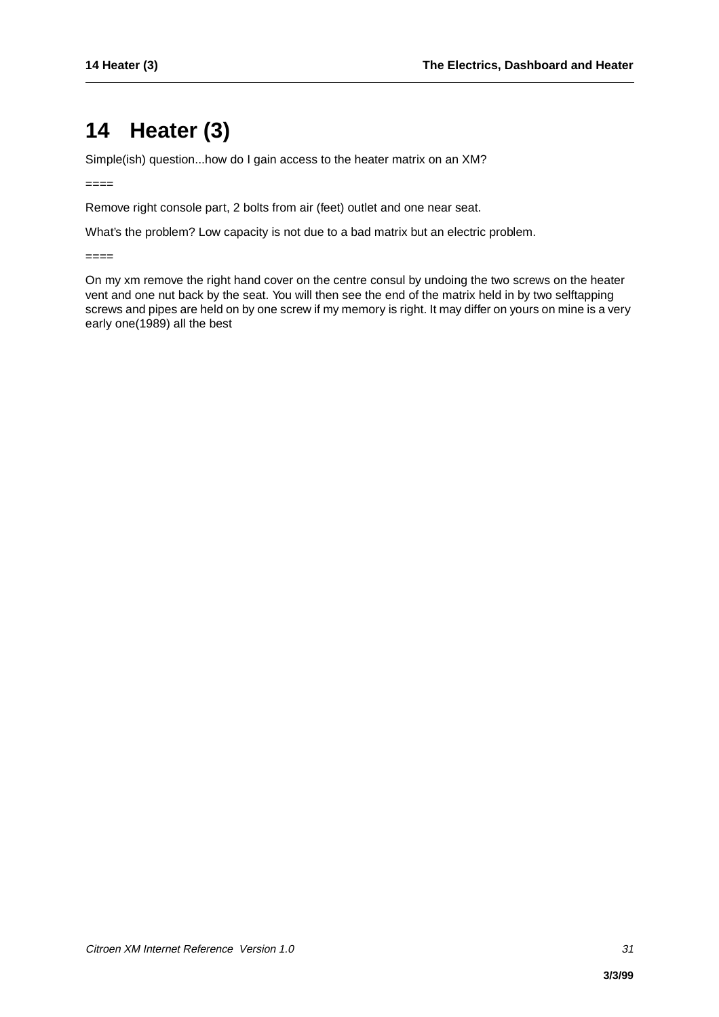# <span id="page-30-0"></span>**14 Heater (3)**

Simple(ish) question...how do I gain access to the heater matrix on an XM?

====

Remove right console part, 2 bolts from air (feet) outlet and one near seat.

What's the problem? Low capacity is not due to a bad matrix but an electric problem.

 $====$ 

On my xm remove the right hand cover on the centre consul by undoing the two screws on the heater vent and one nut back by the seat. You will then see the end of the matrix held in by two selftapping screws and pipes are held on by one screw if my memory is right. It may differ on yours on mine is a very early one(1989) all the best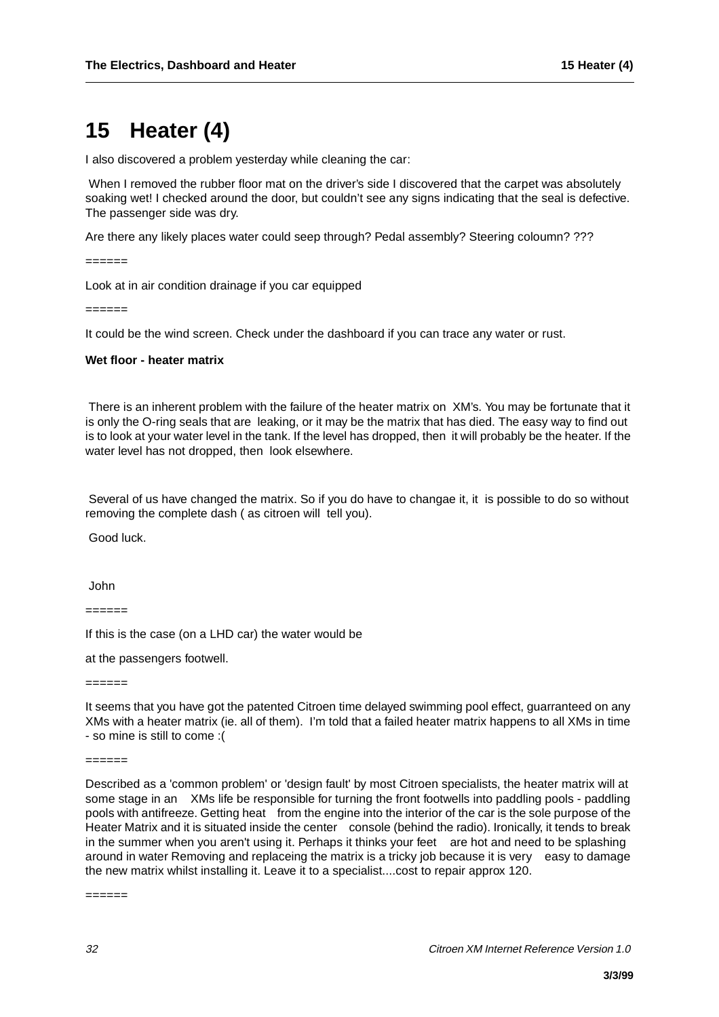## <span id="page-31-0"></span>**15 Heater (4)**

I also discovered a problem yesterday while cleaning the car:

 When I removed the rubber floor mat on the driver's side I discovered that the carpet was absolutely soaking wet! I checked around the door, but couldn't see any signs indicating that the seal is defective. The passenger side was dry.

Are there any likely places water could seep through? Pedal assembly? Steering coloumn? ???

======

Look at in air condition drainage if you car equipped

======

It could be the wind screen. Check under the dashboard if you can trace any water or rust.

### **Wet floor - heater matrix**

 There is an inherent problem with the failure of the heater matrix on XM's. You may be fortunate that it is only the O-ring seals that are leaking, or it may be the matrix that has died. The easy way to find out is to look at your water level in the tank. If the level has dropped, then it will probably be the heater. If the water level has not dropped, then look elsewhere.

 Several of us have changed the matrix. So if you do have to changae it, it is possible to do so without removing the complete dash ( as citroen will tell you).

Good luck.

John

======

If this is the case (on a LHD car) the water would be

at the passengers footwell.

 $=$ 

It seems that you have got the patented Citroen time delayed swimming pool effect, guarranteed on any XMs with a heater matrix (ie. all of them). I'm told that a failed heater matrix happens to all XMs in time - so mine is still to come :(

 $=$ 

Described as a 'common problem' or 'design fault' by most Citroen specialists, the heater matrix will at some stage in an XMs life be responsible for turning the front footwells into paddling pools - paddling pools with antifreeze. Getting heat from the engine into the interior of the car is the sole purpose of the Heater Matrix and it is situated inside the center console (behind the radio). Ironically, it tends to break in the summer when you aren't using it. Perhaps it thinks your feet are hot and need to be splashing around in water Removing and replaceing the matrix is a tricky job because it is very easy to damage the new matrix whilst installing it. Leave it to a specialist....cost to repair approx 120.

======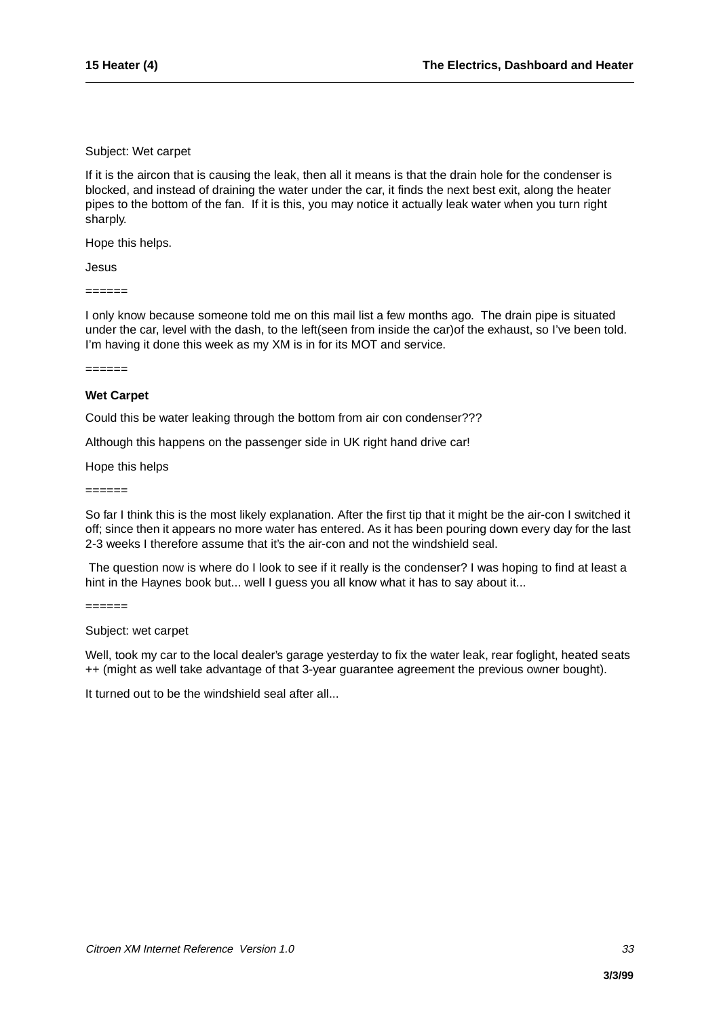Subject: Wet carpet

If it is the aircon that is causing the leak, then all it means is that the drain hole for the condenser is blocked, and instead of draining the water under the car, it finds the next best exit, along the heater pipes to the bottom of the fan. If it is this, you may notice it actually leak water when you turn right sharply.

Hope this helps.

Jesus

======

I only know because someone told me on this mail list a few months ago. The drain pipe is situated under the car, level with the dash, to the left(seen from inside the car)of the exhaust, so I've been told. I'm having it done this week as my XM is in for its MOT and service.

======

### **Wet Carpet**

Could this be water leaking through the bottom from air con condenser???

Although this happens on the passenger side in UK right hand drive car!

Hope this helps

 $=$ 

So far I think this is the most likely explanation. After the first tip that it might be the air-con I switched it off; since then it appears no more water has entered. As it has been pouring down every day for the last 2-3 weeks I therefore assume that it's the air-con and not the windshield seal.

 The question now is where do I look to see if it really is the condenser? I was hoping to find at least a hint in the Haynes book but... well I guess you all know what it has to say about it...

======

Subject: wet carpet

Well, took my car to the local dealer's garage yesterday to fix the water leak, rear foglight, heated seats ++ (might as well take advantage of that 3-year guarantee agreement the previous owner bought).

It turned out to be the windshield seal after all...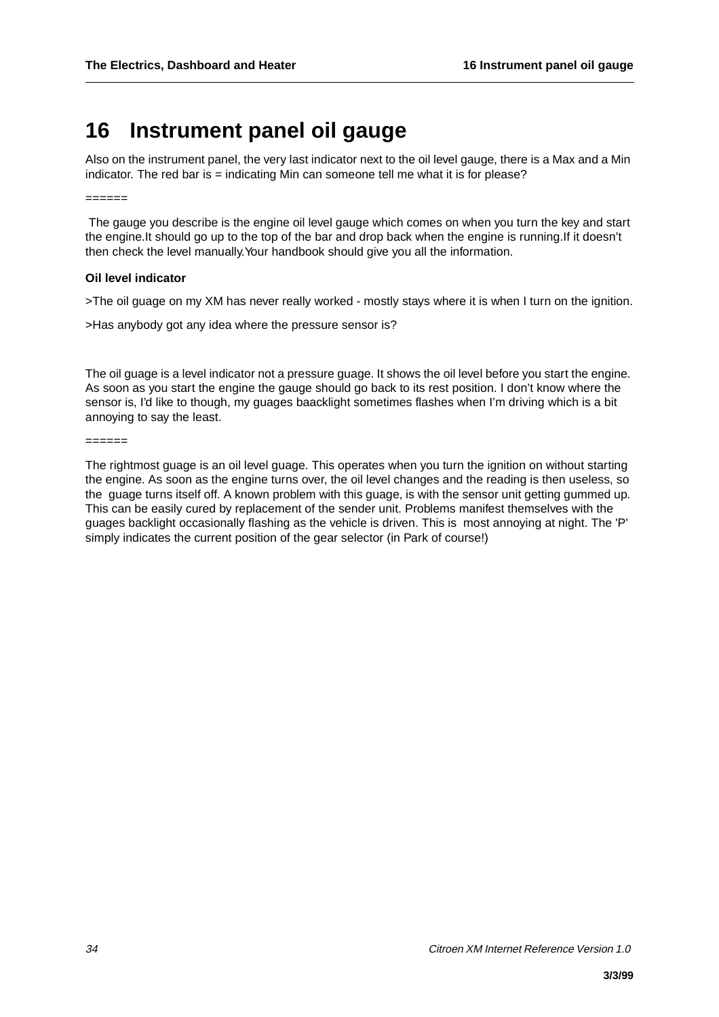### <span id="page-33-0"></span>**16 Instrument panel oil gauge**

Also on the instrument panel, the very last indicator next to the oil level gauge, there is a Max and a Min indicator. The red bar is = indicating Min can someone tell me what it is for please?

#### $=$

 $=$ 

 The gauge you describe is the engine oil level gauge which comes on when you turn the key and start the engine.It should go up to the top of the bar and drop back when the engine is running.If it doesn't then check the level manually.Your handbook should give you all the information.

### **Oil level indicator**

>The oil guage on my XM has never really worked - mostly stays where it is when I turn on the ignition.

>Has anybody got any idea where the pressure sensor is?

The oil guage is a level indicator not a pressure guage. It shows the oil level before you start the engine. As soon as you start the engine the gauge should go back to its rest position. I don't know where the sensor is, I'd like to though, my guages baacklight sometimes flashes when I'm driving which is a bit annoying to say the least.

The rightmost guage is an oil level guage. This operates when you turn the ignition on without starting the engine. As soon as the engine turns over, the oil level changes and the reading is then useless, so the guage turns itself off. A known problem with this guage, is with the sensor unit getting gummed up. This can be easily cured by replacement of the sender unit. Problems manifest themselves with the guages backlight occasionally flashing as the vehicle is driven. This is most annoying at night. The 'P' simply indicates the current position of the gear selector (in Park of course!)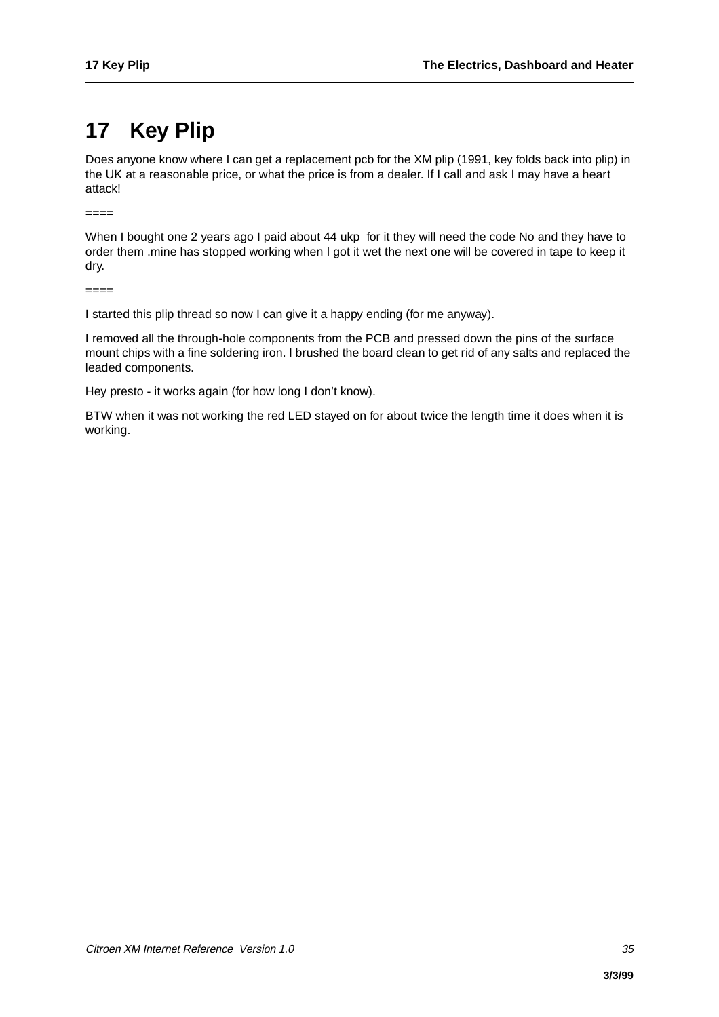# <span id="page-34-0"></span>**17 Key Plip**

Does anyone know where I can get a replacement pcb for the XM plip (1991, key folds back into plip) in the UK at a reasonable price, or what the price is from a dealer. If I call and ask I may have a heart attack!

 $====$ 

When I bought one 2 years ago I paid about 44 ukp for it they will need the code No and they have to order them .mine has stopped working when I got it wet the next one will be covered in tape to keep it dry.

 $====$ 

I started this plip thread so now I can give it a happy ending (for me anyway).

I removed all the through-hole components from the PCB and pressed down the pins of the surface mount chips with a fine soldering iron. I brushed the board clean to get rid of any salts and replaced the leaded components.

Hey presto - it works again (for how long I don't know).

BTW when it was not working the red LED stayed on for about twice the length time it does when it is working.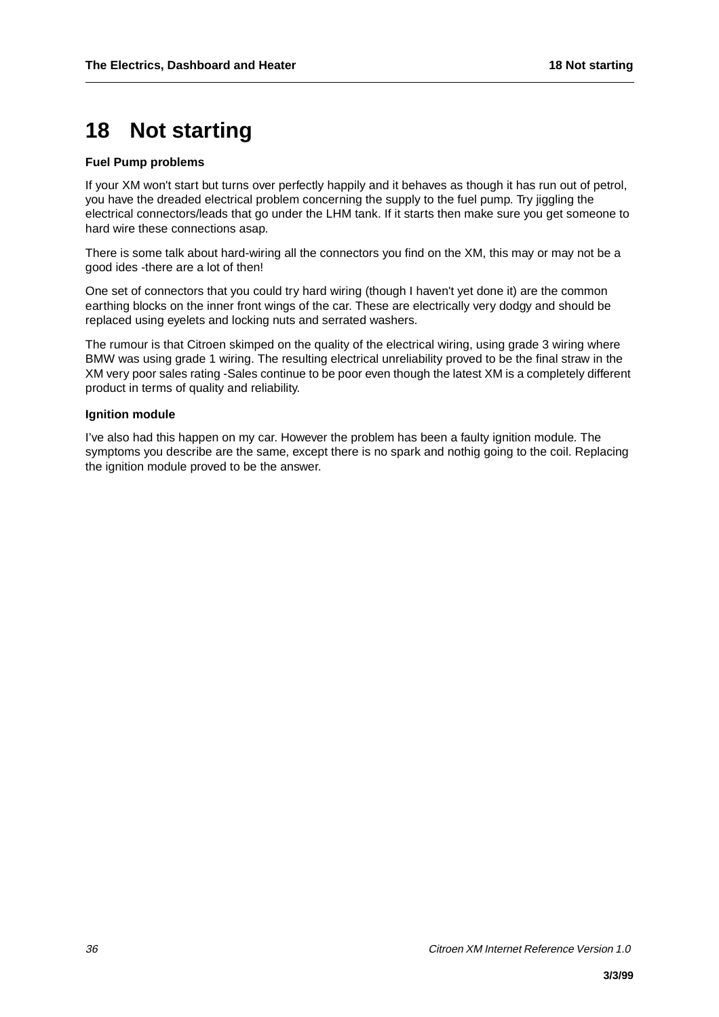### <span id="page-35-0"></span>**18 Not starting**

### **Fuel Pump problems**

If your XM won't start but turns over perfectly happily and it behaves as though it has run out of petrol, you have the dreaded electrical problem concerning the supply to the fuel pump. Try jiggling the electrical connectors/leads that go under the LHM tank. If it starts then make sure you get someone to hard wire these connections asap.

There is some talk about hard-wiring all the connectors you find on the XM, this may or may not be a good ides -there are a lot of then!

One set of connectors that you could try hard wiring (though I haven't yet done it) are the common earthing blocks on the inner front wings of the car. These are electrically very dodgy and should be replaced using eyelets and locking nuts and serrated washers.

The rumour is that Citroen skimped on the quality of the electrical wiring, using grade 3 wiring where BMW was using grade 1 wiring. The resulting electrical unreliability proved to be the final straw in the XM very poor sales rating -Sales continue to be poor even though the latest XM is a completely different product in terms of quality and reliability.

### **Ignition module**

I've also had this happen on my car. However the problem has been a faulty ignition module. The symptoms you describe are the same, except there is no spark and nothig going to the coil. Replacing the ignition module proved to be the answer.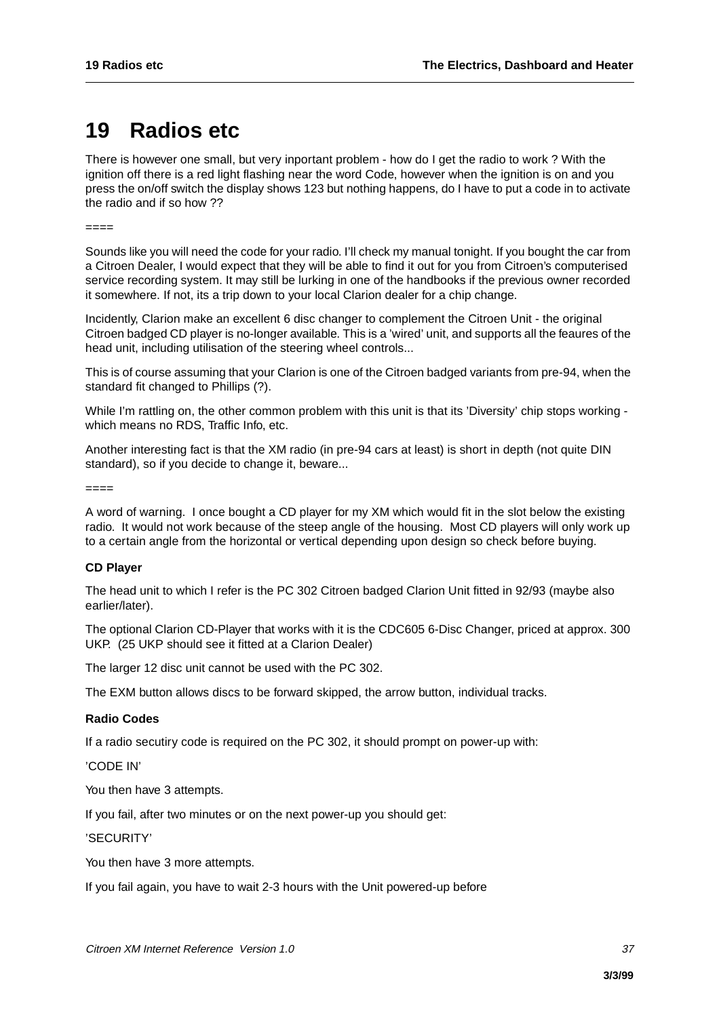### **19 Radios etc**

There is however one small, but very inportant problem - how do I get the radio to work ? With the ignition off there is a red light flashing near the word Code, however when the ignition is on and you press the on/off switch the display shows 123 but nothing happens, do I have to put a code in to activate the radio and if so how ??

====

Sounds like you will need the code for your radio. I'll check my manual tonight. If you bought the car from a Citroen Dealer, I would expect that they will be able to find it out for you from Citroen's computerised service recording system. It may still be lurking in one of the handbooks if the previous owner recorded it somewhere. If not, its a trip down to your local Clarion dealer for a chip change.

Incidently, Clarion make an excellent 6 disc changer to complement the Citroen Unit - the original Citroen badged CD player is no-longer available. This is a 'wired' unit, and supports all the feaures of the head unit, including utilisation of the steering wheel controls...

This is of course assuming that your Clarion is one of the Citroen badged variants from pre-94, when the standard fit changed to Phillips (?).

While I'm rattling on, the other common problem with this unit is that its 'Diversity' chip stops working which means no RDS, Traffic Info, etc.

Another interesting fact is that the XM radio (in pre-94 cars at least) is short in depth (not quite DIN standard), so if you decide to change it, beware...

====

A word of warning. I once bought a CD player for my XM which would fit in the slot below the existing radio. It would not work because of the steep angle of the housing. Most CD players will only work up to a certain angle from the horizontal or vertical depending upon design so check before buying.

### **CD Player**

The head unit to which I refer is the PC 302 Citroen badged Clarion Unit fitted in 92/93 (maybe also earlier/later).

The optional Clarion CD-Player that works with it is the CDC605 6-Disc Changer, priced at approx. 300 UKP. (25 UKP should see it fitted at a Clarion Dealer)

The larger 12 disc unit cannot be used with the PC 302.

The EXM button allows discs to be forward skipped, the arrow button, individual tracks.

### **Radio Codes**

If a radio secutiry code is required on the PC 302, it should prompt on power-up with:

'CODE IN'

You then have 3 attempts.

If you fail, after two minutes or on the next power-up you should get:

### 'SECURITY'

You then have 3 more attempts.

If you fail again, you have to wait 2-3 hours with the Unit powered-up before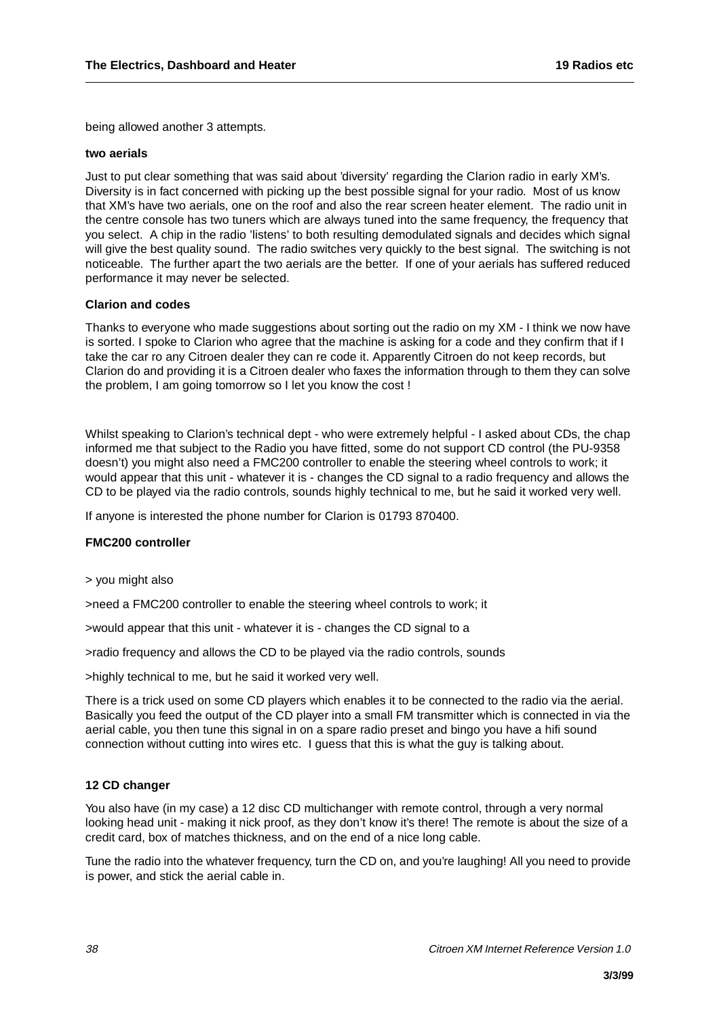being allowed another 3 attempts.

#### **two aerials**

Just to put clear something that was said about 'diversity' regarding the Clarion radio in early XM's. Diversity is in fact concerned with picking up the best possible signal for your radio. Most of us know that XM's have two aerials, one on the roof and also the rear screen heater element. The radio unit in the centre console has two tuners which are always tuned into the same frequency, the frequency that you select. A chip in the radio 'listens' to both resulting demodulated signals and decides which signal will give the best quality sound. The radio switches very quickly to the best signal. The switching is not noticeable. The further apart the two aerials are the better. If one of your aerials has suffered reduced performance it may never be selected.

### **Clarion and codes**

Thanks to everyone who made suggestions about sorting out the radio on my XM - I think we now have is sorted. I spoke to Clarion who agree that the machine is asking for a code and they confirm that if I take the car ro any Citroen dealer they can re code it. Apparently Citroen do not keep records, but Clarion do and providing it is a Citroen dealer who faxes the information through to them they can solve the problem, I am going tomorrow so I let you know the cost !

Whilst speaking to Clarion's technical dept - who were extremely helpful - I asked about CDs, the chap informed me that subject to the Radio you have fitted, some do not support CD control (the PU-9358 doesn't) you might also need a FMC200 controller to enable the steering wheel controls to work; it would appear that this unit - whatever it is - changes the CD signal to a radio frequency and allows the CD to be played via the radio controls, sounds highly technical to me, but he said it worked very well.

If anyone is interested the phone number for Clarion is 01793 870400.

### **FMC200 controller**

> you might also

>need a FMC200 controller to enable the steering wheel controls to work; it

>would appear that this unit - whatever it is - changes the CD signal to a

>radio frequency and allows the CD to be played via the radio controls, sounds

>highly technical to me, but he said it worked very well.

There is a trick used on some CD players which enables it to be connected to the radio via the aerial. Basically you feed the output of the CD player into a small FM transmitter which is connected in via the aerial cable, you then tune this signal in on a spare radio preset and bingo you have a hifi sound connection without cutting into wires etc. I guess that this is what the guy is talking about.

### **12 CD changer**

You also have (in my case) a 12 disc CD multichanger with remote control, through a very normal looking head unit - making it nick proof, as they don't know it's there! The remote is about the size of a credit card, box of matches thickness, and on the end of a nice long cable.

Tune the radio into the whatever frequency, turn the CD on, and you're laughing! All you need to provide is power, and stick the aerial cable in.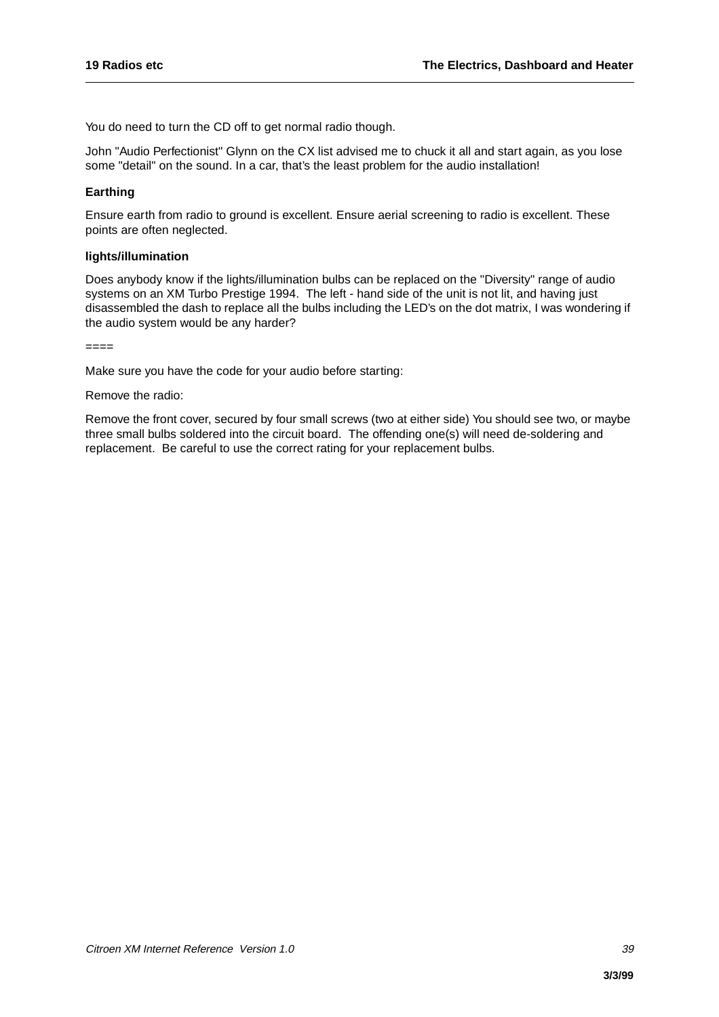You do need to turn the CD off to get normal radio though.

John "Audio Perfectionist" Glynn on the CX list advised me to chuck it all and start again, as you lose some "detail" on the sound. In a car, that's the least problem for the audio installation!

#### **Earthing**

Ensure earth from radio to ground is excellent. Ensure aerial screening to radio is excellent. These points are often neglected.

#### **lights/illumination**

Does anybody know if the lights/illumination bulbs can be replaced on the "Diversity" range of audio systems on an XM Turbo Prestige 1994. The left - hand side of the unit is not lit, and having just disassembled the dash to replace all the bulbs including the LED's on the dot matrix, I was wondering if the audio system would be any harder?

 $=$ 

Make sure you have the code for your audio before starting:

Remove the radio:

Remove the front cover, secured by four small screws (two at either side) You should see two, or maybe three small bulbs soldered into the circuit board. The offending one(s) will need de-soldering and replacement. Be careful to use the correct rating for your replacement bulbs.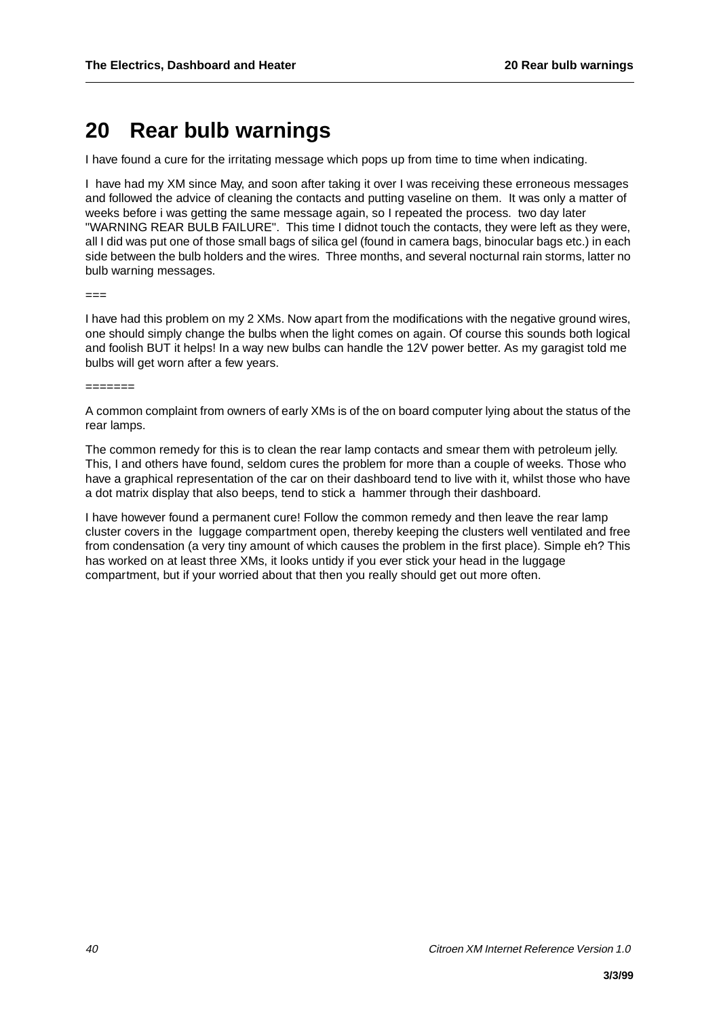### **20 Rear bulb warnings**

I have found a cure for the irritating message which pops up from time to time when indicating.

I have had my XM since May, and soon after taking it over I was receiving these erroneous messages and followed the advice of cleaning the contacts and putting vaseline on them. It was only a matter of weeks before i was getting the same message again, so I repeated the process. two day later "WARNING REAR BULB FAILURE". This time I didnot touch the contacts, they were left as they were, all I did was put one of those small bags of silica gel (found in camera bags, binocular bags etc.) in each side between the bulb holders and the wires. Three months, and several nocturnal rain storms, latter no bulb warning messages.

 $=$ 

I have had this problem on my 2 XMs. Now apart from the modifications with the negative ground wires, one should simply change the bulbs when the light comes on again. Of course this sounds both logical and foolish BUT it helps! In a way new bulbs can handle the 12V power better. As my garagist told me bulbs will get worn after a few years.

=======

A common complaint from owners of early XMs is of the on board computer lying about the status of the rear lamps.

The common remedy for this is to clean the rear lamp contacts and smear them with petroleum jelly. This, I and others have found, seldom cures the problem for more than a couple of weeks. Those who have a graphical representation of the car on their dashboard tend to live with it, whilst those who have a dot matrix display that also beeps, tend to stick a hammer through their dashboard.

I have however found a permanent cure! Follow the common remedy and then leave the rear lamp cluster covers in the luggage compartment open, thereby keeping the clusters well ventilated and free from condensation (a very tiny amount of which causes the problem in the first place). Simple eh? This has worked on at least three XMs, it looks untidy if you ever stick your head in the luggage compartment, but if your worried about that then you really should get out more often.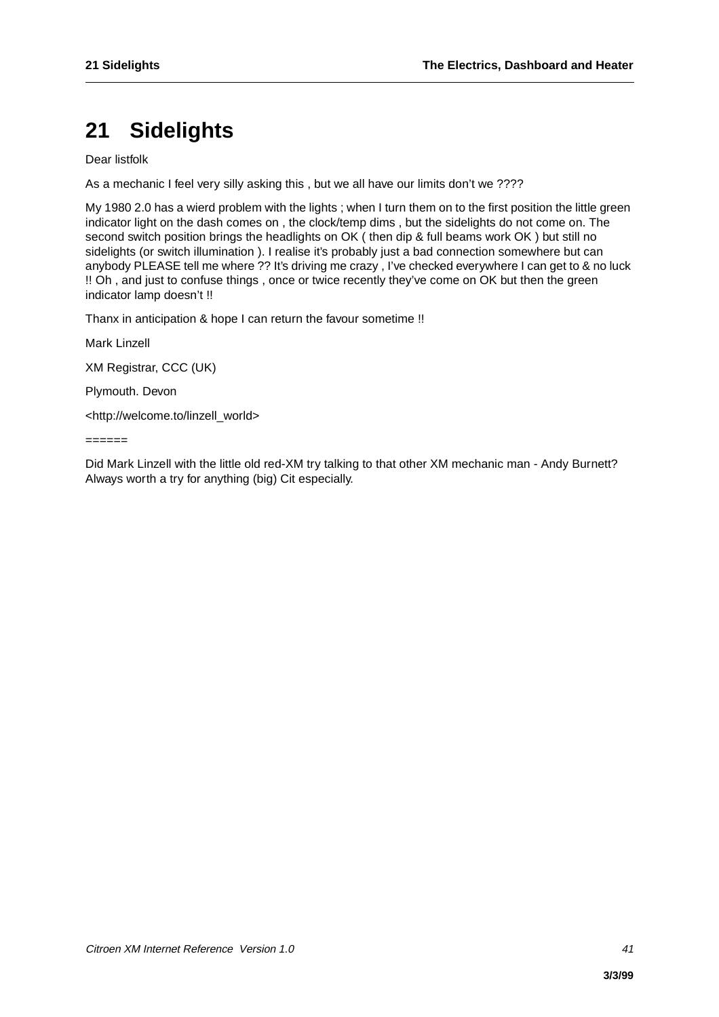# **21 Sidelights**

Dear listfolk

As a mechanic I feel very silly asking this , but we all have our limits don't we ????

My 1980 2.0 has a wierd problem with the lights ; when I turn them on to the first position the little green indicator light on the dash comes on , the clock/temp dims , but the sidelights do not come on. The second switch position brings the headlights on OK ( then dip & full beams work OK ) but still no sidelights (or switch illumination ). I realise it's probably just a bad connection somewhere but can anybody PLEASE tell me where ?? It's driving me crazy , I've checked everywhere I can get to & no luck !! Oh , and just to confuse things , once or twice recently they've come on OK but then the green indicator lamp doesn't !!

Thanx in anticipation & hope I can return the favour sometime !!

Mark Linzell

XM Registrar, CCC (UK)

Plymouth. Devon

<http://welcome.to/linzell\_world>

======

Did Mark Linzell with the little old red-XM try talking to that other XM mechanic man - Andy Burnett? Always worth a try for anything (big) Cit especially.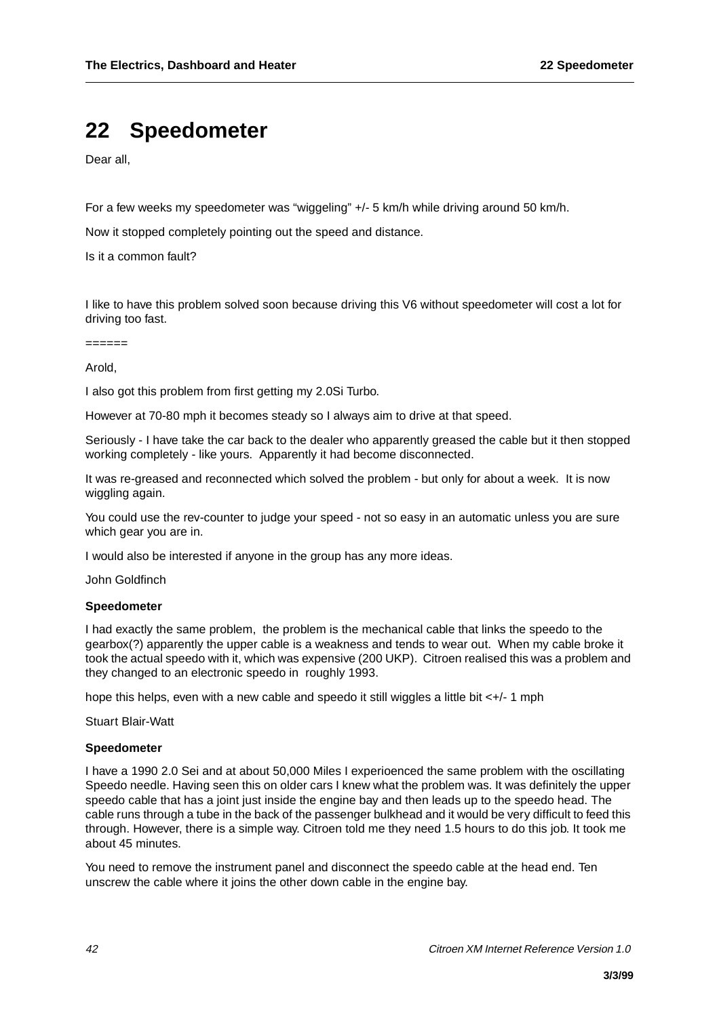### **22 Speedometer**

Dear all,

For a few weeks my speedometer was "wiggeling" +/- 5 km/h while driving around 50 km/h.

Now it stopped completely pointing out the speed and distance.

Is it a common fault?

I like to have this problem solved soon because driving this V6 without speedometer will cost a lot for driving too fast.

======

Arold,

I also got this problem from first getting my 2.0Si Turbo.

However at 70-80 mph it becomes steady so I always aim to drive at that speed.

Seriously - I have take the car back to the dealer who apparently greased the cable but it then stopped working completely - like yours. Apparently it had become disconnected.

It was re-greased and reconnected which solved the problem - but only for about a week. It is now wiggling again.

You could use the rev-counter to judge your speed - not so easy in an automatic unless you are sure which gear you are in.

I would also be interested if anyone in the group has any more ideas.

John Goldfinch

### **Speedometer**

I had exactly the same problem, the problem is the mechanical cable that links the speedo to the gearbox(?) apparently the upper cable is a weakness and tends to wear out. When my cable broke it took the actual speedo with it, which was expensive (200 UKP). Citroen realised this was a problem and they changed to an electronic speedo in roughly 1993.

hope this helps, even with a new cable and speedo it still wiggles a little bit <+/- 1 mph

Stuart Blair-Watt

### **Speedometer**

I have a 1990 2.0 Sei and at about 50,000 Miles I experioenced the same problem with the oscillating Speedo needle. Having seen this on older cars I knew what the problem was. It was definitely the upper speedo cable that has a joint just inside the engine bay and then leads up to the speedo head. The cable runs through a tube in the back of the passenger bulkhead and it would be very difficult to feed this through. However, there is a simple way. Citroen told me they need 1.5 hours to do this job. It took me about 45 minutes.

You need to remove the instrument panel and disconnect the speedo cable at the head end. Ten unscrew the cable where it joins the other down cable in the engine bay.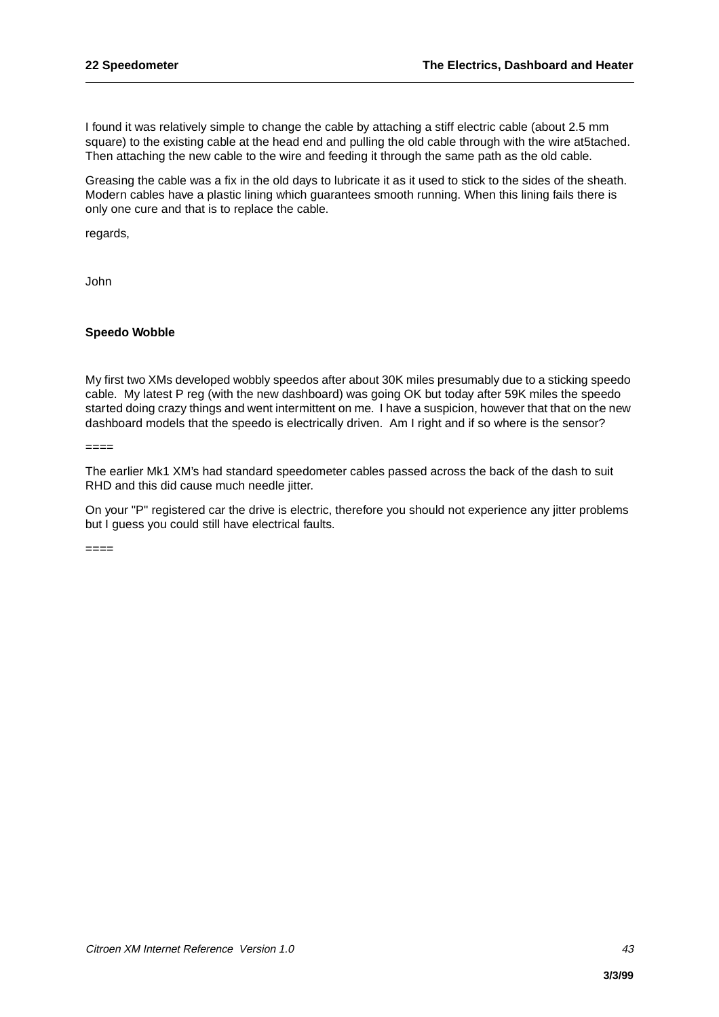I found it was relatively simple to change the cable by attaching a stiff electric cable (about 2.5 mm square) to the existing cable at the head end and pulling the old cable through with the wire at5tached. Then attaching the new cable to the wire and feeding it through the same path as the old cable.

Greasing the cable was a fix in the old days to lubricate it as it used to stick to the sides of the sheath. Modern cables have a plastic lining which guarantees smooth running. When this lining fails there is only one cure and that is to replace the cable.

regards,

John

### **Speedo Wobble**

My first two XMs developed wobbly speedos after about 30K miles presumably due to a sticking speedo cable. My latest P reg (with the new dashboard) was going OK but today after 59K miles the speedo started doing crazy things and went intermittent on me. I have a suspicion, however that that on the new dashboard models that the speedo is electrically driven. Am I right and if so where is the sensor?

====

The earlier Mk1 XM's had standard speedometer cables passed across the back of the dash to suit RHD and this did cause much needle jitter.

On your "P" registered car the drive is electric, therefore you should not experience any jitter problems but I guess you could still have electrical faults.

 $=$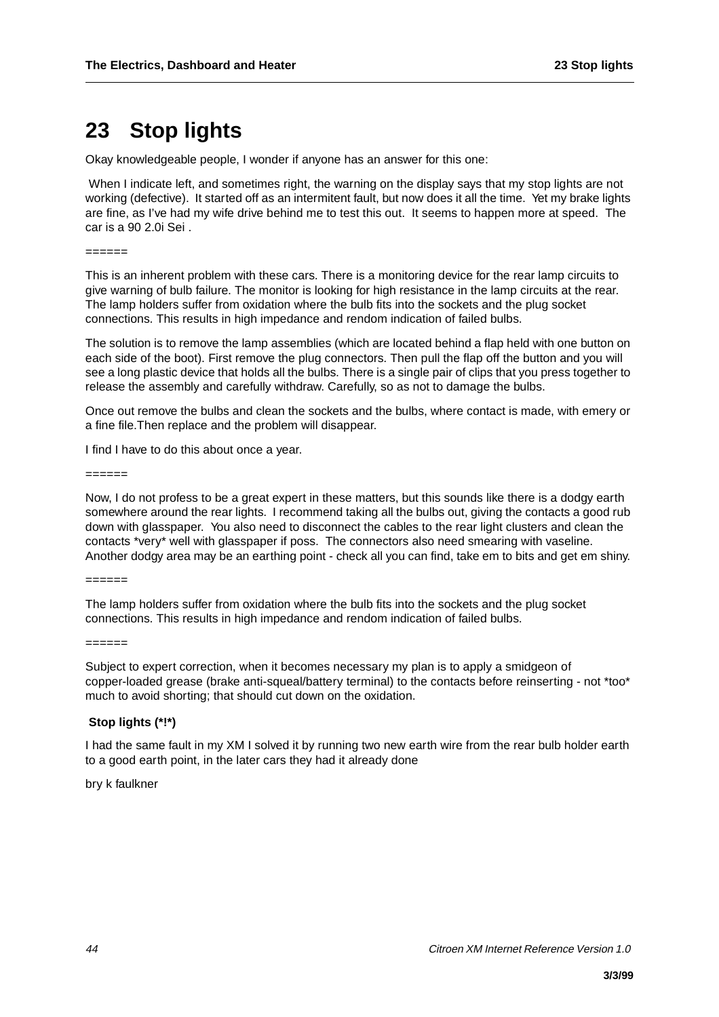# **23 Stop lights**

Okay knowledgeable people, I wonder if anyone has an answer for this one:

 When I indicate left, and sometimes right, the warning on the display says that my stop lights are not working (defective). It started off as an intermitent fault, but now does it all the time. Yet my brake lights are fine, as I've had my wife drive behind me to test this out. It seems to happen more at speed. The car is a 90 2.0i Sei .

======

This is an inherent problem with these cars. There is a monitoring device for the rear lamp circuits to give warning of bulb failure. The monitor is looking for high resistance in the lamp circuits at the rear. The lamp holders suffer from oxidation where the bulb fits into the sockets and the plug socket connections. This results in high impedance and rendom indication of failed bulbs.

The solution is to remove the lamp assemblies (which are located behind a flap held with one button on each side of the boot). First remove the plug connectors. Then pull the flap off the button and you will see a long plastic device that holds all the bulbs. There is a single pair of clips that you press together to release the assembly and carefully withdraw. Carefully, so as not to damage the bulbs.

Once out remove the bulbs and clean the sockets and the bulbs, where contact is made, with emery or a fine file.Then replace and the problem will disappear.

I find I have to do this about once a year.

======

Now, I do not profess to be a great expert in these matters, but this sounds like there is a dodgy earth somewhere around the rear lights. I recommend taking all the bulbs out, giving the contacts a good rub down with glasspaper. You also need to disconnect the cables to the rear light clusters and clean the contacts \*very\* well with glasspaper if poss. The connectors also need smearing with vaseline. Another dodgy area may be an earthing point - check all you can find, take em to bits and get em shiny.

======

The lamp holders suffer from oxidation where the bulb fits into the sockets and the plug socket connections. This results in high impedance and rendom indication of failed bulbs.

======

Subject to expert correction, when it becomes necessary my plan is to apply a smidgeon of copper-loaded grease (brake anti-squeal/battery terminal) to the contacts before reinserting - not \*too\* much to avoid shorting; that should cut down on the oxidation.

### **Stop lights (\*!\*)**

I had the same fault in my XM I solved it by running two new earth wire from the rear bulb holder earth to a good earth point, in the later cars they had it already done

bry k faulkner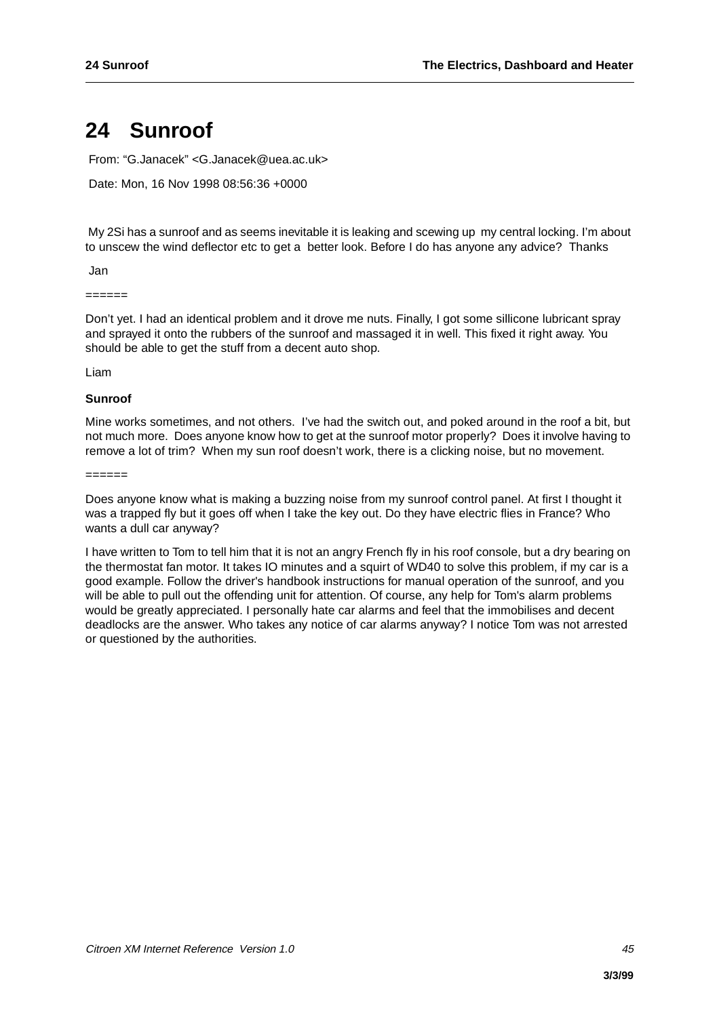### **24 Sunroof**

From: "G.Janacek" <G.Janacek@uea.ac.uk>

Date: Mon, 16 Nov 1998 08:56:36 +0000

 My 2Si has a sunroof and as seems inevitable it is leaking and scewing up my central locking. I'm about to unscew the wind deflector etc to get a better look. Before I do has anyone any advice? Thanks

Jan

======

Don't yet. I had an identical problem and it drove me nuts. Finally, I got some sillicone lubricant spray and sprayed it onto the rubbers of the sunroof and massaged it in well. This fixed it right away. You should be able to get the stuff from a decent auto shop.

Liam

### **Sunroof**

Mine works sometimes, and not others. I've had the switch out, and poked around in the roof a bit, but not much more. Does anyone know how to get at the sunroof motor properly? Does it involve having to remove a lot of trim? When my sun roof doesn't work, there is a clicking noise, but no movement.

======

Does anyone know what is making a buzzing noise from my sunroof control panel. At first I thought it was a trapped fly but it goes off when I take the key out. Do they have electric flies in France? Who wants a dull car anyway?

I have written to Tom to tell him that it is not an angry French fly in his roof console, but a dry bearing on the thermostat fan motor. It takes IO minutes and a squirt of WD40 to solve this problem, if my car is a good example. Follow the driver's handbook instructions for manual operation of the sunroof, and you will be able to pull out the offending unit for attention. Of course, any help for Tom's alarm problems would be greatly appreciated. I personally hate car alarms and feel that the immobilises and decent deadlocks are the answer. Who takes any notice of car alarms anyway? I notice Tom was not arrested or questioned by the authorities.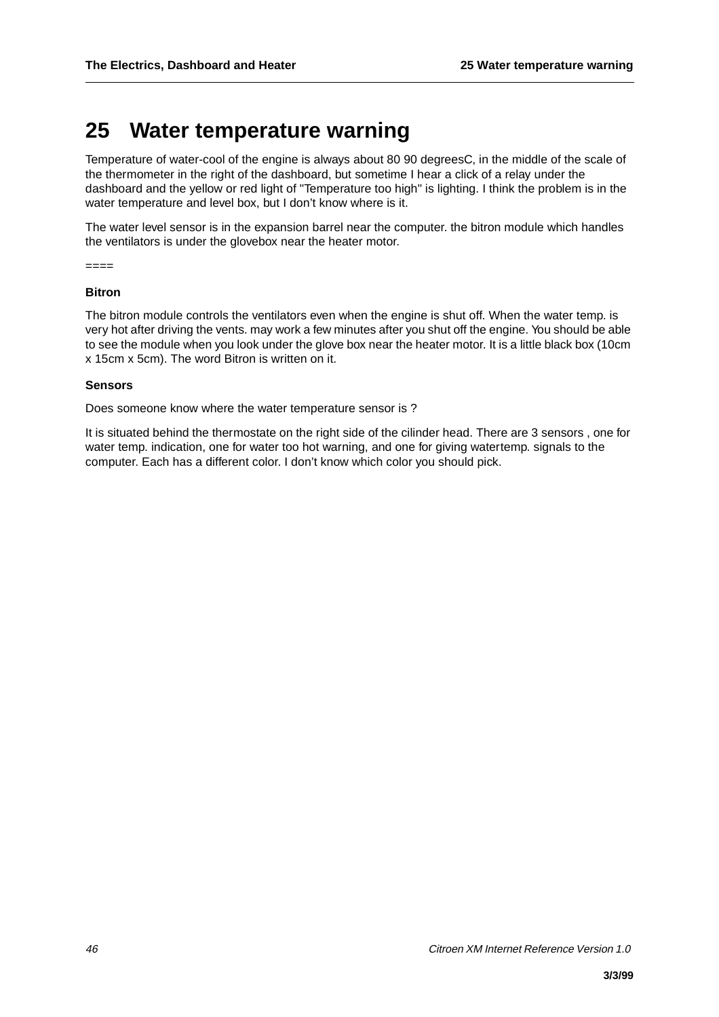### **25 Water temperature warning**

Temperature of water-cool of the engine is always about 80 90 degreesC, in the middle of the scale of the thermometer in the right of the dashboard, but sometime I hear a click of a relay under the dashboard and the yellow or red light of "Temperature too high" is lighting. I think the problem is in the water temperature and level box, but I don't know where is it.

The water level sensor is in the expansion barrel near the computer. the bitron module which handles the ventilators is under the glovebox near the heater motor.

 $----$ 

### **Bitron**

The bitron module controls the ventilators even when the engine is shut off. When the water temp. is very hot after driving the vents. may work a few minutes after you shut off the engine. You should be able to see the module when you look under the glove box near the heater motor. It is a little black box (10cm x 15cm x 5cm). The word Bitron is written on it.

### **Sensors**

Does someone know where the water temperature sensor is ?

It is situated behind the thermostate on the right side of the cilinder head. There are 3 sensors , one for water temp. indication, one for water too hot warning, and one for giving watertemp. signals to the computer. Each has a different color. I don't know which color you should pick.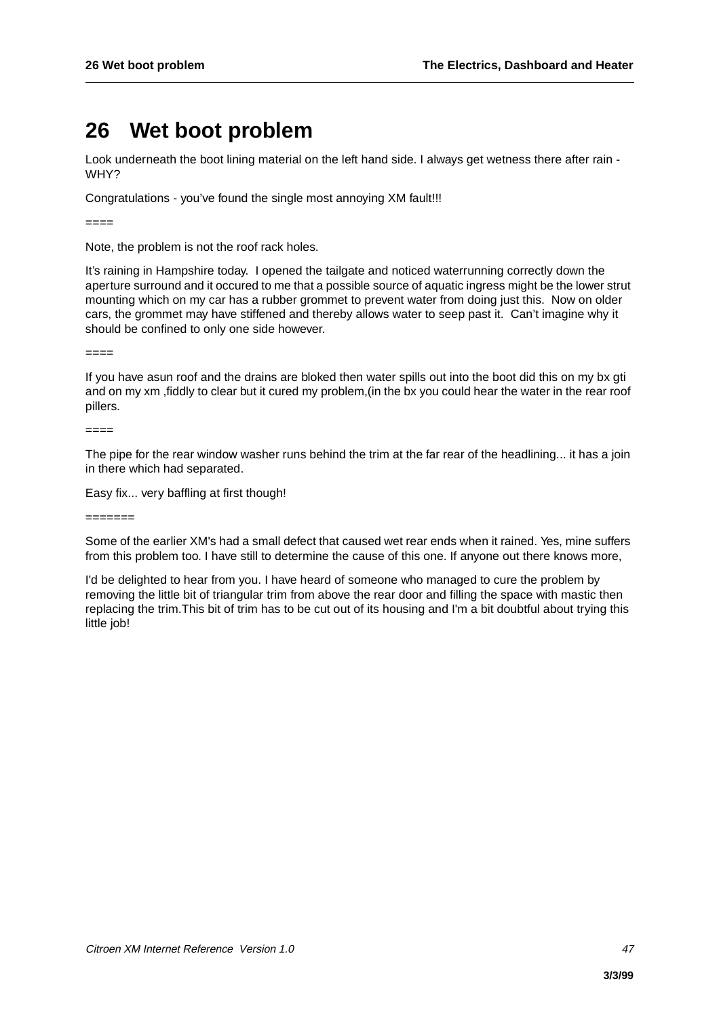### **26 Wet boot problem**

Look underneath the boot lining material on the left hand side. I always get wetness there after rain - WHY?

Congratulations - you've found the single most annoying XM fault!!!

====

Note, the problem is not the roof rack holes.

It's raining in Hampshire today. I opened the tailgate and noticed waterrunning correctly down the aperture surround and it occured to me that a possible source of aquatic ingress might be the lower strut mounting which on my car has a rubber grommet to prevent water from doing just this. Now on older cars, the grommet may have stiffened and thereby allows water to seep past it. Can't imagine why it should be confined to only one side however.

 $=$ 

If you have asun roof and the drains are bloked then water spills out into the boot did this on my bx gti and on my xm ,fiddly to clear but it cured my problem,(in the bx you could hear the water in the rear roof pillers.

====

The pipe for the rear window washer runs behind the trim at the far rear of the headlining... it has a join in there which had separated.

Easy fix... very baffling at first though!

=======

Some of the earlier XM's had a small defect that caused wet rear ends when it rained. Yes, mine suffers from this problem too. I have still to determine the cause of this one. If anyone out there knows more,

I'd be delighted to hear from you. I have heard of someone who managed to cure the problem by removing the little bit of triangular trim from above the rear door and filling the space with mastic then replacing the trim.This bit of trim has to be cut out of its housing and I'm a bit doubtful about trying this little job!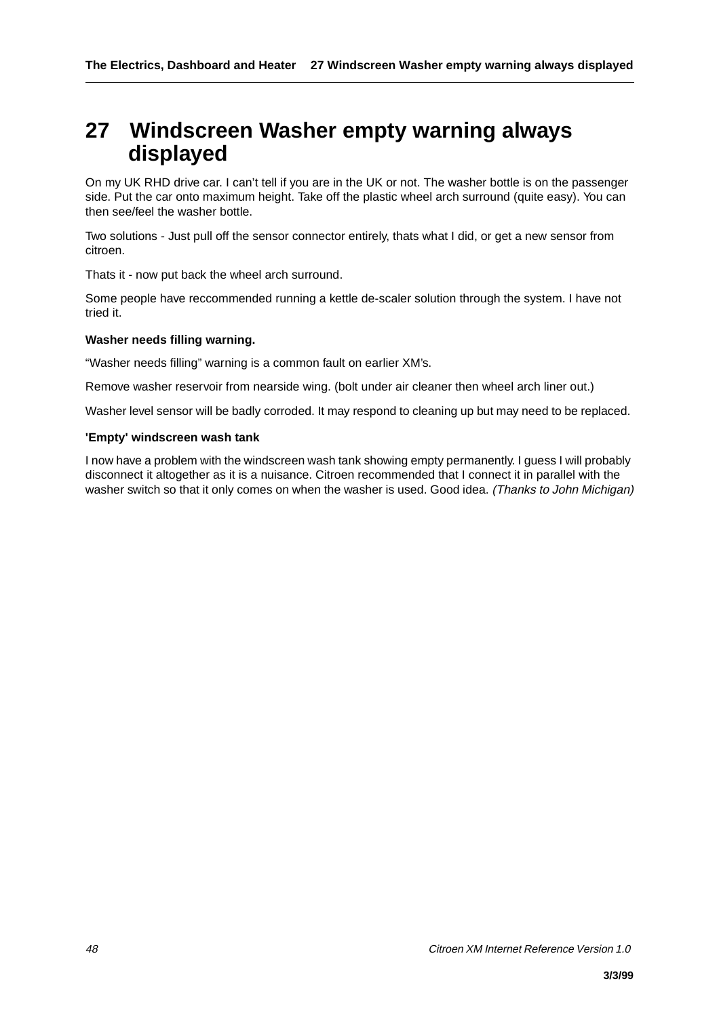### **27 Windscreen Washer empty warning always displayed**

On my UK RHD drive car. I can't tell if you are in the UK or not. The washer bottle is on the passenger side. Put the car onto maximum height. Take off the plastic wheel arch surround (quite easy). You can then see/feel the washer bottle.

Two solutions - Just pull off the sensor connector entirely, thats what I did, or get a new sensor from citroen.

Thats it - now put back the wheel arch surround.

Some people have reccommended running a kettle de-scaler solution through the system. I have not tried it.

### **Washer needs filling warning.**

"Washer needs filling" warning is a common fault on earlier XM's.

Remove washer reservoir from nearside wing. (bolt under air cleaner then wheel arch liner out.)

Washer level sensor will be badly corroded. It may respond to cleaning up but may need to be replaced.

### **'Empty' windscreen wash tank**

I now have a problem with the windscreen wash tank showing empty permanently. I guess I will probably disconnect it altogether as it is a nuisance. Citroen recommended that I connect it in parallel with the washer switch so that it only comes on when the washer is used. Good idea. (Thanks to John Michigan)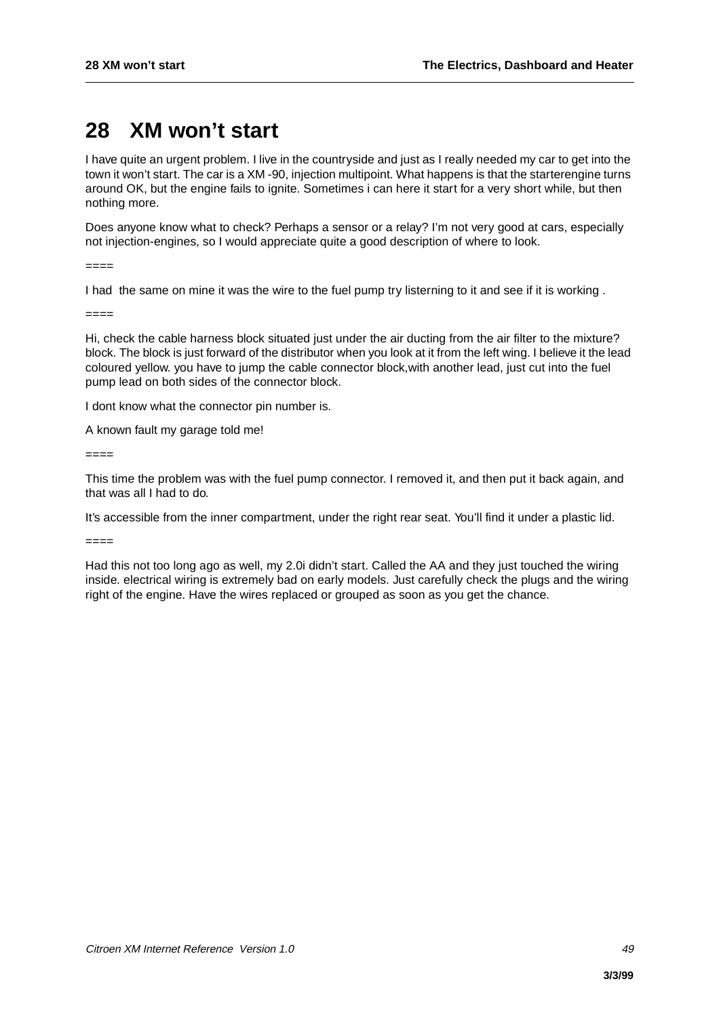### **28 XM won't start**

I have quite an urgent problem. I live in the countryside and just as I really needed my car to get into the town it won't start. The car is a XM -90, injection multipoint. What happens is that the starterengine turns around OK, but the engine fails to ignite. Sometimes i can here it start for a very short while, but then nothing more.

Does anyone know what to check? Perhaps a sensor or a relay? I'm not very good at cars, especially not injection-engines, so I would appreciate quite a good description of where to look.

====

I had the same on mine it was the wire to the fuel pump try listerning to it and see if it is working .

====

Hi, check the cable harness block situated just under the air ducting from the air filter to the mixture? block. The block is just forward of the distributor when you look at it from the left wing. I believe it the lead coloured yellow. you have to jump the cable connector block,with another lead, just cut into the fuel pump lead on both sides of the connector block.

I dont know what the connector pin number is.

A known fault my garage told me!

====

This time the problem was with the fuel pump connector. I removed it, and then put it back again, and that was all I had to do.

It's accessible from the inner compartment, under the right rear seat. You'll find it under a plastic lid.

====

Had this not too long ago as well, my 2.0i didn't start. Called the AA and they just touched the wiring inside. electrical wiring is extremely bad on early models. Just carefully check the plugs and the wiring right of the engine. Have the wires replaced or grouped as soon as you get the chance.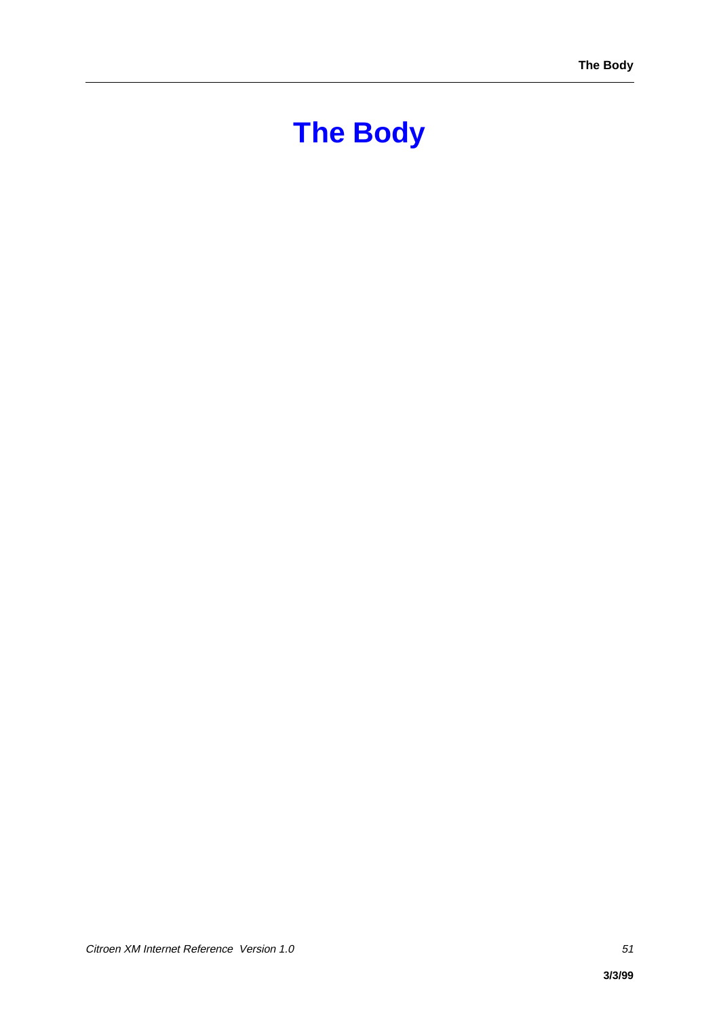# **The Body**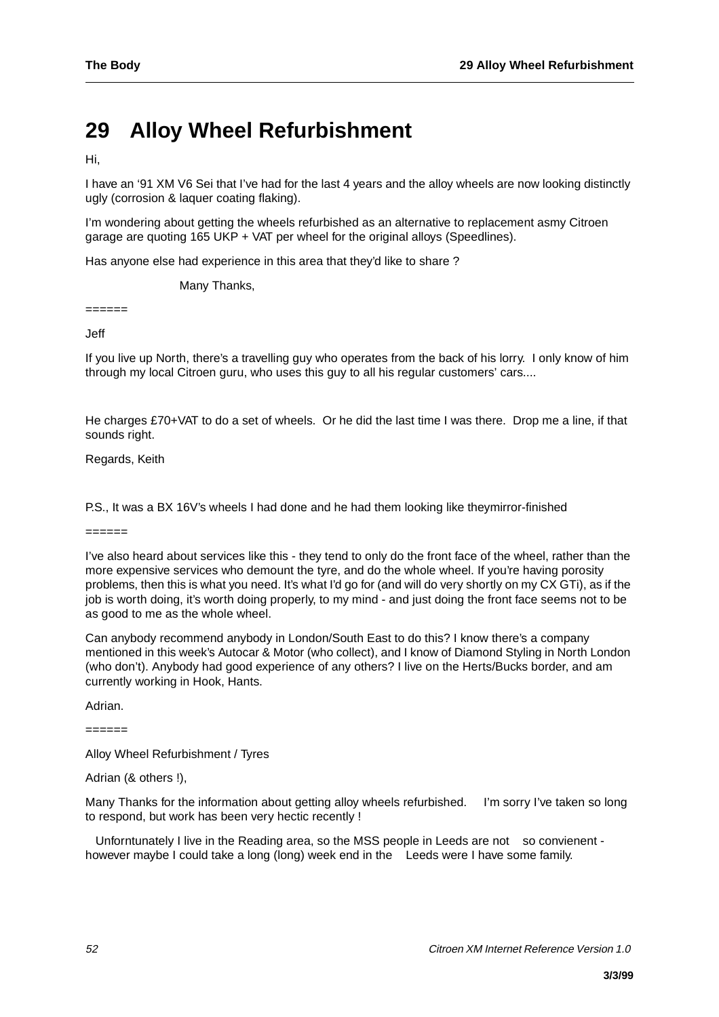# **29 Alloy Wheel Refurbishment**

Hi,

I have an '91 XM V6 Sei that I've had for the last 4 years and the alloy wheels are now looking distinctly ugly (corrosion & laquer coating flaking).

I'm wondering about getting the wheels refurbished as an alternative to replacement asmy Citroen garage are quoting 165 UKP + VAT per wheel for the original alloys (Speedlines).

Has anyone else had experience in this area that they'd like to share ?

Many Thanks,

Jeff

======

If you live up North, there's a travelling guy who operates from the back of his lorry. I only know of him through my local Citroen guru, who uses this guy to all his regular customers' cars....

He charges £70+VAT to do a set of wheels. Or he did the last time I was there. Drop me a line, if that sounds right.

Regards, Keith

P.S., It was a BX 16V's wheels I had done and he had them looking like theymirror-finished

======

Can anybody recommend anybody in London/South East to do this? I know there's a company mentioned in this week's Autocar & Motor (who collect), and I know of Diamond Styling in North London (who don't). Anybody had good experience of any others? I live on the Herts/Bucks border, and am currently working in Hook, Hants.

Adrian. ======

Alloy Wheel Refurbishment / Tyres

Adrian (& others !),

Many Thanks for the information about getting alloy wheels refurbished. I'm sorry I've taken so long to respond, but work has been very hectic recently !

 Unforntunately I live in the Reading area, so the MSS people in Leeds are not so convienent however maybe I could take a long (long) week end in the Leeds were I have some family.

I've also heard about services like this - they tend to only do the front face of the wheel, rather than the more expensive services who demount the tyre, and do the whole wheel. If you're having porosity problems, then this is what you need. It's what I'd go for (and will do very shortly on my CX GTi), as if the job is worth doing, it's worth doing properly, to my mind - and just doing the front face seems not to be as good to me as the whole wheel.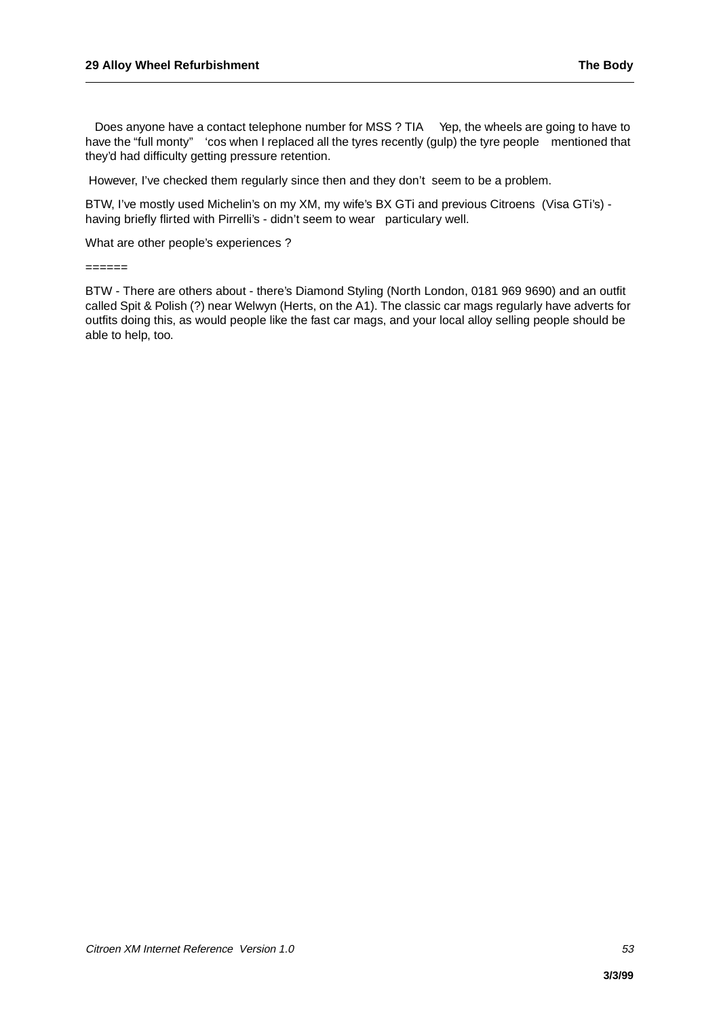Does anyone have a contact telephone number for MSS ? TIA Yep, the wheels are going to have to have the "full monty" 'cos when I replaced all the tyres recently (gulp) the tyre people mentioned that they'd had difficulty getting pressure retention.

However, I've checked them regularly since then and they don't seem to be a problem.

BTW, I've mostly used Michelin's on my XM, my wife's BX GTi and previous Citroens (Visa GTi's) having briefly flirted with Pirrelli's - didn't seem to wear particulary well.

What are other people's experiences ?

 $=$ 

BTW - There are others about - there's Diamond Styling (North London, 0181 969 9690) and an outfit called Spit & Polish (?) near Welwyn (Herts, on the A1). The classic car mags regularly have adverts for outfits doing this, as would people like the fast car mags, and your local alloy selling people should be able to help, too.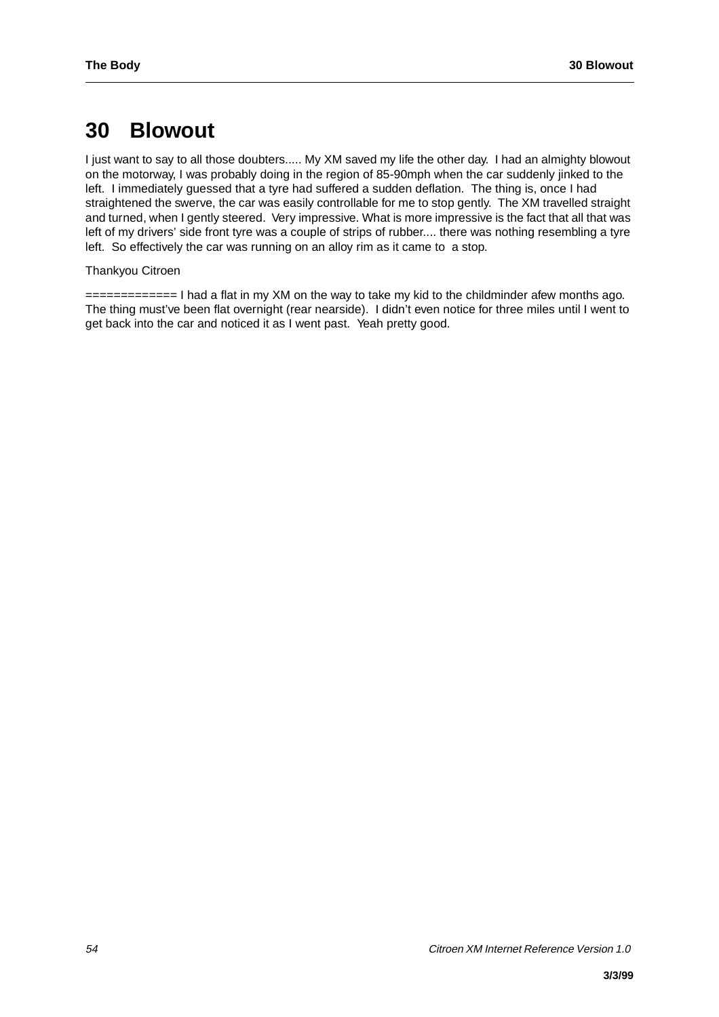### **30 Blowout**

I just want to say to all those doubters..... My XM saved my life the other day. I had an almighty blowout on the motorway, I was probably doing in the region of 85-90mph when the car suddenly jinked to the left. I immediately guessed that a tyre had suffered a sudden deflation. The thing is, once I had straightened the swerve, the car was easily controllable for me to stop gently. The XM travelled straight and turned, when I gently steered. Very impressive. What is more impressive is the fact that all that was left of my drivers' side front tyre was a couple of strips of rubber.... there was nothing resembling a tyre left. So effectively the car was running on an alloy rim as it came to a stop.

### Thankyou Citroen

============= I had a flat in my XM on the way to take my kid to the childminder afew months ago. The thing must've been flat overnight (rear nearside). I didn't even notice for three miles until I went to get back into the car and noticed it as I went past. Yeah pretty good.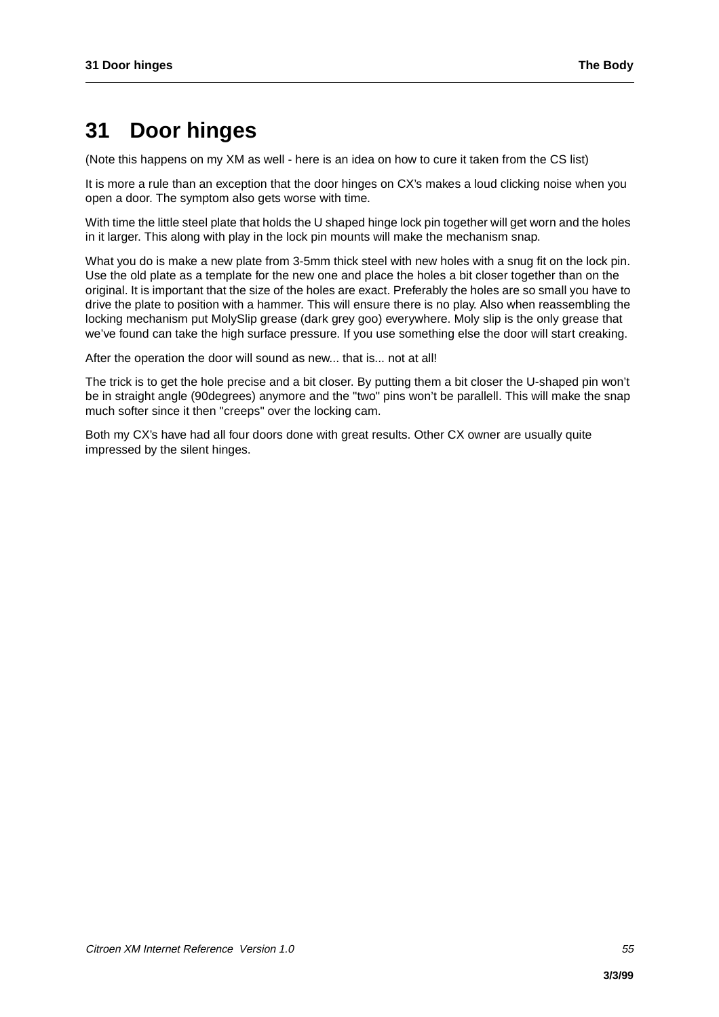# **31 Door hinges**

(Note this happens on my XM as well - here is an idea on how to cure it taken from the CS list)

It is more a rule than an exception that the door hinges on CX's makes a loud clicking noise when you open a door. The symptom also gets worse with time.

With time the little steel plate that holds the U shaped hinge lock pin together will get worn and the holes in it larger. This along with play in the lock pin mounts will make the mechanism snap.

What you do is make a new plate from 3-5mm thick steel with new holes with a snug fit on the lock pin. Use the old plate as a template for the new one and place the holes a bit closer together than on the original. It is important that the size of the holes are exact. Preferably the holes are so small you have to drive the plate to position with a hammer. This will ensure there is no play. Also when reassembling the locking mechanism put MolySlip grease (dark grey goo) everywhere. Moly slip is the only grease that we've found can take the high surface pressure. If you use something else the door will start creaking.

After the operation the door will sound as new... that is... not at all!

The trick is to get the hole precise and a bit closer. By putting them a bit closer the U-shaped pin won't be in straight angle (90degrees) anymore and the "two" pins won't be parallell. This will make the snap much softer since it then "creeps" over the locking cam.

Both my CX's have had all four doors done with great results. Other CX owner are usually quite impressed by the silent hinges.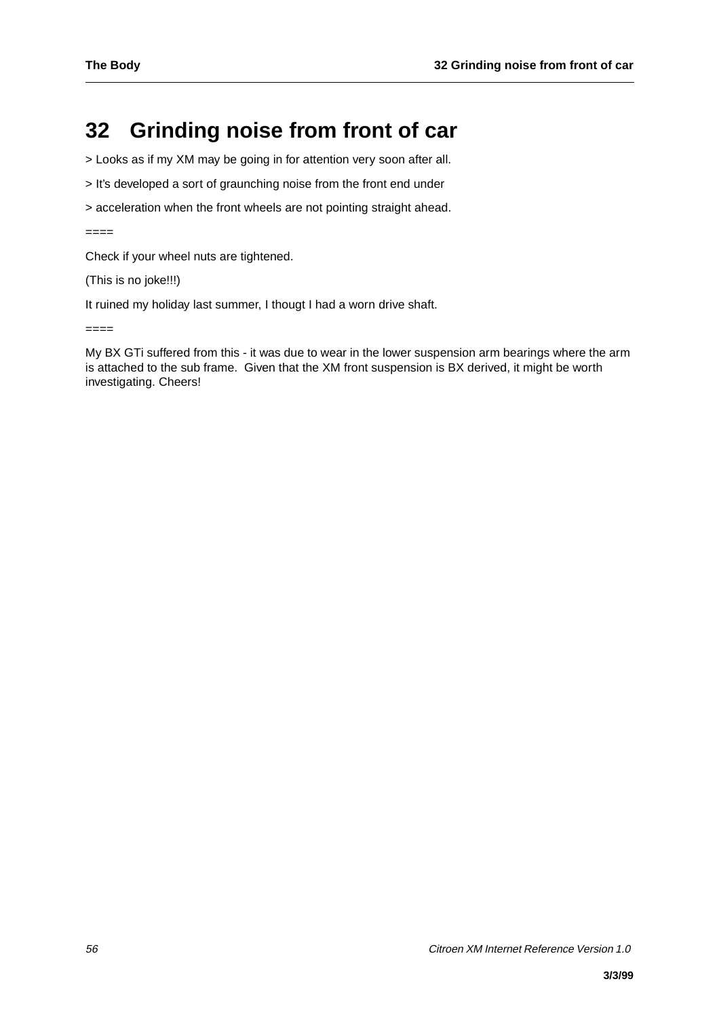# **32 Grinding noise from front of car**

> Looks as if my XM may be going in for attention very soon after all.

> It's developed a sort of graunching noise from the front end under

> acceleration when the front wheels are not pointing straight ahead.

 $====$ 

====

Check if your wheel nuts are tightened.

(This is no joke!!!)

It ruined my holiday last summer, I thougt I had a worn drive shaft.

My BX GTi suffered from this - it was due to wear in the lower suspension arm bearings where the arm is attached to the sub frame. Given that the XM front suspension is BX derived, it might be worth investigating. Cheers!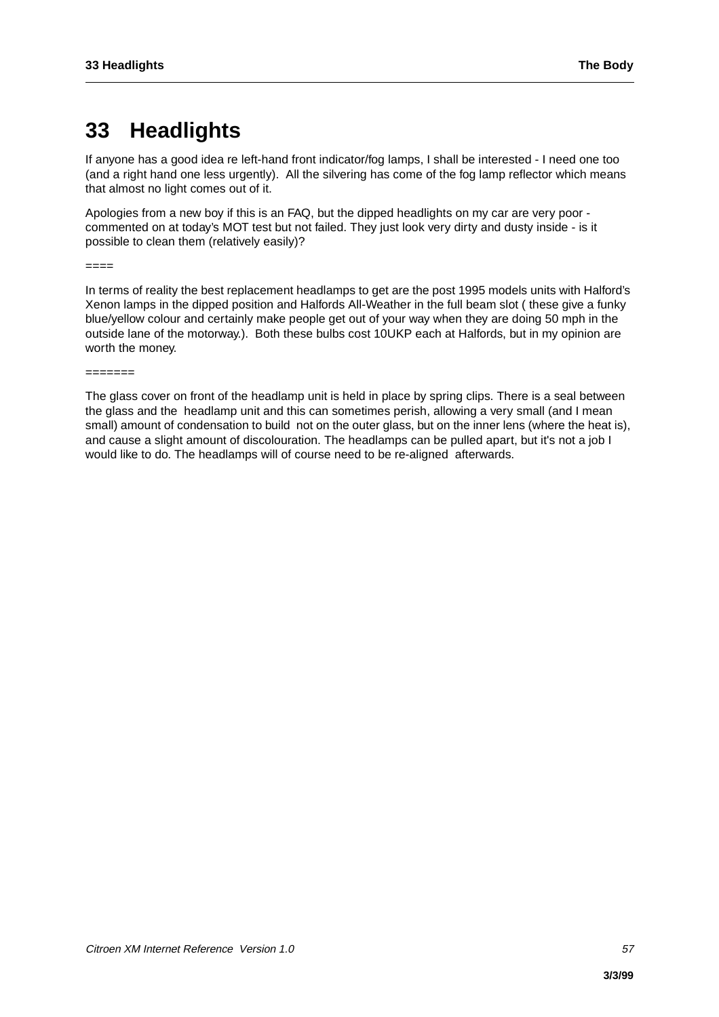# **33 Headlights**

If anyone has a good idea re left-hand front indicator/fog lamps, I shall be interested - I need one too (and a right hand one less urgently). All the silvering has come of the fog lamp reflector which means that almost no light comes out of it.

Apologies from a new boy if this is an FAQ, but the dipped headlights on my car are very poor commented on at today's MOT test but not failed. They just look very dirty and dusty inside - is it possible to clean them (relatively easily)?

====

=======

In terms of reality the best replacement headlamps to get are the post 1995 models units with Halford's Xenon lamps in the dipped position and Halfords All-Weather in the full beam slot ( these give a funky blue/yellow colour and certainly make people get out of your way when they are doing 50 mph in the outside lane of the motorway.). Both these bulbs cost 10UKP each at Halfords, but in my opinion are worth the money.

The glass cover on front of the headlamp unit is held in place by spring clips. There is a seal between the glass and the headlamp unit and this can sometimes perish, allowing a very small (and I mean small) amount of condensation to build not on the outer glass, but on the inner lens (where the heat is), and cause a slight amount of discolouration. The headlamps can be pulled apart, but it's not a job I would like to do. The headlamps will of course need to be re-aligned afterwards.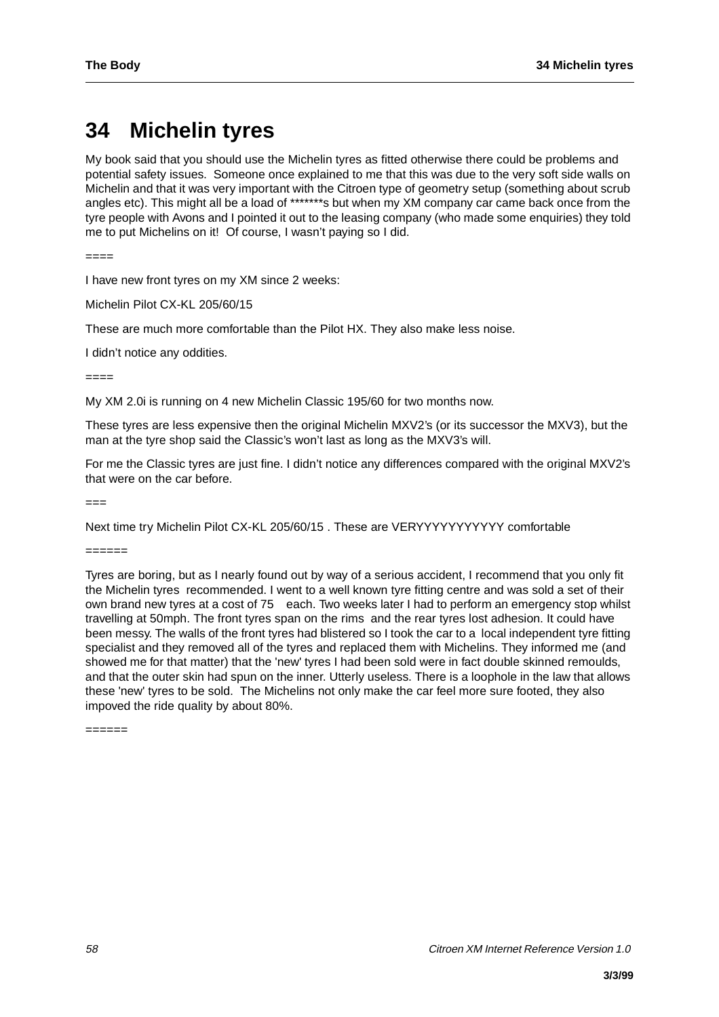# **34 Michelin tyres**

My book said that you should use the Michelin tyres as fitted otherwise there could be problems and potential safety issues. Someone once explained to me that this was due to the very soft side walls on Michelin and that it was very important with the Citroen type of geometry setup (something about scrub angles etc). This might all be a load of \*\*\*\*\*\*\*s but when my XM company car came back once from the tyre people with Avons and I pointed it out to the leasing company (who made some enquiries) they told me to put Michelins on it! Of course, I wasn't paying so I did.

====

I have new front tyres on my XM since 2 weeks:

Michelin Pilot CX-KL 205/60/15

These are much more comfortable than the Pilot HX. They also make less noise.

I didn't notice any oddities.

====

My XM 2.0i is running on 4 new Michelin Classic 195/60 for two months now.

These tyres are less expensive then the original Michelin MXV2's (or its successor the MXV3), but the man at the tyre shop said the Classic's won't last as long as the MXV3's will.

For me the Classic tyres are just fine. I didn't notice any differences compared with the original MXV2's that were on the car before.

===

Next time try Michelin Pilot CX-KL 205/60/15 . These are VERYYYYYYYYYYY comfortable

======

Tyres are boring, but as I nearly found out by way of a serious accident, I recommend that you only fit the Michelin tyres recommended. I went to a well known tyre fitting centre and was sold a set of their own brand new tyres at a cost of 75 each. Two weeks later I had to perform an emergency stop whilst travelling at 50mph. The front tyres span on the rims and the rear tyres lost adhesion. It could have been messy. The walls of the front tyres had blistered so I took the car to a local independent tyre fitting specialist and they removed all of the tyres and replaced them with Michelins. They informed me (and showed me for that matter) that the 'new' tyres I had been sold were in fact double skinned remoulds, and that the outer skin had spun on the inner. Utterly useless. There is a loophole in the law that allows these 'new' tyres to be sold. The Michelins not only make the car feel more sure footed, they also impoved the ride quality by about 80%.

======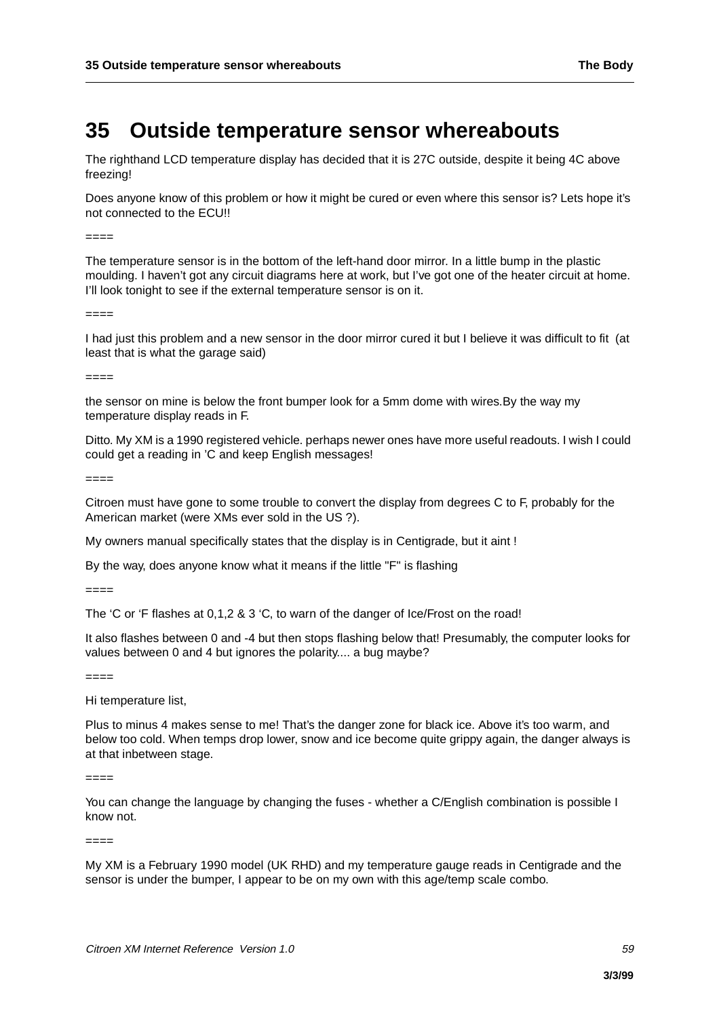### **35 Outside temperature sensor whereabouts**

The righthand LCD temperature display has decided that it is 27C outside, despite it being 4C above freezing!

Does anyone know of this problem or how it might be cured or even where this sensor is? Lets hope it's not connected to the ECU!!

====

The temperature sensor is in the bottom of the left-hand door mirror. In a little bump in the plastic moulding. I haven't got any circuit diagrams here at work, but I've got one of the heater circuit at home. I'll look tonight to see if the external temperature sensor is on it.

====

I had just this problem and a new sensor in the door mirror cured it but I believe it was difficult to fit (at least that is what the garage said)

====

the sensor on mine is below the front bumper look for a 5mm dome with wires.By the way my temperature display reads in F.

Ditto. My XM is a 1990 registered vehicle. perhaps newer ones have more useful readouts. I wish I could could get a reading in 'C and keep English messages!

====

Citroen must have gone to some trouble to convert the display from degrees C to F, probably for the American market (were XMs ever sold in the US ?).

My owners manual specifically states that the display is in Centigrade, but it aint !

By the way, does anyone know what it means if the little "F" is flashing

====

The 'C or 'F flashes at 0,1,2 & 3 'C, to warn of the danger of Ice/Frost on the road!

It also flashes between 0 and -4 but then stops flashing below that! Presumably, the computer looks for values between 0 and 4 but ignores the polarity.... a bug maybe?

====

Hi temperature list,

Plus to minus 4 makes sense to me! That's the danger zone for black ice. Above it's too warm, and below too cold. When temps drop lower, snow and ice become quite grippy again, the danger always is at that inbetween stage.

====

You can change the language by changing the fuses - whether a C/English combination is possible I know not.

====

My XM is a February 1990 model (UK RHD) and my temperature gauge reads in Centigrade and the sensor is under the bumper, I appear to be on my own with this age/temp scale combo.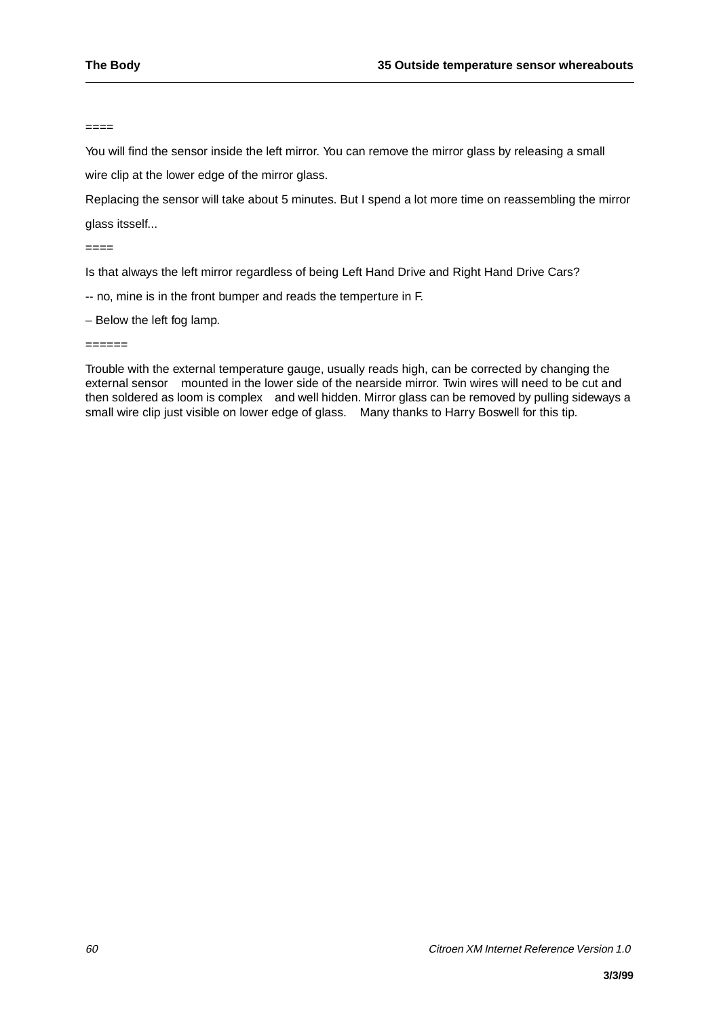#### $=$

You will find the sensor inside the left mirror. You can remove the mirror glass by releasing a small wire clip at the lower edge of the mirror glass.

Replacing the sensor will take about 5 minutes. But I spend a lot more time on reassembling the mirror glass itsself...

 $=$ 

Is that always the left mirror regardless of being Left Hand Drive and Right Hand Drive Cars?

- -- no, mine is in the front bumper and reads the temperture in F.
- Below the left fog lamp.

======

Trouble with the external temperature gauge, usually reads high, can be corrected by changing the external sensor mounted in the lower side of the nearside mirror. Twin wires will need to be cut and then soldered as loom is complex and well hidden. Mirror glass can be removed by pulling sideways a small wire clip just visible on lower edge of glass. Many thanks to Harry Boswell for this tip.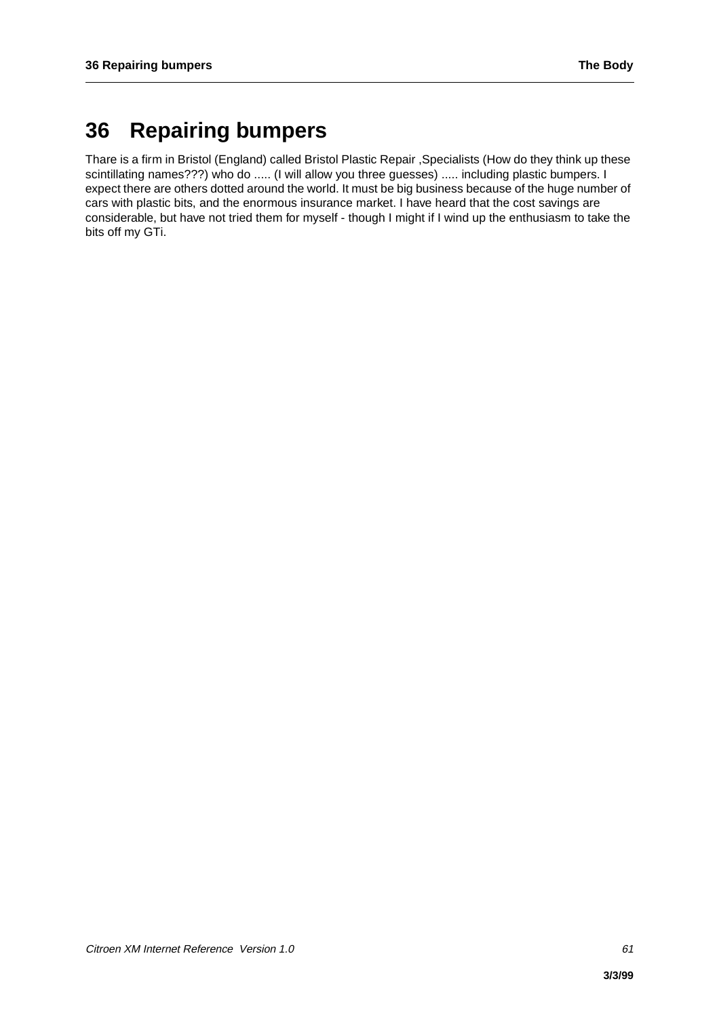# **36 Repairing bumpers**

Thare is a firm in Bristol (England) called Bristol Plastic Repair ,Specialists (How do they think up these scintillating names???) who do ..... (I will allow you three guesses) ..... including plastic bumpers. I expect there are others dotted around the world. It must be big business because of the huge number of cars with plastic bits, and the enormous insurance market. I have heard that the cost savings are considerable, but have not tried them for myself - though I might if I wind up the enthusiasm to take the bits off my GTi.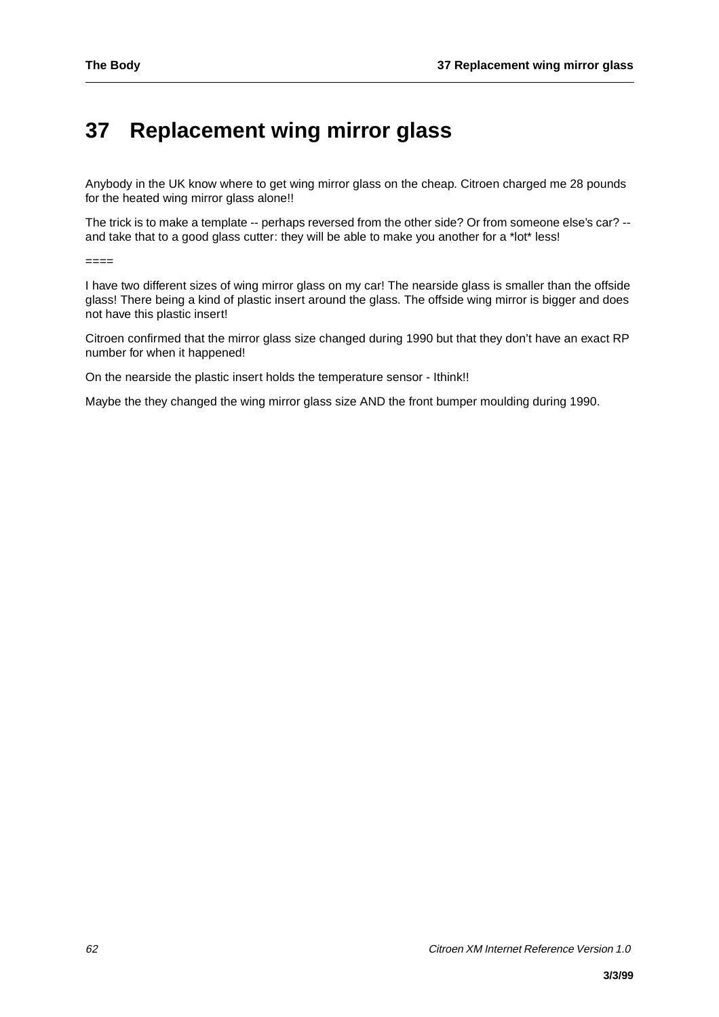# **37 Replacement wing mirror glass**

Anybody in the UK know where to get wing mirror glass on the cheap. Citroen charged me 28 pounds for the heated wing mirror glass alone!!

The trick is to make a template -- perhaps reversed from the other side? Or from someone else's car? -and take that to a good glass cutter: they will be able to make you another for a \*lot\* less!

====

I have two different sizes of wing mirror glass on my car! The nearside glass is smaller than the offside glass! There being a kind of plastic insert around the glass. The offside wing mirror is bigger and does not have this plastic insert!

Citroen confirmed that the mirror glass size changed during 1990 but that they don't have an exact RP number for when it happened!

On the nearside the plastic insert holds the temperature sensor - Ithink!!

Maybe the they changed the wing mirror glass size AND the front bumper moulding during 1990.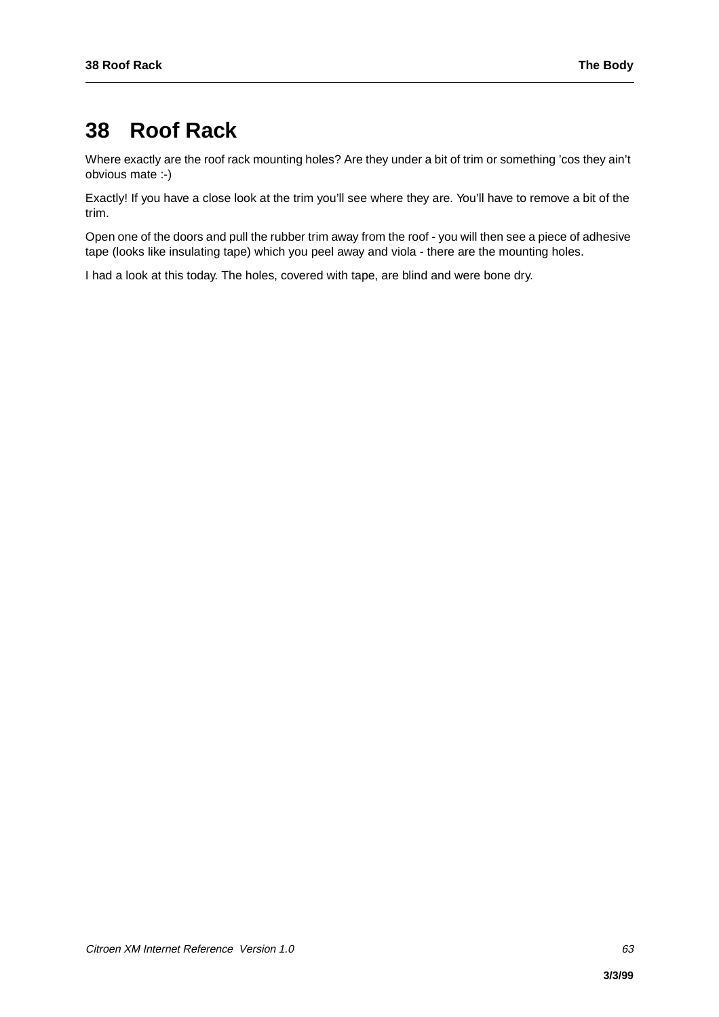# **38 Roof Rack**

Where exactly are the roof rack mounting holes? Are they under a bit of trim or something 'cos they ain't obvious mate :-)

Exactly! If you have a close look at the trim you'll see where they are. You'll have to remove a bit of the trim.

Open one of the doors and pull the rubber trim away from the roof - you will then see a piece of adhesive tape (looks like insulating tape) which you peel away and viola - there are the mounting holes.

I had a look at this today. The holes, covered with tape, are blind and were bone dry.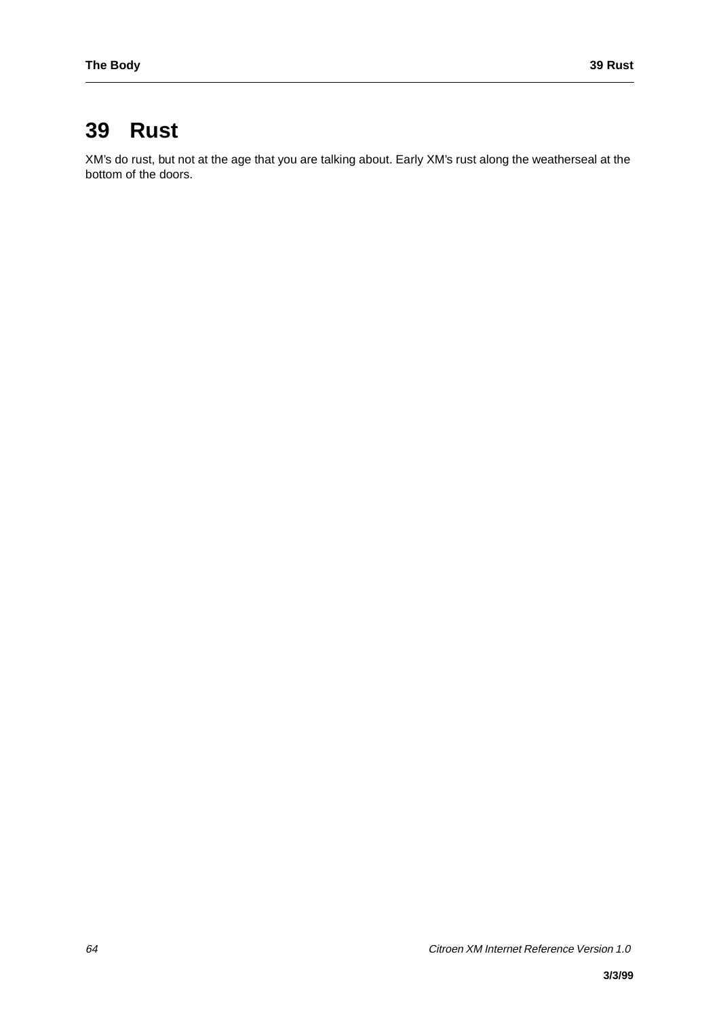# **39 Rust**

XM's do rust, but not at the age that you are talking about. Early XM's rust along the weatherseal at the bottom of the doors.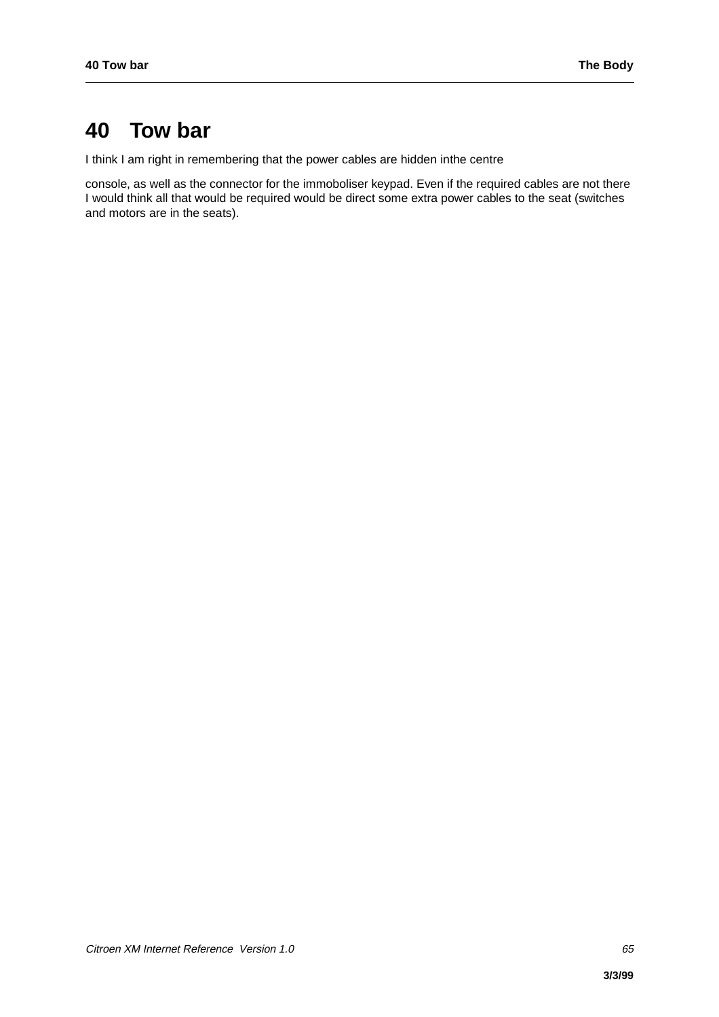# **40 Tow bar**

I think I am right in remembering that the power cables are hidden inthe centre

console, as well as the connector for the immoboliser keypad. Even if the required cables are not there I would think all that would be required would be direct some extra power cables to the seat (switches and motors are in the seats).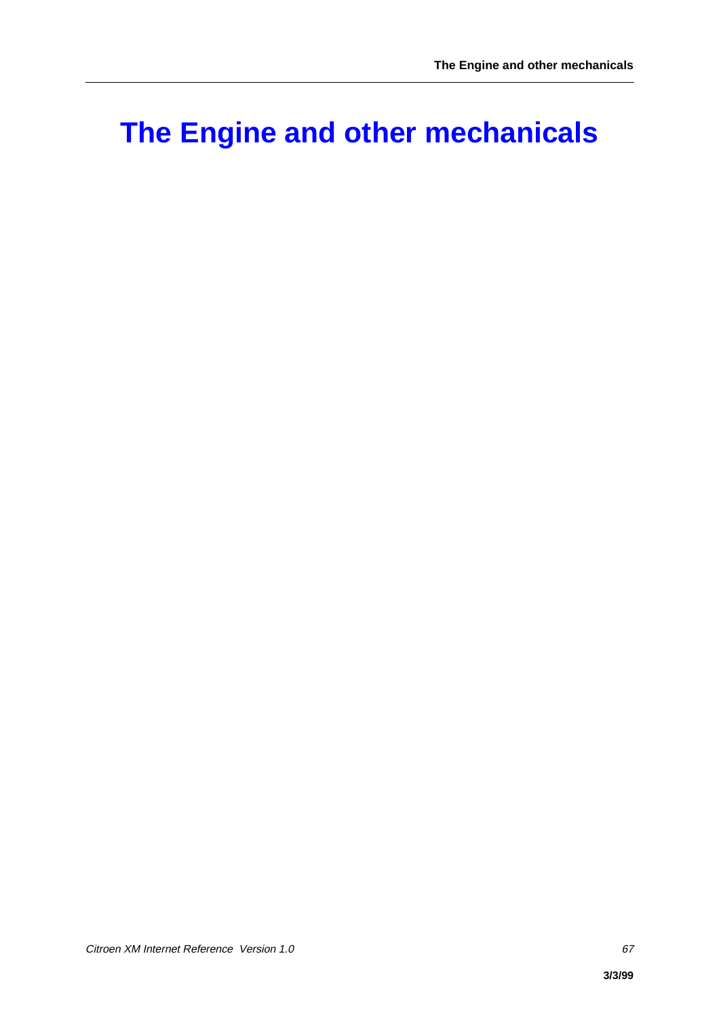# **The Engine and other mechanicals**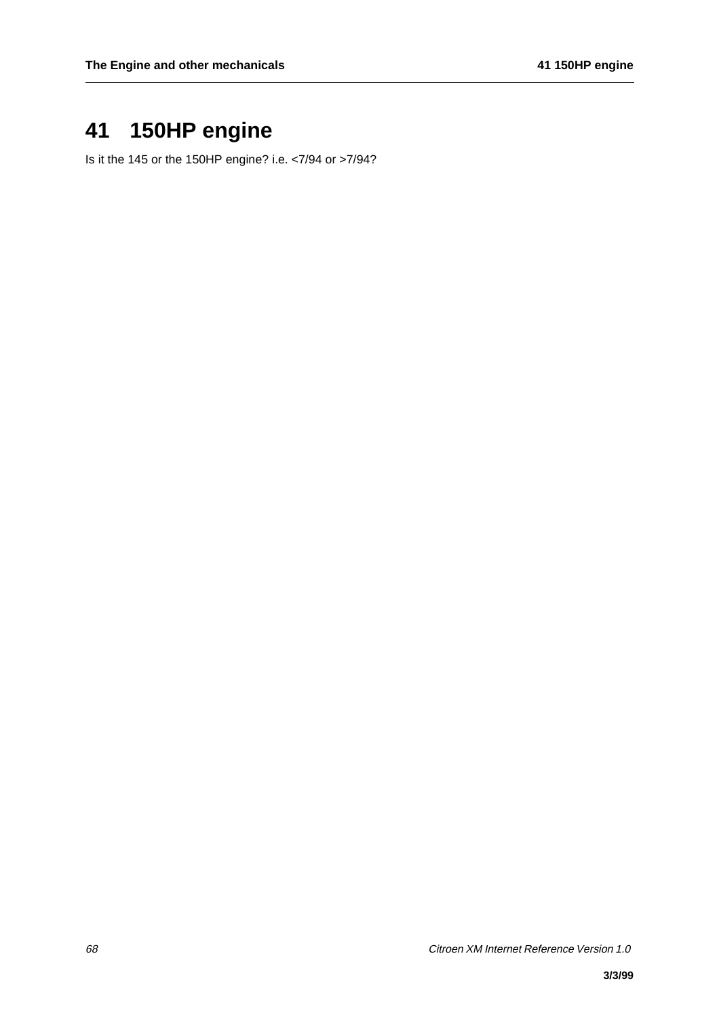# **41 150HP engine**

Is it the 145 or the 150HP engine? i.e. <7/94 or >7/94?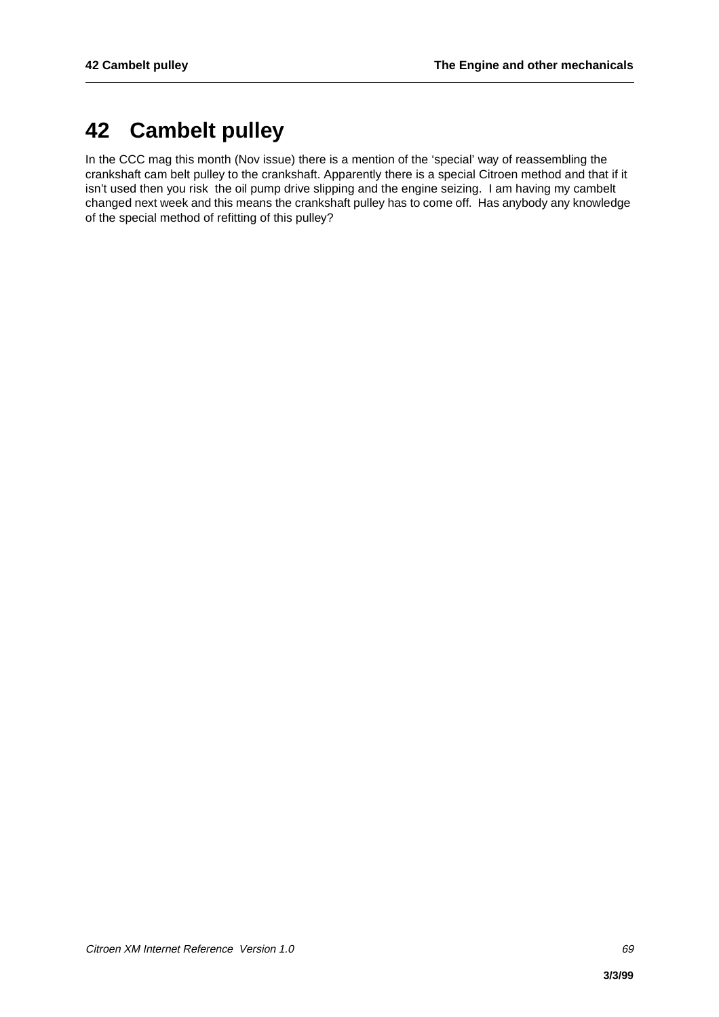# **42 Cambelt pulley**

In the CCC mag this month (Nov issue) there is a mention of the 'special' way of reassembling the crankshaft cam belt pulley to the crankshaft. Apparently there is a special Citroen method and that if it isn't used then you risk the oil pump drive slipping and the engine seizing. I am having my cambelt changed next week and this means the crankshaft pulley has to come off. Has anybody any knowledge of the special method of refitting of this pulley?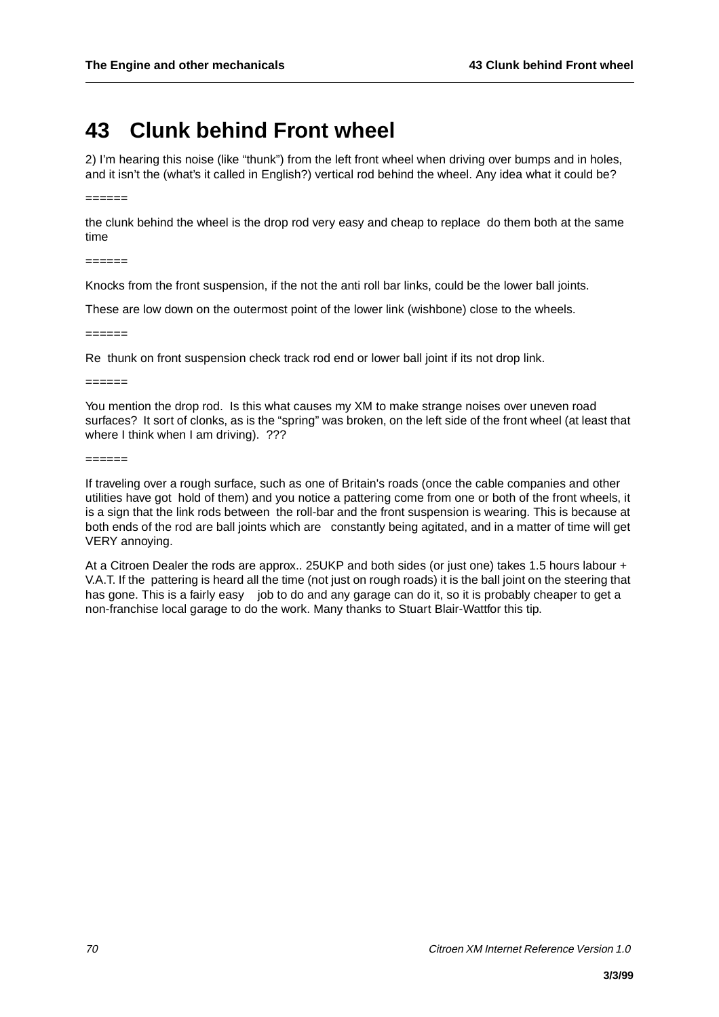### **43 Clunk behind Front wheel**

2) I'm hearing this noise (like "thunk") from the left front wheel when driving over bumps and in holes, and it isn't the (what's it called in English?) vertical rod behind the wheel. Any idea what it could be?

 $=$ 

the clunk behind the wheel is the drop rod very easy and cheap to replace do them both at the same time

======

Knocks from the front suspension, if the not the anti roll bar links, could be the lower ball joints.

These are low down on the outermost point of the lower link (wishbone) close to the wheels.

======

Re thunk on front suspension check track rod end or lower ball joint if its not drop link.

======

You mention the drop rod. Is this what causes my XM to make strange noises over uneven road surfaces? It sort of clonks, as is the "spring" was broken, on the left side of the front wheel (at least that where I think when I am driving). ???

======

If traveling over a rough surface, such as one of Britain's roads (once the cable companies and other utilities have got hold of them) and you notice a pattering come from one or both of the front wheels, it is a sign that the link rods between the roll-bar and the front suspension is wearing. This is because at both ends of the rod are ball joints which are constantly being agitated, and in a matter of time will get VERY annoying.

At a Citroen Dealer the rods are approx.. 25UKP and both sides (or just one) takes 1.5 hours labour + V.A.T. If the pattering is heard all the time (not just on rough roads) it is the ball joint on the steering that has gone. This is a fairly easy job to do and any garage can do it, so it is probably cheaper to get a non-franchise local garage to do the work. Many thanks to Stuart Blair-Wattfor this tip.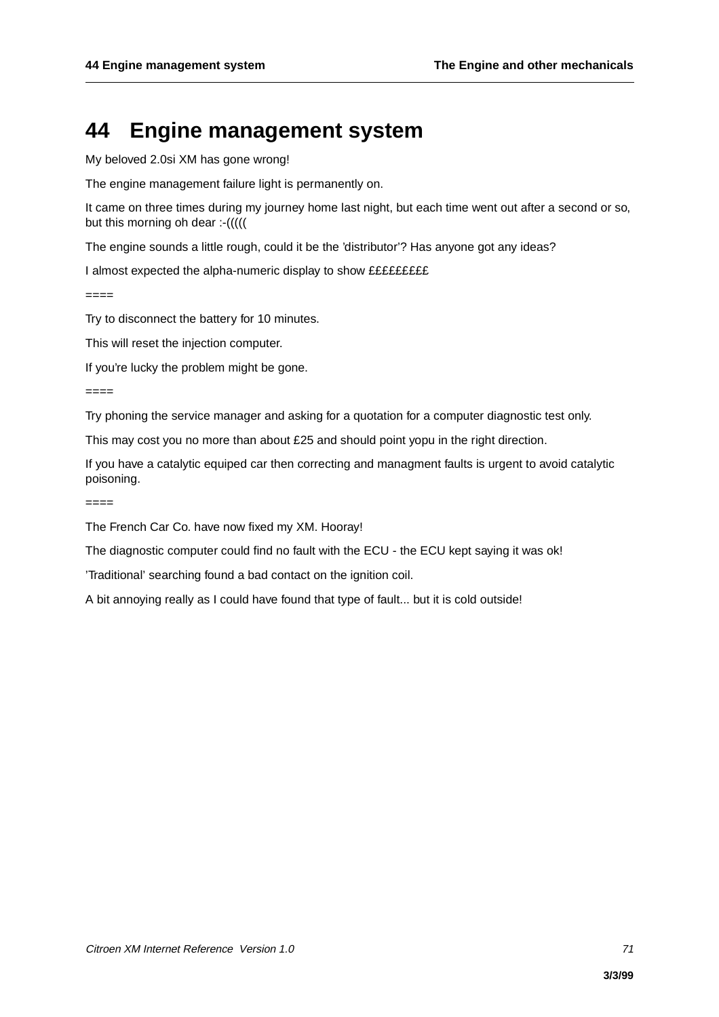### **44 Engine management system**

My beloved 2.0si XM has gone wrong!

The engine management failure light is permanently on.

It came on three times during my journey home last night, but each time went out after a second or so, but this morning oh dear :-(((((

The engine sounds a little rough, could it be the 'distributor'? Has anyone got any ideas?

I almost expected the alpha-numeric display to show £££££££££

 $=$ 

Try to disconnect the battery for 10 minutes.

This will reset the injection computer.

If you're lucky the problem might be gone.

====

Try phoning the service manager and asking for a quotation for a computer diagnostic test only.

This may cost you no more than about £25 and should point yopu in the right direction.

If you have a catalytic equiped car then correcting and managment faults is urgent to avoid catalytic poisoning.

====

The French Car Co. have now fixed my XM. Hooray!

The diagnostic computer could find no fault with the ECU - the ECU kept saying it was ok!

'Traditional' searching found a bad contact on the ignition coil.

A bit annoying really as I could have found that type of fault... but it is cold outside!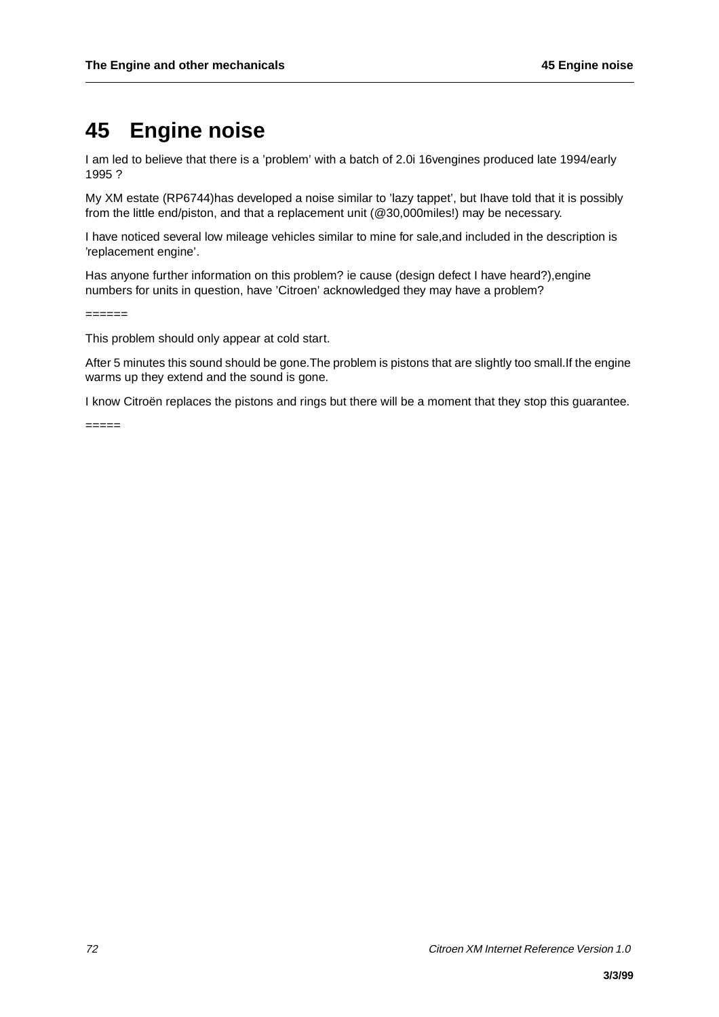# **45 Engine noise**

I am led to believe that there is a 'problem' with a batch of 2.0i 16vengines produced late 1994/early 1995 ?

My XM estate (RP6744)has developed a noise similar to 'lazy tappet', but Ihave told that it is possibly from the little end/piston, and that a replacement unit (@30,000miles!) may be necessary.

I have noticed several low mileage vehicles similar to mine for sale,and included in the description is 'replacement engine'.

Has anyone further information on this problem? ie cause (design defect I have heard?),engine numbers for units in question, have 'Citroen' acknowledged they may have a problem?

This problem should only appear at cold start.

After 5 minutes this sound should be gone.The problem is pistons that are slightly too small.If the engine warms up they extend and the sound is gone.

I know Citroën replaces the pistons and rings but there will be a moment that they stop this guarantee.

=====

======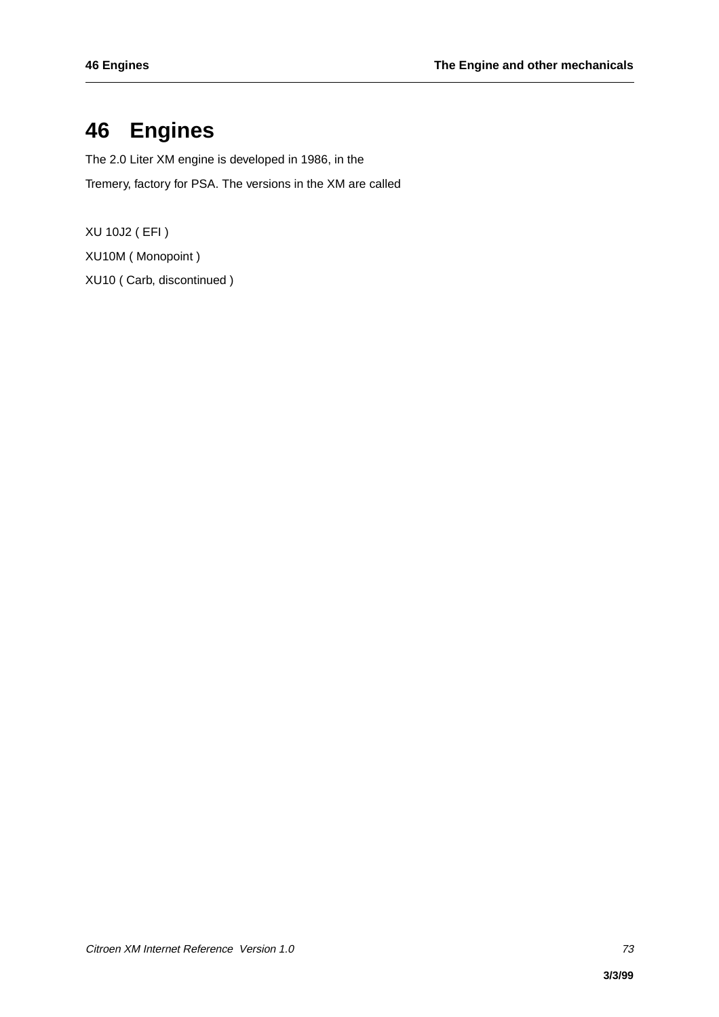# **46 Engines**

The 2.0 Liter XM engine is developed in 1986, in the Tremery, factory for PSA. The versions in the XM are called

XU 10J2 ( EFI ) XU10M ( Monopoint ) XU10 ( Carb, discontinued )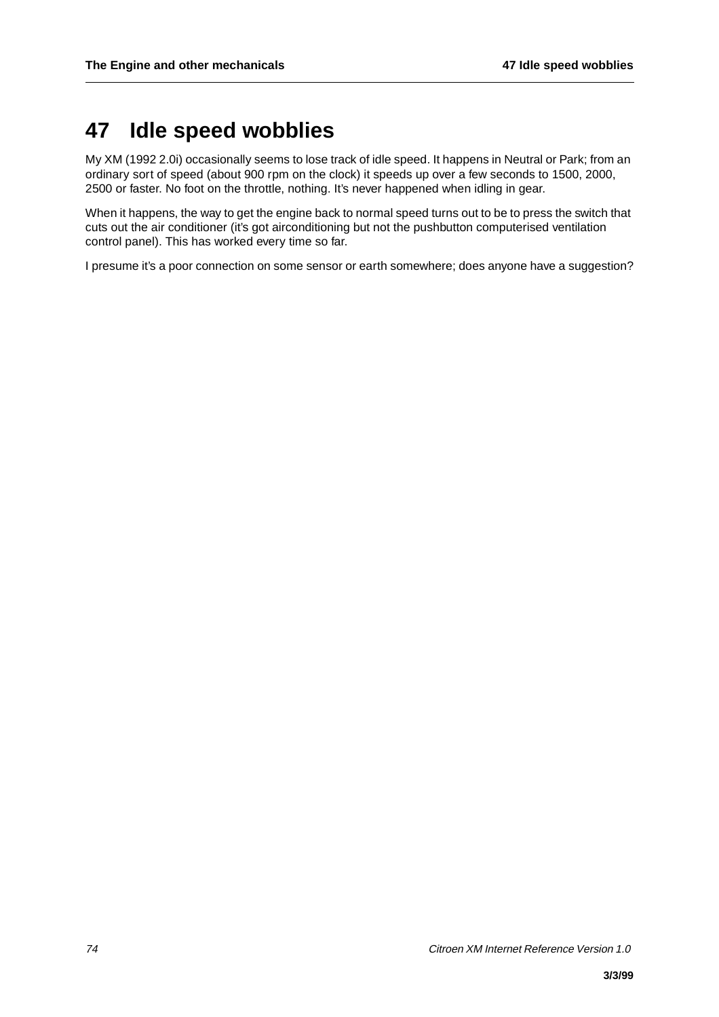# **47 Idle speed wobblies**

My XM (1992 2.0i) occasionally seems to lose track of idle speed. It happens in Neutral or Park; from an ordinary sort of speed (about 900 rpm on the clock) it speeds up over a few seconds to 1500, 2000, 2500 or faster. No foot on the throttle, nothing. It's never happened when idling in gear.

When it happens, the way to get the engine back to normal speed turns out to be to press the switch that cuts out the air conditioner (it's got airconditioning but not the pushbutton computerised ventilation control panel). This has worked every time so far.

I presume it's a poor connection on some sensor or earth somewhere; does anyone have a suggestion?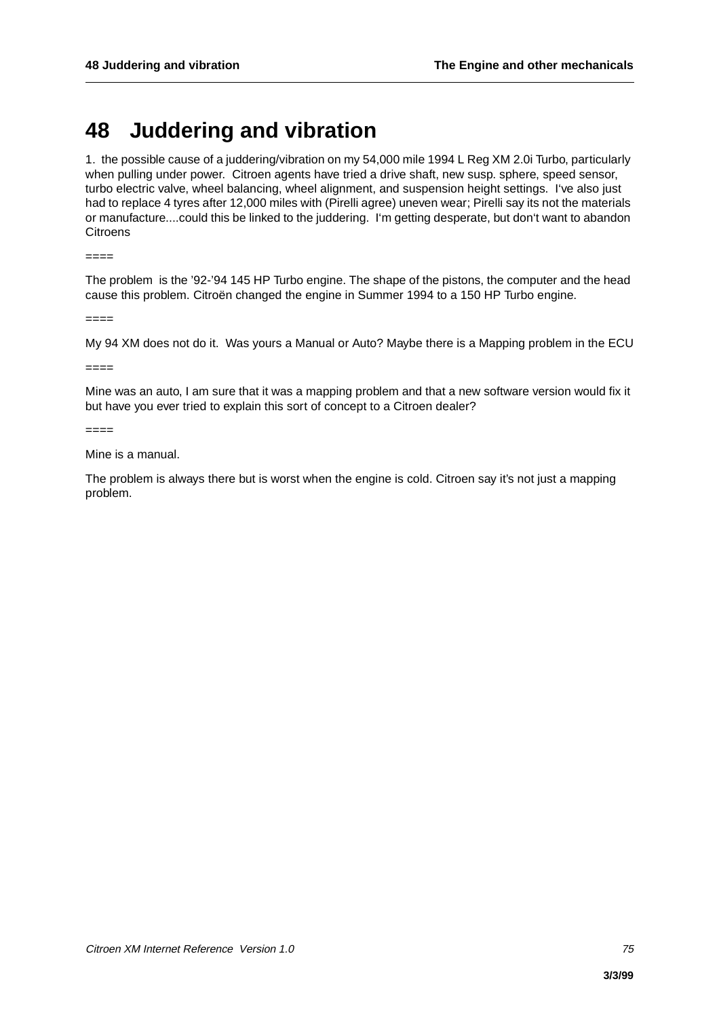### **48 Juddering and vibration**

1. the possible cause of a juddering/vibration on my 54,000 mile 1994 L Reg XM 2.0i Turbo, particularly when pulling under power. Citroen agents have tried a drive shaft, new susp. sphere, speed sensor, turbo electric valve, wheel balancing, wheel alignment, and suspension height settings. I've also just had to replace 4 tyres after 12,000 miles with (Pirelli agree) uneven wear; Pirelli say its not the materials or manufacture....could this be linked to the juddering. I'm getting desperate, but don't want to abandon **Citroens** 

====

The problem is the '92-'94 145 HP Turbo engine. The shape of the pistons, the computer and the head cause this problem. Citroën changed the engine in Summer 1994 to a 150 HP Turbo engine.

====

My 94 XM does not do it. Was yours a Manual or Auto? Maybe there is a Mapping problem in the ECU

 $----$ 

Mine was an auto, I am sure that it was a mapping problem and that a new software version would fix it but have you ever tried to explain this sort of concept to a Citroen dealer?

====

Mine is a manual.

The problem is always there but is worst when the engine is cold. Citroen say it's not just a mapping problem.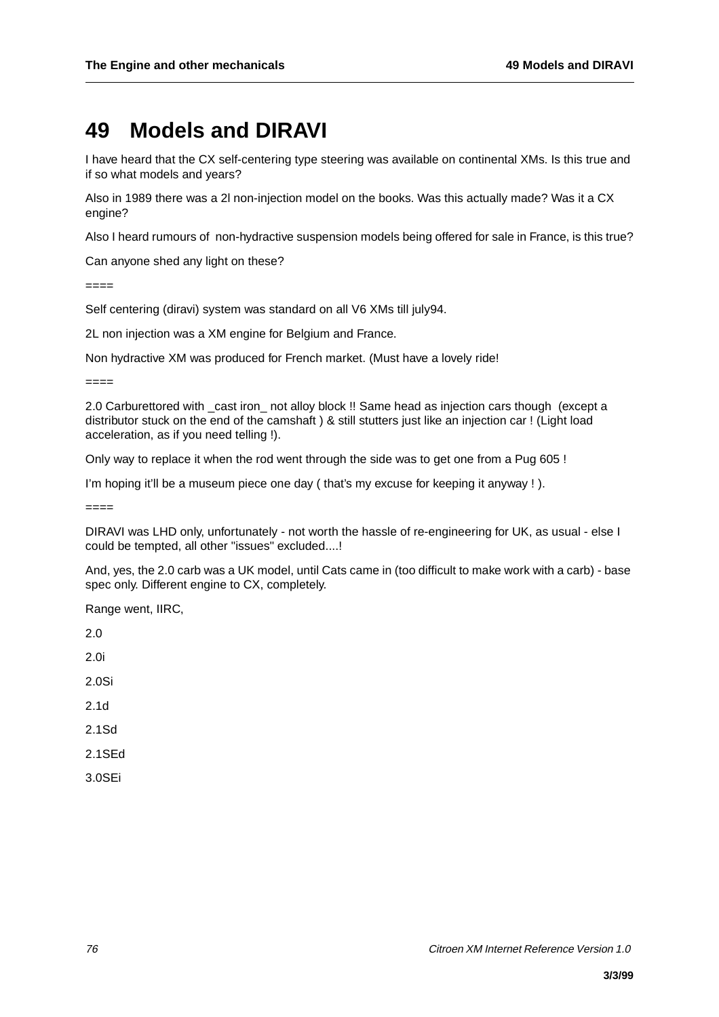### **49 Models and DIRAVI**

I have heard that the CX self-centering type steering was available on continental XMs. Is this true and if so what models and years?

Also in 1989 there was a 2l non-injection model on the books. Was this actually made? Was it a CX engine?

Also I heard rumours of non-hydractive suspension models being offered for sale in France, is this true?

Can anyone shed any light on these?

 $====$ 

Self centering (diravi) system was standard on all V6 XMs till july94.

2L non injection was a XM engine for Belgium and France.

Non hydractive XM was produced for French market. (Must have a lovely ride!

====

2.0 Carburettored with cast iron not alloy block !! Same head as injection cars though (except a distributor stuck on the end of the camshaft ) & still stutters just like an injection car ! (Light load acceleration, as if you need telling !).

Only way to replace it when the rod went through the side was to get one from a Pug 605 !

I'm hoping it'll be a museum piece one day (that's my excuse for keeping it anyway !).

 $====$ 

DIRAVI was LHD only, unfortunately - not worth the hassle of re-engineering for UK, as usual - else I could be tempted, all other "issues" excluded....!

And, yes, the 2.0 carb was a UK model, until Cats came in (too difficult to make work with a carb) - base spec only. Different engine to CX, completely.

Range went, IIRC,

2.0

2.0i

2.0Si

2.1d

2.1Sd

2.1SEd

3.0SEi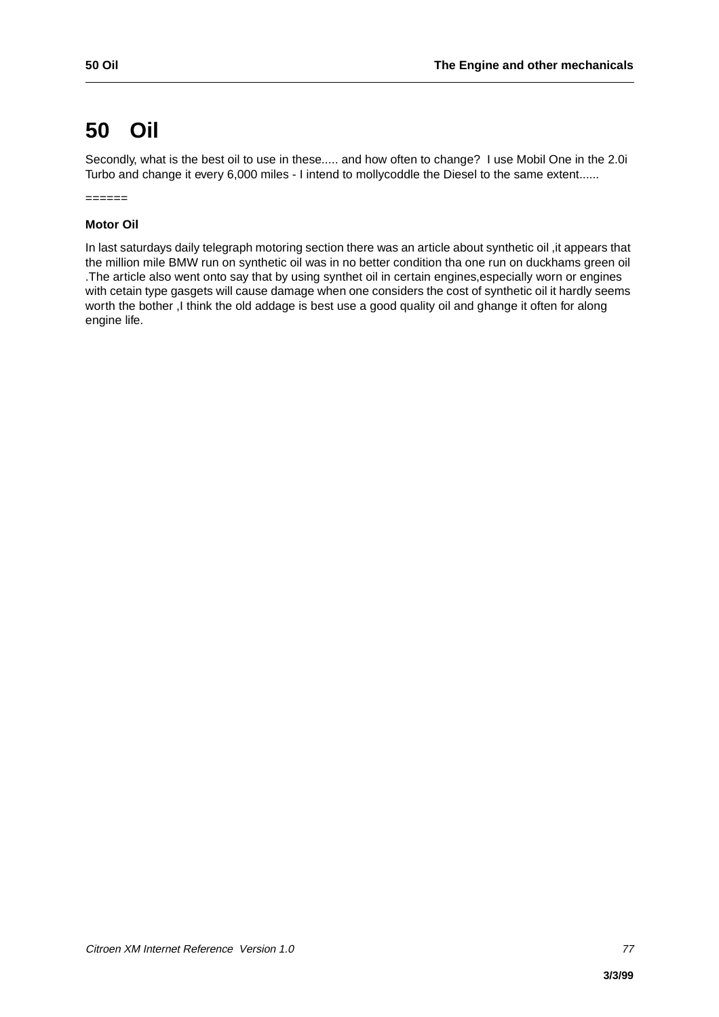# **50 Oil**

Secondly, what is the best oil to use in these..... and how often to change? I use Mobil One in the 2.0i Turbo and change it every 6,000 miles - I intend to mollycoddle the Diesel to the same extent......

======

### **Motor Oil**

In last saturdays daily telegraph motoring section there was an article about synthetic oil ,it appears that the million mile BMW run on synthetic oil was in no better condition tha one run on duckhams green oil .The article also went onto say that by using synthet oil in certain engines,especially worn or engines with cetain type gasgets will cause damage when one considers the cost of synthetic oil it hardly seems worth the bother ,I think the old addage is best use a good quality oil and ghange it often for along engine life.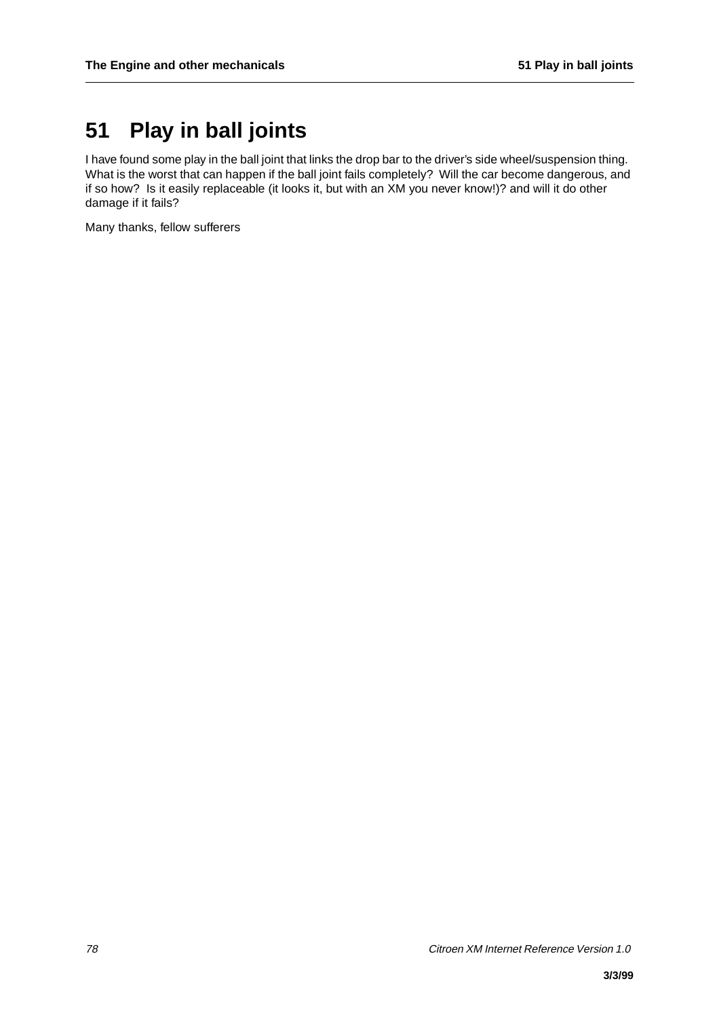# **51 Play in ball joints**

I have found some play in the ball joint that links the drop bar to the driver's side wheel/suspension thing. What is the worst that can happen if the ball joint fails completely? Will the car become dangerous, and if so how? Is it easily replaceable (it looks it, but with an XM you never know!)? and will it do other damage if it fails?

Many thanks, fellow sufferers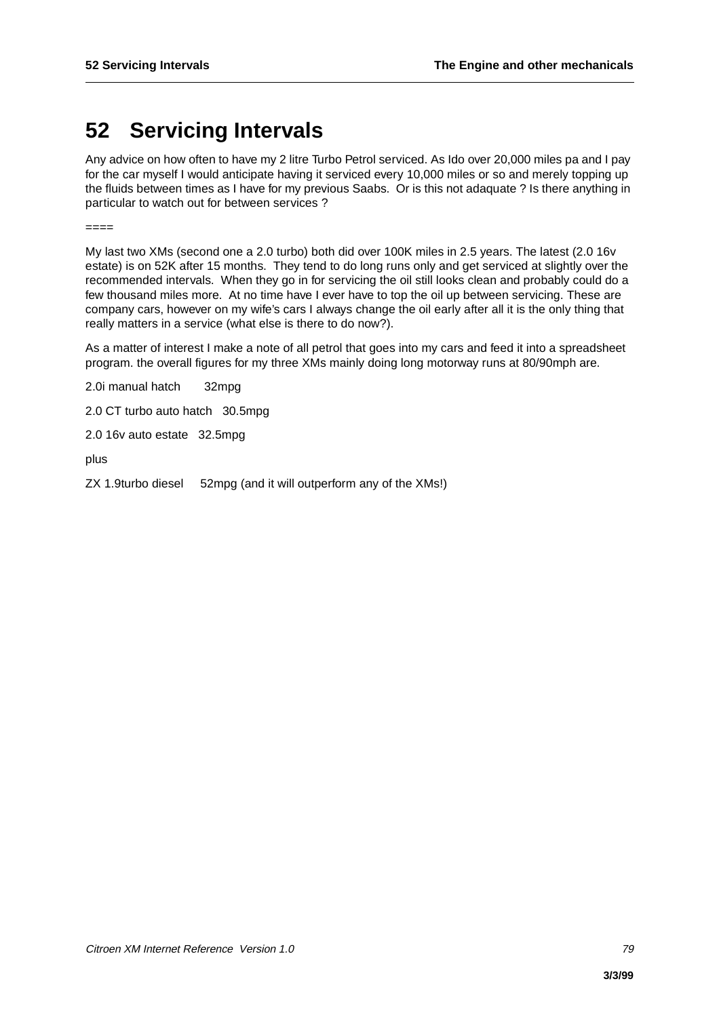# **52 Servicing Intervals**

Any advice on how often to have my 2 litre Turbo Petrol serviced. As Ido over 20,000 miles pa and I pay for the car myself I would anticipate having it serviced every 10,000 miles or so and merely topping up the fluids between times as I have for my previous Saabs. Or is this not adaquate ? Is there anything in particular to watch out for between services ?

====

My last two XMs (second one a 2.0 turbo) both did over 100K miles in 2.5 years. The latest (2.0 16v estate) is on 52K after 15 months. They tend to do long runs only and get serviced at slightly over the recommended intervals. When they go in for servicing the oil still looks clean and probably could do a few thousand miles more. At no time have I ever have to top the oil up between servicing. These are company cars, however on my wife's cars I always change the oil early after all it is the only thing that really matters in a service (what else is there to do now?).

As a matter of interest I make a note of all petrol that goes into my cars and feed it into a spreadsheet program. the overall figures for my three XMs mainly doing long motorway runs at 80/90mph are.

2.0i manual hatch 32mpg

2.0 CT turbo auto hatch 30.5mpg

2.0 16v auto estate 32.5mpg

plus

ZX 1.9turbo diesel 52mpg (and it will outperform any of the XMs!)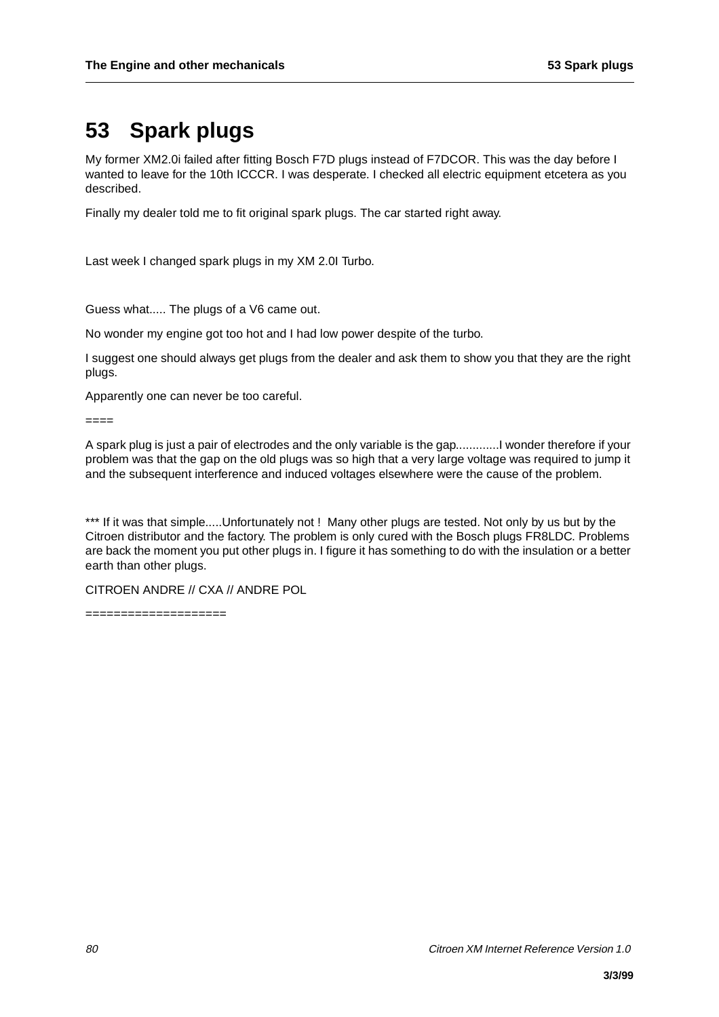# **53 Spark plugs**

My former XM2.0i failed after fitting Bosch F7D plugs instead of F7DCOR. This was the day before I wanted to leave for the 10th ICCCR. I was desperate. I checked all electric equipment etcetera as you described.

Finally my dealer told me to fit original spark plugs. The car started right away.

Last week I changed spark plugs in my XM 2.0I Turbo.

Guess what..... The plugs of a V6 came out.

No wonder my engine got too hot and I had low power despite of the turbo.

I suggest one should always get plugs from the dealer and ask them to show you that they are the right plugs.

Apparently one can never be too careful.

====

A spark plug is just a pair of electrodes and the only variable is the gap.............I wonder therefore if your problem was that the gap on the old plugs was so high that a very large voltage was required to jump it and the subsequent interference and induced voltages elsewhere were the cause of the problem.

\*\*\* If it was that simple.....Unfortunately not ! Many other plugs are tested. Not only by us but by the Citroen distributor and the factory. The problem is only cured with the Bosch plugs FR8LDC. Problems are back the moment you put other plugs in. I figure it has something to do with the insulation or a better earth than other plugs.

CITROEN ANDRE // CXA // ANDRE POL

====================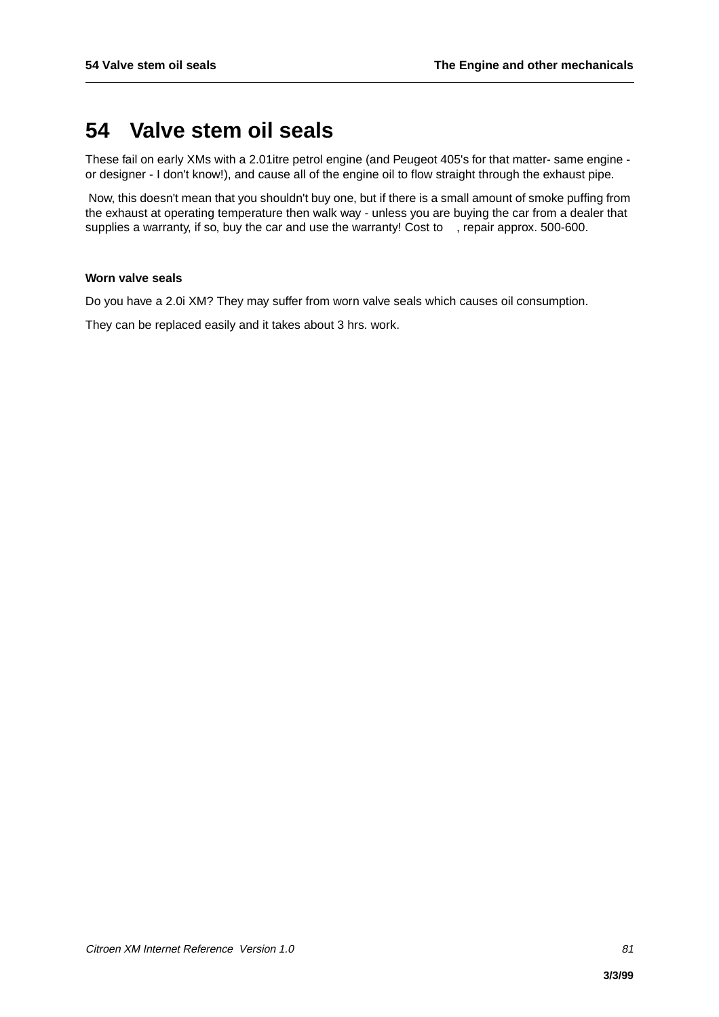### **54 Valve stem oil seals**

These fail on early XMs with a 2.01itre petrol engine (and Peugeot 405's for that matter- same engine or designer - I don't know!), and cause all of the engine oil to flow straight through the exhaust pipe.

 Now, this doesn't mean that you shouldn't buy one, but if there is a small amount of smoke puffing from the exhaust at operating temperature then walk way - unless you are buying the car from a dealer that supplies a warranty, if so, buy the car and use the warranty! Cost to , repair approx. 500-600.

### **Worn valve seals**

Do you have a 2.0i XM? They may suffer from worn valve seals which causes oil consumption.

They can be replaced easily and it takes about 3 hrs. work.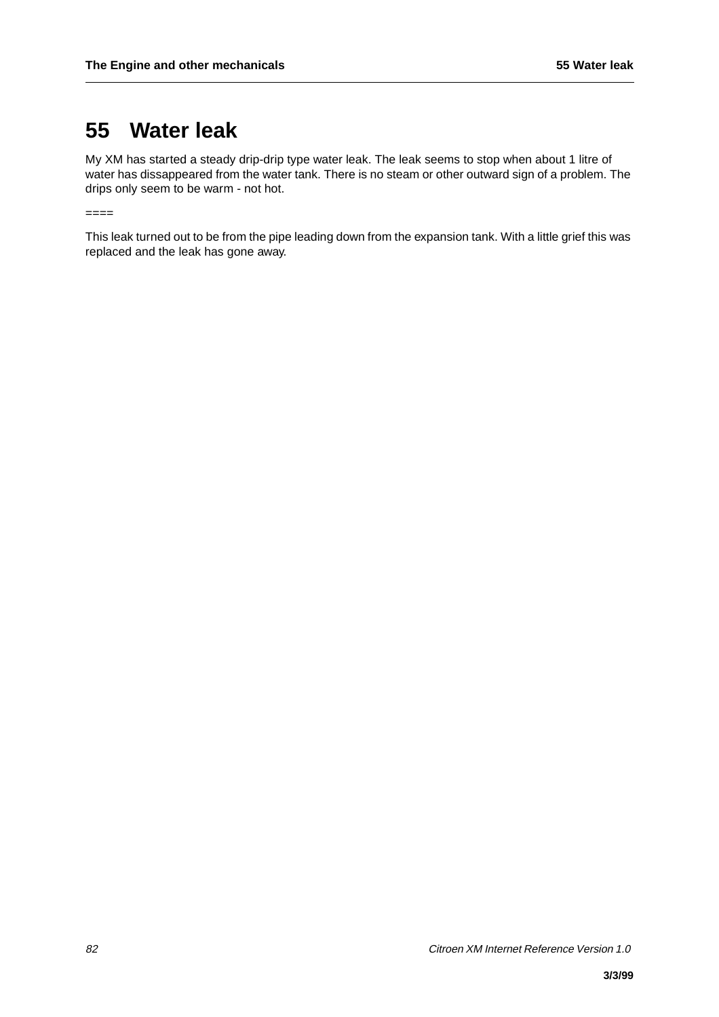# **55 Water leak**

My XM has started a steady drip-drip type water leak. The leak seems to stop when about 1 litre of water has dissappeared from the water tank. There is no steam or other outward sign of a problem. The drips only seem to be warm - not hot.

 $====$ 

This leak turned out to be from the pipe leading down from the expansion tank. With a little grief this was replaced and the leak has gone away.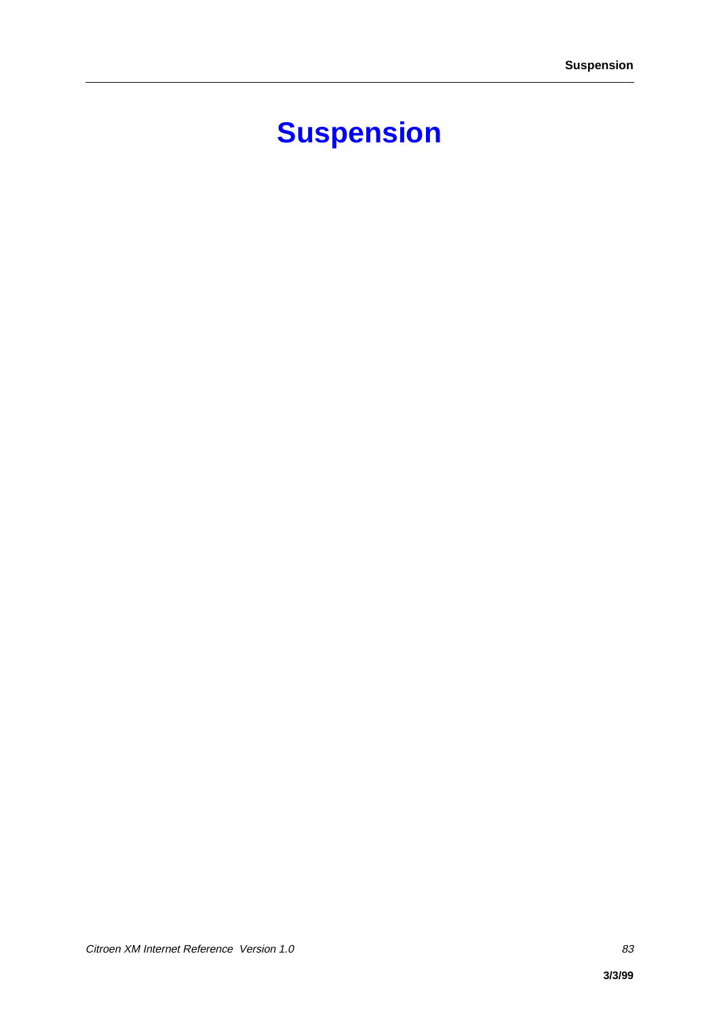# **Suspension**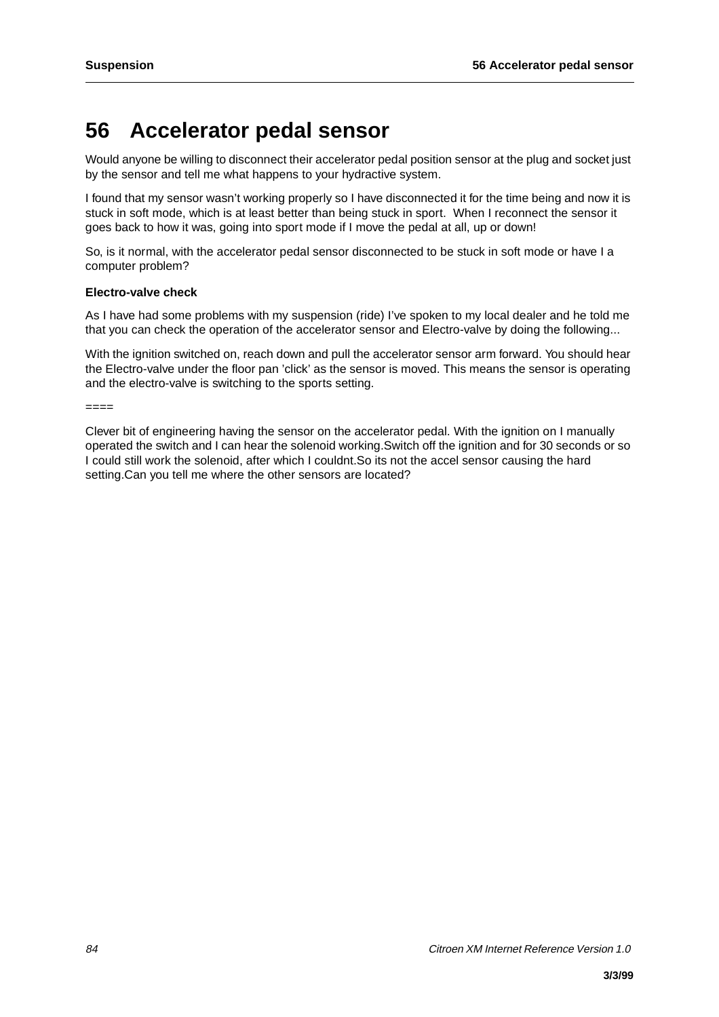# **56 Accelerator pedal sensor**

Would anyone be willing to disconnect their accelerator pedal position sensor at the plug and socket just by the sensor and tell me what happens to your hydractive system.

I found that my sensor wasn't working properly so I have disconnected it for the time being and now it is stuck in soft mode, which is at least better than being stuck in sport. When I reconnect the sensor it goes back to how it was, going into sport mode if I move the pedal at all, up or down!

So, is it normal, with the accelerator pedal sensor disconnected to be stuck in soft mode or have I a computer problem?

### **Electro-valve check**

As I have had some problems with my suspension (ride) I've spoken to my local dealer and he told me that you can check the operation of the accelerator sensor and Electro-valve by doing the following...

With the ignition switched on, reach down and pull the accelerator sensor arm forward. You should hear the Electro-valve under the floor pan 'click' as the sensor is moved. This means the sensor is operating and the electro-valve is switching to the sports setting.

====

Clever bit of engineering having the sensor on the accelerator pedal. With the ignition on I manually operated the switch and I can hear the solenoid working.Switch off the ignition and for 30 seconds or so I could still work the solenoid, after which I couldnt.So its not the accel sensor causing the hard setting.Can you tell me where the other sensors are located?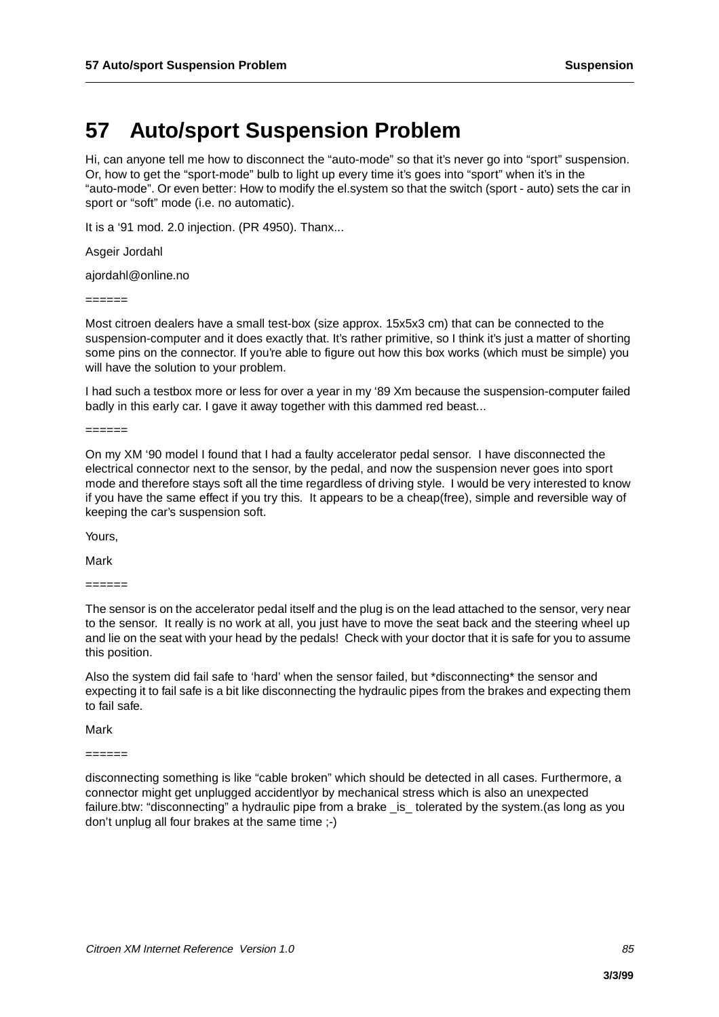# **57 Auto/sport Suspension Problem**

Hi, can anyone tell me how to disconnect the "auto-mode" so that it's never go into "sport" suspension. Or, how to get the "sport-mode" bulb to light up every time it's goes into "sport" when it's in the "auto-mode". Or even better: How to modify the el.system so that the switch (sport - auto) sets the car in sport or "soft" mode (i.e. no automatic).

It is a '91 mod. 2.0 injection. (PR 4950). Thanx...

Asgeir Jordahl

ajordahl@online.no

 $=$ 

Most citroen dealers have a small test-box (size approx. 15x5x3 cm) that can be connected to the suspension-computer and it does exactly that. It's rather primitive, so I think it's just a matter of shorting some pins on the connector. If you're able to figure out how this box works (which must be simple) you will have the solution to your problem.

I had such a testbox more or less for over a year in my '89 Xm because the suspension-computer failed badly in this early car. I gave it away together with this dammed red beast...

======

On my XM '90 model I found that I had a faulty accelerator pedal sensor. I have disconnected the electrical connector next to the sensor, by the pedal, and now the suspension never goes into sport mode and therefore stays soft all the time regardless of driving style. I would be very interested to know if you have the same effect if you try this. It appears to be a cheap(free), simple and reversible way of keeping the car's suspension soft.

Yours,

Mark

======

The sensor is on the accelerator pedal itself and the plug is on the lead attached to the sensor, very near to the sensor. It really is no work at all, you just have to move the seat back and the steering wheel up and lie on the seat with your head by the pedals! Check with your doctor that it is safe for you to assume this position.

Also the system did fail safe to 'hard' when the sensor failed, but \*disconnecting\* the sensor and expecting it to fail safe is a bit like disconnecting the hydraulic pipes from the brakes and expecting them to fail safe.

Mark

======

disconnecting something is like "cable broken" which should be detected in all cases. Furthermore, a connector might get unplugged accidentlyor by mechanical stress which is also an unexpected failure.btw: "disconnecting" a hydraulic pipe from a brake \_is\_ tolerated by the system.(as long as you don't unplug all four brakes at the same time ;-)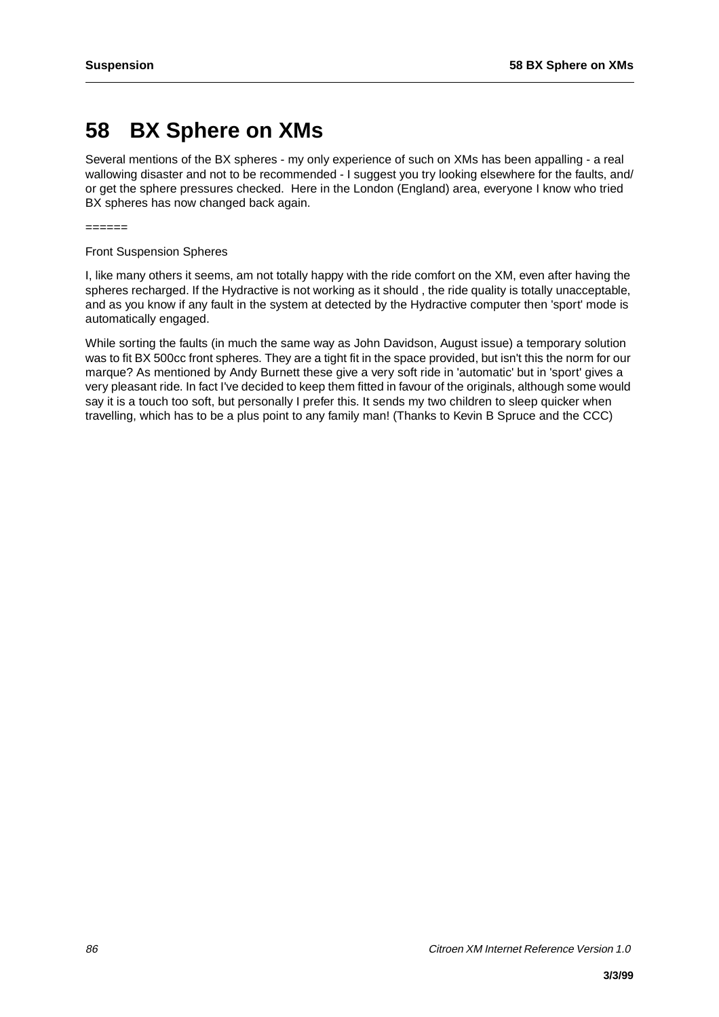# **58 BX Sphere on XMs**

Several mentions of the BX spheres - my only experience of such on XMs has been appalling - a real wallowing disaster and not to be recommended - I suggest you try looking elsewhere for the faults, and/ or get the sphere pressures checked. Here in the London (England) area, everyone I know who tried BX spheres has now changed back again.

 $=$ 

Front Suspension Spheres

I, like many others it seems, am not totally happy with the ride comfort on the XM, even after having the spheres recharged. If the Hydractive is not working as it should , the ride quality is totally unacceptable, and as you know if any fault in the system at detected by the Hydractive computer then 'sport' mode is automatically engaged.

While sorting the faults (in much the same way as John Davidson, August issue) a temporary solution was to fit BX 500cc front spheres. They are a tight fit in the space provided, but isn't this the norm for our marque? As mentioned by Andy Burnett these give a very soft ride in 'automatic' but in 'sport' gives a very pleasant ride. In fact I've decided to keep them fitted in favour of the originals, although some would say it is a touch too soft, but personally I prefer this. It sends my two children to sleep quicker when travelling, which has to be a plus point to any family man! (Thanks to Kevin B Spruce and the CCC)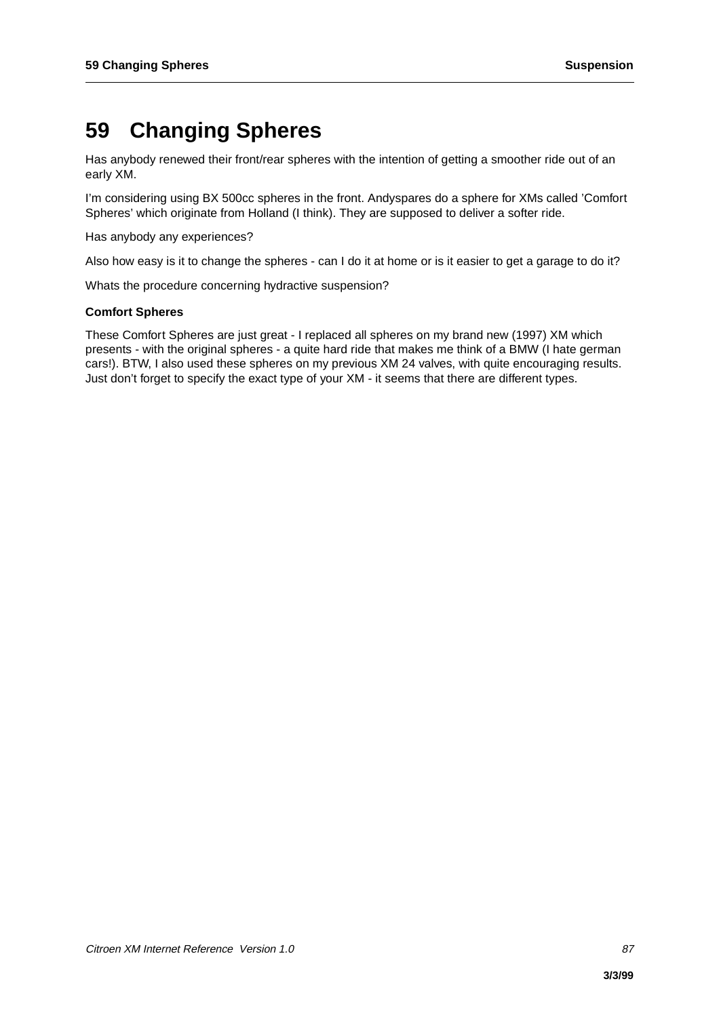# **59 Changing Spheres**

Has anybody renewed their front/rear spheres with the intention of getting a smoother ride out of an early XM.

I'm considering using BX 500cc spheres in the front. Andyspares do a sphere for XMs called 'Comfort Spheres' which originate from Holland (I think). They are supposed to deliver a softer ride.

Has anybody any experiences?

Also how easy is it to change the spheres - can I do it at home or is it easier to get a garage to do it?

Whats the procedure concerning hydractive suspension?

### **Comfort Spheres**

These Comfort Spheres are just great - I replaced all spheres on my brand new (1997) XM which presents - with the original spheres - a quite hard ride that makes me think of a BMW (I hate german cars!). BTW, I also used these spheres on my previous XM 24 valves, with quite encouraging results. Just don't forget to specify the exact type of your XM - it seems that there are different types.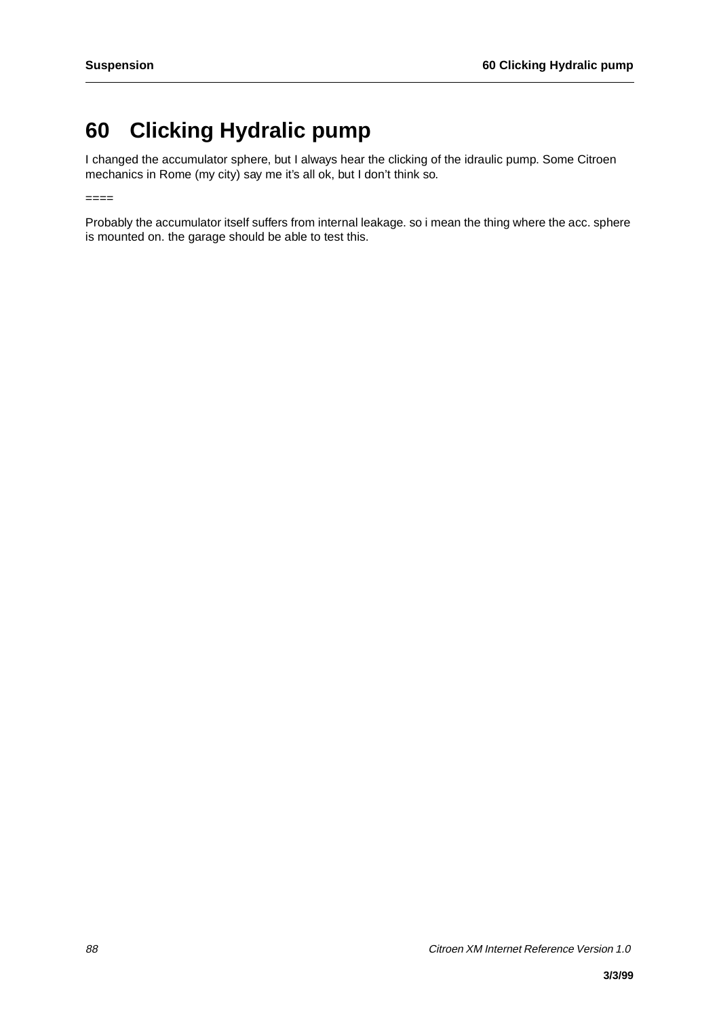# **60 Clicking Hydralic pump**

I changed the accumulator sphere, but I always hear the clicking of the idraulic pump. Some Citroen mechanics in Rome (my city) say me it's all ok, but I don't think so.

 $====$ 

Probably the accumulator itself suffers from internal leakage. so i mean the thing where the acc. sphere is mounted on. the garage should be able to test this.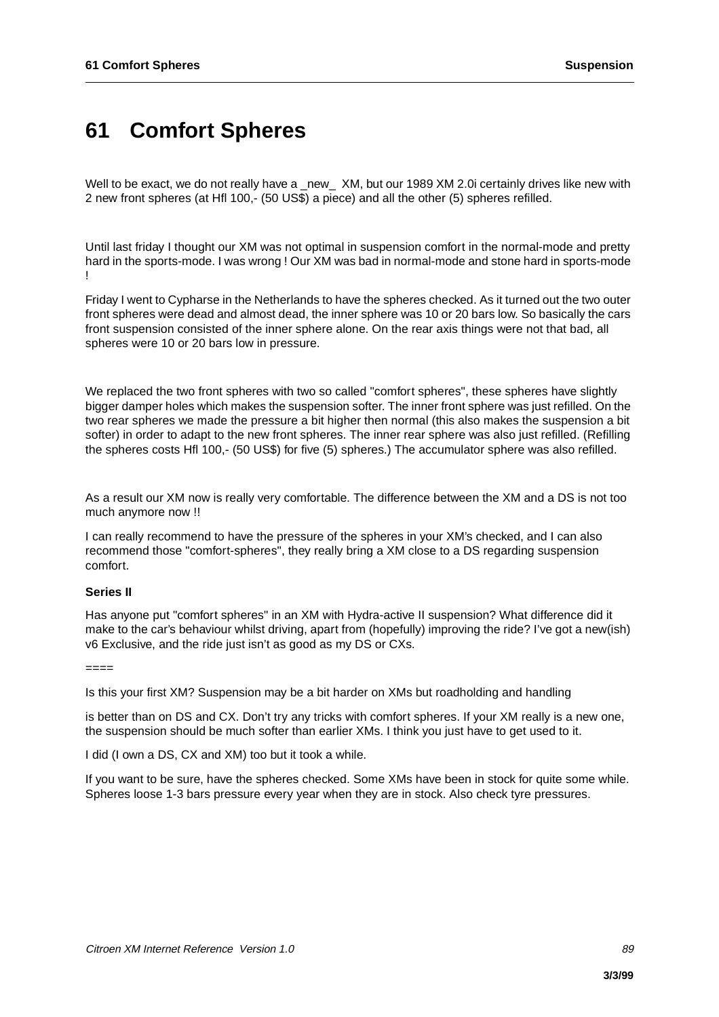# **61 Comfort Spheres**

Well to be exact, we do not really have a \_new\_ XM, but our 1989 XM 2.0i certainly drives like new with 2 new front spheres (at Hfl 100,- (50 US\$) a piece) and all the other (5) spheres refilled.

Until last friday I thought our XM was not optimal in suspension comfort in the normal-mode and pretty hard in the sports-mode. I was wrong ! Our XM was bad in normal-mode and stone hard in sports-mode !

Friday I went to Cypharse in the Netherlands to have the spheres checked. As it turned out the two outer front spheres were dead and almost dead, the inner sphere was 10 or 20 bars low. So basically the cars front suspension consisted of the inner sphere alone. On the rear axis things were not that bad, all spheres were 10 or 20 bars low in pressure.

We replaced the two front spheres with two so called "comfort spheres", these spheres have slightly bigger damper holes which makes the suspension softer. The inner front sphere was just refilled. On the two rear spheres we made the pressure a bit higher then normal (this also makes the suspension a bit softer) in order to adapt to the new front spheres. The inner rear sphere was also just refilled. (Refilling the spheres costs Hfl 100,- (50 US\$) for five (5) spheres.) The accumulator sphere was also refilled.

As a result our XM now is really very comfortable. The difference between the XM and a DS is not too much anymore now !!

I can really recommend to have the pressure of the spheres in your XM's checked, and I can also recommend those "comfort-spheres", they really bring a XM close to a DS regarding suspension comfort.

### **Series II**

Has anyone put "comfort spheres" in an XM with Hydra-active II suspension? What difference did it make to the car's behaviour whilst driving, apart from (hopefully) improving the ride? I've got a new(ish) v6 Exclusive, and the ride just isn't as good as my DS or CXs.

====

Is this your first XM? Suspension may be a bit harder on XMs but roadholding and handling

is better than on DS and CX. Don't try any tricks with comfort spheres. If your XM really is a new one, the suspension should be much softer than earlier XMs. I think you just have to get used to it.

I did (I own a DS, CX and XM) too but it took a while.

If you want to be sure, have the spheres checked. Some XMs have been in stock for quite some while. Spheres loose 1-3 bars pressure every year when they are in stock. Also check tyre pressures.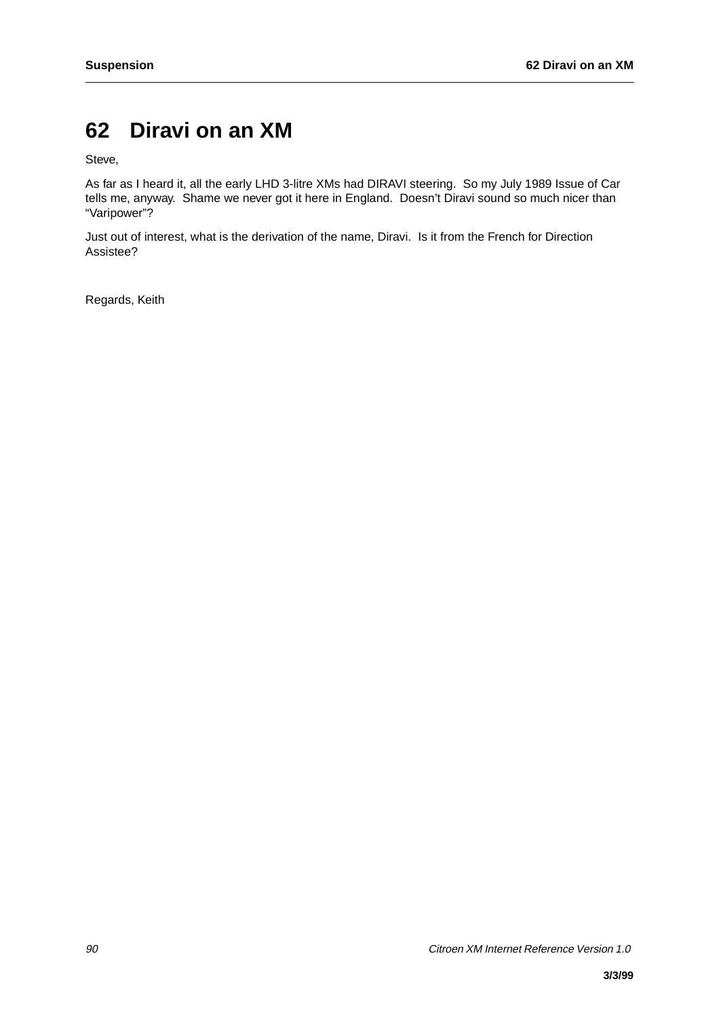# **62 Diravi on an XM**

Steve,

As far as I heard it, all the early LHD 3-litre XMs had DIRAVI steering. So my July 1989 Issue of Car tells me, anyway. Shame we never got it here in England. Doesn't Diravi sound so much nicer than "Varipower"?

Just out of interest, what is the derivation of the name, Diravi. Is it from the French for Direction Assistee?

Regards, Keith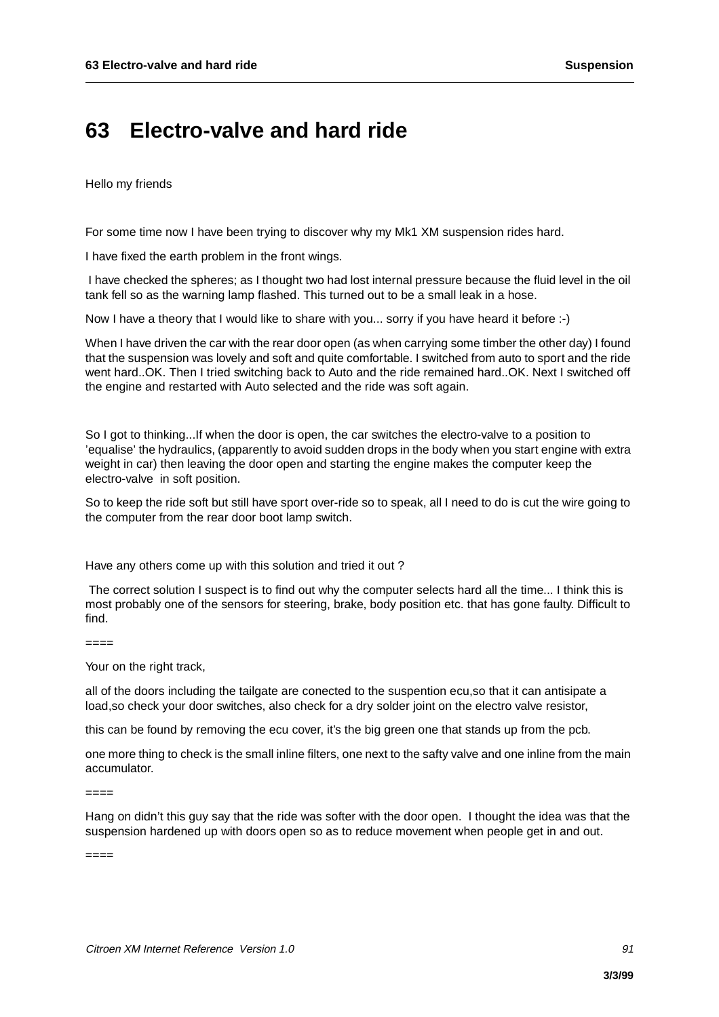### **63 Electro-valve and hard ride**

Hello my friends

For some time now I have been trying to discover why my Mk1 XM suspension rides hard.

I have fixed the earth problem in the front wings.

 I have checked the spheres; as I thought two had lost internal pressure because the fluid level in the oil tank fell so as the warning lamp flashed. This turned out to be a small leak in a hose.

Now I have a theory that I would like to share with you... sorry if you have heard it before :-)

When I have driven the car with the rear door open (as when carrying some timber the other day) I found that the suspension was lovely and soft and quite comfortable. I switched from auto to sport and the ride went hard..OK. Then I tried switching back to Auto and the ride remained hard..OK. Next I switched off the engine and restarted with Auto selected and the ride was soft again.

So I got to thinking...If when the door is open, the car switches the electro-valve to a position to 'equalise' the hydraulics, (apparently to avoid sudden drops in the body when you start engine with extra weight in car) then leaving the door open and starting the engine makes the computer keep the electro-valve in soft position.

So to keep the ride soft but still have sport over-ride so to speak, all I need to do is cut the wire going to the computer from the rear door boot lamp switch.

Have any others come up with this solution and tried it out ?

 The correct solution I suspect is to find out why the computer selects hard all the time... I think this is most probably one of the sensors for steering, brake, body position etc. that has gone faulty. Difficult to find.

 $----$ 

Your on the right track,

all of the doors including the tailgate are conected to the suspention ecu,so that it can antisipate a load,so check your door switches, also check for a dry solder joint on the electro valve resistor,

this can be found by removing the ecu cover, it's the big green one that stands up from the pcb.

one more thing to check is the small inline filters, one next to the safty valve and one inline from the main accumulator.

====

Hang on didn't this guy say that the ride was softer with the door open. I thought the idea was that the suspension hardened up with doors open so as to reduce movement when people get in and out.

 $=$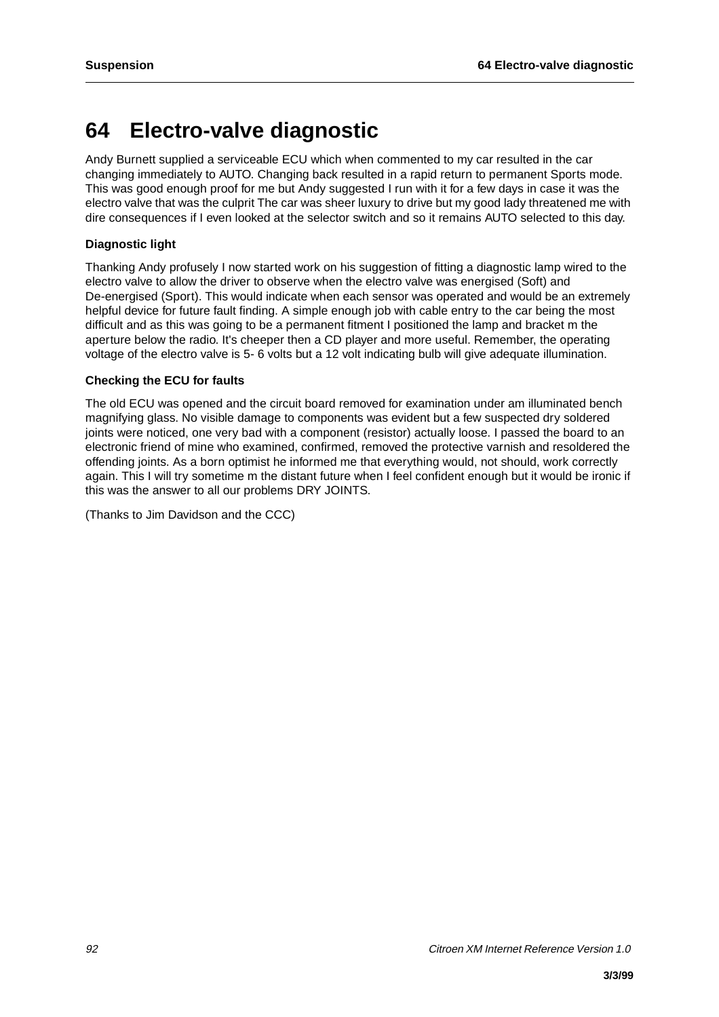# **64 Electro-valve diagnostic**

Andy Burnett supplied a serviceable ECU which when commented to my car resulted in the car changing immediately to AUTO. Changing back resulted in a rapid return to permanent Sports mode. This was good enough proof for me but Andy suggested I run with it for a few days in case it was the electro valve that was the culprit The car was sheer luxury to drive but my good lady threatened me with dire consequences if I even looked at the selector switch and so it remains AUTO selected to this day.

### **Diagnostic light**

Thanking Andy profusely I now started work on his suggestion of fitting a diagnostic lamp wired to the electro valve to allow the driver to observe when the electro valve was energised (Soft) and De-energised (Sport). This would indicate when each sensor was operated and would be an extremely helpful device for future fault finding. A simple enough job with cable entry to the car being the most difficult and as this was going to be a permanent fitment I positioned the lamp and bracket m the aperture below the radio. It's cheeper then a CD player and more useful. Remember, the operating voltage of the electro valve is 5- 6 volts but a 12 volt indicating bulb will give adequate illumination.

### **Checking the ECU for faults**

The old ECU was opened and the circuit board removed for examination under am illuminated bench magnifying glass. No visible damage to components was evident but a few suspected dry soldered joints were noticed, one very bad with a component (resistor) actually loose. I passed the board to an electronic friend of mine who examined, confirmed, removed the protective varnish and resoldered the offending joints. As a born optimist he informed me that everything would, not should, work correctly again. This I will try sometime m the distant future when I feel confident enough but it would be ironic if this was the answer to all our problems DRY JOINTS.

(Thanks to Jim Davidson and the CCC)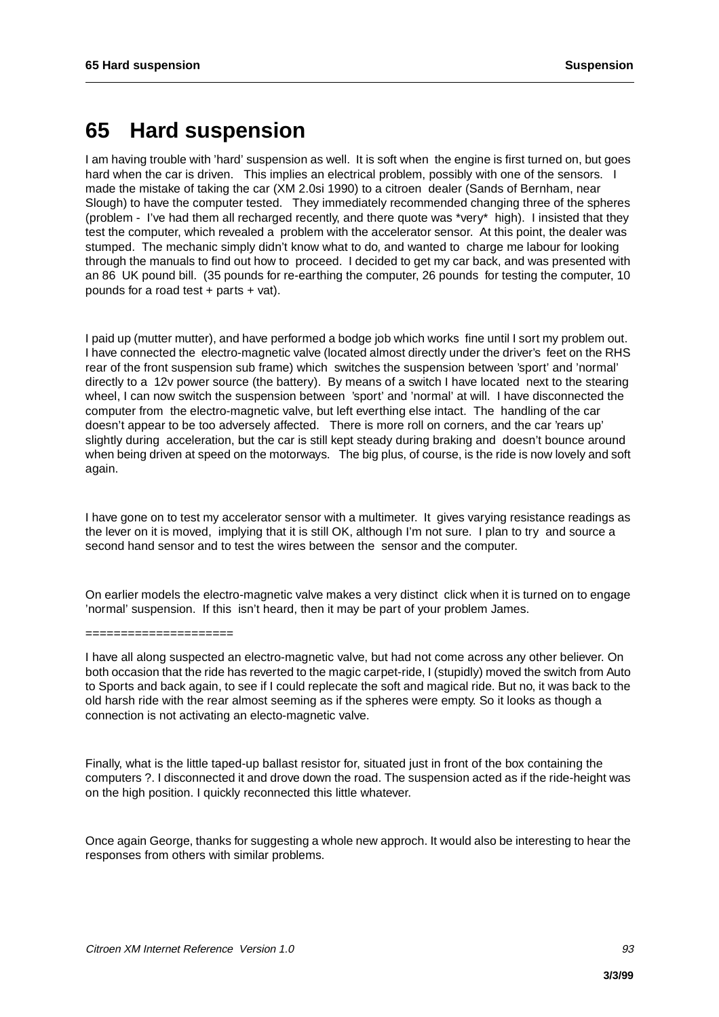# **65 Hard suspension**

I am having trouble with 'hard' suspension as well. It is soft when the engine is first turned on, but goes hard when the car is driven. This implies an electrical problem, possibly with one of the sensors. I made the mistake of taking the car (XM 2.0si 1990) to a citroen dealer (Sands of Bernham, near Slough) to have the computer tested. They immediately recommended changing three of the spheres (problem - I've had them all recharged recently, and there quote was \*very\* high). I insisted that they test the computer, which revealed a problem with the accelerator sensor. At this point, the dealer was stumped. The mechanic simply didn't know what to do, and wanted to charge me labour for looking through the manuals to find out how to proceed. I decided to get my car back, and was presented with an 86 UK pound bill. (35 pounds for re-earthing the computer, 26 pounds for testing the computer, 10 pounds for a road test + parts + vat).

I paid up (mutter mutter), and have performed a bodge job which works fine until I sort my problem out. I have connected the electro-magnetic valve (located almost directly under the driver's feet on the RHS rear of the front suspension sub frame) which switches the suspension between 'sport' and 'normal' directly to a 12v power source (the battery). By means of a switch I have located next to the stearing wheel, I can now switch the suspension between 'sport' and 'normal' at will. I have disconnected the computer from the electro-magnetic valve, but left everthing else intact. The handling of the car doesn't appear to be too adversely affected. There is more roll on corners, and the car 'rears up' slightly during acceleration, but the car is still kept steady during braking and doesn't bounce around when being driven at speed on the motorways. The big plus, of course, is the ride is now lovely and soft again.

I have gone on to test my accelerator sensor with a multimeter. It gives varying resistance readings as the lever on it is moved, implying that it is still OK, although I'm not sure. I plan to try and source a second hand sensor and to test the wires between the sensor and the computer.

On earlier models the electro-magnetic valve makes a very distinct click when it is turned on to engage 'normal' suspension. If this isn't heard, then it may be part of your problem James.

=====================

I have all along suspected an electro-magnetic valve, but had not come across any other believer. On both occasion that the ride has reverted to the magic carpet-ride, I (stupidly) moved the switch from Auto to Sports and back again, to see if I could replecate the soft and magical ride. But no, it was back to the old harsh ride with the rear almost seeming as if the spheres were empty. So it looks as though a connection is not activating an electo-magnetic valve.

Finally, what is the little taped-up ballast resistor for, situated just in front of the box containing the computers ?. I disconnected it and drove down the road. The suspension acted as if the ride-height was on the high position. I quickly reconnected this little whatever.

Once again George, thanks for suggesting a whole new approch. It would also be interesting to hear the responses from others with similar problems.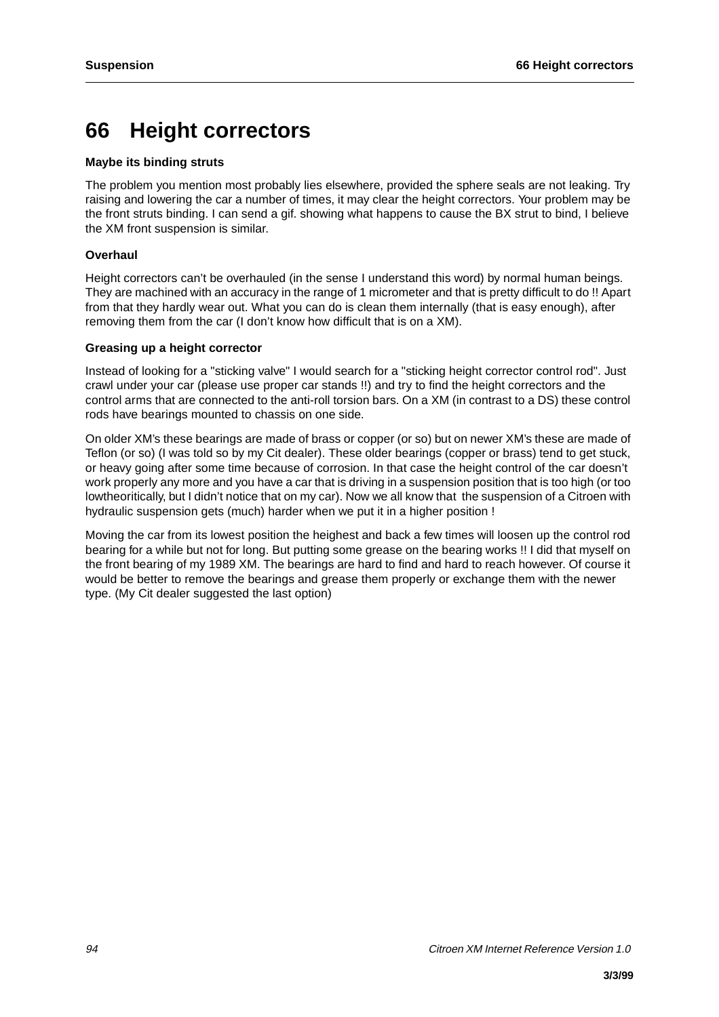# **66 Height correctors**

### **Maybe its binding struts**

The problem you mention most probably lies elsewhere, provided the sphere seals are not leaking. Try raising and lowering the car a number of times, it may clear the height correctors. Your problem may be the front struts binding. I can send a gif. showing what happens to cause the BX strut to bind, I believe the XM front suspension is similar.

### **Overhaul**

Height correctors can't be overhauled (in the sense I understand this word) by normal human beings. They are machined with an accuracy in the range of 1 micrometer and that is pretty difficult to do !! Apart from that they hardly wear out. What you can do is clean them internally (that is easy enough), after removing them from the car (I don't know how difficult that is on a XM).

### **Greasing up a height corrector**

Instead of looking for a "sticking valve" I would search for a "sticking height corrector control rod". Just crawl under your car (please use proper car stands !!) and try to find the height correctors and the control arms that are connected to the anti-roll torsion bars. On a XM (in contrast to a DS) these control rods have bearings mounted to chassis on one side.

On older XM's these bearings are made of brass or copper (or so) but on newer XM's these are made of Teflon (or so) (I was told so by my Cit dealer). These older bearings (copper or brass) tend to get stuck, or heavy going after some time because of corrosion. In that case the height control of the car doesn't work properly any more and you have a car that is driving in a suspension position that is too high (or too lowtheoritically, but I didn't notice that on my car). Now we all know that the suspension of a Citroen with hydraulic suspension gets (much) harder when we put it in a higher position !

Moving the car from its lowest position the heighest and back a few times will loosen up the control rod bearing for a while but not for long. But putting some grease on the bearing works !! I did that myself on the front bearing of my 1989 XM. The bearings are hard to find and hard to reach however. Of course it would be better to remove the bearings and grease them properly or exchange them with the newer type. (My Cit dealer suggested the last option)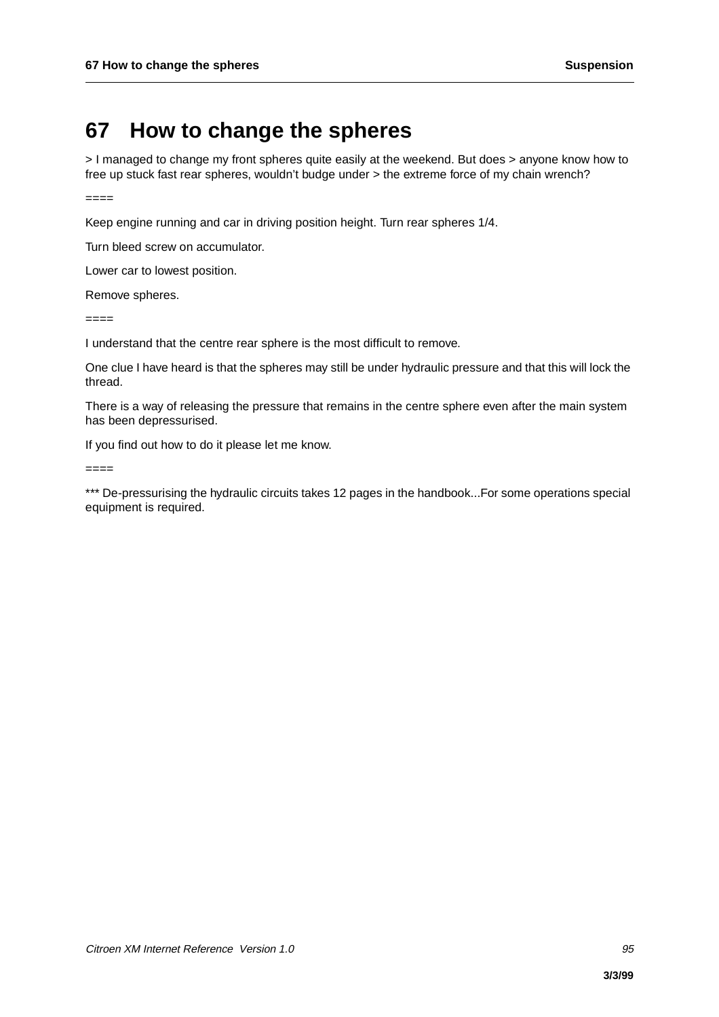### **67 How to change the spheres**

> I managed to change my front spheres quite easily at the weekend. But does > anyone know how to free up stuck fast rear spheres, wouldn't budge under > the extreme force of my chain wrench?

====

Keep engine running and car in driving position height. Turn rear spheres 1/4.

Turn bleed screw on accumulator.

Lower car to lowest position.

Remove spheres.

 $====$ 

I understand that the centre rear sphere is the most difficult to remove.

One clue I have heard is that the spheres may still be under hydraulic pressure and that this will lock the thread.

There is a way of releasing the pressure that remains in the centre sphere even after the main system has been depressurised.

If you find out how to do it please let me know.

 $=$ 

\*\*\* De-pressurising the hydraulic circuits takes 12 pages in the handbook...For some operations special equipment is required.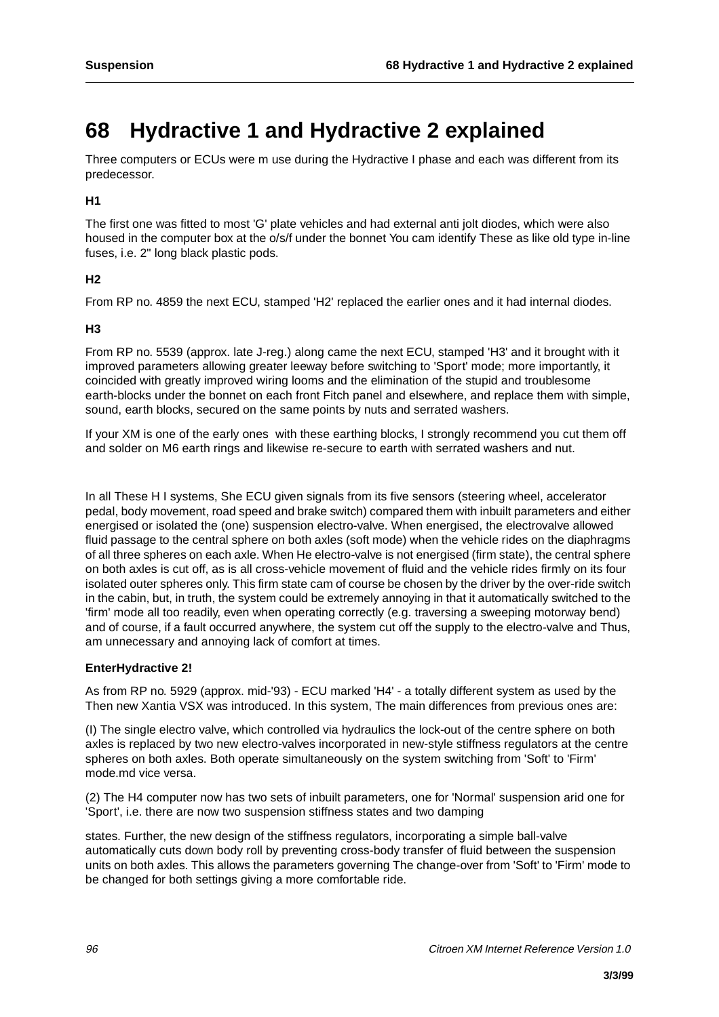# **68 Hydractive 1 and Hydractive 2 explained**

Three computers or ECUs were m use during the Hydractive I phase and each was different from its predecessor.

### **H1**

The first one was fitted to most 'G' plate vehicles and had external anti jolt diodes, which were also housed in the computer box at the o/s/f under the bonnet You cam identify These as like old type in-line fuses, i.e. 2" long black plastic pods.

### **H2**

From RP no. 4859 the next ECU, stamped 'H2' replaced the earlier ones and it had internal diodes.

### **H3**

From RP no. 5539 (approx. late J-reg.) along came the next ECU, stamped 'H3' and it brought with it improved parameters allowing greater leeway before switching to 'Sport' mode; more importantly, it coincided with greatly improved wiring looms and the elimination of the stupid and troublesome earth-blocks under the bonnet on each front Fitch panel and elsewhere, and replace them with simple, sound, earth blocks, secured on the same points by nuts and serrated washers.

If your XM is one of the early ones with these earthing blocks, I strongly recommend you cut them off and solder on M6 earth rings and likewise re-secure to earth with serrated washers and nut.

In all These H I systems, She ECU given signals from its five sensors (steering wheel, accelerator pedal, body movement, road speed and brake switch) compared them with inbuilt parameters and either energised or isolated the (one) suspension electro-valve. When energised, the electrovalve allowed fluid passage to the central sphere on both axles (soft mode) when the vehicle rides on the diaphragms of all three spheres on each axle. When He electro-valve is not energised (firm state), the central sphere on both axles is cut off, as is all cross-vehicle movement of fluid and the vehicle rides firmly on its four isolated outer spheres only. This firm state cam of course be chosen by the driver by the over-ride switch in the cabin, but, in truth, the system could be extremely annoying in that it automatically switched to the 'firm' mode all too readily, even when operating correctly (e.g. traversing a sweeping motorway bend) and of course, if a fault occurred anywhere, the system cut off the supply to the electro-valve and Thus, am unnecessary and annoying lack of comfort at times.

### **EnterHydractive 2!**

As from RP no. 5929 (approx. mid-'93) - ECU marked 'H4' - a totally different system as used by the Then new Xantia VSX was introduced. In this system, The main differences from previous ones are:

(I) The single electro valve, which controlled via hydraulics the lock-out of the centre sphere on both axles is replaced by two new electro-valves incorporated in new-style stiffness regulators at the centre spheres on both axles. Both operate simultaneously on the system switching from 'Soft' to 'Firm' mode.md vice versa.

(2) The H4 computer now has two sets of inbuilt parameters, one for 'Normal' suspension arid one for 'Sport', i.e. there are now two suspension stiffness states and two damping

states. Further, the new design of the stiffness regulators, incorporating a simple ball-valve automatically cuts down body roll by preventing cross-body transfer of fluid between the suspension units on both axles. This allows the parameters governing The change-over from 'Soft' to 'Firm' mode to be changed for both settings giving a more comfortable ride.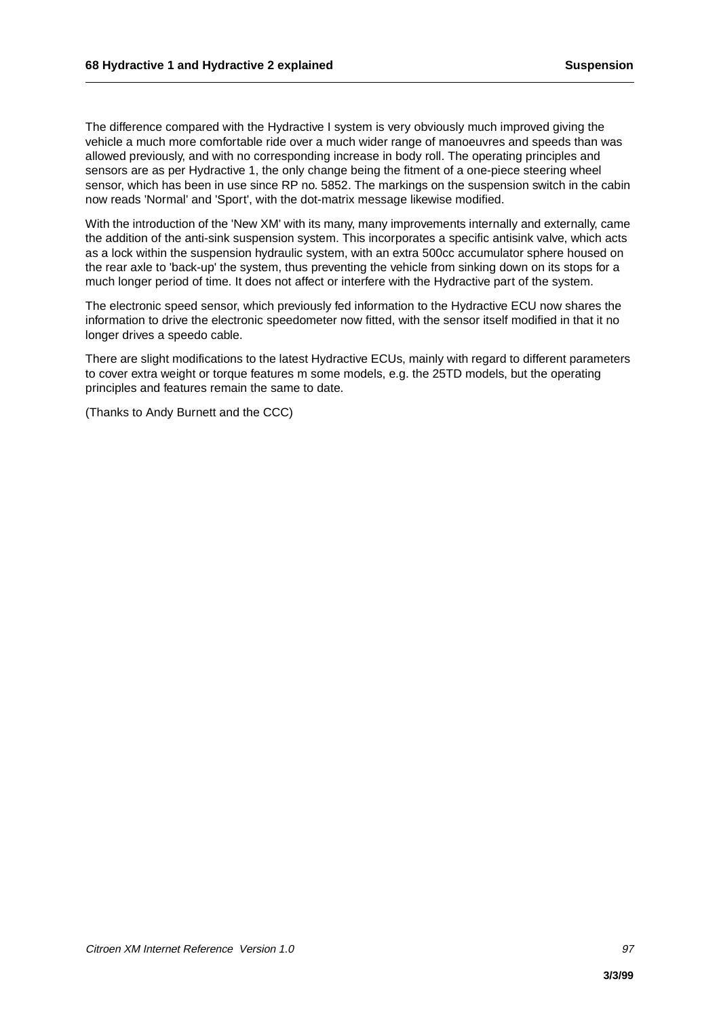The difference compared with the Hydractive I system is very obviously much improved giving the vehicle a much more comfortable ride over a much wider range of manoeuvres and speeds than was allowed previously, and with no corresponding increase in body roll. The operating principles and sensors are as per Hydractive 1, the only change being the fitment of a one-piece steering wheel sensor, which has been in use since RP no. 5852. The markings on the suspension switch in the cabin now reads 'Normal' and 'Sport', with the dot-matrix message likewise modified.

With the introduction of the 'New XM' with its many, many improvements internally and externally, came the addition of the anti-sink suspension system. This incorporates a specific antisink valve, which acts as a lock within the suspension hydraulic system, with an extra 500cc accumulator sphere housed on the rear axle to 'back-up' the system, thus preventing the vehicle from sinking down on its stops for a much longer period of time. It does not affect or interfere with the Hydractive part of the system.

The electronic speed sensor, which previously fed information to the Hydractive ECU now shares the information to drive the electronic speedometer now fitted, with the sensor itself modified in that it no longer drives a speedo cable.

There are slight modifications to the latest Hydractive ECUs, mainly with regard to different parameters to cover extra weight or torque features m some models, e.g. the 25TD models, but the operating principles and features remain the same to date.

(Thanks to Andy Burnett and the CCC)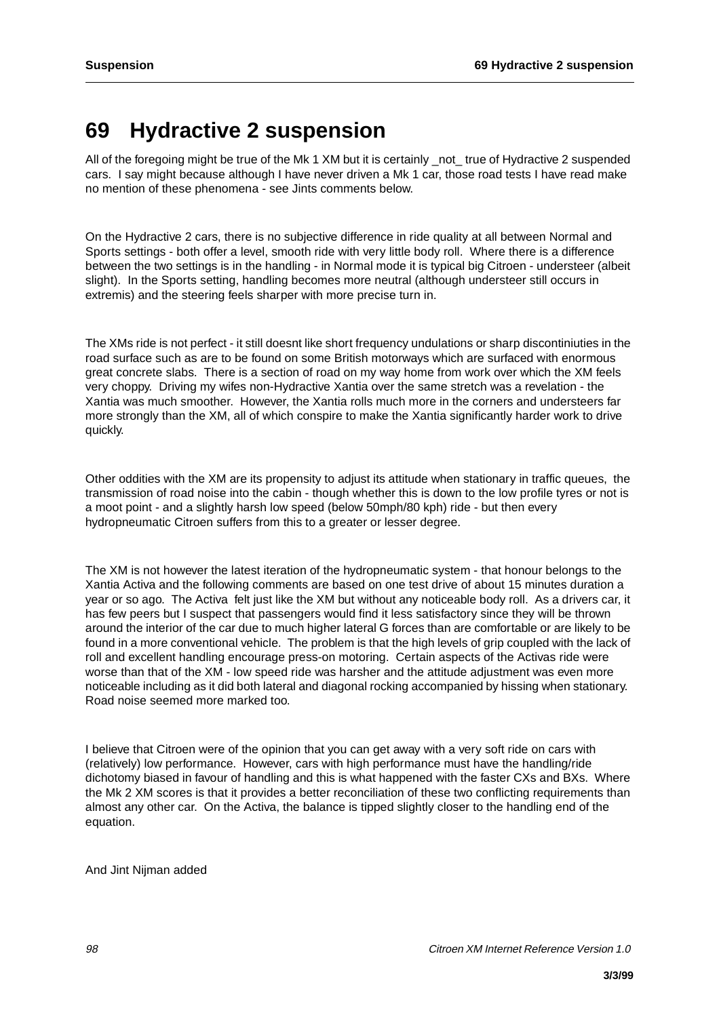# **69 Hydractive 2 suspension**

All of the foregoing might be true of the Mk 1 XM but it is certainly \_not\_ true of Hydractive 2 suspended cars. I say might because although I have never driven a Mk 1 car, those road tests I have read make no mention of these phenomena - see Jints comments below.

On the Hydractive 2 cars, there is no subjective difference in ride quality at all between Normal and Sports settings - both offer a level, smooth ride with very little body roll. Where there is a difference between the two settings is in the handling - in Normal mode it is typical big Citroen - understeer (albeit slight). In the Sports setting, handling becomes more neutral (although understeer still occurs in extremis) and the steering feels sharper with more precise turn in.

The XMs ride is not perfect - it still doesnt like short frequency undulations or sharp discontiniuties in the road surface such as are to be found on some British motorways which are surfaced with enormous great concrete slabs. There is a section of road on my way home from work over which the XM feels very choppy. Driving my wifes non-Hydractive Xantia over the same stretch was a revelation - the Xantia was much smoother. However, the Xantia rolls much more in the corners and understeers far more strongly than the XM, all of which conspire to make the Xantia significantly harder work to drive quickly.

Other oddities with the XM are its propensity to adjust its attitude when stationary in traffic queues, the transmission of road noise into the cabin - though whether this is down to the low profile tyres or not is a moot point - and a slightly harsh low speed (below 50mph/80 kph) ride - but then every hydropneumatic Citroen suffers from this to a greater or lesser degree.

The XM is not however the latest iteration of the hydropneumatic system - that honour belongs to the Xantia Activa and the following comments are based on one test drive of about 15 minutes duration a year or so ago. The Activa felt just like the XM but without any noticeable body roll. As a drivers car, it has few peers but I suspect that passengers would find it less satisfactory since they will be thrown around the interior of the car due to much higher lateral G forces than are comfortable or are likely to be found in a more conventional vehicle. The problem is that the high levels of grip coupled with the lack of roll and excellent handling encourage press-on motoring. Certain aspects of the Activas ride were worse than that of the XM - low speed ride was harsher and the attitude adjustment was even more noticeable including as it did both lateral and diagonal rocking accompanied by hissing when stationary. Road noise seemed more marked too.

I believe that Citroen were of the opinion that you can get away with a very soft ride on cars with (relatively) low performance. However, cars with high performance must have the handling/ride dichotomy biased in favour of handling and this is what happened with the faster CXs and BXs. Where the Mk 2 XM scores is that it provides a better reconciliation of these two conflicting requirements than almost any other car. On the Activa, the balance is tipped slightly closer to the handling end of the equation.

And Jint Nijman added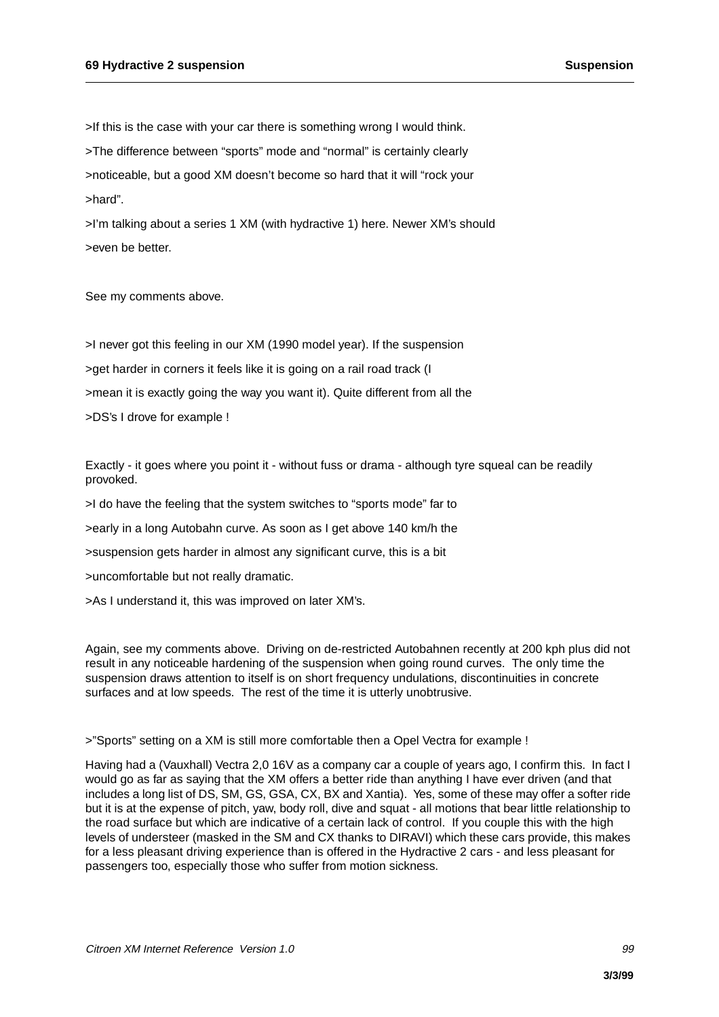>If this is the case with your car there is something wrong I would think. >The difference between "sports" mode and "normal" is certainly clearly >noticeable, but a good XM doesn't become so hard that it will "rock your >hard".

>I'm talking about a series 1 XM (with hydractive 1) here. Newer XM's should >even be better.

See my comments above.

>I never got this feeling in our XM (1990 model year). If the suspension >get harder in corners it feels like it is going on a rail road track (I >mean it is exactly going the way you want it). Quite different from all the >DS's I drove for example !

Exactly - it goes where you point it - without fuss or drama - although tyre squeal can be readily provoked.

>I do have the feeling that the system switches to "sports mode" far to

>early in a long Autobahn curve. As soon as I get above 140 km/h the

>suspension gets harder in almost any significant curve, this is a bit

>uncomfortable but not really dramatic.

>As I understand it, this was improved on later XM's.

Again, see my comments above. Driving on de-restricted Autobahnen recently at 200 kph plus did not result in any noticeable hardening of the suspension when going round curves. The only time the suspension draws attention to itself is on short frequency undulations, discontinuities in concrete surfaces and at low speeds. The rest of the time it is utterly unobtrusive.

>"Sports" setting on a XM is still more comfortable then a Opel Vectra for example !

Having had a (Vauxhall) Vectra 2,0 16V as a company car a couple of years ago, I confirm this. In fact I would go as far as saying that the XM offers a better ride than anything I have ever driven (and that includes a long list of DS, SM, GS, GSA, CX, BX and Xantia). Yes, some of these may offer a softer ride but it is at the expense of pitch, yaw, body roll, dive and squat - all motions that bear little relationship to the road surface but which are indicative of a certain lack of control. If you couple this with the high levels of understeer (masked in the SM and CX thanks to DIRAVI) which these cars provide, this makes for a less pleasant driving experience than is offered in the Hydractive 2 cars - and less pleasant for passengers too, especially those who suffer from motion sickness.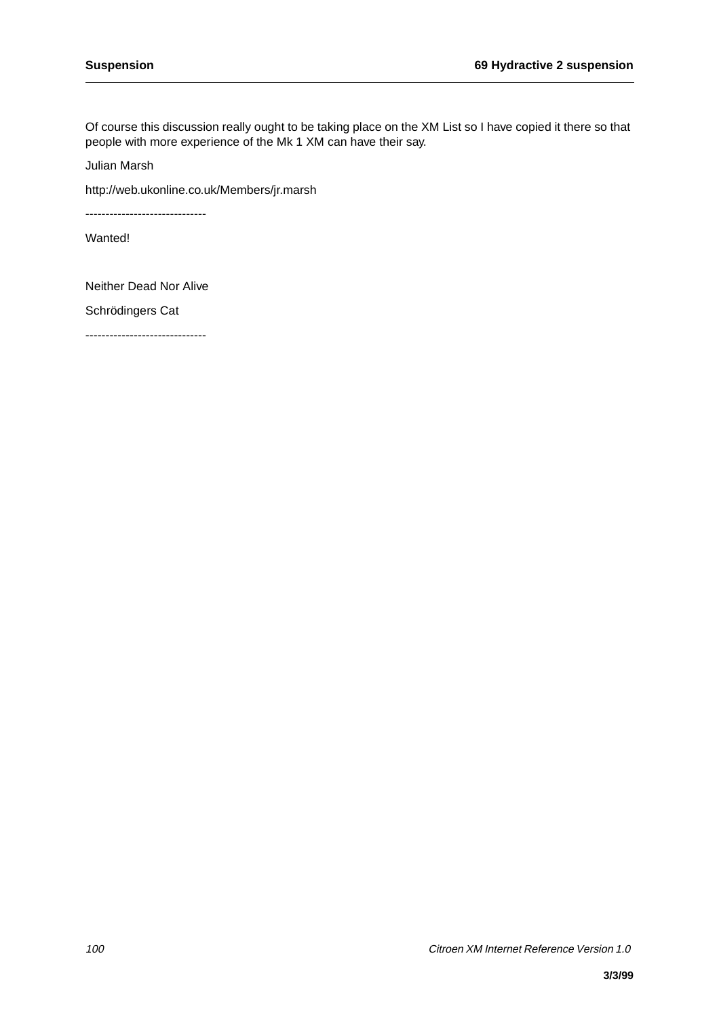Of course this discussion really ought to be taking place on the XM List so I have copied it there so that people with more experience of the Mk 1 XM can have their say.

Julian Marsh

http://web.ukonline.co.uk/Members/jr.marsh

------------------------------

Wanted!

Neither Dead Nor Alive

Schrödingers Cat

------------------------------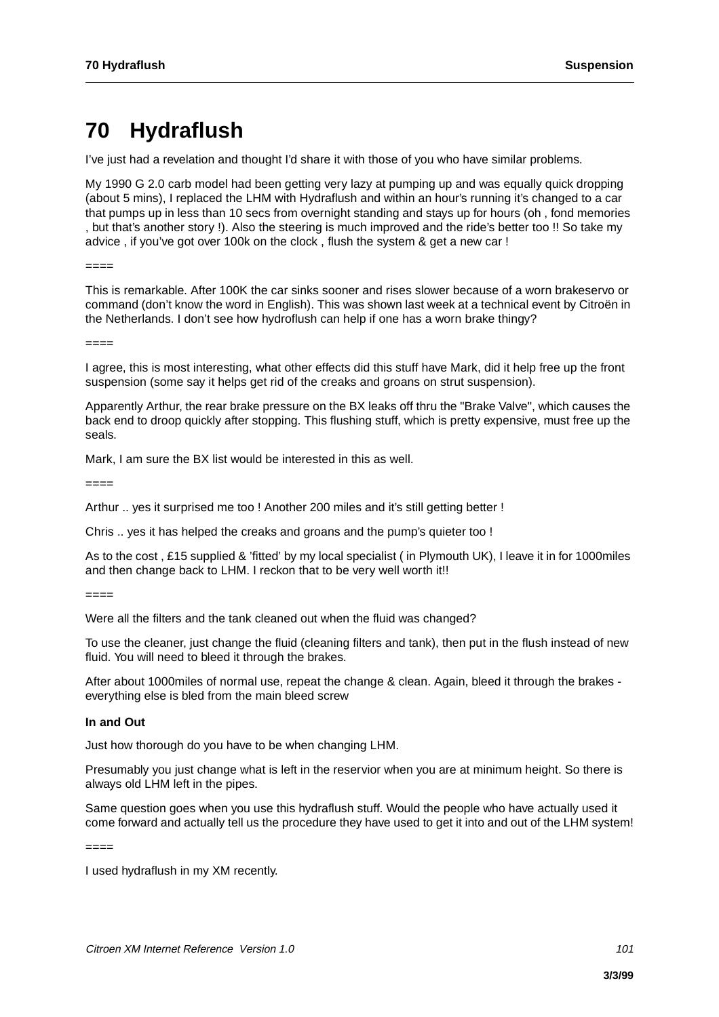# **70 Hydraflush**

I've just had a revelation and thought I'd share it with those of you who have similar problems.

My 1990 G 2.0 carb model had been getting very lazy at pumping up and was equally quick dropping (about 5 mins), I replaced the LHM with Hydraflush and within an hour's running it's changed to a car that pumps up in less than 10 secs from overnight standing and stays up for hours (oh , fond memories , but that's another story !). Also the steering is much improved and the ride's better too !! So take my advice , if you've got over 100k on the clock , flush the system & get a new car !

 $-$ 

This is remarkable. After 100K the car sinks sooner and rises slower because of a worn brakeservo or command (don't know the word in English). This was shown last week at a technical event by Citroën in the Netherlands. I don't see how hydroflush can help if one has a worn brake thingy?

====

I agree, this is most interesting, what other effects did this stuff have Mark, did it help free up the front suspension (some say it helps get rid of the creaks and groans on strut suspension).

Apparently Arthur, the rear brake pressure on the BX leaks off thru the "Brake Valve", which causes the back end to droop quickly after stopping. This flushing stuff, which is pretty expensive, must free up the seals.

Mark, I am sure the BX list would be interested in this as well.

====

Arthur .. yes it surprised me too ! Another 200 miles and it's still getting better !

Chris .. yes it has helped the creaks and groans and the pump's quieter too !

As to the cost , £15 supplied & 'fitted' by my local specialist ( in Plymouth UK), I leave it in for 1000miles and then change back to LHM. I reckon that to be very well worth it!!

====

Were all the filters and the tank cleaned out when the fluid was changed?

To use the cleaner, just change the fluid (cleaning filters and tank), then put in the flush instead of new fluid. You will need to bleed it through the brakes.

After about 1000miles of normal use, repeat the change & clean. Again, bleed it through the brakes everything else is bled from the main bleed screw

#### **In and Out**

Just how thorough do you have to be when changing LHM.

Presumably you just change what is left in the reservior when you are at minimum height. So there is always old LHM left in the pipes.

Same question goes when you use this hydraflush stuff. Would the people who have actually used it come forward and actually tell us the procedure they have used to get it into and out of the LHM system!

 $====$ 

I used hydraflush in my XM recently.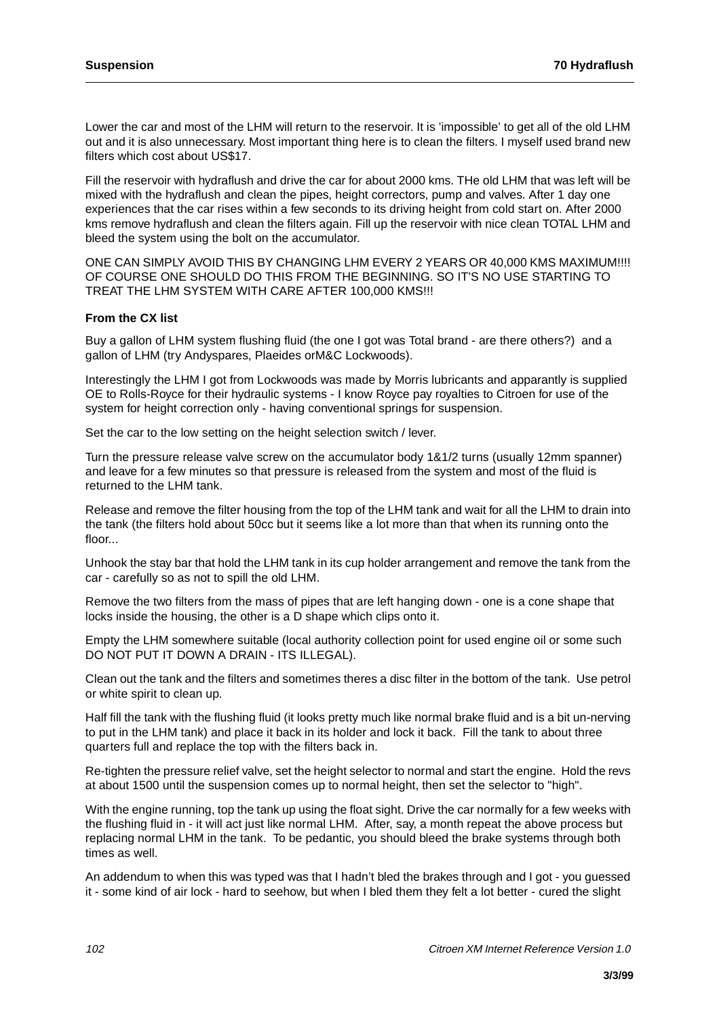Lower the car and most of the LHM will return to the reservoir. It is 'impossible' to get all of the old LHM out and it is also unnecessary. Most important thing here is to clean the filters. I myself used brand new filters which cost about US\$17.

Fill the reservoir with hydraflush and drive the car for about 2000 kms. THe old LHM that was left will be mixed with the hydraflush and clean the pipes, height correctors, pump and valves. After 1 day one experiences that the car rises within a few seconds to its driving height from cold start on. After 2000 kms remove hydraflush and clean the filters again. Fill up the reservoir with nice clean TOTAL LHM and bleed the system using the bolt on the accumulator.

ONE CAN SIMPLY AVOID THIS BY CHANGING LHM EVERY 2 YEARS OR 40,000 KMS MAXIMUM!!!! OF COURSE ONE SHOULD DO THIS FROM THE BEGINNING. SO IT'S NO USE STARTING TO TREAT THE LHM SYSTEM WITH CARE AFTER 100,000 KMS!!!

#### **From the CX list**

Buy a gallon of LHM system flushing fluid (the one I got was Total brand - are there others?) and a gallon of LHM (try Andyspares, Plaeides orM&C Lockwoods).

Interestingly the LHM I got from Lockwoods was made by Morris lubricants and apparantly is supplied OE to Rolls-Royce for their hydraulic systems - I know Royce pay royalties to Citroen for use of the system for height correction only - having conventional springs for suspension.

Set the car to the low setting on the height selection switch / lever.

Turn the pressure release valve screw on the accumulator body 1&1/2 turns (usually 12mm spanner) and leave for a few minutes so that pressure is released from the system and most of the fluid is returned to the LHM tank.

Release and remove the filter housing from the top of the LHM tank and wait for all the LHM to drain into the tank (the filters hold about 50cc but it seems like a lot more than that when its running onto the floor...

Unhook the stay bar that hold the LHM tank in its cup holder arrangement and remove the tank from the car - carefully so as not to spill the old LHM.

Remove the two filters from the mass of pipes that are left hanging down - one is a cone shape that locks inside the housing, the other is a D shape which clips onto it.

Empty the LHM somewhere suitable (local authority collection point for used engine oil or some such DO NOT PUT IT DOWN A DRAIN - ITS ILLEGAL).

Clean out the tank and the filters and sometimes theres a disc filter in the bottom of the tank. Use petrol or white spirit to clean up.

Half fill the tank with the flushing fluid (it looks pretty much like normal brake fluid and is a bit un-nerving to put in the LHM tank) and place it back in its holder and lock it back. Fill the tank to about three quarters full and replace the top with the filters back in.

Re-tighten the pressure relief valve, set the height selector to normal and start the engine. Hold the revs at about 1500 until the suspension comes up to normal height, then set the selector to "high".

With the engine running, top the tank up using the float sight. Drive the car normally for a few weeks with the flushing fluid in - it will act just like normal LHM. After, say, a month repeat the above process but replacing normal LHM in the tank. To be pedantic, you should bleed the brake systems through both times as well.

An addendum to when this was typed was that I hadn't bled the brakes through and I got - you guessed it - some kind of air lock - hard to seehow, but when I bled them they felt a lot better - cured the slight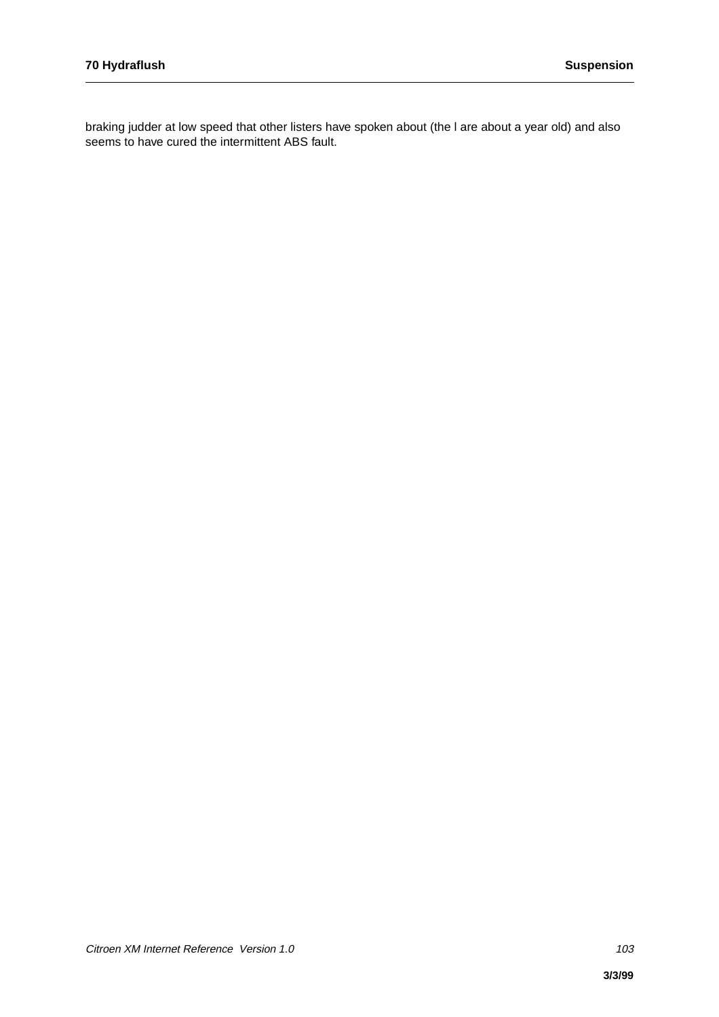braking judder at low speed that other listers have spoken about (the l are about a year old) and also seems to have cured the intermittent ABS fault.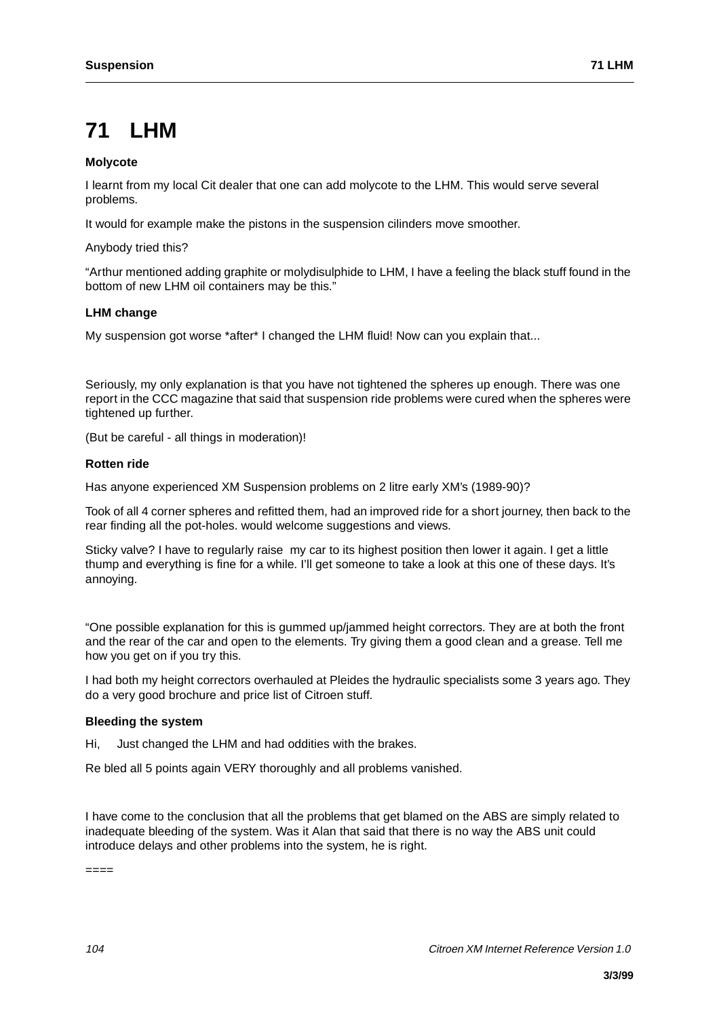# **71 LHM**

### **Molycote**

I learnt from my local Cit dealer that one can add molycote to the LHM. This would serve several problems.

It would for example make the pistons in the suspension cilinders move smoother.

Anybody tried this?

"Arthur mentioned adding graphite or molydisulphide to LHM, I have a feeling the black stuff found in the bottom of new LHM oil containers may be this."

### **LHM change**

My suspension got worse \*after\* I changed the LHM fluid! Now can you explain that...

Seriously, my only explanation is that you have not tightened the spheres up enough. There was one report in the CCC magazine that said that suspension ride problems were cured when the spheres were tightened up further.

(But be careful - all things in moderation)!

### **Rotten ride**

Has anyone experienced XM Suspension problems on 2 litre early XM's (1989-90)?

Took of all 4 corner spheres and refitted them, had an improved ride for a short journey, then back to the rear finding all the pot-holes. would welcome suggestions and views.

Sticky valve? I have to regularly raise my car to its highest position then lower it again. I get a little thump and everything is fine for a while. I'll get someone to take a look at this one of these days. It's annoying.

"One possible explanation for this is gummed up/jammed height correctors. They are at both the front and the rear of the car and open to the elements. Try giving them a good clean and a grease. Tell me how you get on if you try this.

I had both my height correctors overhauled at Pleides the hydraulic specialists some 3 years ago. They do a very good brochure and price list of Citroen stuff.

### **Bleeding the system**

Hi, Just changed the LHM and had oddities with the brakes.

Re bled all 5 points again VERY thoroughly and all problems vanished.

I have come to the conclusion that all the problems that get blamed on the ABS are simply related to inadequate bleeding of the system. Was it Alan that said that there is no way the ABS unit could introduce delays and other problems into the system, he is right.

====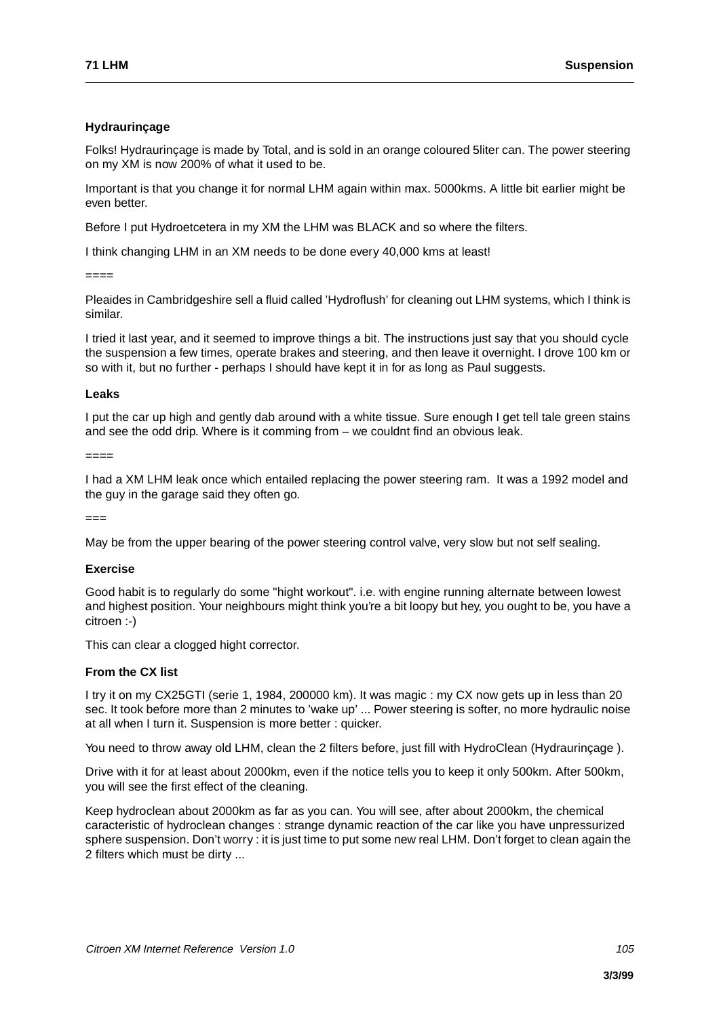### **Hydraurinçage**

Folks! Hydraurinçage is made by Total, and is sold in an orange coloured 5liter can. The power steering on my XM is now 200% of what it used to be.

Important is that you change it for normal LHM again within max. 5000kms. A little bit earlier might be even better.

Before I put Hydroetcetera in my XM the LHM was BLACK and so where the filters.

I think changing LHM in an XM needs to be done every 40,000 kms at least!

====

Pleaides in Cambridgeshire sell a fluid called 'Hydroflush' for cleaning out LHM systems, which I think is similar.

I tried it last year, and it seemed to improve things a bit. The instructions just say that you should cycle the suspension a few times, operate brakes and steering, and then leave it overnight. I drove 100 km or so with it, but no further - perhaps I should have kept it in for as long as Paul suggests.

#### **Leaks**

I put the car up high and gently dab around with a white tissue. Sure enough I get tell tale green stains and see the odd drip. Where is it comming from – we couldnt find an obvious leak.

====

I had a XM LHM leak once which entailed replacing the power steering ram. It was a 1992 model and the guy in the garage said they often go.

 $===$ 

May be from the upper bearing of the power steering control valve, very slow but not self sealing.

#### **Exercise**

Good habit is to regularly do some "hight workout". i.e. with engine running alternate between lowest and highest position. Your neighbours might think you're a bit loopy but hey, you ought to be, you have a citroen :-)

This can clear a clogged hight corrector.

#### **From the CX list**

I try it on my CX25GTI (serie 1, 1984, 200000 km). It was magic : my CX now gets up in less than 20 sec. It took before more than 2 minutes to 'wake up' ... Power steering is softer, no more hydraulic noise at all when I turn it. Suspension is more better : quicker.

You need to throw away old LHM, clean the 2 filters before, just fill with HydroClean (Hydraurinçage ).

Drive with it for at least about 2000km, even if the notice tells you to keep it only 500km. After 500km, you will see the first effect of the cleaning.

Keep hydroclean about 2000km as far as you can. You will see, after about 2000km, the chemical caracteristic of hydroclean changes : strange dynamic reaction of the car like you have unpressurized sphere suspension. Don't worry : it is just time to put some new real LHM. Don't forget to clean again the 2 filters which must be dirty ...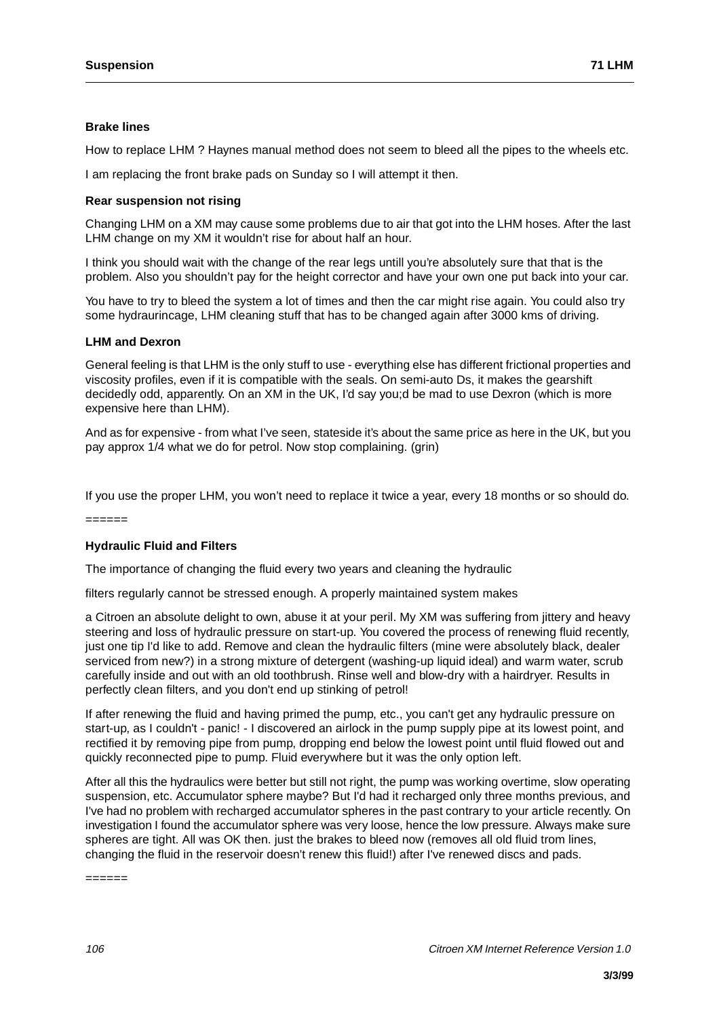### **Brake lines**

How to replace LHM ? Haynes manual method does not seem to bleed all the pipes to the wheels etc.

I am replacing the front brake pads on Sunday so I will attempt it then.

### **Rear suspension not rising**

Changing LHM on a XM may cause some problems due to air that got into the LHM hoses. After the last LHM change on my XM it wouldn't rise for about half an hour.

I think you should wait with the change of the rear legs untill you're absolutely sure that that is the problem. Also you shouldn't pay for the height corrector and have your own one put back into your car.

You have to try to bleed the system a lot of times and then the car might rise again. You could also try some hydraurincage, LHM cleaning stuff that has to be changed again after 3000 kms of driving.

### **LHM and Dexron**

General feeling is that LHM is the only stuff to use - everything else has different frictional properties and viscosity profiles, even if it is compatible with the seals. On semi-auto Ds, it makes the gearshift decidedly odd, apparently. On an XM in the UK, I'd say you;d be mad to use Dexron (which is more expensive here than LHM).

And as for expensive - from what I've seen, stateside it's about the same price as here in the UK, but you pay approx 1/4 what we do for petrol. Now stop complaining. (grin)

If you use the proper LHM, you won't need to replace it twice a year, every 18 months or so should do.

 $=$ 

### **Hydraulic Fluid and Filters**

The importance of changing the fluid every two years and cleaning the hydraulic

filters regularly cannot be stressed enough. A properly maintained system makes

a Citroen an absolute delight to own, abuse it at your peril. My XM was suffering from jittery and heavy steering and loss of hydraulic pressure on start-up. You covered the process of renewing fluid recently, just one tip I'd like to add. Remove and clean the hydraulic filters (mine were absolutely black, dealer serviced from new?) in a strong mixture of detergent (washing-up liquid ideal) and warm water, scrub carefully inside and out with an old toothbrush. Rinse well and blow-dry with a hairdryer. Results in perfectly clean filters, and you don't end up stinking of petrol!

If after renewing the fluid and having primed the pump, etc., you can't get any hydraulic pressure on start-up, as I couldn't - panic! - I discovered an airlock in the pump supply pipe at its lowest point, and rectified it by removing pipe from pump, dropping end below the lowest point until fluid flowed out and quickly reconnected pipe to pump. Fluid everywhere but it was the only option left.

After all this the hydraulics were better but still not right, the pump was working overtime, slow operating suspension, etc. Accumulator sphere maybe? But I'd had it recharged only three months previous, and I've had no problem with recharged accumulator spheres in the past contrary to your article recently. On investigation I found the accumulator sphere was very loose, hence the low pressure. Always make sure spheres are tight. All was OK then. just the brakes to bleed now (removes all old fluid trom lines, changing the fluid in the reservoir doesn't renew this fluid!) after I've renewed discs and pads.

======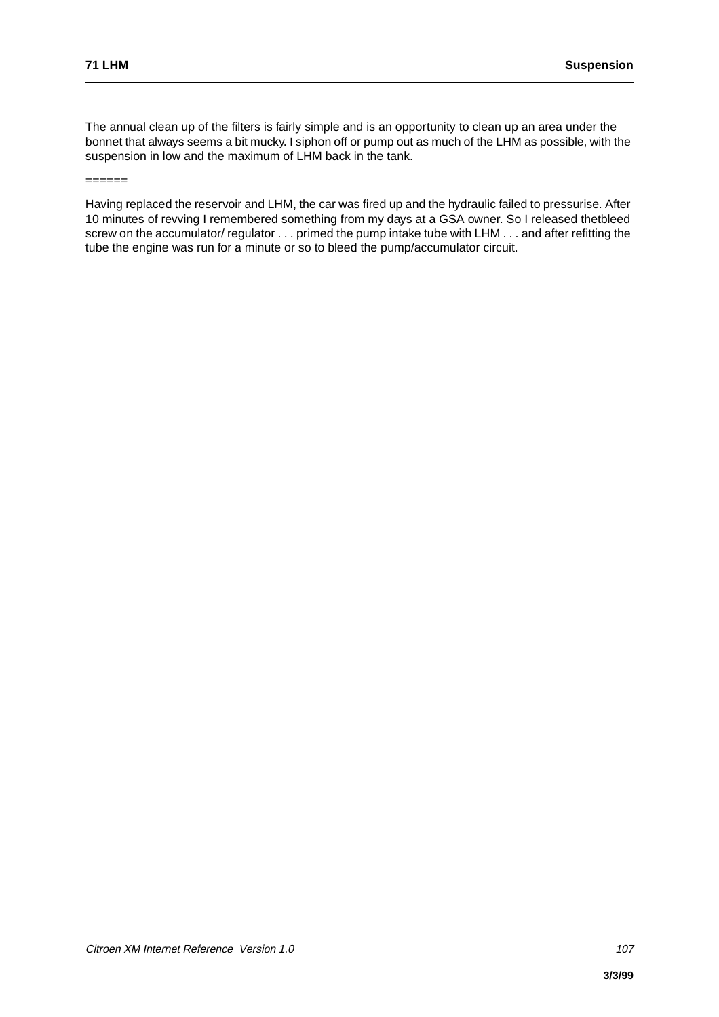$=$ 

The annual clean up of the filters is fairly simple and is an opportunity to clean up an area under the bonnet that always seems a bit mucky. I siphon off or pump out as much of the LHM as possible, with the suspension in low and the maximum of LHM back in the tank.

Having replaced the reservoir and LHM, the car was fired up and the hydraulic failed to pressurise. After 10 minutes of revving I remembered something from my days at a GSA owner. So I released thetbleed screw on the accumulator/ regulator . . . primed the pump intake tube with LHM . . . and after refitting the tube the engine was run for a minute or so to bleed the pump/accumulator circuit.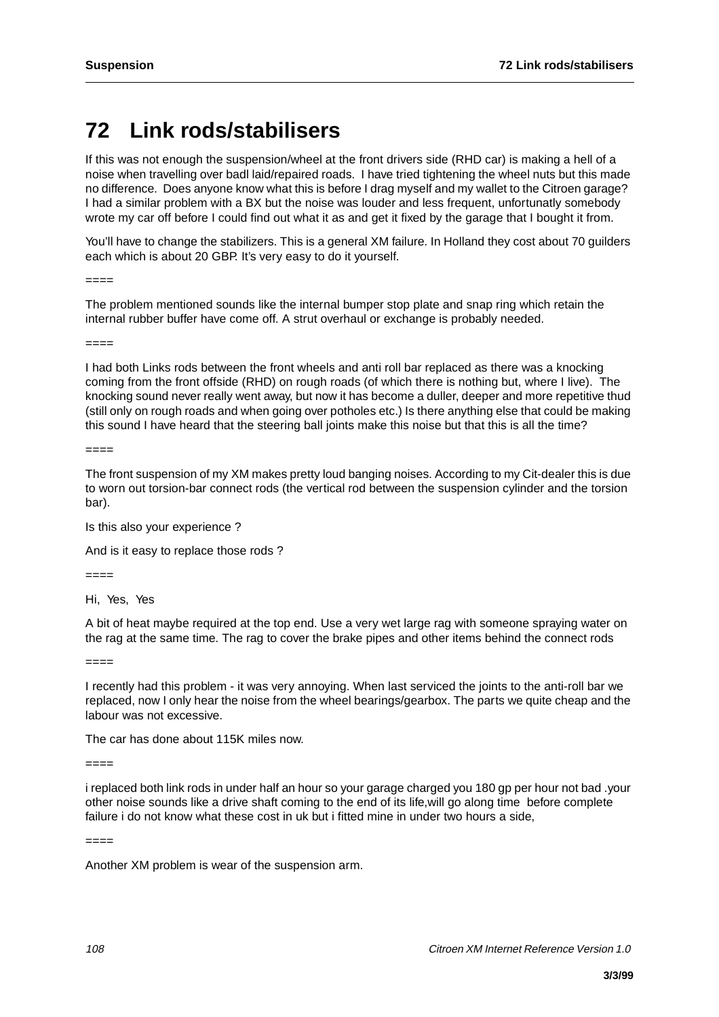# **72 Link rods/stabilisers**

If this was not enough the suspension/wheel at the front drivers side (RHD car) is making a hell of a noise when travelling over badl laid/repaired roads. I have tried tightening the wheel nuts but this made no difference. Does anyone know what this is before I drag myself and my wallet to the Citroen garage? I had a similar problem with a BX but the noise was louder and less frequent, unfortunatly somebody wrote my car off before I could find out what it as and get it fixed by the garage that I bought it from.

You'll have to change the stabilizers. This is a general XM failure. In Holland they cost about 70 guilders each which is about 20 GBP. It's very easy to do it yourself.

====

The problem mentioned sounds like the internal bumper stop plate and snap ring which retain the internal rubber buffer have come off. A strut overhaul or exchange is probably needed.

====

I had both Links rods between the front wheels and anti roll bar replaced as there was a knocking coming from the front offside (RHD) on rough roads (of which there is nothing but, where I live). The knocking sound never really went away, but now it has become a duller, deeper and more repetitive thud (still only on rough roads and when going over potholes etc.) Is there anything else that could be making this sound I have heard that the steering ball joints make this noise but that this is all the time?

====

The front suspension of my XM makes pretty loud banging noises. According to my Cit-dealer this is due to worn out torsion-bar connect rods (the vertical rod between the suspension cylinder and the torsion bar).

Is this also your experience ?

And is it easy to replace those rods ?

====

Hi, Yes, Yes

A bit of heat maybe required at the top end. Use a very wet large rag with someone spraying water on the rag at the same time. The rag to cover the brake pipes and other items behind the connect rods

====

I recently had this problem - it was very annoying. When last serviced the joints to the anti-roll bar we replaced, now I only hear the noise from the wheel bearings/gearbox. The parts we quite cheap and the labour was not excessive.

The car has done about 115K miles now.

====

i replaced both link rods in under half an hour so your garage charged you 180 gp per hour not bad .your other noise sounds like a drive shaft coming to the end of its life,will go along time before complete failure i do not know what these cost in uk but i fitted mine in under two hours a side,

====

Another XM problem is wear of the suspension arm.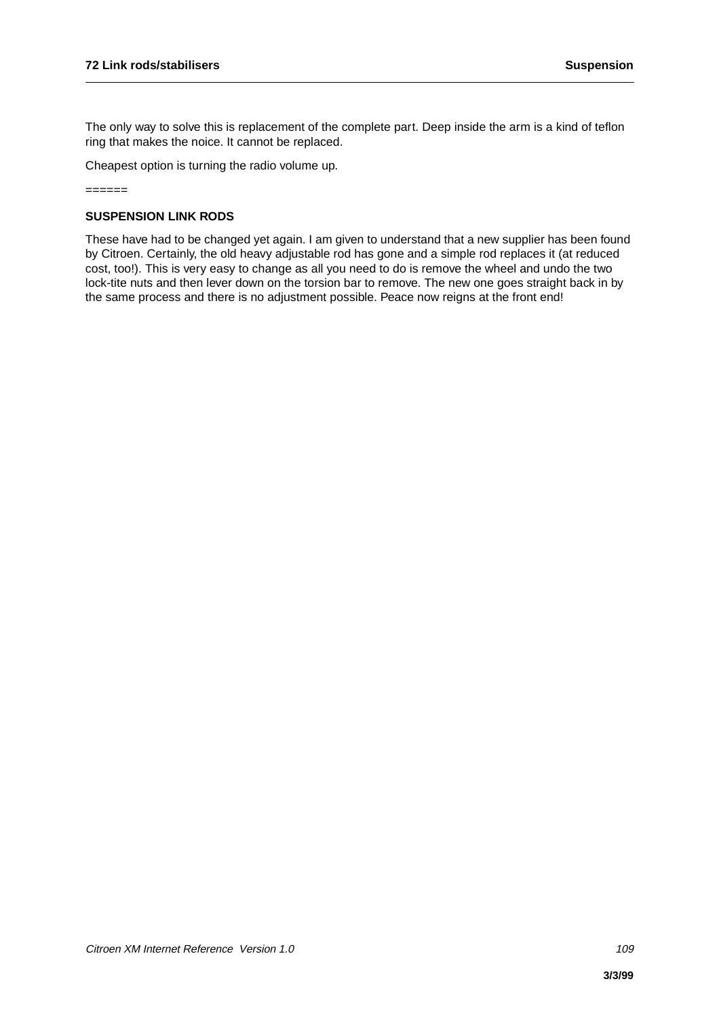The only way to solve this is replacement of the complete part. Deep inside the arm is a kind of teflon ring that makes the noice. It cannot be replaced.

Cheapest option is turning the radio volume up.

======

#### **SUSPENSION LINK RODS**

These have had to be changed yet again. I am given to understand that a new supplier has been found by Citroen. Certainly, the old heavy adjustable rod has gone and a simple rod replaces it (at reduced cost, too!). This is very easy to change as all you need to do is remove the wheel and undo the two lock-tite nuts and then lever down on the torsion bar to remove. The new one goes straight back in by the same process and there is no adjustment possible. Peace now reigns at the front end!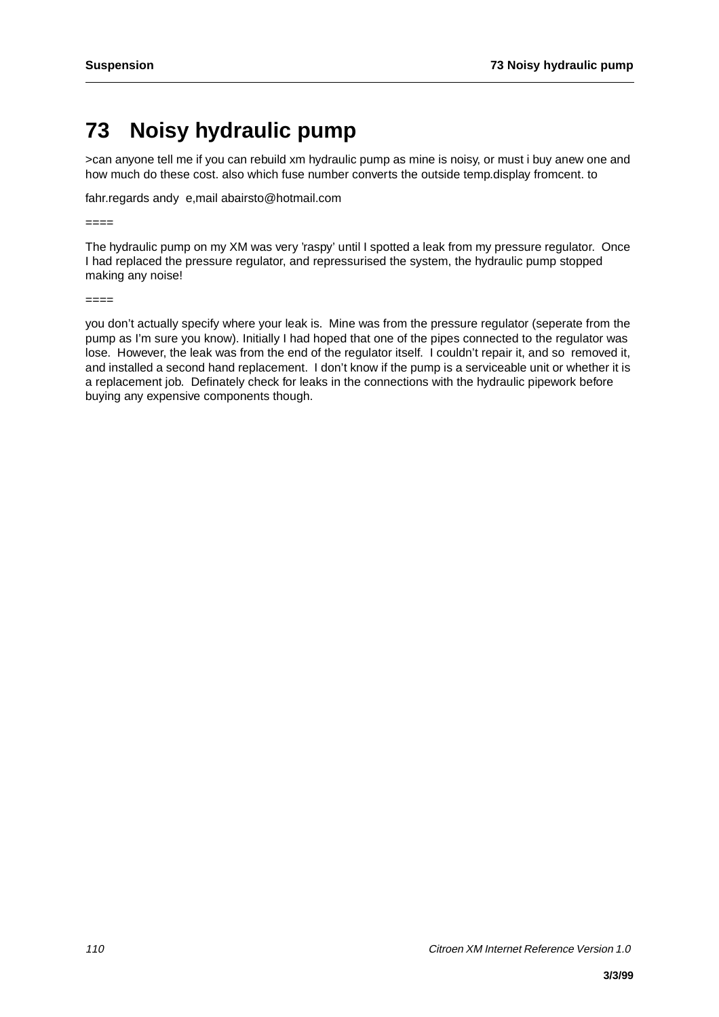# **73 Noisy hydraulic pump**

>can anyone tell me if you can rebuild xm hydraulic pump as mine is noisy, or must i buy anew one and how much do these cost. also which fuse number converts the outside temp.display fromcent. to

fahr.regards andy e,mail abairsto@hotmail.com

 $=$ 

The hydraulic pump on my XM was very 'raspy' until I spotted a leak from my pressure regulator. Once I had replaced the pressure regulator, and repressurised the system, the hydraulic pump stopped making any noise!

 $====$ 

you don't actually specify where your leak is. Mine was from the pressure regulator (seperate from the pump as I'm sure you know). Initially I had hoped that one of the pipes connected to the regulator was lose. However, the leak was from the end of the regulator itself. I couldn't repair it, and so removed it, and installed a second hand replacement. I don't know if the pump is a serviceable unit or whether it is a replacement job. Definately check for leaks in the connections with the hydraulic pipework before buying any expensive components though.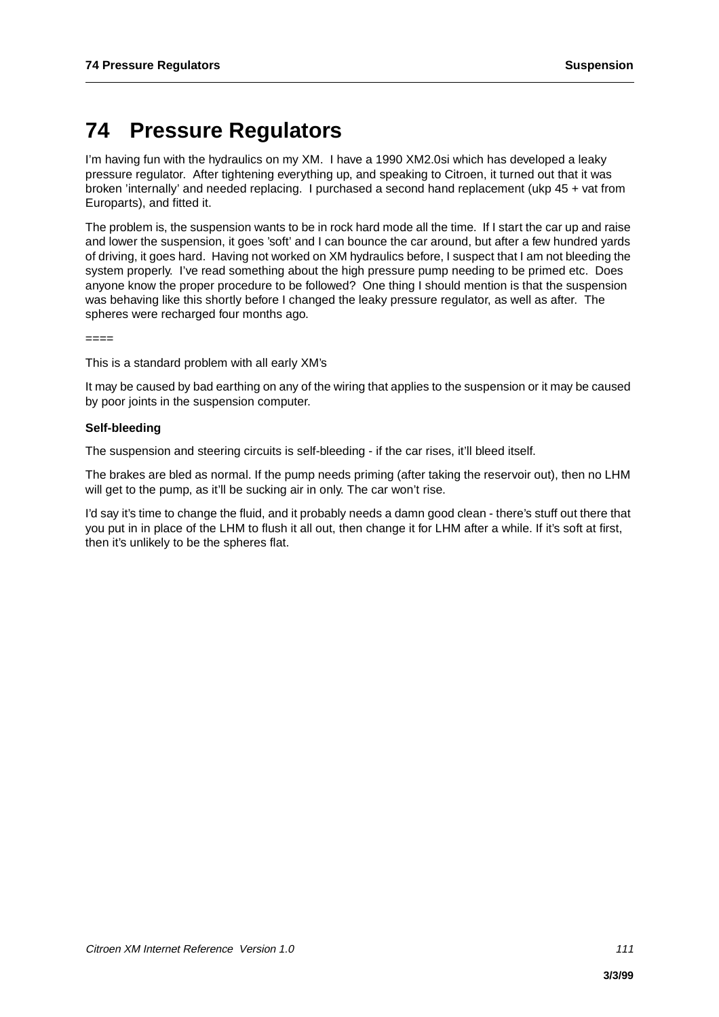## **74 Pressure Regulators**

I'm having fun with the hydraulics on my XM. I have a 1990 XM2.0si which has developed a leaky pressure regulator. After tightening everything up, and speaking to Citroen, it turned out that it was broken 'internally' and needed replacing. I purchased a second hand replacement (ukp 45 + vat from Europarts), and fitted it.

The problem is, the suspension wants to be in rock hard mode all the time. If I start the car up and raise and lower the suspension, it goes 'soft' and I can bounce the car around, but after a few hundred yards of driving, it goes hard. Having not worked on XM hydraulics before, I suspect that I am not bleeding the system properly. I've read something about the high pressure pump needing to be primed etc. Does anyone know the proper procedure to be followed? One thing I should mention is that the suspension was behaving like this shortly before I changed the leaky pressure regulator, as well as after. The spheres were recharged four months ago.

====

This is a standard problem with all early XM's

It may be caused by bad earthing on any of the wiring that applies to the suspension or it may be caused by poor joints in the suspension computer.

#### **Self-bleeding**

The suspension and steering circuits is self-bleeding - if the car rises, it'll bleed itself.

The brakes are bled as normal. If the pump needs priming (after taking the reservoir out), then no LHM will get to the pump, as it'll be sucking air in only. The car won't rise.

I'd say it's time to change the fluid, and it probably needs a damn good clean - there's stuff out there that you put in in place of the LHM to flush it all out, then change it for LHM after a while. If it's soft at first, then it's unlikely to be the spheres flat.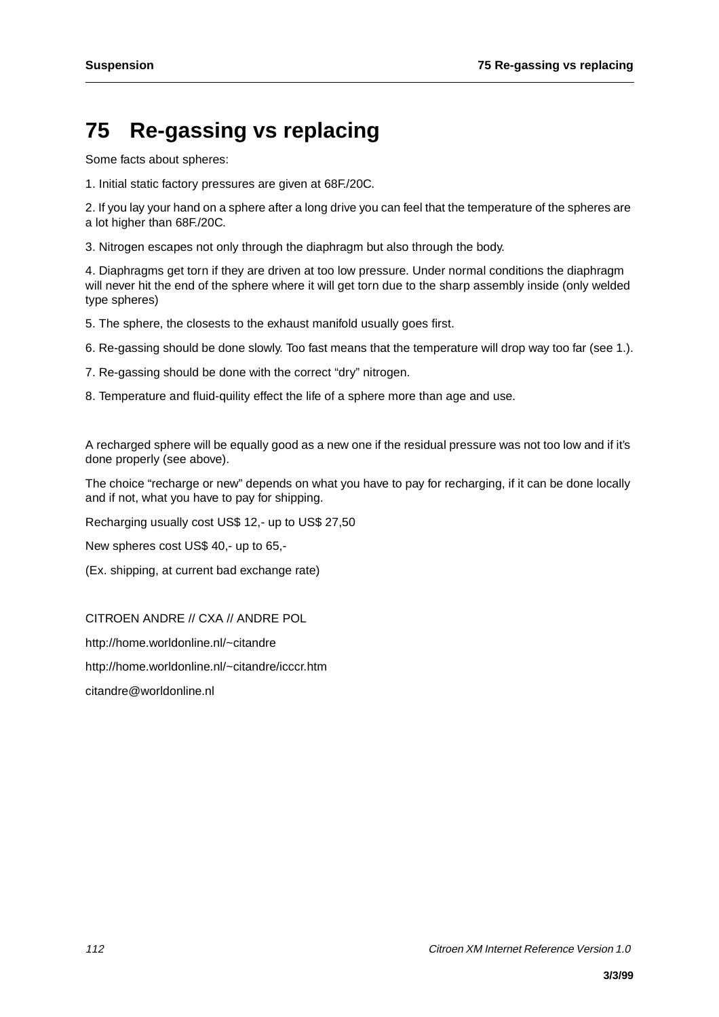# **75 Re-gassing vs replacing**

Some facts about spheres:

1. Initial static factory pressures are given at 68F./20C.

2. If you lay your hand on a sphere after a long drive you can feel that the temperature of the spheres are a lot higher than 68F./20C.

3. Nitrogen escapes not only through the diaphragm but also through the body.

4. Diaphragms get torn if they are driven at too low pressure. Under normal conditions the diaphragm will never hit the end of the sphere where it will get torn due to the sharp assembly inside (only welded type spheres)

5. The sphere, the closests to the exhaust manifold usually goes first.

6. Re-gassing should be done slowly. Too fast means that the temperature will drop way too far (see 1.).

7. Re-gassing should be done with the correct "dry" nitrogen.

8. Temperature and fluid-quility effect the life of a sphere more than age and use.

A recharged sphere will be equally good as a new one if the residual pressure was not too low and if it's done properly (see above).

The choice "recharge or new" depends on what you have to pay for recharging, if it can be done locally and if not, what you have to pay for shipping.

Recharging usually cost US\$ 12,- up to US\$ 27,50

New spheres cost US\$ 40,- up to 65,-

(Ex. shipping, at current bad exchange rate)

CITROEN ANDRE // CXA // ANDRE POL

http://home.worldonline.nl/~citandre

http://home.worldonline.nl/~citandre/icccr.htm

citandre@worldonline.nl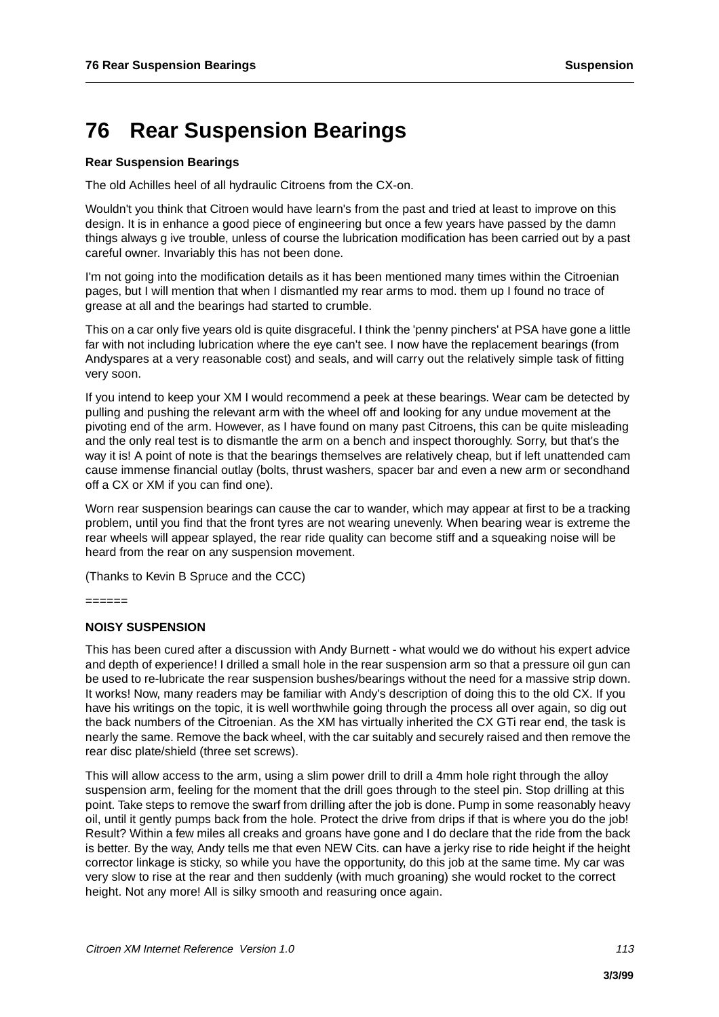# **76 Rear Suspension Bearings**

#### **Rear Suspension Bearings**

The old Achilles heel of all hydraulic Citroens from the CX-on.

Wouldn't you think that Citroen would have learn's from the past and tried at least to improve on this design. It is in enhance a good piece of engineering but once a few years have passed by the damn things always g ive trouble, unless of course the lubrication modification has been carried out by a past careful owner. Invariably this has not been done.

I'm not going into the modification details as it has been mentioned many times within the Citroenian pages, but I will mention that when I dismantled my rear arms to mod. them up I found no trace of grease at all and the bearings had started to crumble.

This on a car only five years old is quite disgraceful. I think the 'penny pinchers' at PSA have gone a little far with not including lubrication where the eye can't see. I now have the replacement bearings (from Andyspares at a very reasonable cost) and seals, and will carry out the relatively simple task of fitting very soon.

If you intend to keep your XM I would recommend a peek at these bearings. Wear cam be detected by pulling and pushing the relevant arm with the wheel off and looking for any undue movement at the pivoting end of the arm. However, as I have found on many past Citroens, this can be quite misleading and the only real test is to dismantle the arm on a bench and inspect thoroughly. Sorry, but that's the way it is! A point of note is that the bearings themselves are relatively cheap, but if left unattended cam cause immense financial outlay (bolts, thrust washers, spacer bar and even a new arm or secondhand off a CX or XM if you can find one).

Worn rear suspension bearings can cause the car to wander, which may appear at first to be a tracking problem, until you find that the front tyres are not wearing unevenly. When bearing wear is extreme the rear wheels will appear splayed, the rear ride quality can become stiff and a squeaking noise will be heard from the rear on any suspension movement.

(Thanks to Kevin B Spruce and the CCC)

 $=$ 

#### **NOISY SUSPENSION**

This has been cured after a discussion with Andy Burnett - what would we do without his expert advice and depth of experience! I drilled a small hole in the rear suspension arm so that a pressure oil gun can be used to re-lubricate the rear suspension bushes/bearings without the need for a massive strip down. It works! Now, many readers may be familiar with Andy's description of doing this to the old CX. If you have his writings on the topic, it is well worthwhile going through the process all over again, so dig out the back numbers of the Citroenian. As the XM has virtually inherited the CX GTi rear end, the task is nearly the same. Remove the back wheel, with the car suitably and securely raised and then remove the rear disc plate/shield (three set screws).

This will allow access to the arm, using a slim power drill to drill a 4mm hole right through the alloy suspension arm, feeling for the moment that the drill goes through to the steel pin. Stop drilling at this point. Take steps to remove the swarf from drilling after the job is done. Pump in some reasonably heavy oil, until it gently pumps back from the hole. Protect the drive from drips if that is where you do the job! Result? Within a few miles all creaks and groans have gone and I do declare that the ride from the back is better. By the way, Andy tells me that even NEW Cits. can have a jerky rise to ride height if the height corrector linkage is sticky, so while you have the opportunity, do this job at the same time. My car was very slow to rise at the rear and then suddenly (with much groaning) she would rocket to the correct height. Not any more! All is silky smooth and reasuring once again.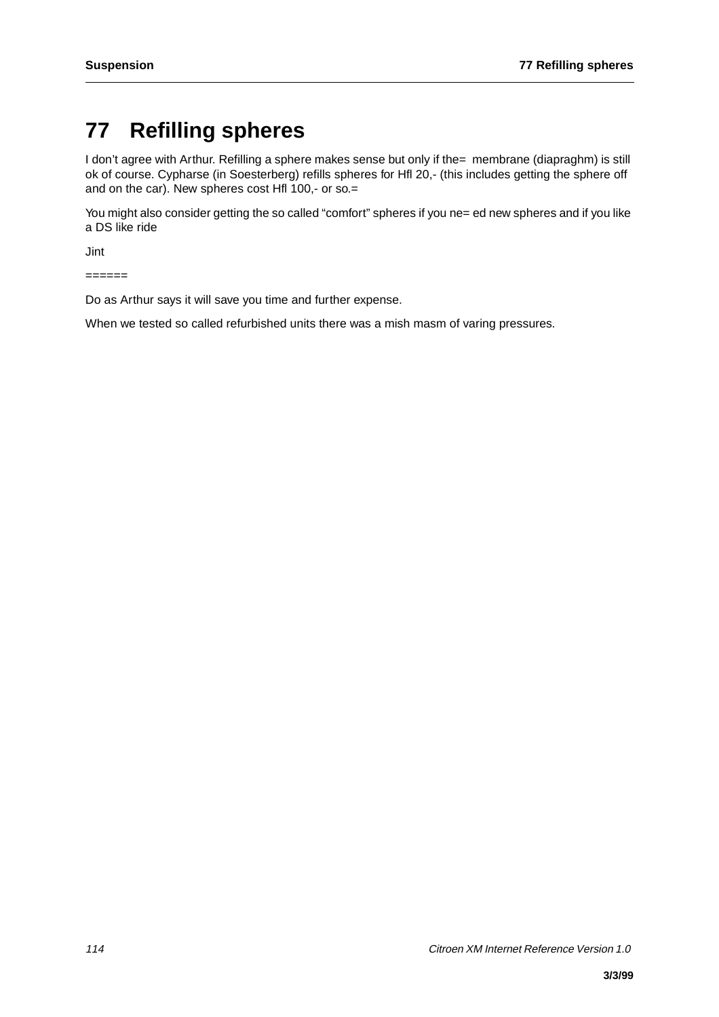# **77 Refilling spheres**

I don't agree with Arthur. Refilling a sphere makes sense but only if the= membrane (diapraghm) is still ok of course. Cypharse (in Soesterberg) refills spheres for Hfl 20,- (this includes getting the sphere off and on the car). New spheres cost Hfl 100,- or so.=

You might also consider getting the so called "comfort" spheres if you ne= ed new spheres and if you like a DS like ride

Jint

======

Do as Arthur says it will save you time and further expense.

When we tested so called refurbished units there was a mish masm of varing pressures.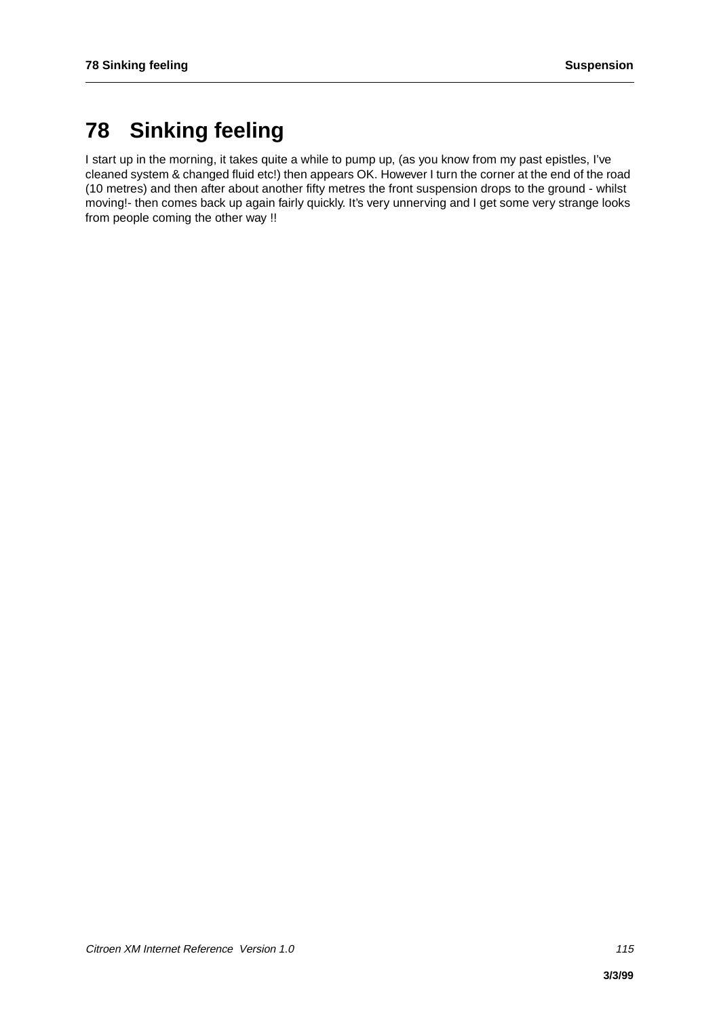# **78 Sinking feeling**

I start up in the morning, it takes quite a while to pump up, (as you know from my past epistles, I've cleaned system & changed fluid etc!) then appears OK. However I turn the corner at the end of the road (10 metres) and then after about another fifty metres the front suspension drops to the ground - whilst moving!- then comes back up again fairly quickly. It's very unnerving and I get some very strange looks from people coming the other way !!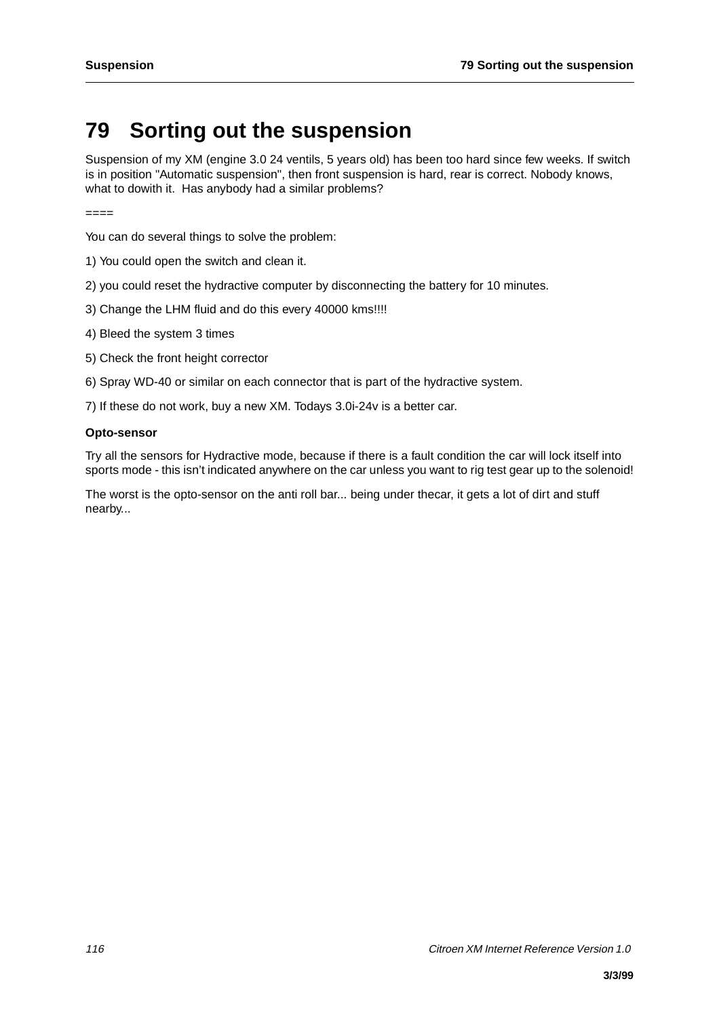# **79 Sorting out the suspension**

Suspension of my XM (engine 3.0 24 ventils, 5 years old) has been too hard since few weeks. If switch is in position "Automatic suspension", then front suspension is hard, rear is correct. Nobody knows, what to dowith it. Has anybody had a similar problems?

 $====$ 

You can do several things to solve the problem:

1) You could open the switch and clean it.

- 2) you could reset the hydractive computer by disconnecting the battery for 10 minutes.
- 3) Change the LHM fluid and do this every 40000 kms!!!!
- 4) Bleed the system 3 times
- 5) Check the front height corrector
- 6) Spray WD-40 or similar on each connector that is part of the hydractive system.

7) If these do not work, buy a new XM. Todays 3.0i-24v is a better car.

#### **Opto-sensor**

Try all the sensors for Hydractive mode, because if there is a fault condition the car will lock itself into sports mode - this isn't indicated anywhere on the car unless you want to rig test gear up to the solenoid!

The worst is the opto-sensor on the anti roll bar... being under thecar, it gets a lot of dirt and stuff nearby...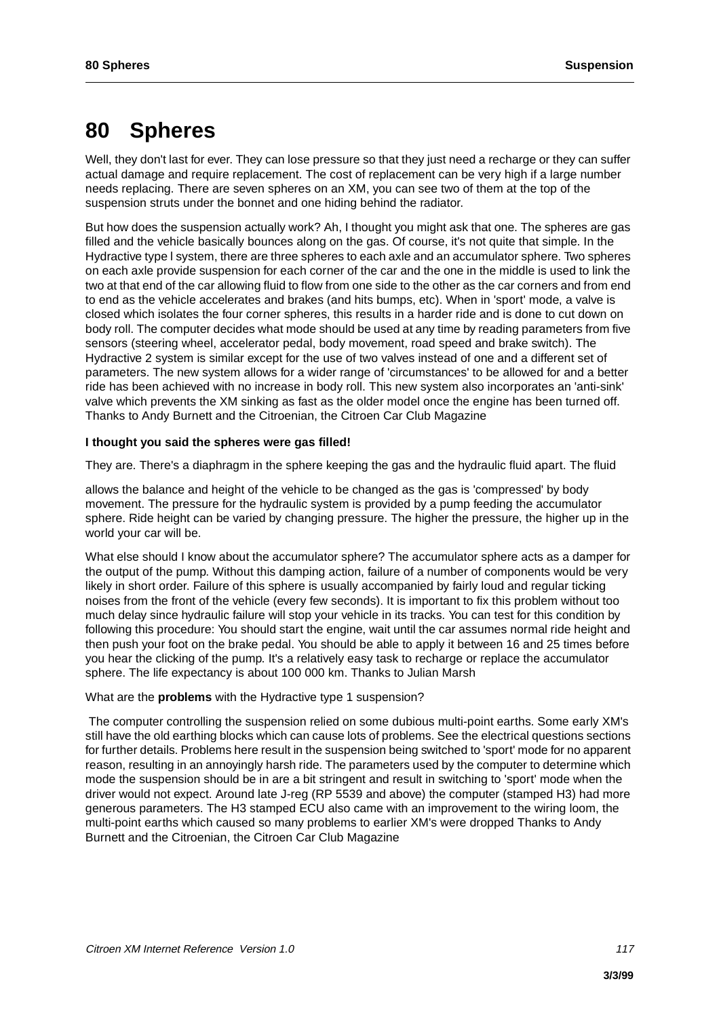### **80 Spheres**

Well, they don't last for ever. They can lose pressure so that they just need a recharge or they can suffer actual damage and require replacement. The cost of replacement can be very high if a large number needs replacing. There are seven spheres on an XM, you can see two of them at the top of the suspension struts under the bonnet and one hiding behind the radiator.

But how does the suspension actually work? Ah, I thought you might ask that one. The spheres are gas filled and the vehicle basically bounces along on the gas. Of course, it's not quite that simple. In the Hydractive type l system, there are three spheres to each axle and an accumulator sphere. Two spheres on each axle provide suspension for each corner of the car and the one in the middle is used to link the two at that end of the car allowing fluid to flow from one side to the other as the car corners and from end to end as the vehicle accelerates and brakes (and hits bumps, etc). When in 'sport' mode, a valve is closed which isolates the four corner spheres, this results in a harder ride and is done to cut down on body roll. The computer decides what mode should be used at any time by reading parameters from five sensors (steering wheel, accelerator pedal, body movement, road speed and brake switch). The Hydractive 2 system is similar except for the use of two valves instead of one and a different set of parameters. The new system allows for a wider range of 'circumstances' to be allowed for and a better ride has been achieved with no increase in body roll. This new system also incorporates an 'anti-sink' valve which prevents the XM sinking as fast as the older model once the engine has been turned off. Thanks to Andy Burnett and the Citroenian, the Citroen Car Club Magazine

#### **I thought you said the spheres were gas filled!**

They are. There's a diaphragm in the sphere keeping the gas and the hydraulic fluid apart. The fluid

allows the balance and height of the vehicle to be changed as the gas is 'compressed' by body movement. The pressure for the hydraulic system is provided by a pump feeding the accumulator sphere. Ride height can be varied by changing pressure. The higher the pressure, the higher up in the world your car will be.

What else should I know about the accumulator sphere? The accumulator sphere acts as a damper for the output of the pump. Without this damping action, failure of a number of components would be very likely in short order. Failure of this sphere is usually accompanied by fairly loud and regular ticking noises from the front of the vehicle (every few seconds). It is important to fix this problem without too much delay since hydraulic failure will stop your vehicle in its tracks. You can test for this condition by following this procedure: You should start the engine, wait until the car assumes normal ride height and then push your foot on the brake pedal. You should be able to apply it between 16 and 25 times before you hear the clicking of the pump. It's a relatively easy task to recharge or replace the accumulator sphere. The life expectancy is about 100 000 km. Thanks to Julian Marsh

#### What are the **problems** with the Hydractive type 1 suspension?

 The computer controlling the suspension relied on some dubious multi-point earths. Some early XM's still have the old earthing blocks which can cause lots of problems. See the electrical questions sections for further details. Problems here result in the suspension being switched to 'sport' mode for no apparent reason, resulting in an annoyingly harsh ride. The parameters used by the computer to determine which mode the suspension should be in are a bit stringent and result in switching to 'sport' mode when the driver would not expect. Around late J-reg (RP 5539 and above) the computer (stamped H3) had more generous parameters. The H3 stamped ECU also came with an improvement to the wiring loom, the multi-point earths which caused so many problems to earlier XM's were dropped Thanks to Andy Burnett and the Citroenian, the Citroen Car Club Magazine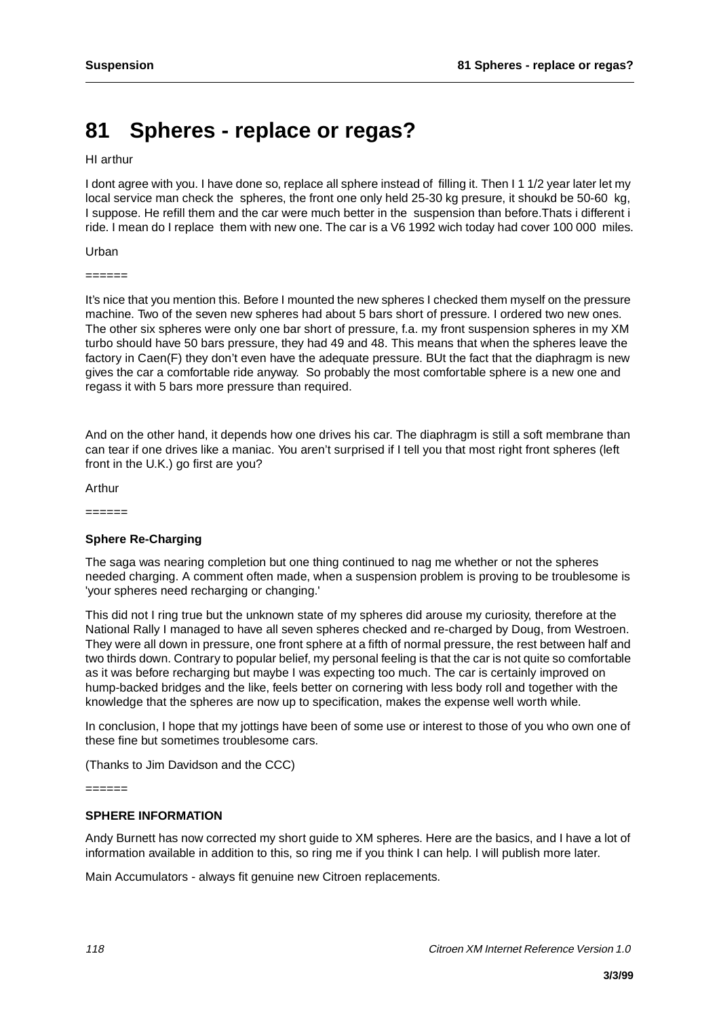### **81 Spheres - replace or regas?**

#### HI arthur

I dont agree with you. I have done so, replace all sphere instead of filling it. Then I 1 1/2 year later let my local service man check the spheres, the front one only held 25-30 kg presure, it shoukd be 50-60 kg, I suppose. He refill them and the car were much better in the suspension than before.Thats i different i ride. I mean do I replace them with new one. The car is a V6 1992 wich today had cover 100 000 miles.

#### Urban

#### ======

It's nice that you mention this. Before I mounted the new spheres I checked them myself on the pressure machine. Two of the seven new spheres had about 5 bars short of pressure. I ordered two new ones. The other six spheres were only one bar short of pressure, f.a. my front suspension spheres in my XM turbo should have 50 bars pressure, they had 49 and 48. This means that when the spheres leave the factory in Caen(F) they don't even have the adequate pressure. BUt the fact that the diaphragm is new gives the car a comfortable ride anyway. So probably the most comfortable sphere is a new one and regass it with 5 bars more pressure than required.

And on the other hand, it depends how one drives his car. The diaphragm is still a soft membrane than can tear if one drives like a maniac. You aren't surprised if I tell you that most right front spheres (left front in the U.K.) go first are you?

Arthur

======

#### **Sphere Re-Charging**

The saga was nearing completion but one thing continued to nag me whether or not the spheres needed charging. A comment often made, when a suspension problem is proving to be troublesome is 'your spheres need recharging or changing.'

This did not I ring true but the unknown state of my spheres did arouse my curiosity, therefore at the National Rally I managed to have all seven spheres checked and re-charged by Doug, from Westroen. They were all down in pressure, one front sphere at a fifth of normal pressure, the rest between half and two thirds down. Contrary to popular belief, my personal feeling is that the car is not quite so comfortable as it was before recharging but maybe I was expecting too much. The car is certainly improved on hump-backed bridges and the like, feels better on cornering with less body roll and together with the knowledge that the spheres are now up to specification, makes the expense well worth while.

In conclusion, I hope that my jottings have been of some use or interest to those of you who own one of these fine but sometimes troublesome cars.

(Thanks to Jim Davidson and the CCC)

======

#### **SPHERE INFORMATION**

Andy Burnett has now corrected my short guide to XM spheres. Here are the basics, and I have a lot of information available in addition to this, so ring me if you think I can help. I will publish more later.

Main Accumulators - always fit genuine new Citroen replacements.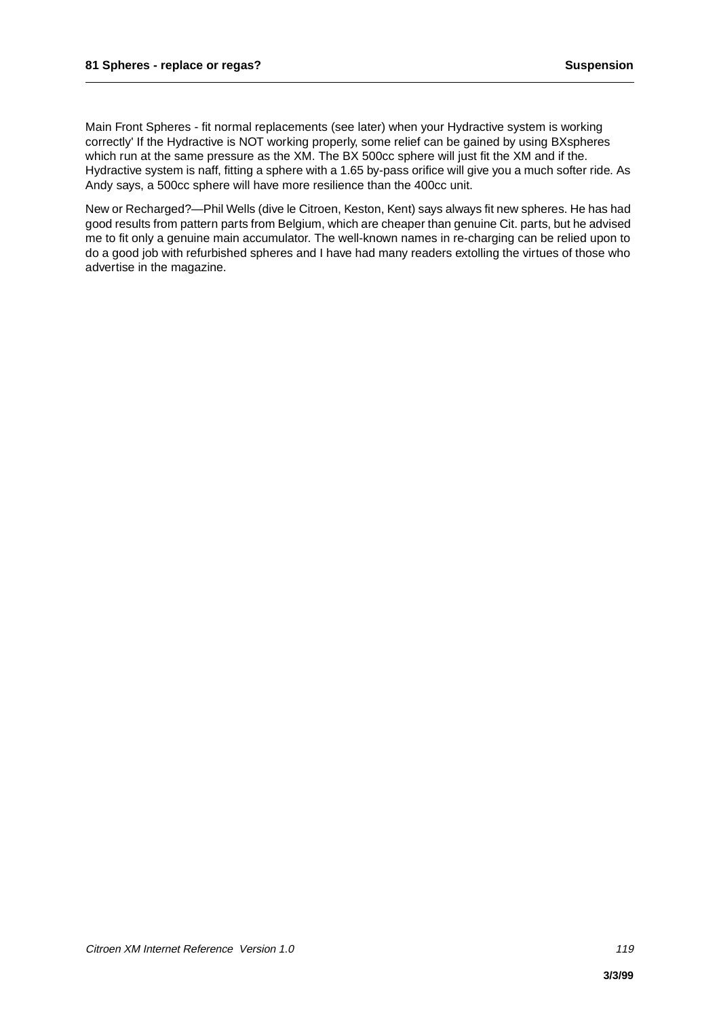Main Front Spheres - fit normal replacements (see later) when your Hydractive system is working correctly' If the Hydractive is NOT working properly, some relief can be gained by using BXspheres which run at the same pressure as the XM. The BX 500cc sphere will just fit the XM and if the. Hydractive system is naff, fitting a sphere with a 1.65 by-pass orifice will give you a much softer ride. As Andy says, a 500cc sphere will have more resilience than the 400cc unit.

New or Recharged?—Phil Wells (dive le Citroen, Keston, Kent) says always fit new spheres. He has had good results from pattern parts from Belgium, which are cheaper than genuine Cit. parts, but he advised me to fit only a genuine main accumulator. The well-known names in re-charging can be relied upon to do a good job with refurbished spheres and I have had many readers extolling the virtues of those who advertise in the magazine.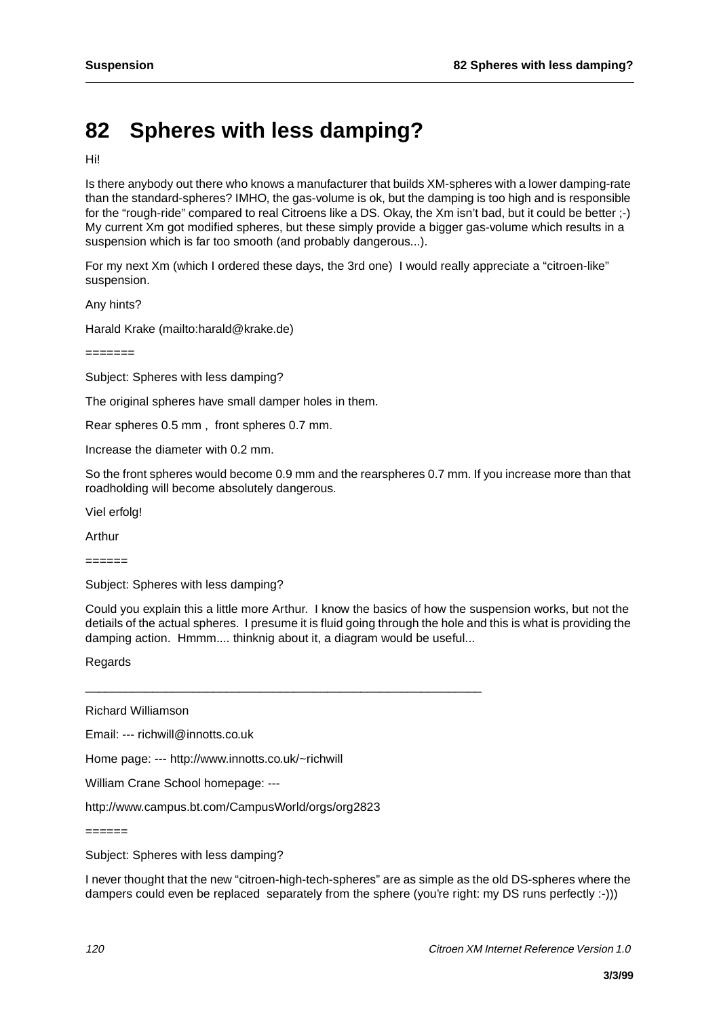# **82 Spheres with less damping?**

Hi!

Is there anybody out there who knows a manufacturer that builds XM-spheres with a lower damping-rate than the standard-spheres? IMHO, the gas-volume is ok, but the damping is too high and is responsible for the "rough-ride" compared to real Citroens like a DS. Okay, the Xm isn't bad, but it could be better ;-) My current Xm got modified spheres, but these simply provide a bigger gas-volume which results in a suspension which is far too smooth (and probably dangerous...).

For my next Xm (which I ordered these days, the 3rd one) I would really appreciate a "citroen-like" suspension.

Any hints?

Harald Krake (mailto:harald@krake.de)

=======

Subject: Spheres with less damping?

The original spheres have small damper holes in them.

Rear spheres 0.5 mm , front spheres 0.7 mm.

Increase the diameter with 0.2 mm.

So the front spheres would become 0.9 mm and the rearspheres 0.7 mm. If you increase more than that roadholding will become absolutely dangerous.

Viel erfolg!

Arthur

======

Subject: Spheres with less damping?

Could you explain this a little more Arthur. I know the basics of how the suspension works, but not the detiails of the actual spheres. I presume it is fluid going through the hole and this is what is providing the damping action. Hmmm.... thinknig about it, a diagram would be useful...

Regards

Richard Williamson

Email: --- richwill@innotts.co.uk

Home page: --- http://www.innotts.co.uk/~richwill

William Crane School homepage: ---

http://www.campus.bt.com/CampusWorld/orgs/org2823

\_\_\_\_\_\_\_\_\_\_\_\_\_\_\_\_\_\_\_\_\_\_\_\_\_\_\_\_\_\_\_\_\_\_\_\_\_\_\_\_\_\_\_\_\_\_\_\_\_\_\_\_\_\_\_\_\_\_\_

======

Subject: Spheres with less damping?

I never thought that the new "citroen-high-tech-spheres" are as simple as the old DS-spheres where the dampers could even be replaced separately from the sphere (you're right: my DS runs perfectly :-)))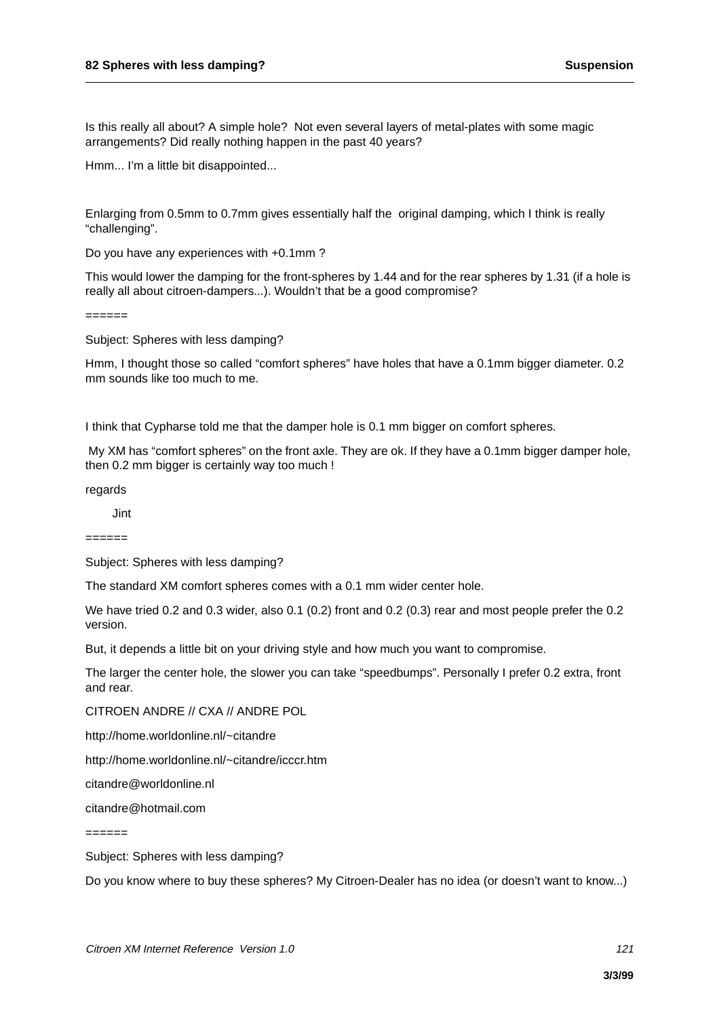Is this really all about? A simple hole? Not even several layers of metal-plates with some magic arrangements? Did really nothing happen in the past 40 years?

Hmm... I'm a little bit disappointed...

Enlarging from 0.5mm to 0.7mm gives essentially half the original damping, which I think is really "challenging".

Do you have any experiences with +0.1mm ?

This would lower the damping for the front-spheres by 1.44 and for the rear spheres by 1.31 (if a hole is really all about citroen-dampers...). Wouldn't that be a good compromise?

======

Subject: Spheres with less damping?

Hmm, I thought those so called "comfort spheres" have holes that have a 0.1mm bigger diameter. 0.2 mm sounds like too much to me.

I think that Cypharse told me that the damper hole is 0.1 mm bigger on comfort spheres.

 My XM has "comfort spheres" on the front axle. They are ok. If they have a 0.1mm bigger damper hole, then 0.2 mm bigger is certainly way too much !

regards

Jint

======

Subject: Spheres with less damping?

The standard XM comfort spheres comes with a 0.1 mm wider center hole.

We have tried 0.2 and 0.3 wider, also 0.1 (0.2) front and 0.2 (0.3) rear and most people prefer the 0.2 version.

But, it depends a little bit on your driving style and how much you want to compromise.

The larger the center hole, the slower you can take "speedbumps". Personally I prefer 0.2 extra, front and rear.

CITROEN ANDRE // CXA // ANDRE POL

http://home.worldonline.nl/~citandre

http://home.worldonline.nl/~citandre/icccr.htm

citandre@worldonline.nl

citandre@hotmail.com

 $=$ 

Subject: Spheres with less damping?

Do you know where to buy these spheres? My Citroen-Dealer has no idea (or doesn't want to know...)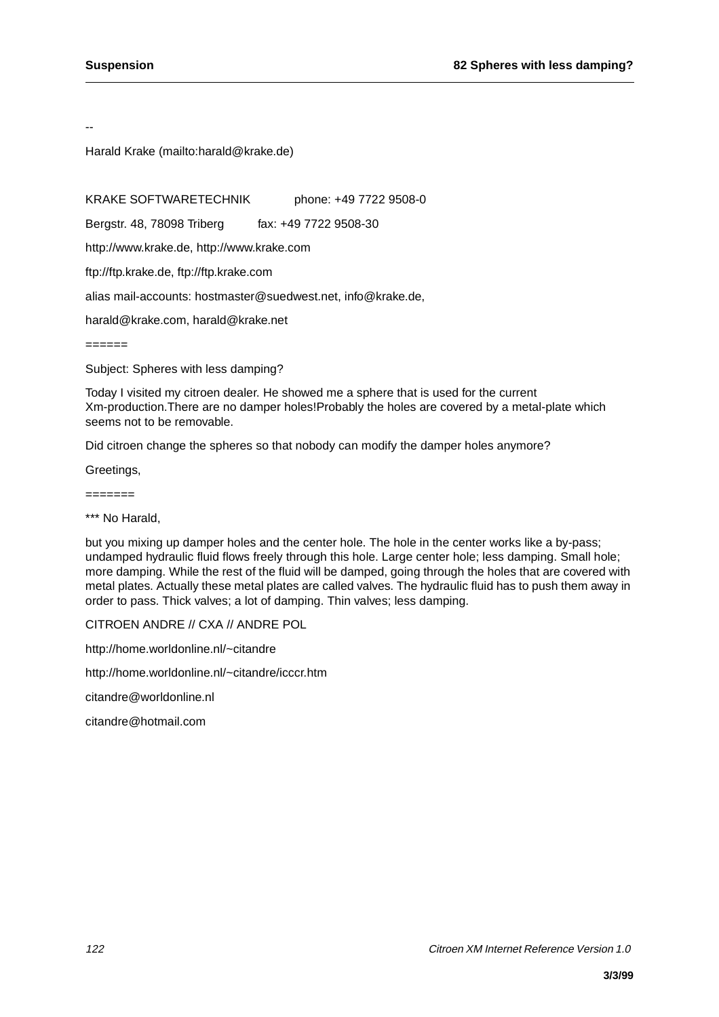--

Harald Krake (mailto:harald@krake.de)

KRAKE SOFTWARETECHNIK phone: +49 7722 9508-0

Bergstr. 48, 78098 Triberg fax: +49 7722 9508-30

http://www.krake.de, http://www.krake.com

ftp://ftp.krake.de, ftp://ftp.krake.com

alias mail-accounts: hostmaster@suedwest.net, info@krake.de,

harald@krake.com, harald@krake.net

======

Subject: Spheres with less damping?

Today I visited my citroen dealer. He showed me a sphere that is used for the current Xm-production.There are no damper holes!Probably the holes are covered by a metal-plate which seems not to be removable.

Did citroen change the spheres so that nobody can modify the damper holes anymore?

Greetings,

=======

\*\*\* No Harald,

but you mixing up damper holes and the center hole. The hole in the center works like a by-pass; undamped hydraulic fluid flows freely through this hole. Large center hole; less damping. Small hole; more damping. While the rest of the fluid will be damped, going through the holes that are covered with metal plates. Actually these metal plates are called valves. The hydraulic fluid has to push them away in order to pass. Thick valves; a lot of damping. Thin valves; less damping.

CITROEN ANDRE // CXA // ANDRE POL

http://home.worldonline.nl/~citandre

http://home.worldonline.nl/~citandre/icccr.htm

citandre@worldonline.nl

citandre@hotmail.com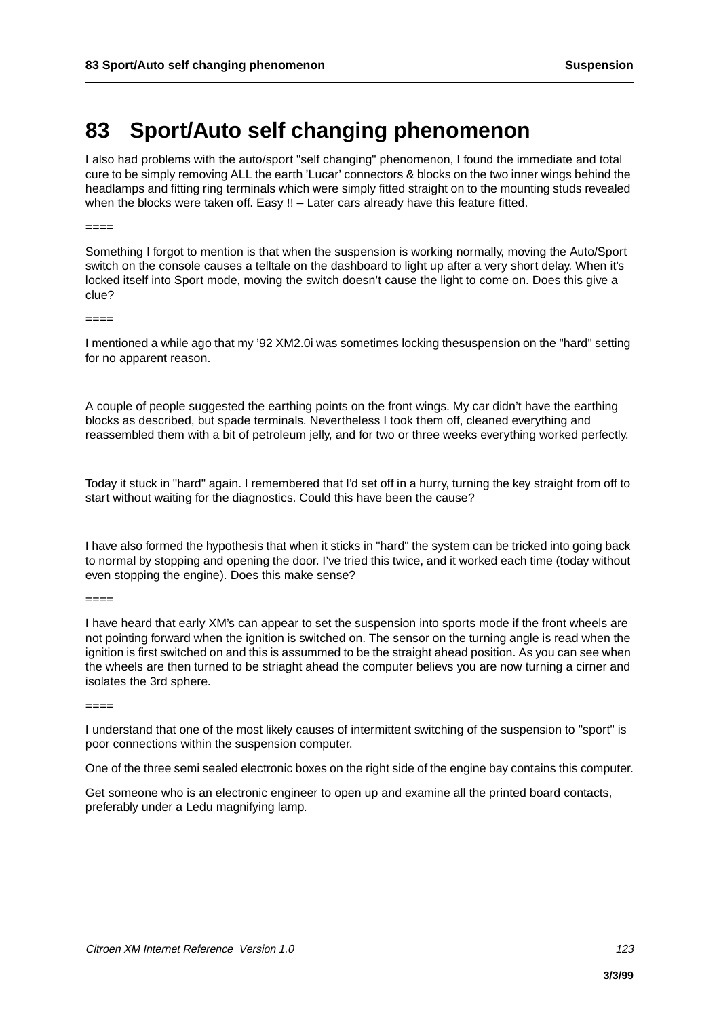### **83 Sport/Auto self changing phenomenon**

I also had problems with the auto/sport "self changing" phenomenon, I found the immediate and total cure to be simply removing ALL the earth 'Lucar' connectors & blocks on the two inner wings behind the headlamps and fitting ring terminals which were simply fitted straight on to the mounting studs revealed when the blocks were taken off. Easy !! – Later cars already have this feature fitted.

====

Something I forgot to mention is that when the suspension is working normally, moving the Auto/Sport switch on the console causes a telltale on the dashboard to light up after a very short delay. When it's locked itself into Sport mode, moving the switch doesn't cause the light to come on. Does this give a clue?

 $====$ 

I mentioned a while ago that my '92 XM2.0i was sometimes locking thesuspension on the "hard" setting for no apparent reason.

A couple of people suggested the earthing points on the front wings. My car didn't have the earthing blocks as described, but spade terminals. Nevertheless I took them off, cleaned everything and reassembled them with a bit of petroleum jelly, and for two or three weeks everything worked perfectly.

Today it stuck in "hard" again. I remembered that I'd set off in a hurry, turning the key straight from off to start without waiting for the diagnostics. Could this have been the cause?

I have also formed the hypothesis that when it sticks in "hard" the system can be tricked into going back to normal by stopping and opening the door. I've tried this twice, and it worked each time (today without even stopping the engine). Does this make sense?

 $====$ 

I have heard that early XM's can appear to set the suspension into sports mode if the front wheels are not pointing forward when the ignition is switched on. The sensor on the turning angle is read when the ignition is first switched on and this is assummed to be the straight ahead position. As you can see when the wheels are then turned to be striaght ahead the computer believs you are now turning a cirner and isolates the 3rd sphere.

 $====$ 

I understand that one of the most likely causes of intermittent switching of the suspension to "sport" is poor connections within the suspension computer.

One of the three semi sealed electronic boxes on the right side of the engine bay contains this computer.

Get someone who is an electronic engineer to open up and examine all the printed board contacts, preferably under a Ledu magnifying lamp.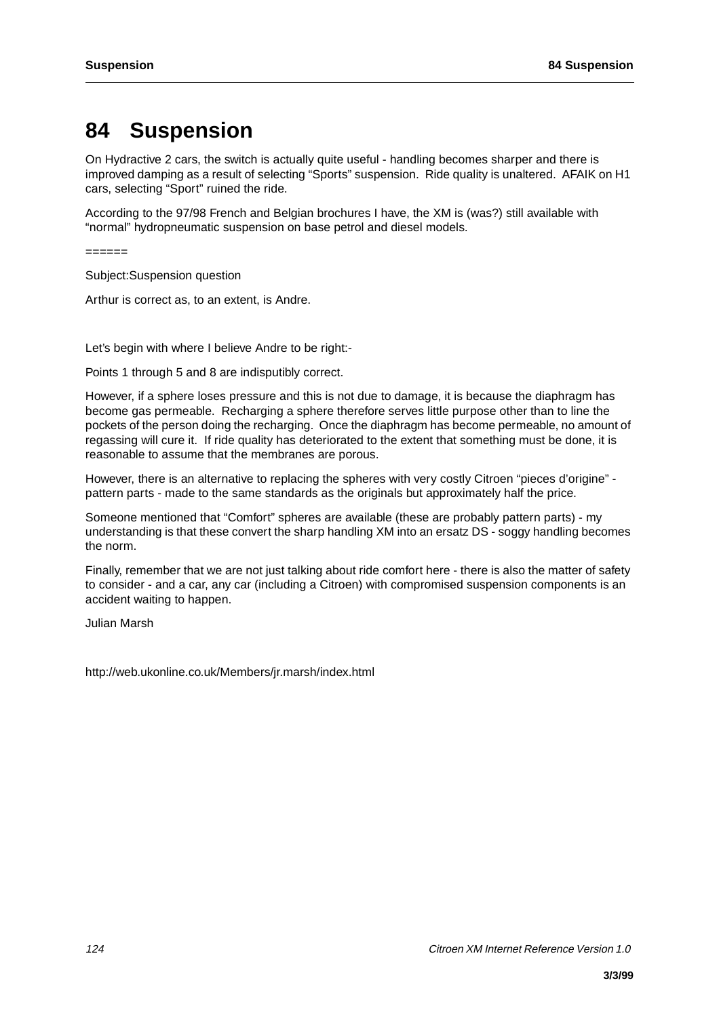### **84 Suspension**

On Hydractive 2 cars, the switch is actually quite useful - handling becomes sharper and there is improved damping as a result of selecting "Sports" suspension. Ride quality is unaltered. AFAIK on H1 cars, selecting "Sport" ruined the ride.

According to the 97/98 French and Belgian brochures I have, the XM is (was?) still available with "normal" hydropneumatic suspension on base petrol and diesel models.

======

Subject:Suspension question

Arthur is correct as, to an extent, is Andre.

Let's begin with where I believe Andre to be right:-

Points 1 through 5 and 8 are indisputibly correct.

However, if a sphere loses pressure and this is not due to damage, it is because the diaphragm has become gas permeable. Recharging a sphere therefore serves little purpose other than to line the pockets of the person doing the recharging. Once the diaphragm has become permeable, no amount of regassing will cure it. If ride quality has deteriorated to the extent that something must be done, it is reasonable to assume that the membranes are porous.

However, there is an alternative to replacing the spheres with very costly Citroen "pieces d'origine" pattern parts - made to the same standards as the originals but approximately half the price.

Someone mentioned that "Comfort" spheres are available (these are probably pattern parts) - my understanding is that these convert the sharp handling XM into an ersatz DS - soggy handling becomes the norm.

Finally, remember that we are not just talking about ride comfort here - there is also the matter of safety to consider - and a car, any car (including a Citroen) with compromised suspension components is an accident waiting to happen.

Julian Marsh

http://web.ukonline.co.uk/Members/jr.marsh/index.html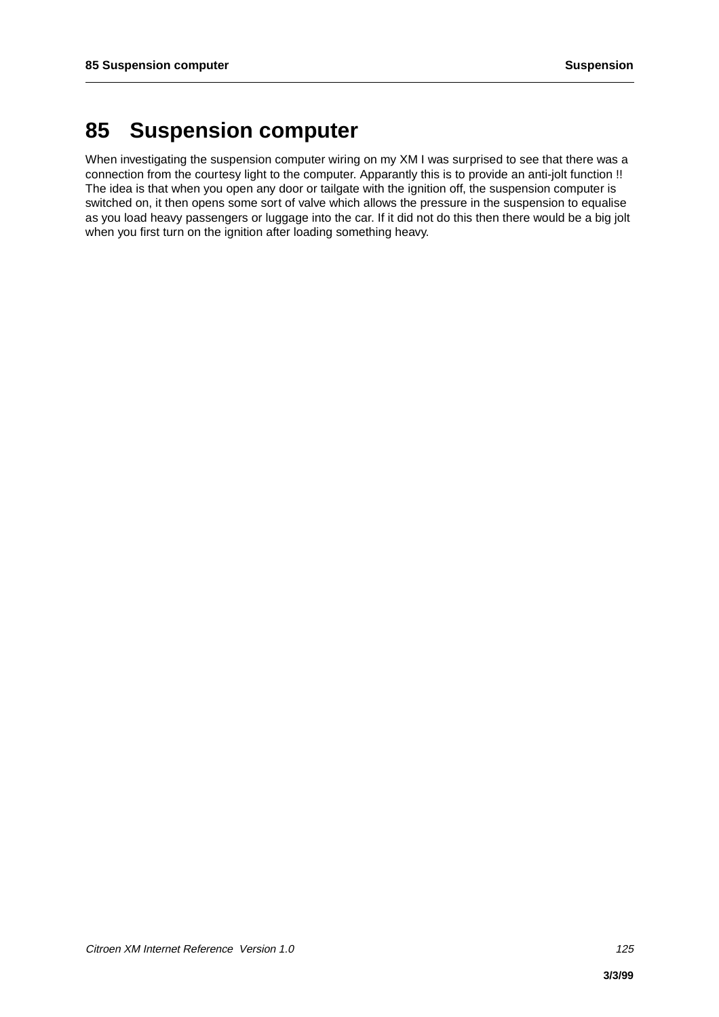# **85 Suspension computer**

When investigating the suspension computer wiring on my XM I was surprised to see that there was a connection from the courtesy light to the computer. Apparantly this is to provide an anti-jolt function !! The idea is that when you open any door or tailgate with the ignition off, the suspension computer is switched on, it then opens some sort of valve which allows the pressure in the suspension to equalise as you load heavy passengers or luggage into the car. If it did not do this then there would be a big jolt when you first turn on the ignition after loading something heavy.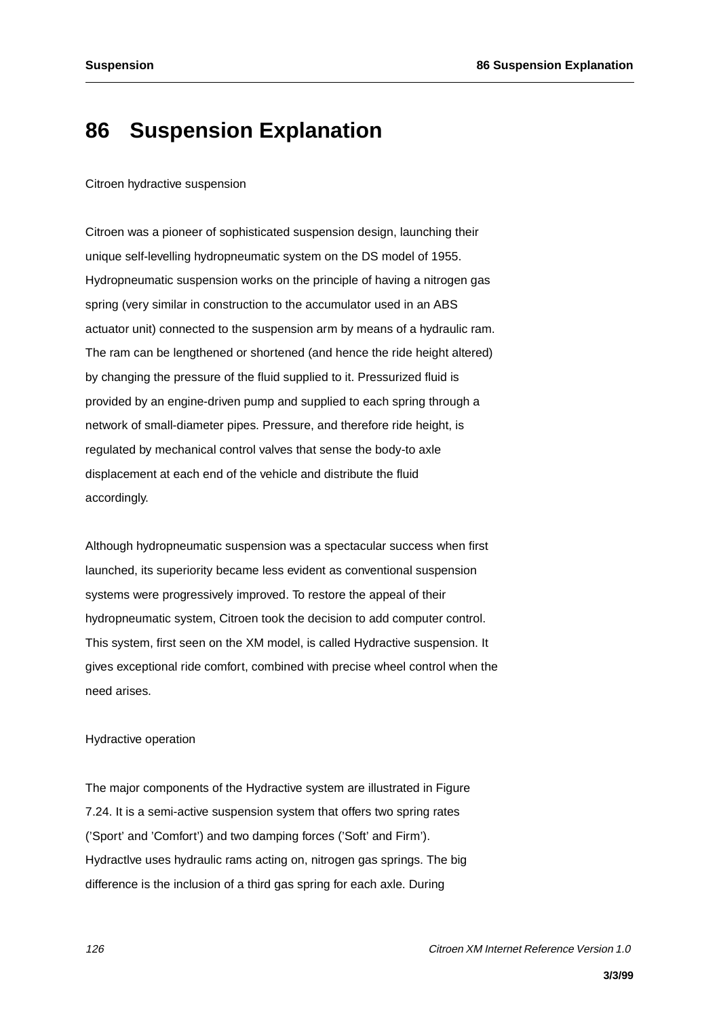### **86 Suspension Explanation**

Citroen hydractive suspension

Citroen was a pioneer of sophisticated suspension design, launching their unique self-levelling hydropneumatic system on the DS model of 1955. Hydropneumatic suspension works on the principle of having a nitrogen gas spring (very similar in construction to the accumulator used in an ABS actuator unit) connected to the suspension arm by means of a hydraulic ram. The ram can be lengthened or shortened (and hence the ride height altered) by changing the pressure of the fluid supplied to it. Pressurized fluid is provided by an engine-driven pump and supplied to each spring through a network of small-diameter pipes. Pressure, and therefore ride height, is regulated by mechanical control valves that sense the body-to axle displacement at each end of the vehicle and distribute the fluid accordingly.

Although hydropneumatic suspension was a spectacular success when first launched, its superiority became less evident as conventional suspension systems were progressively improved. To restore the appeal of their hydropneumatic system, Citroen took the decision to add computer control. This system, first seen on the XM model, is called Hydractive suspension. It gives exceptional ride comfort, combined with precise wheel control when the need arises.

#### Hydractive operation

The major components of the Hydractive system are illustrated in Figure 7.24. It is a semi-active suspension system that offers two spring rates ('Sport' and 'Comfort') and two damping forces ('Soft' and Firm'). Hydractlve uses hydraulic rams acting on, nitrogen gas springs. The big difference is the inclusion of a third gas spring for each axle. During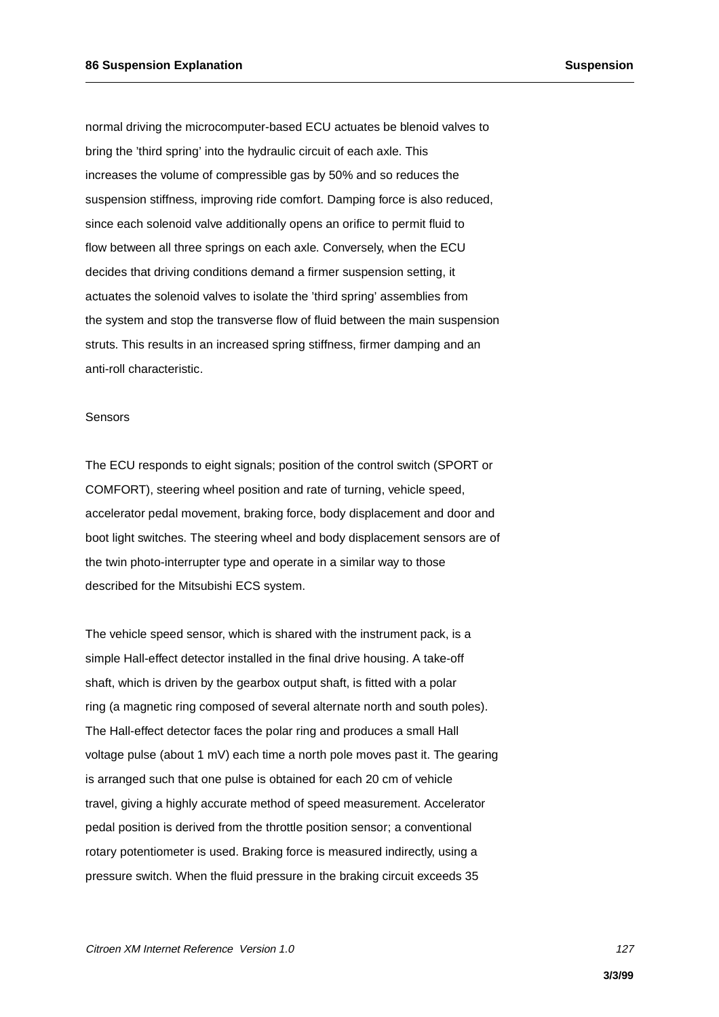normal driving the microcomputer-based ECU actuates be blenoid valves to bring the 'third spring' into the hydraulic circuit of each axle. This increases the volume of compressible gas by 50% and so reduces the suspension stiffness, improving ride comfort. Damping force is also reduced, since each solenoid valve additionally opens an orifice to permit fluid to flow between all three springs on each axle. Conversely, when the ECU decides that driving conditions demand a firmer suspension setting, it actuates the solenoid valves to isolate the 'third spring' assemblies from the system and stop the transverse flow of fluid between the main suspension struts. This results in an increased spring stiffness, firmer damping and an anti-roll characteristic.

#### Sensors

The ECU responds to eight signals; position of the control switch (SPORT or COMFORT), steering wheel position and rate of turning, vehicle speed, accelerator pedal movement, braking force, body displacement and door and boot light switches. The steering wheel and body displacement sensors are of the twin photo-interrupter type and operate in a similar way to those described for the Mitsubishi ECS system.

The vehicle speed sensor, which is shared with the instrument pack, is a simple Hall-effect detector installed in the final drive housing. A take-off shaft, which is driven by the gearbox output shaft, is fitted with a polar ring (a magnetic ring composed of several alternate north and south poles). The Hall-effect detector faces the polar ring and produces a small Hall voltage pulse (about 1 mV) each time a north pole moves past it. The gearing is arranged such that one pulse is obtained for each 20 cm of vehicle travel, giving a highly accurate method of speed measurement. Accelerator pedal position is derived from the throttle position sensor; a conventional rotary potentiometer is used. Braking force is measured indirectly, using a pressure switch. When the fluid pressure in the braking circuit exceeds 35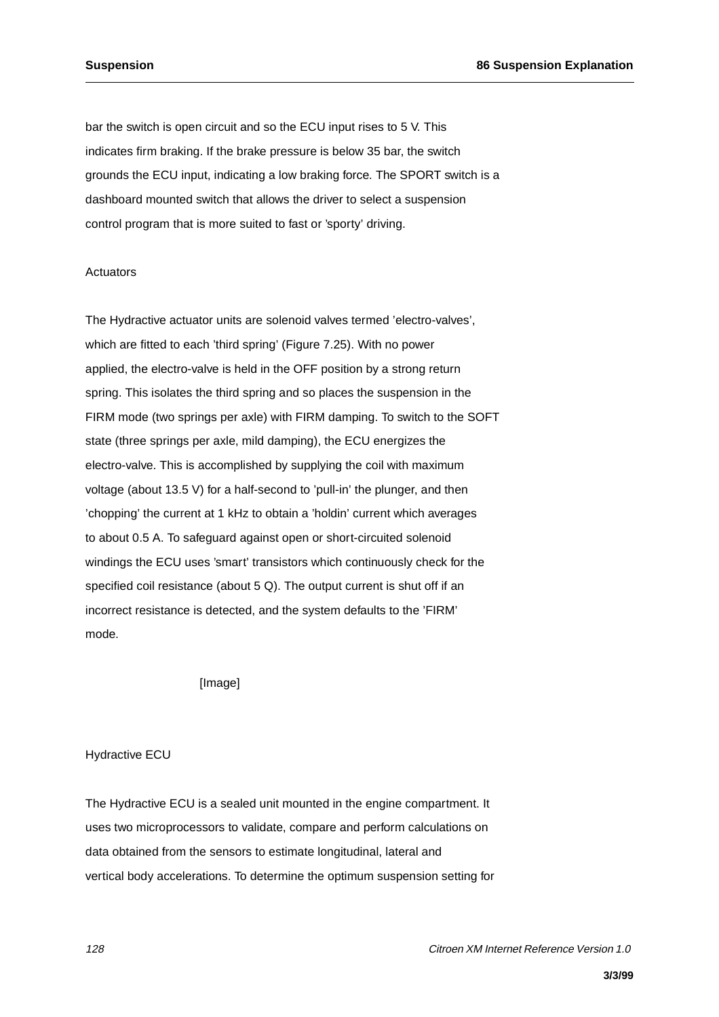bar the switch is open circuit and so the ECU input rises to 5 V. This indicates firm braking. If the brake pressure is below 35 bar, the switch grounds the ECU input, indicating a low braking force. The SPORT switch is a dashboard mounted switch that allows the driver to select a suspension control program that is more suited to fast or 'sporty' driving.

#### **Actuators**

The Hydractive actuator units are solenoid valves termed 'electro-valves', which are fitted to each 'third spring' (Figure 7.25). With no power applied, the electro-valve is held in the OFF position by a strong return spring. This isolates the third spring and so places the suspension in the FIRM mode (two springs per axle) with FIRM damping. To switch to the SOFT state (three springs per axle, mild damping), the ECU energizes the electro-valve. This is accomplished by supplying the coil with maximum voltage (about 13.5 V) for a half-second to 'pull-in' the plunger, and then 'chopping' the current at 1 kHz to obtain a 'holdin' current which averages to about 0.5 A. To safeguard against open or short-circuited solenoid windings the ECU uses 'smart' transistors which continuously check for the specified coil resistance (about 5 Q). The output current is shut off if an incorrect resistance is detected, and the system defaults to the 'FIRM' mode.

#### [Image]

#### Hydractive ECU

The Hydractive ECU is a sealed unit mounted in the engine compartment. It uses two microprocessors to validate, compare and perform calculations on data obtained from the sensors to estimate longitudinal, lateral and vertical body accelerations. To determine the optimum suspension setting for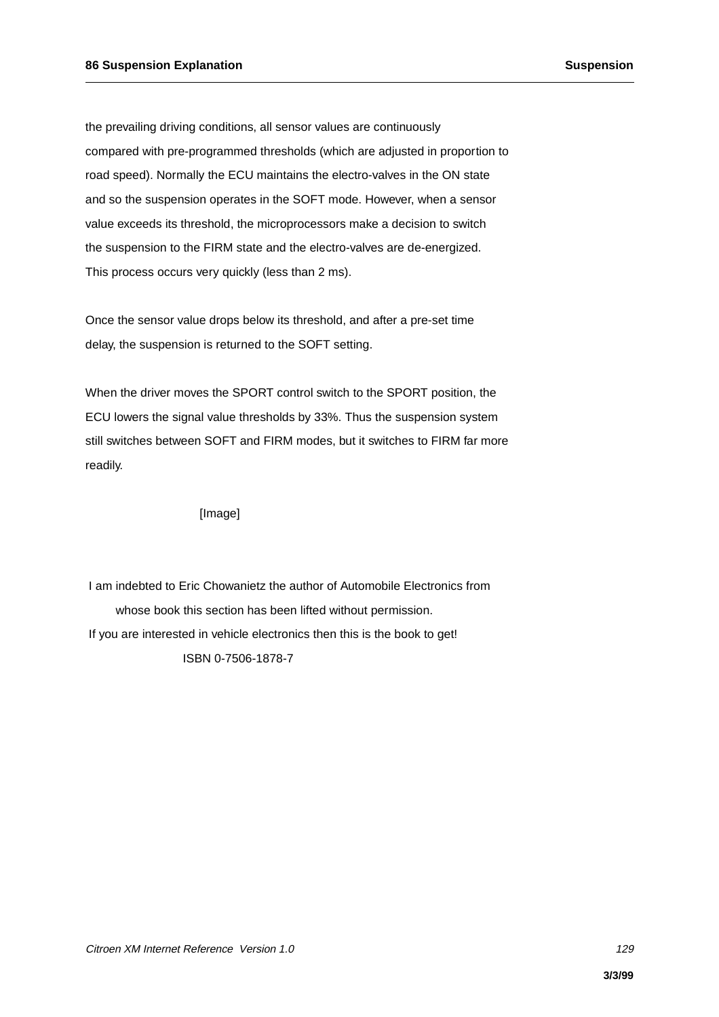the prevailing driving conditions, all sensor values are continuously compared with pre-programmed thresholds (which are adjusted in proportion to road speed). Normally the ECU maintains the electro-valves in the ON state and so the suspension operates in the SOFT mode. However, when a sensor value exceeds its threshold, the microprocessors make a decision to switch the suspension to the FIRM state and the electro-valves are de-energized. This process occurs very quickly (less than 2 ms).

Once the sensor value drops below its threshold, and after a pre-set time delay, the suspension is returned to the SOFT setting.

When the driver moves the SPORT control switch to the SPORT position, the ECU lowers the signal value thresholds by 33%. Thus the suspension system still switches between SOFT and FIRM modes, but it switches to FIRM far more readily.

#### [Image]

 I am indebted to Eric Chowanietz the author of Automobile Electronics from whose book this section has been lifted without permission. If you are interested in vehicle electronics then this is the book to get! ISBN 0-7506-1878-7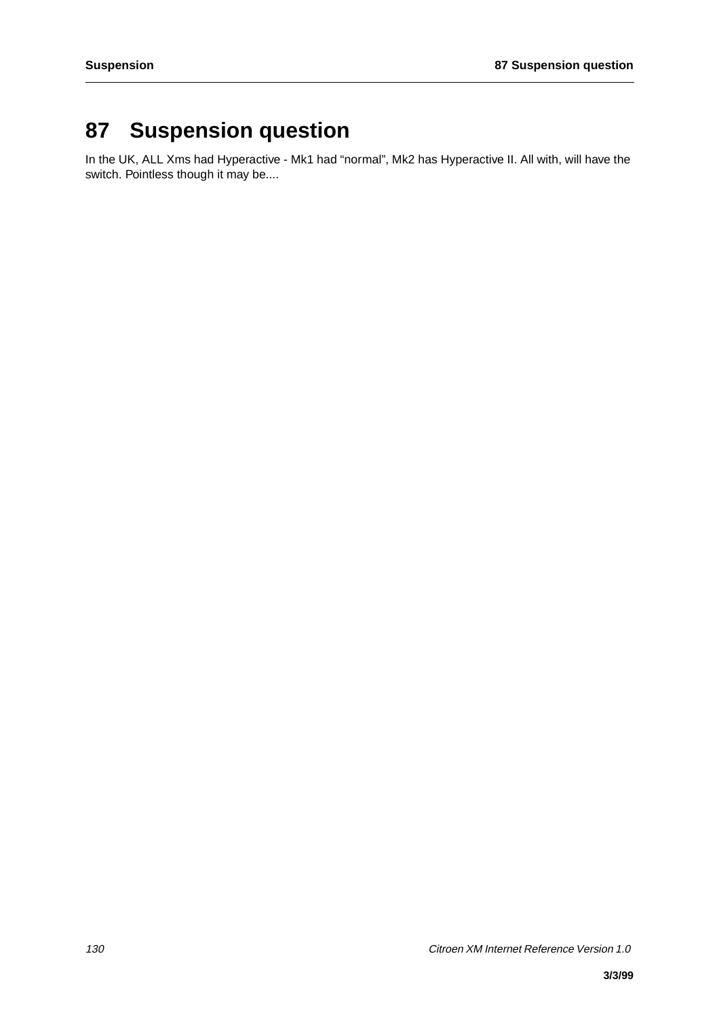# **87 Suspension question**

In the UK, ALL Xms had Hyperactive - Mk1 had "normal", Mk2 has Hyperactive II. All with, will have the switch. Pointless though it may be....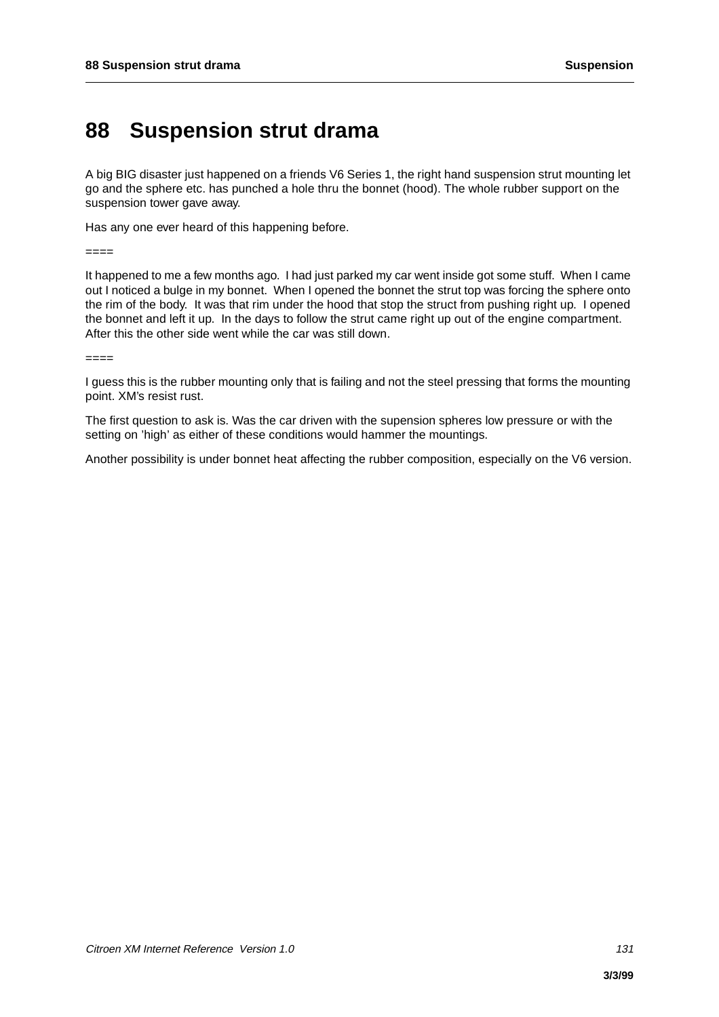### **88 Suspension strut drama**

A big BIG disaster just happened on a friends V6 Series 1, the right hand suspension strut mounting let go and the sphere etc. has punched a hole thru the bonnet (hood). The whole rubber support on the suspension tower gave away.

Has any one ever heard of this happening before.

 $=$ 

It happened to me a few months ago. I had just parked my car went inside got some stuff. When I came out I noticed a bulge in my bonnet. When I opened the bonnet the strut top was forcing the sphere onto the rim of the body. It was that rim under the hood that stop the struct from pushing right up. I opened the bonnet and left it up. In the days to follow the strut came right up out of the engine compartment. After this the other side went while the car was still down.

====

I guess this is the rubber mounting only that is failing and not the steel pressing that forms the mounting point. XM's resist rust.

The first question to ask is. Was the car driven with the supension spheres low pressure or with the setting on 'high' as either of these conditions would hammer the mountings.

Another possibility is under bonnet heat affecting the rubber composition, especially on the V6 version.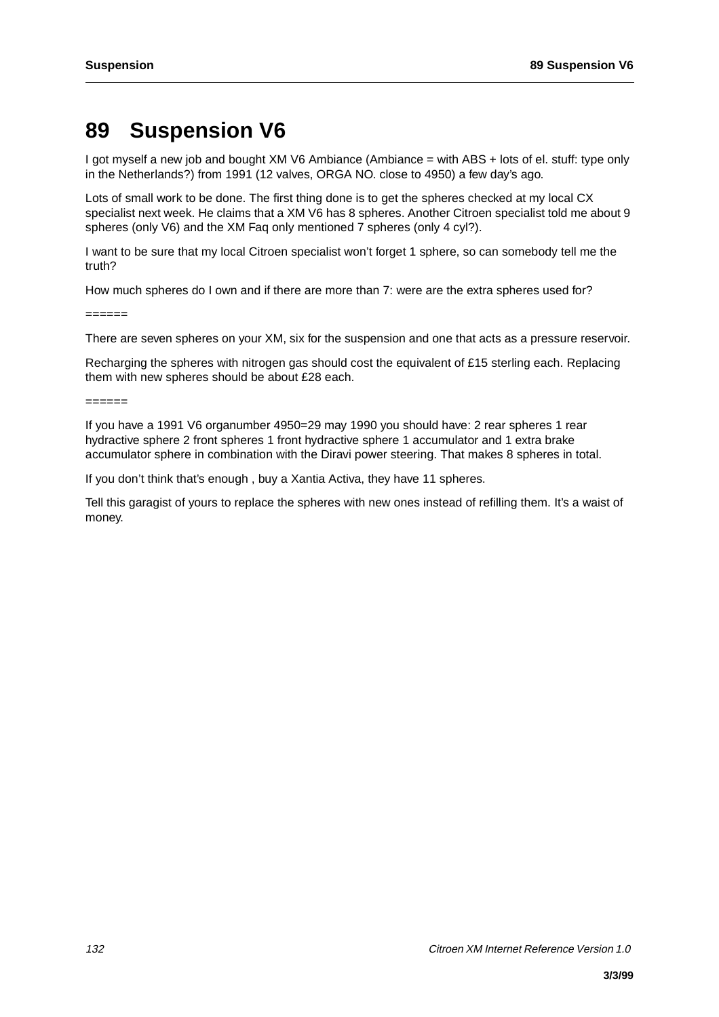# **89 Suspension V6**

I got myself a new job and bought XM V6 Ambiance (Ambiance = with ABS + lots of el. stuff: type only in the Netherlands?) from 1991 (12 valves, ORGA NO. close to 4950) a few day's ago.

Lots of small work to be done. The first thing done is to get the spheres checked at my local CX specialist next week. He claims that a XM V6 has 8 spheres. Another Citroen specialist told me about 9 spheres (only V6) and the XM Faq only mentioned 7 spheres (only 4 cyl?).

I want to be sure that my local Citroen specialist won't forget 1 sphere, so can somebody tell me the truth?

How much spheres do I own and if there are more than 7: were are the extra spheres used for?

======

There are seven spheres on your XM, six for the suspension and one that acts as a pressure reservoir.

Recharging the spheres with nitrogen gas should cost the equivalent of £15 sterling each. Replacing them with new spheres should be about £28 each.

======

If you have a 1991 V6 organumber 4950=29 may 1990 you should have: 2 rear spheres 1 rear hydractive sphere 2 front spheres 1 front hydractive sphere 1 accumulator and 1 extra brake accumulator sphere in combination with the Diravi power steering. That makes 8 spheres in total.

If you don't think that's enough , buy a Xantia Activa, they have 11 spheres.

Tell this garagist of yours to replace the spheres with new ones instead of refilling them. It's a waist of money.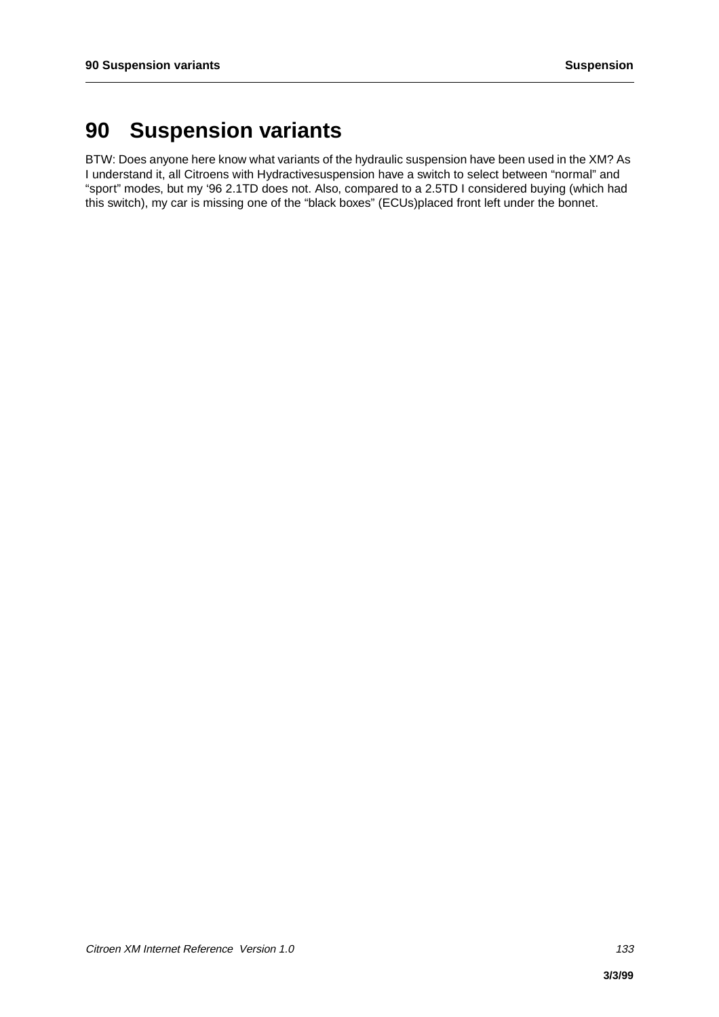# **90 Suspension variants**

BTW: Does anyone here know what variants of the hydraulic suspension have been used in the XM? As I understand it, all Citroens with Hydractivesuspension have a switch to select between "normal" and "sport" modes, but my '96 2.1TD does not. Also, compared to a 2.5TD I considered buying (which had this switch), my car is missing one of the "black boxes" (ECUs)placed front left under the bonnet.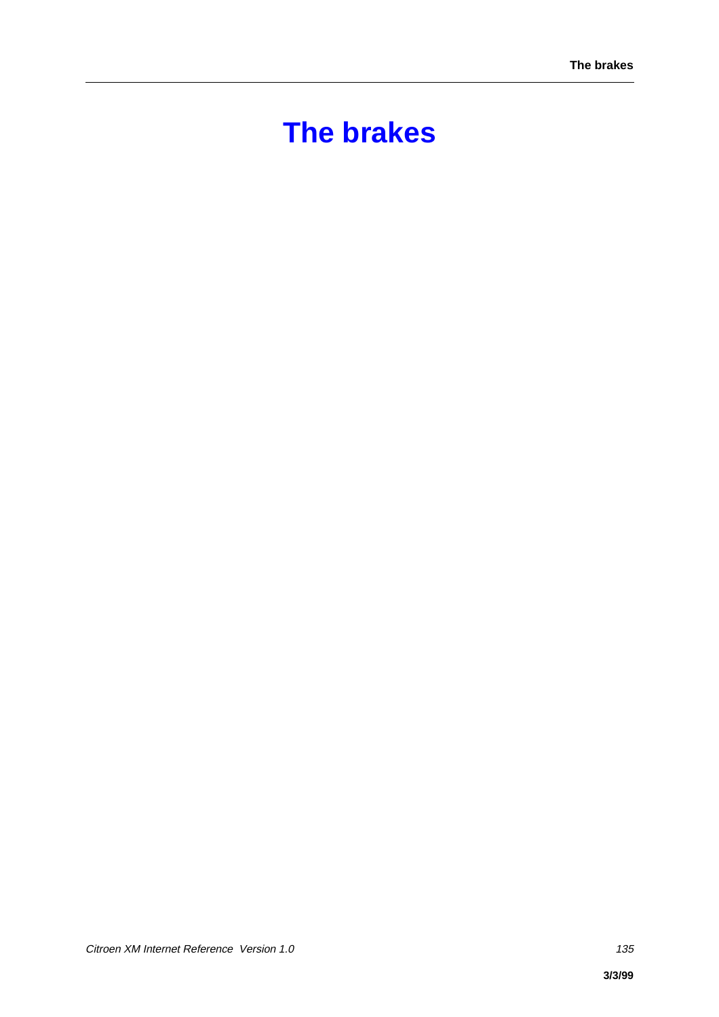# **The brakes**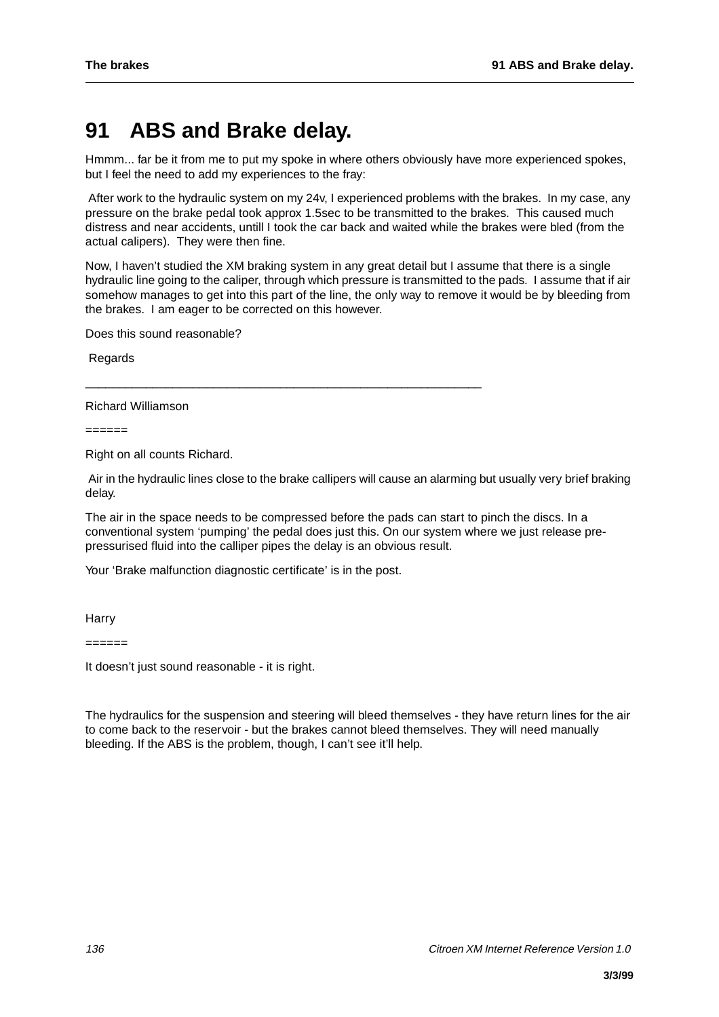# **91 ABS and Brake delay.**

Hmmm... far be it from me to put my spoke in where others obviously have more experienced spokes, but I feel the need to add my experiences to the fray:

 After work to the hydraulic system on my 24v, I experienced problems with the brakes. In my case, any pressure on the brake pedal took approx 1.5sec to be transmitted to the brakes. This caused much distress and near accidents, untill I took the car back and waited while the brakes were bled (from the actual calipers). They were then fine.

Now, I haven't studied the XM braking system in any great detail but I assume that there is a single hydraulic line going to the caliper, through which pressure is transmitted to the pads. I assume that if air somehow manages to get into this part of the line, the only way to remove it would be by bleeding from the brakes. I am eager to be corrected on this however.

Does this sound reasonable?

Regards

Richard Williamson

======

Right on all counts Richard.

 Air in the hydraulic lines close to the brake callipers will cause an alarming but usually very brief braking delay.

The air in the space needs to be compressed before the pads can start to pinch the discs. In a conventional system 'pumping' the pedal does just this. On our system where we just release prepressurised fluid into the calliper pipes the delay is an obvious result.

Your 'Brake malfunction diagnostic certificate' is in the post.

\_\_\_\_\_\_\_\_\_\_\_\_\_\_\_\_\_\_\_\_\_\_\_\_\_\_\_\_\_\_\_\_\_\_\_\_\_\_\_\_\_\_\_\_\_\_\_\_\_\_\_\_\_\_\_\_\_\_\_

**Harry** 

======

It doesn't just sound reasonable - it is right.

The hydraulics for the suspension and steering will bleed themselves - they have return lines for the air to come back to the reservoir - but the brakes cannot bleed themselves. They will need manually bleeding. If the ABS is the problem, though, I can't see it'll help.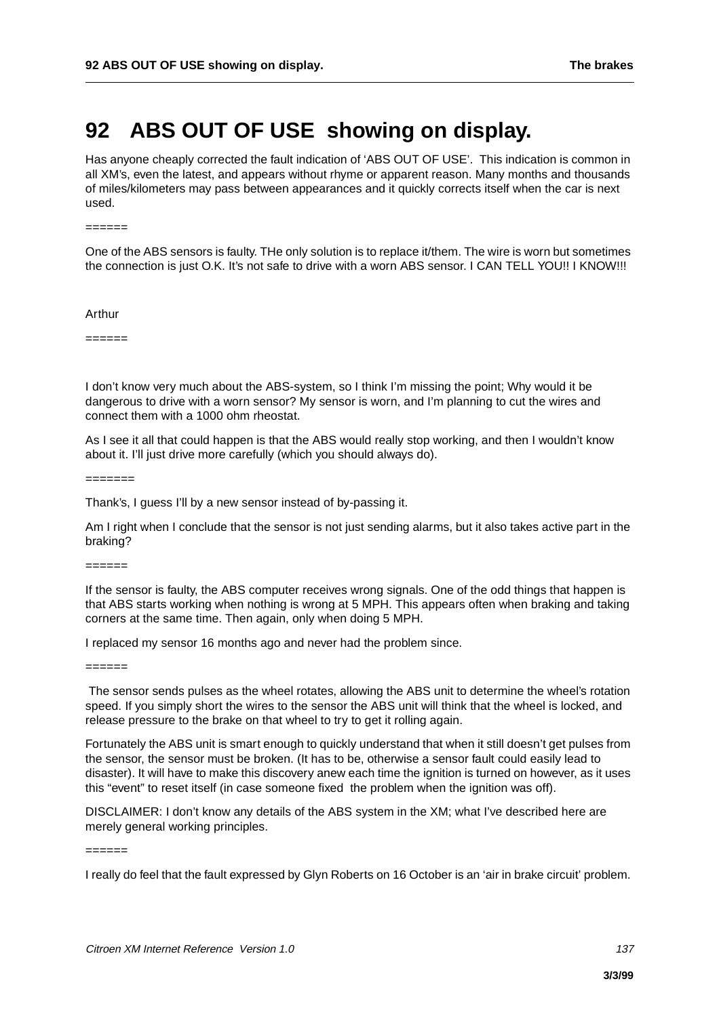### **92 ABS OUT OF USE showing on display.**

Has anyone cheaply corrected the fault indication of 'ABS OUT OF USE'. This indication is common in all XM's, even the latest, and appears without rhyme or apparent reason. Many months and thousands of miles/kilometers may pass between appearances and it quickly corrects itself when the car is next used.

======

One of the ABS sensors is faulty. THe only solution is to replace it/them. The wire is worn but sometimes the connection is just O.K. It's not safe to drive with a worn ABS sensor. I CAN TELL YOU!! I KNOW!!!

Arthur

======

I don't know very much about the ABS-system, so I think I'm missing the point; Why would it be dangerous to drive with a worn sensor? My sensor is worn, and I'm planning to cut the wires and connect them with a 1000 ohm rheostat.

As I see it all that could happen is that the ABS would really stop working, and then I wouldn't know about it. I'll just drive more carefully (which you should always do).

=======

Thank's, I guess I'll by a new sensor instead of by-passing it.

Am I right when I conclude that the sensor is not just sending alarms, but it also takes active part in the braking?

======

 $=$ 

If the sensor is faulty, the ABS computer receives wrong signals. One of the odd things that happen is that ABS starts working when nothing is wrong at 5 MPH. This appears often when braking and taking corners at the same time. Then again, only when doing 5 MPH.

I replaced my sensor 16 months ago and never had the problem since.

 The sensor sends pulses as the wheel rotates, allowing the ABS unit to determine the wheel's rotation speed. If you simply short the wires to the sensor the ABS unit will think that the wheel is locked, and release pressure to the brake on that wheel to try to get it rolling again.

Fortunately the ABS unit is smart enough to quickly understand that when it still doesn't get pulses from the sensor, the sensor must be broken. (It has to be, otherwise a sensor fault could easily lead to disaster). It will have to make this discovery anew each time the ignition is turned on however, as it uses this "event" to reset itself (in case someone fixed the problem when the ignition was off).

DISCLAIMER: I don't know any details of the ABS system in the XM; what I've described here are merely general working principles.

======

I really do feel that the fault expressed by Glyn Roberts on 16 October is an 'air in brake circuit' problem.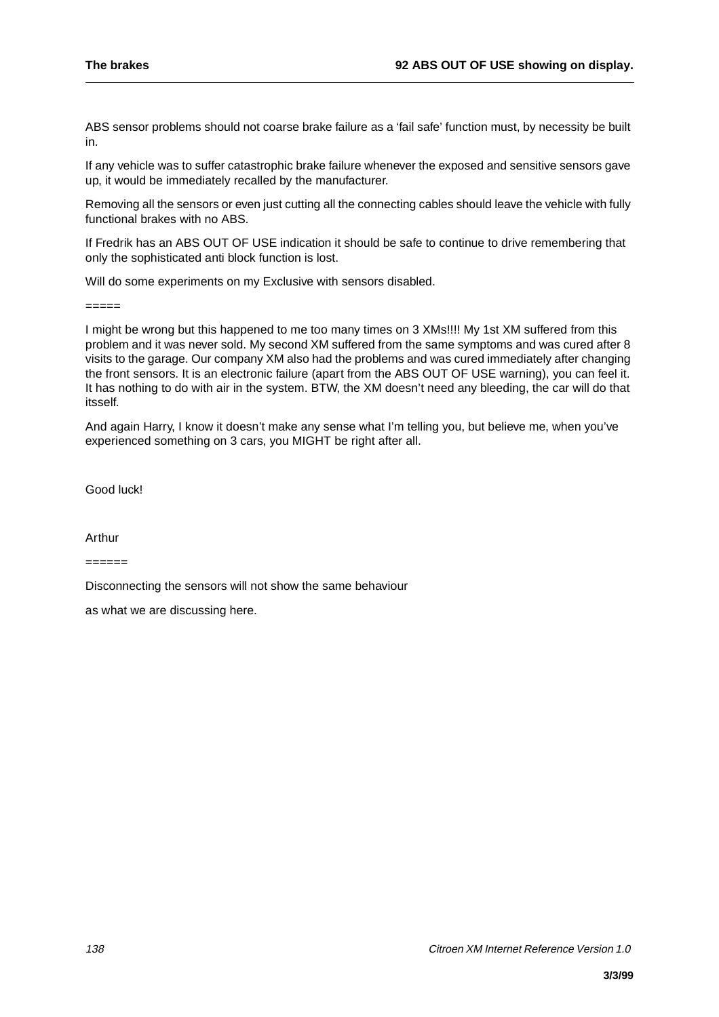ABS sensor problems should not coarse brake failure as a 'fail safe' function must, by necessity be built in.

If any vehicle was to suffer catastrophic brake failure whenever the exposed and sensitive sensors gave up, it would be immediately recalled by the manufacturer.

Removing all the sensors or even just cutting all the connecting cables should leave the vehicle with fully functional brakes with no ABS.

If Fredrik has an ABS OUT OF USE indication it should be safe to continue to drive remembering that only the sophisticated anti block function is lost.

Will do some experiments on my Exclusive with sensors disabled.

 $=$ 

I might be wrong but this happened to me too many times on 3 XMs!!!! My 1st XM suffered from this problem and it was never sold. My second XM suffered from the same symptoms and was cured after 8 visits to the garage. Our company XM also had the problems and was cured immediately after changing the front sensors. It is an electronic failure (apart from the ABS OUT OF USE warning), you can feel it. It has nothing to do with air in the system. BTW, the XM doesn't need any bleeding, the car will do that itsself.

And again Harry, I know it doesn't make any sense what I'm telling you, but believe me, when you've experienced something on 3 cars, you MIGHT be right after all.

Good luck!

Arthur

======

Disconnecting the sensors will not show the same behaviour

as what we are discussing here.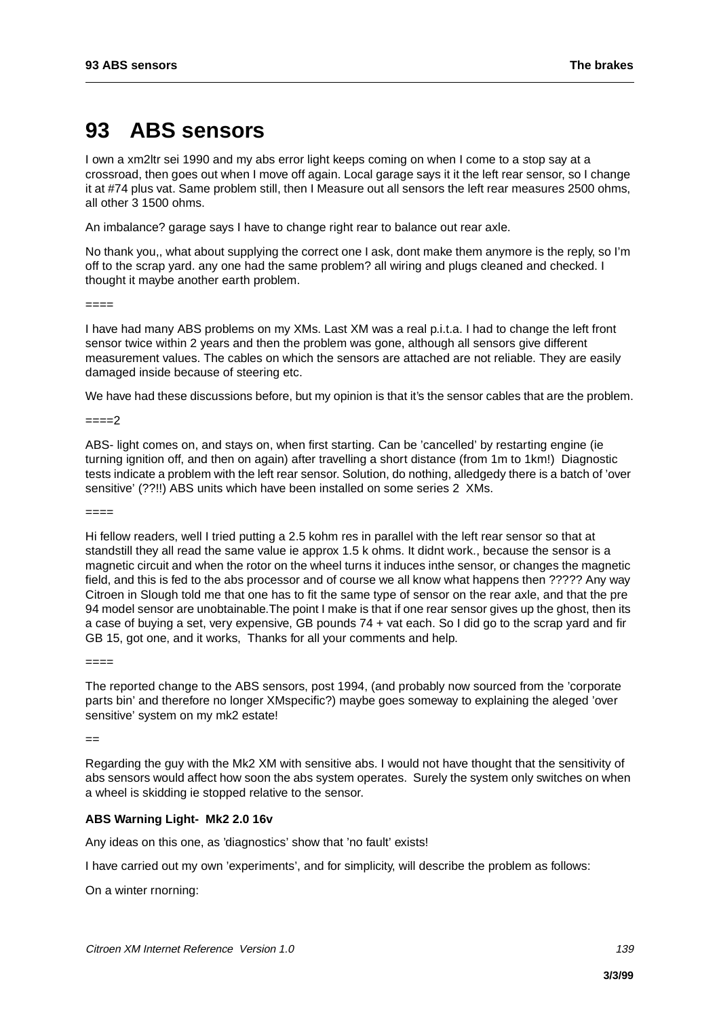### **93 ABS sensors**

I own a xm2ltr sei 1990 and my abs error light keeps coming on when I come to a stop say at a crossroad, then goes out when I move off again. Local garage says it it the left rear sensor, so I change it at #74 plus vat. Same problem still, then I Measure out all sensors the left rear measures 2500 ohms, all other 3 1500 ohms.

An imbalance? garage says I have to change right rear to balance out rear axle.

No thank you,, what about supplying the correct one I ask, dont make them anymore is the reply, so I'm off to the scrap yard. any one had the same problem? all wiring and plugs cleaned and checked. I thought it maybe another earth problem.

====

I have had many ABS problems on my XMs. Last XM was a real p.i.t.a. I had to change the left front sensor twice within 2 years and then the problem was gone, although all sensors give different measurement values. The cables on which the sensors are attached are not reliable. They are easily damaged inside because of steering etc.

We have had these discussions before, but my opinion is that it's the sensor cables that are the problem.

 $---2$ 

ABS- light comes on, and stays on, when first starting. Can be 'cancelled' by restarting engine (ie turning ignition off, and then on again) after travelling a short distance (from 1m to 1km!) Diagnostic tests indicate a problem with the left rear sensor. Solution, do nothing, alledgedy there is a batch of 'over sensitive' (??!!) ABS units which have been installed on some series 2 XMs.

====

Hi fellow readers, well I tried putting a 2.5 kohm res in parallel with the left rear sensor so that at standstill they all read the same value ie approx 1.5 k ohms. It didnt work., because the sensor is a magnetic circuit and when the rotor on the wheel turns it induces inthe sensor, or changes the magnetic field, and this is fed to the abs processor and of course we all know what happens then ????? Any way Citroen in Slough told me that one has to fit the same type of sensor on the rear axle, and that the pre 94 model sensor are unobtainable. The point I make is that if one rear sensor gives up the ghost, then its a case of buying a set, very expensive, GB pounds 74 + vat each. So I did go to the scrap yard and fir GB 15, got one, and it works, Thanks for all your comments and help.

====

The reported change to the ABS sensors, post 1994, (and probably now sourced from the 'corporate parts bin' and therefore no longer XMspecific?) maybe goes someway to explaining the aleged 'over sensitive' system on my mk2 estate!

 $=$ 

Regarding the guy with the Mk2 XM with sensitive abs. I would not have thought that the sensitivity of abs sensors would affect how soon the abs system operates. Surely the system only switches on when a wheel is skidding ie stopped relative to the sensor.

#### **ABS Warning Light- Mk2 2.0 16v**

Any ideas on this one, as 'diagnostics' show that 'no fault' exists!

I have carried out my own 'experiments', and for simplicity, will describe the problem as follows:

On a winter rnorning: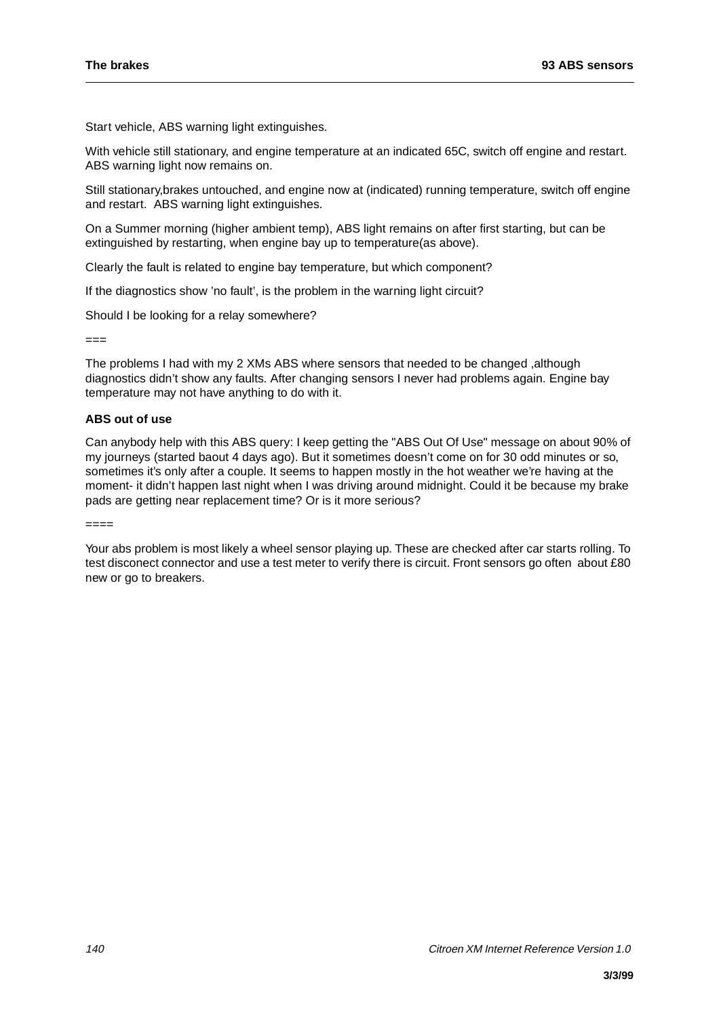Start vehicle, ABS warning light extinguishes.

With vehicle still stationary, and engine temperature at an indicated 65C, switch off engine and restart. ABS warning light now remains on.

Still stationary,brakes untouched, and engine now at (indicated) running temperature, switch off engine and restart. ABS warning light extinguishes.

On a Summer morning (higher ambient temp), ABS light remains on after first starting, but can be extinguished by restarting, when engine bay up to temperature(as above).

Clearly the fault is related to engine bay temperature, but which component?

If the diagnostics show 'no fault', is the problem in the warning light circuit?

Should I be looking for a relay somewhere?

 $==$ 

The problems I had with my 2 XMs ABS where sensors that needed to be changed ,although diagnostics didn't show any faults. After changing sensors I never had problems again. Engine bay temperature may not have anything to do with it.

#### **ABS out of use**

Can anybody help with this ABS query: I keep getting the "ABS Out Of Use" message on about 90% of my journeys (started baout 4 days ago). But it sometimes doesn't come on for 30 odd minutes or so, sometimes it's only after a couple. It seems to happen mostly in the hot weather we're having at the moment- it didn't happen last night when I was driving around midnight. Could it be because my brake pads are getting near replacement time? Or is it more serious?

 $====$ 

Your abs problem is most likely a wheel sensor playing up. These are checked after car starts rolling. To test disconect connector and use a test meter to verify there is circuit. Front sensors go often about £80 new or go to breakers.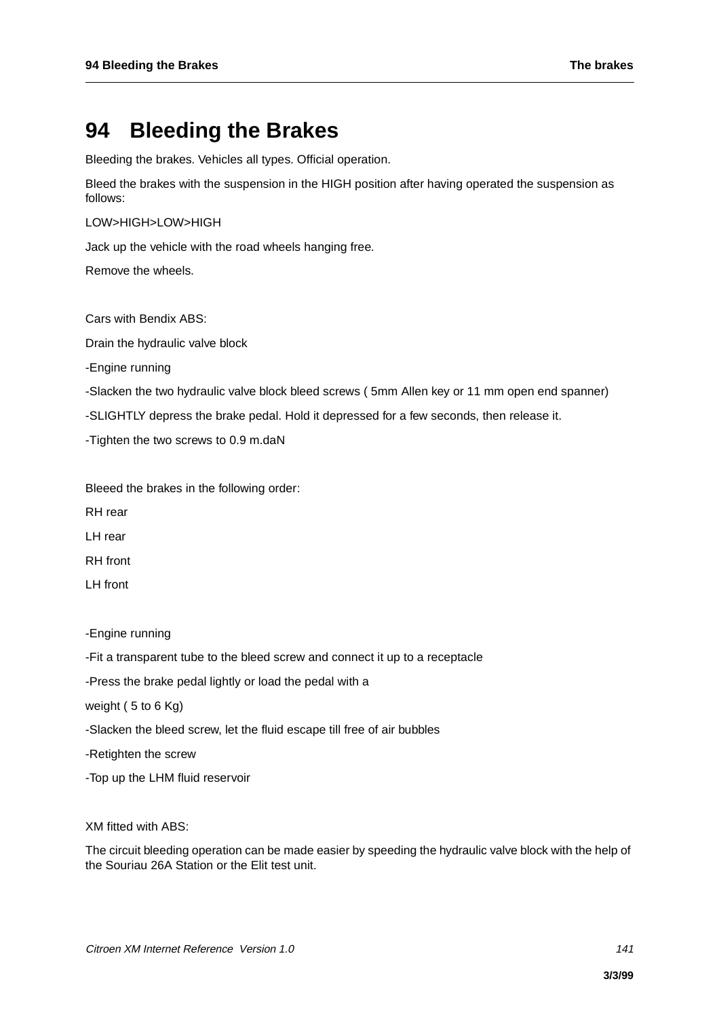### **94 Bleeding the Brakes**

Bleeding the brakes. Vehicles all types. Official operation.

Bleed the brakes with the suspension in the HIGH position after having operated the suspension as follows:

LOW>HIGH>LOW>HIGH

Jack up the vehicle with the road wheels hanging free.

Remove the wheels.

Cars with Bendix ABS:

Drain the hydraulic valve block

-Engine running

-Slacken the two hydraulic valve block bleed screws ( 5mm Allen key or 11 mm open end spanner)

-SLIGHTLY depress the brake pedal. Hold it depressed for a few seconds, then release it.

-Tighten the two screws to 0.9 m.daN

Bleeed the brakes in the following order:

RH rear

LH rear

RH front

LH front

-Engine running

-Fit a transparent tube to the bleed screw and connect it up to a receptacle

-Press the brake pedal lightly or load the pedal with a

weight ( 5 to 6 Kg)

-Slacken the bleed screw, let the fluid escape till free of air bubbles

-Retighten the screw

-Top up the LHM fluid reservoir

XM fitted with ABS:

The circuit bleeding operation can be made easier by speeding the hydraulic valve block with the help of the Souriau 26A Station or the Elit test unit.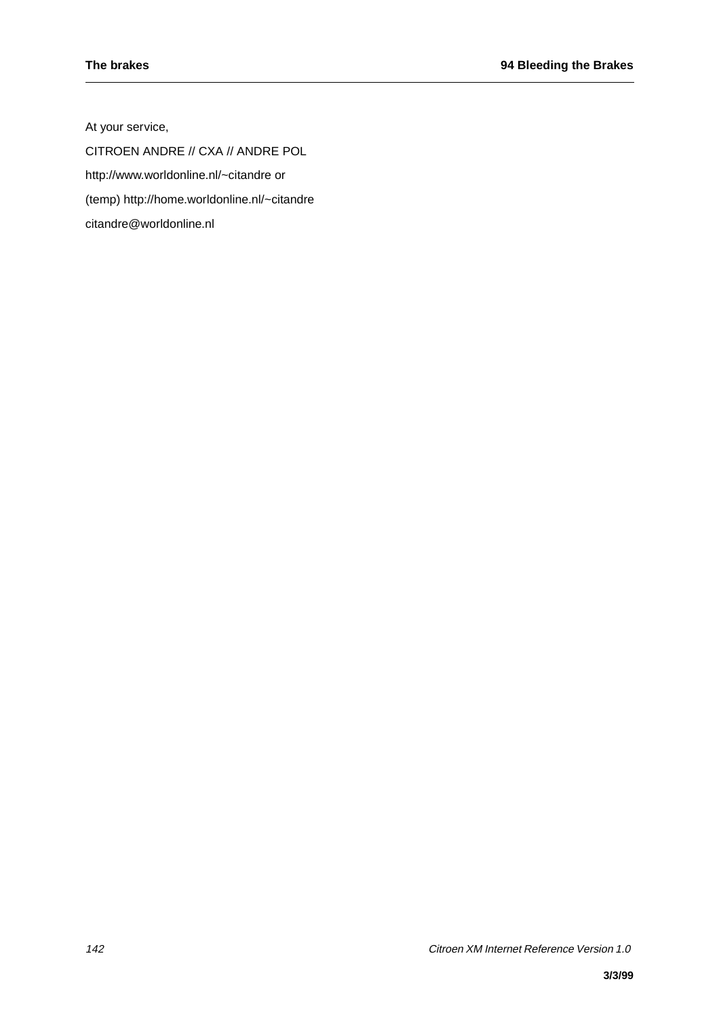At your service,

CITROEN ANDRE // CXA // ANDRE POL http://www.worldonline.nl/~citandre or (temp) http://home.worldonline.nl/~citandre citandre@worldonline.nl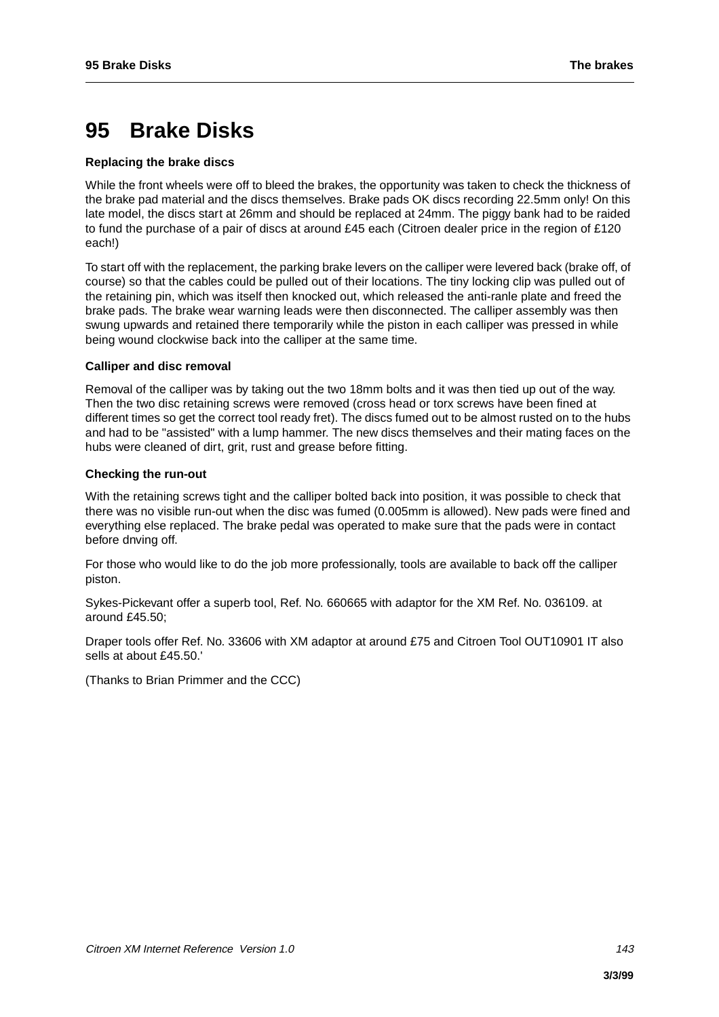## **95 Brake Disks**

#### **Replacing the brake discs**

While the front wheels were off to bleed the brakes, the opportunity was taken to check the thickness of the brake pad material and the discs themselves. Brake pads OK discs recording 22.5mm only! On this late model, the discs start at 26mm and should be replaced at 24mm. The piggy bank had to be raided to fund the purchase of a pair of discs at around £45 each (Citroen dealer price in the region of £120 each!)

To start off with the replacement, the parking brake levers on the calliper were levered back (brake off, of course) so that the cables could be pulled out of their locations. The tiny locking clip was pulled out of the retaining pin, which was itself then knocked out, which released the anti-ranle plate and freed the brake pads. The brake wear warning leads were then disconnected. The calliper assembly was then swung upwards and retained there temporarily while the piston in each calliper was pressed in while being wound clockwise back into the calliper at the same time.

#### **Calliper and disc removal**

Removal of the calliper was by taking out the two 18mm bolts and it was then tied up out of the way. Then the two disc retaining screws were removed (cross head or torx screws have been fined at different times so get the correct tool ready fret). The discs fumed out to be almost rusted on to the hubs and had to be "assisted" with a lump hammer. The new discs themselves and their mating faces on the hubs were cleaned of dirt, grit, rust and grease before fitting.

#### **Checking the run-out**

With the retaining screws tight and the calliper bolted back into position, it was possible to check that there was no visible run-out when the disc was fumed (0.005mm is allowed). New pads were fined and everything else replaced. The brake pedal was operated to make sure that the pads were in contact before dnving off.

For those who would like to do the job more professionally, tools are available to back off the calliper piston.

Sykes-Pickevant offer a superb tool, Ref. No. 660665 with adaptor for the XM Ref. No. 036109. at around £45.50;

Draper tools offer Ref. No. 33606 with XM adaptor at around £75 and Citroen Tool OUT10901 IT also sells at about £45.50.'

(Thanks to Brian Primmer and the CCC)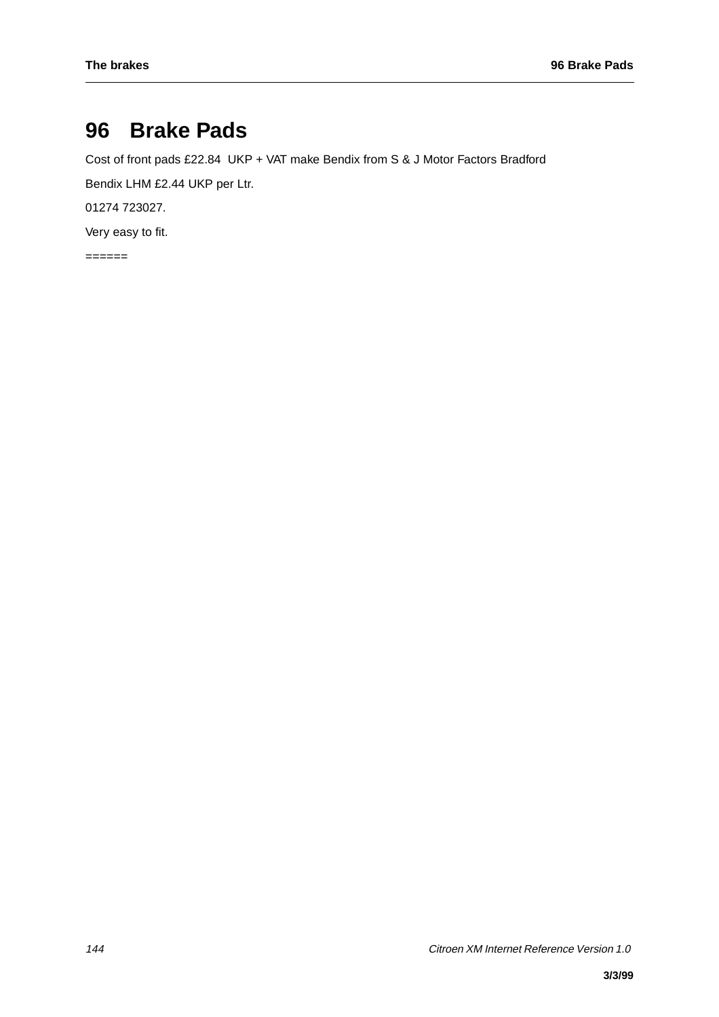### **96 Brake Pads**

Cost of front pads £22.84 UKP + VAT make Bendix from S & J Motor Factors Bradford

Bendix LHM £2.44 UKP per Ltr.

01274 723027.

Very easy to fit.

======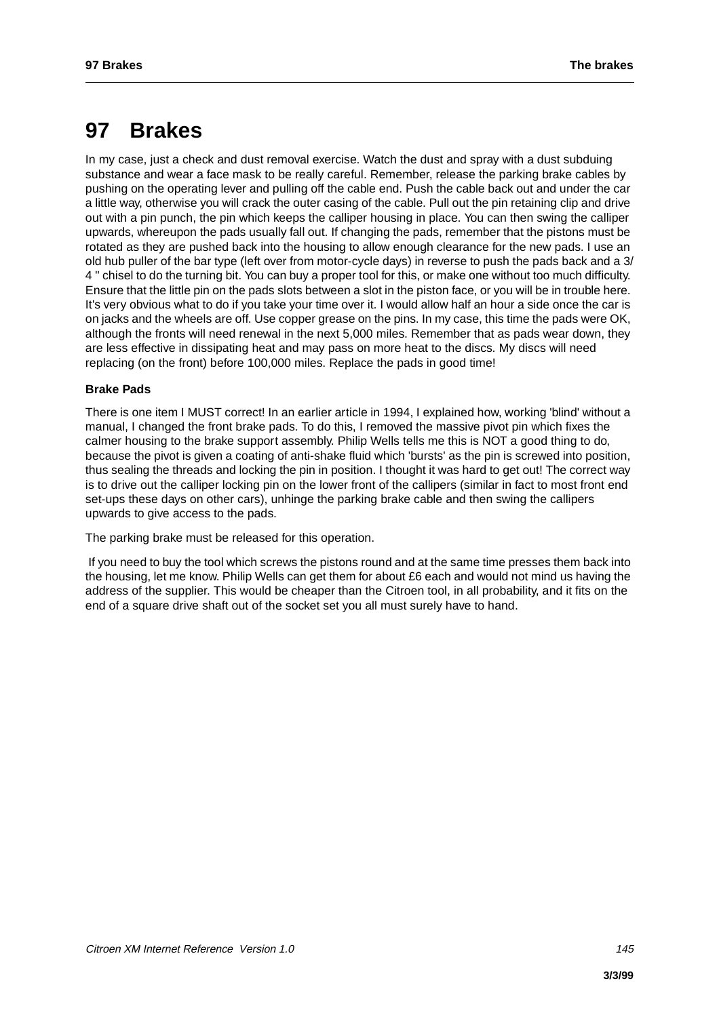# **97 Brakes**

In my case, just a check and dust removal exercise. Watch the dust and spray with a dust subduing substance and wear a face mask to be really careful. Remember, release the parking brake cables by pushing on the operating lever and pulling off the cable end. Push the cable back out and under the car a little way, otherwise you will crack the outer casing of the cable. Pull out the pin retaining clip and drive out with a pin punch, the pin which keeps the calliper housing in place. You can then swing the calliper upwards, whereupon the pads usually fall out. If changing the pads, remember that the pistons must be rotated as they are pushed back into the housing to allow enough clearance for the new pads. I use an old hub puller of the bar type (left over from motor-cycle days) in reverse to push the pads back and a 3/ 4 " chisel to do the turning bit. You can buy a proper tool for this, or make one without too much difficulty. Ensure that the little pin on the pads slots between a slot in the piston face, or you will be in trouble here. It's very obvious what to do if you take your time over it. I would allow half an hour a side once the car is on jacks and the wheels are off. Use copper grease on the pins. In my case, this time the pads were OK, although the fronts will need renewal in the next 5,000 miles. Remember that as pads wear down, they are less effective in dissipating heat and may pass on more heat to the discs. My discs will need replacing (on the front) before 100,000 miles. Replace the pads in good time!

### **Brake Pads**

There is one item I MUST correct! In an earlier article in 1994, I explained how, working 'blind' without a manual, I changed the front brake pads. To do this, I removed the massive pivot pin which fixes the calmer housing to the brake support assembly. Philip Wells tells me this is NOT a good thing to do, because the pivot is given a coating of anti-shake fluid which 'bursts' as the pin is screwed into position, thus sealing the threads and locking the pin in position. I thought it was hard to get out! The correct way is to drive out the calliper locking pin on the lower front of the callipers (similar in fact to most front end set-ups these days on other cars), unhinge the parking brake cable and then swing the callipers upwards to give access to the pads.

The parking brake must be released for this operation.

 If you need to buy the tool which screws the pistons round and at the same time presses them back into the housing, let me know. Philip Wells can get them for about £6 each and would not mind us having the address of the supplier. This would be cheaper than the Citroen tool, in all probability, and it fits on the end of a square drive shaft out of the socket set you all must surely have to hand.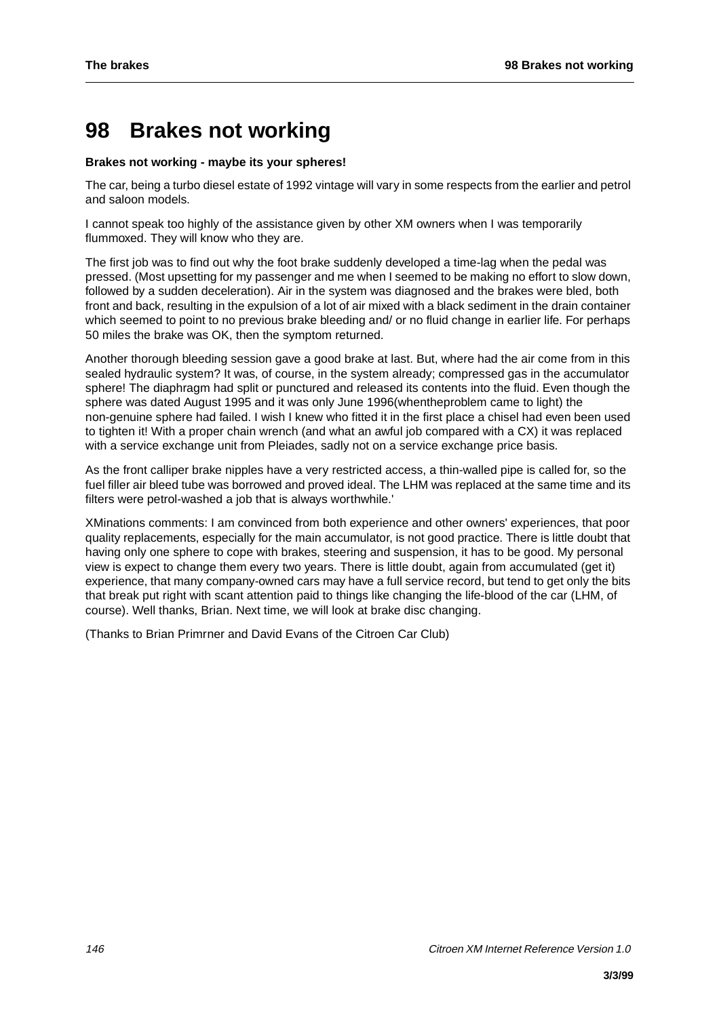### **98 Brakes not working**

### **Brakes not working - maybe its your spheres!**

The car, being a turbo diesel estate of 1992 vintage will vary in some respects from the earlier and petrol and saloon models.

I cannot speak too highly of the assistance given by other XM owners when I was temporarily flummoxed. They will know who they are.

The first job was to find out why the foot brake suddenly developed a time-lag when the pedal was pressed. (Most upsetting for my passenger and me when I seemed to be making no effort to slow down, followed by a sudden deceleration). Air in the system was diagnosed and the brakes were bled, both front and back, resulting in the expulsion of a lot of air mixed with a black sediment in the drain container which seemed to point to no previous brake bleeding and/ or no fluid change in earlier life. For perhaps 50 miles the brake was OK, then the symptom returned.

Another thorough bleeding session gave a good brake at last. But, where had the air come from in this sealed hydraulic system? It was, of course, in the system already; compressed gas in the accumulator sphere! The diaphragm had split or punctured and released its contents into the fluid. Even though the sphere was dated August 1995 and it was only June 1996(whentheproblem came to light) the non-genuine sphere had failed. I wish I knew who fitted it in the first place a chisel had even been used to tighten it! With a proper chain wrench (and what an awful job compared with a CX) it was replaced with a service exchange unit from Pleiades, sadly not on a service exchange price basis.

As the front calliper brake nipples have a very restricted access, a thin-walled pipe is called for, so the fuel filler air bleed tube was borrowed and proved ideal. The LHM was replaced at the same time and its filters were petrol-washed a job that is always worthwhile.'

XMinations comments: I am convinced from both experience and other owners' experiences, that poor quality replacements, especially for the main accumulator, is not good practice. There is little doubt that having only one sphere to cope with brakes, steering and suspension, it has to be good. My personal view is expect to change them every two years. There is little doubt, again from accumulated (get it) experience, that many company-owned cars may have a full service record, but tend to get only the bits that break put right with scant attention paid to things like changing the life-blood of the car (LHM, of course). Well thanks, Brian. Next time, we will look at brake disc changing.

(Thanks to Brian Primrner and David Evans of the Citroen Car Club)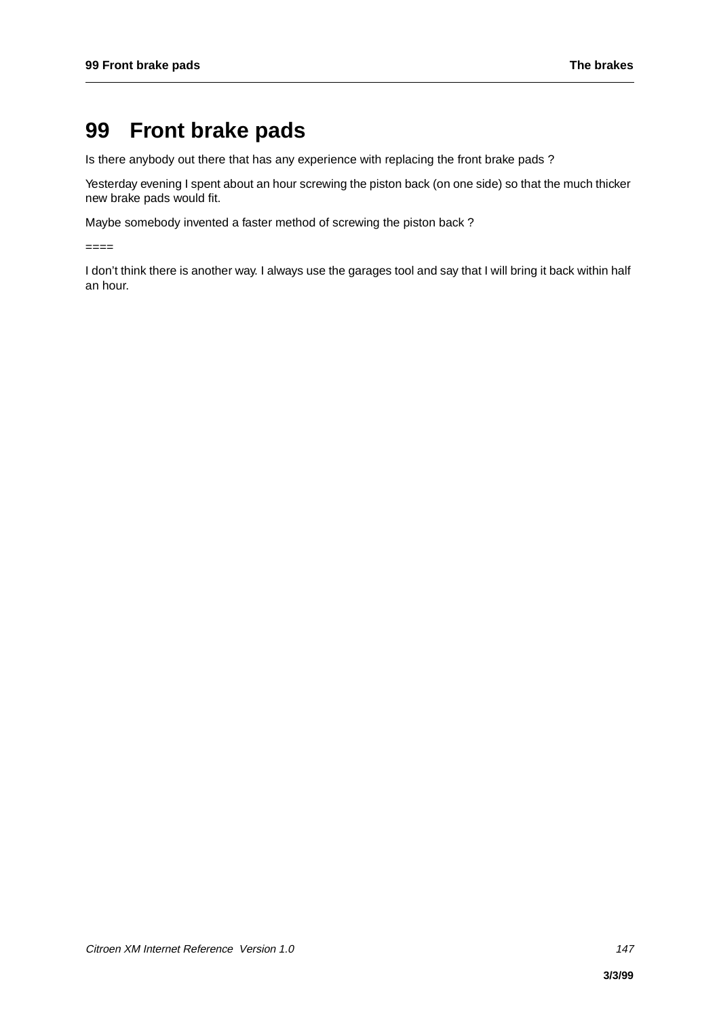## **99 Front brake pads**

Is there anybody out there that has any experience with replacing the front brake pads ?

Yesterday evening I spent about an hour screwing the piston back (on one side) so that the much thicker new brake pads would fit.

Maybe somebody invented a faster method of screwing the piston back ?

 $====$ 

I don't think there is another way. I always use the garages tool and say that I will bring it back within half an hour.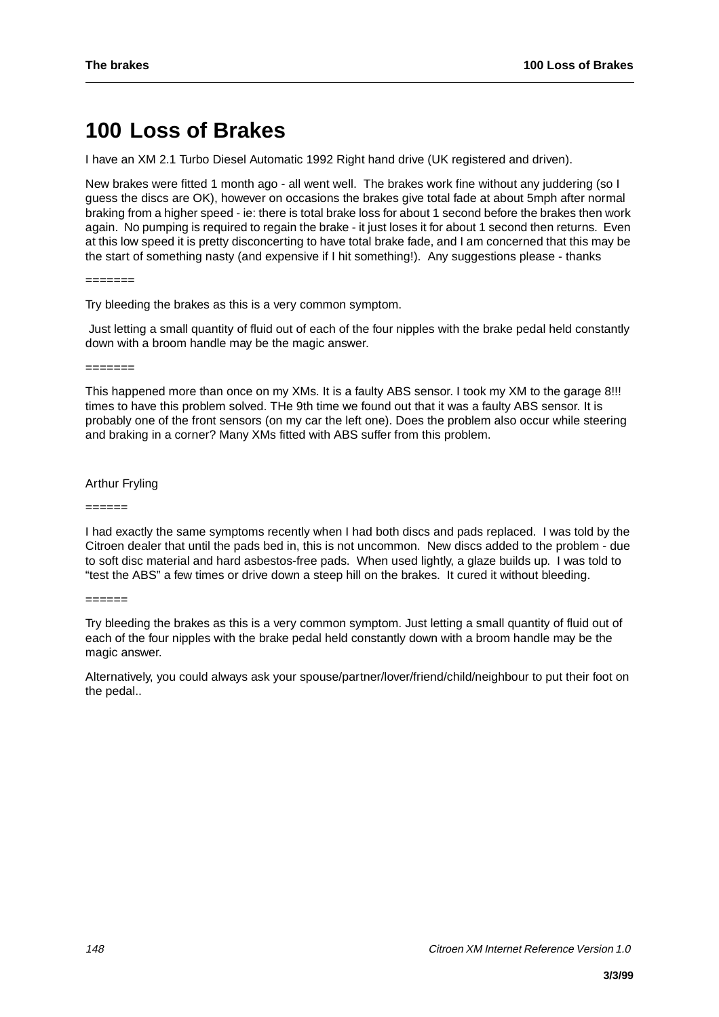### **100 Loss of Brakes**

I have an XM 2.1 Turbo Diesel Automatic 1992 Right hand drive (UK registered and driven).

New brakes were fitted 1 month ago - all went well. The brakes work fine without any juddering (so I guess the discs are OK), however on occasions the brakes give total fade at about 5mph after normal braking from a higher speed - ie: there is total brake loss for about 1 second before the brakes then work again. No pumping is required to regain the brake - it just loses it for about 1 second then returns. Even at this low speed it is pretty disconcerting to have total brake fade, and I am concerned that this may be the start of something nasty (and expensive if I hit something!). Any suggestions please - thanks

=======

Try bleeding the brakes as this is a very common symptom.

 Just letting a small quantity of fluid out of each of the four nipples with the brake pedal held constantly down with a broom handle may be the magic answer.

=======

This happened more than once on my XMs. It is a faulty ABS sensor. I took my XM to the garage 8!!! times to have this problem solved. THe 9th time we found out that it was a faulty ABS sensor. It is probably one of the front sensors (on my car the left one). Does the problem also occur while steering and braking in a corner? Many XMs fitted with ABS suffer from this problem.

Arthur Fryling

 $=$ 

I had exactly the same symptoms recently when I had both discs and pads replaced. I was told by the Citroen dealer that until the pads bed in, this is not uncommon. New discs added to the problem - due to soft disc material and hard asbestos-free pads. When used lightly, a glaze builds up. I was told to "test the ABS" a few times or drive down a steep hill on the brakes. It cured it without bleeding.

======

Try bleeding the brakes as this is a very common symptom. Just letting a small quantity of fluid out of each of the four nipples with the brake pedal held constantly down with a broom handle may be the magic answer.

Alternatively, you could always ask your spouse/partner/lover/friend/child/neighbour to put their foot on the pedal..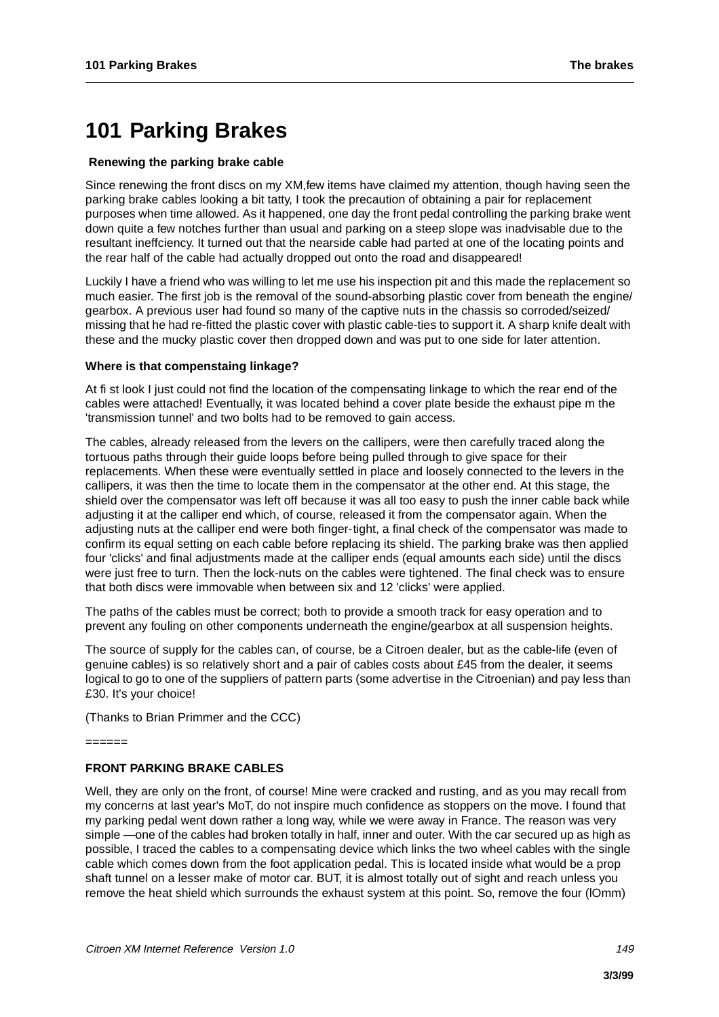# **101 Parking Brakes**

### **Renewing the parking brake cable**

Since renewing the front discs on my XM,few items have claimed my attention, though having seen the parking brake cables looking a bit tatty, I took the precaution of obtaining a pair for replacement purposes when time allowed. As it happened, one day the front pedal controlling the parking brake went down quite a few notches further than usual and parking on a steep slope was inadvisable due to the resultant ineffciency. It turned out that the nearside cable had parted at one of the locating points and the rear half of the cable had actually dropped out onto the road and disappeared!

Luckily I have a friend who was willing to let me use his inspection pit and this made the replacement so much easier. The first job is the removal of the sound-absorbing plastic cover from beneath the engine/ gearbox. A previous user had found so many of the captive nuts in the chassis so corroded/seized/ missing that he had re-fitted the plastic cover with plastic cable-ties to support it. A sharp knife dealt with these and the mucky plastic cover then dropped down and was put to one side for later attention.

### **Where is that compenstaing linkage?**

At fi st look I just could not find the location of the compensating linkage to which the rear end of the cables were attached! Eventually, it was located behind a cover plate beside the exhaust pipe m the 'transmission tunnel' and two bolts had to be removed to gain access.

The cables, already released from the levers on the callipers, were then carefully traced along the tortuous paths through their guide loops before being pulled through to give space for their replacements. When these were eventually settled in place and loosely connected to the levers in the callipers, it was then the time to locate them in the compensator at the other end. At this stage, the shield over the compensator was left off because it was all too easy to push the inner cable back while adjusting it at the calliper end which, of course, released it from the compensator again. When the adjusting nuts at the calliper end were both finger-tight, a final check of the compensator was made to confirm its equal setting on each cable before replacing its shield. The parking brake was then applied four 'clicks' and final adjustments made at the calliper ends (equal amounts each side) until the discs were just free to turn. Then the lock-nuts on the cables were tightened. The final check was to ensure that both discs were immovable when between six and 12 'clicks' were applied.

The paths of the cables must be correct; both to provide a smooth track for easy operation and to prevent any fouling on other components underneath the engine/gearbox at all suspension heights.

The source of supply for the cables can, of course, be a Citroen dealer, but as the cable-life (even of genuine cables) is so relatively short and a pair of cables costs about £45 from the dealer, it seems logical to go to one of the suppliers of pattern parts (some advertise in the Citroenian) and pay less than £30. It's your choice!

(Thanks to Brian Primmer and the CCC)

======

### **FRONT PARKING BRAKE CABLES**

Well, they are only on the front, of course! Mine were cracked and rusting, and as you may recall from my concerns at last year's MoT, do not inspire much confidence as stoppers on the move. I found that my parking pedal went down rather a long way, while we were away in France. The reason was very simple —one of the cables had broken totally in half, inner and outer. With the car secured up as high as possible, I traced the cables to a compensating device which links the two wheel cables with the single cable which comes down from the foot application pedal. This is located inside what would be a prop shaft tunnel on a lesser make of motor car. BUT, it is almost totally out of sight and reach unless you remove the heat shield which surrounds the exhaust system at this point. So, remove the four (lOmm)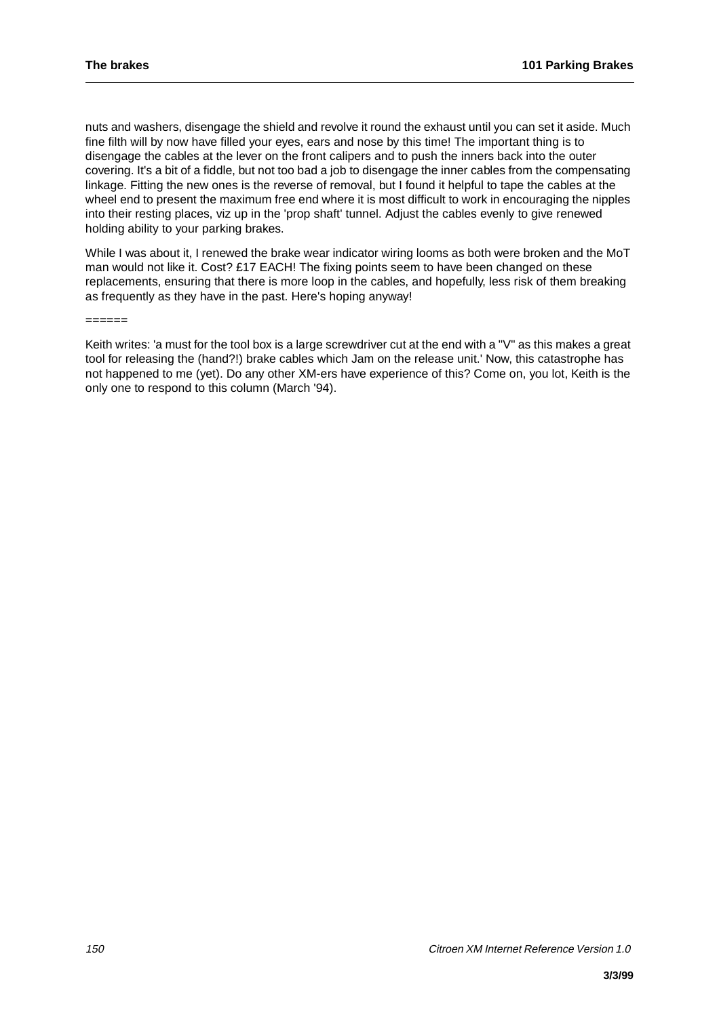nuts and washers, disengage the shield and revolve it round the exhaust until you can set it aside. Much fine filth will by now have filled your eyes, ears and nose by this time! The important thing is to disengage the cables at the lever on the front calipers and to push the inners back into the outer covering. It's a bit of a fiddle, but not too bad a job to disengage the inner cables from the compensating linkage. Fitting the new ones is the reverse of removal, but I found it helpful to tape the cables at the wheel end to present the maximum free end where it is most difficult to work in encouraging the nipples into their resting places, viz up in the 'prop shaft' tunnel. Adjust the cables evenly to give renewed holding ability to your parking brakes.

While I was about it, I renewed the brake wear indicator wiring looms as both were broken and the MoT man would not like it. Cost? £17 EACH! The fixing points seem to have been changed on these replacements, ensuring that there is more loop in the cables, and hopefully, less risk of them breaking as frequently as they have in the past. Here's hoping anyway!

======

Keith writes: 'a must for the tool box is a large screwdriver cut at the end with a "V" as this makes a great tool for releasing the (hand?!) brake cables which Jam on the release unit.' Now, this catastrophe has not happened to me (yet). Do any other XM-ers have experience of this? Come on, you lot, Keith is the only one to respond to this column (March '94).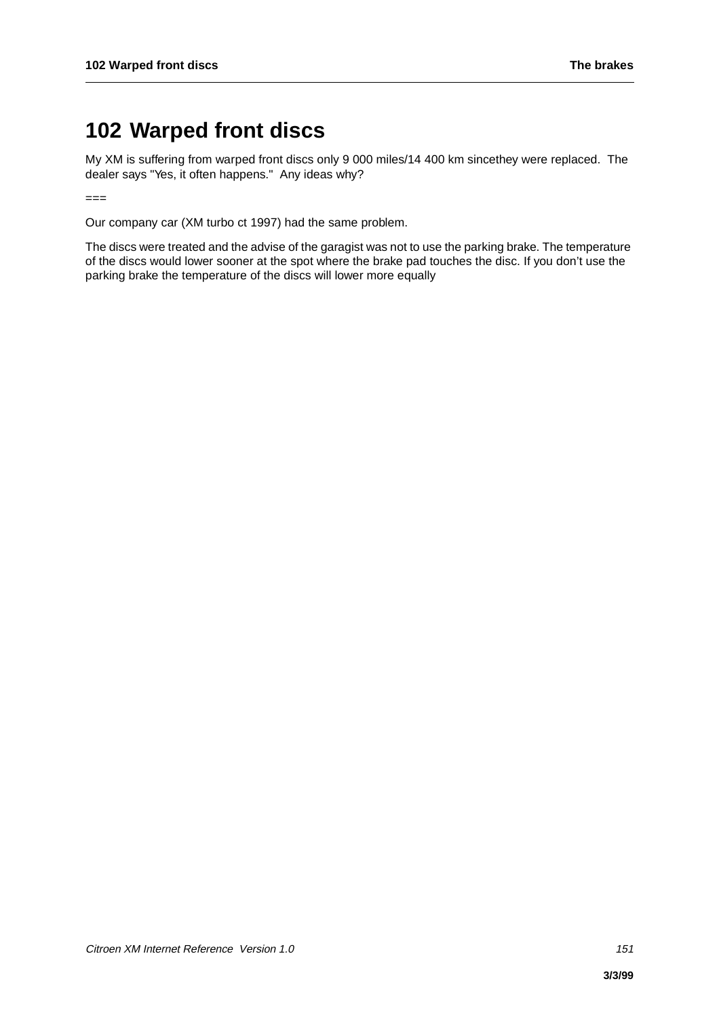# **102 Warped front discs**

My XM is suffering from warped front discs only 9 000 miles/14 400 km sincethey were replaced. The dealer says "Yes, it often happens." Any ideas why?

===

Our company car (XM turbo ct 1997) had the same problem.

The discs were treated and the advise of the garagist was not to use the parking brake. The temperature of the discs would lower sooner at the spot where the brake pad touches the disc. If you don't use the parking brake the temperature of the discs will lower more equally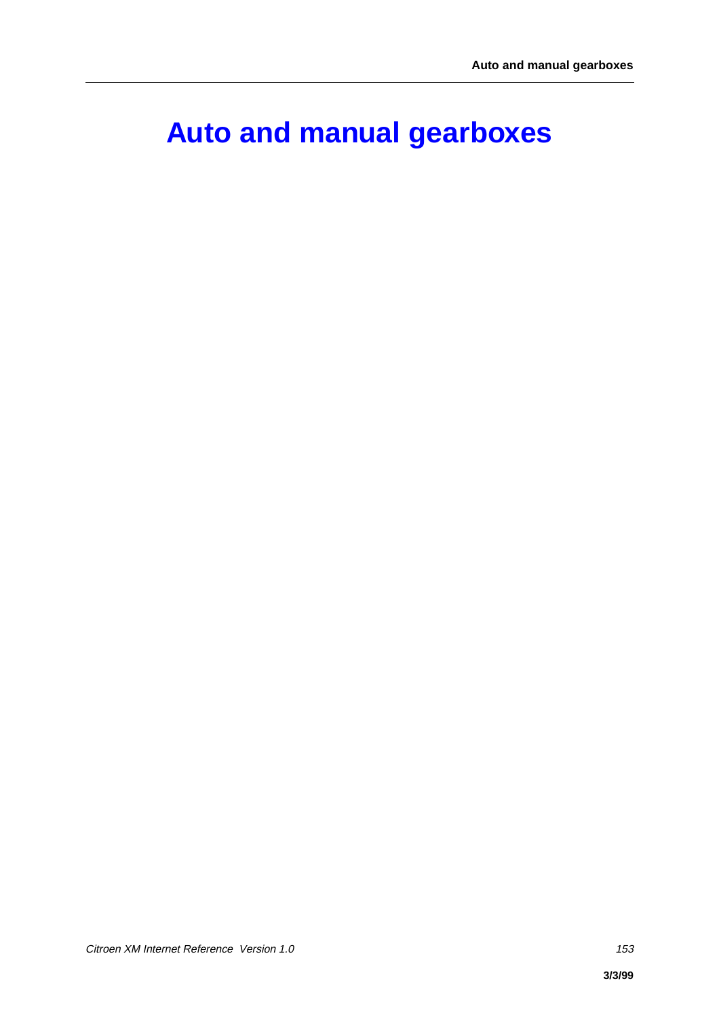# **Auto and manual gearboxes**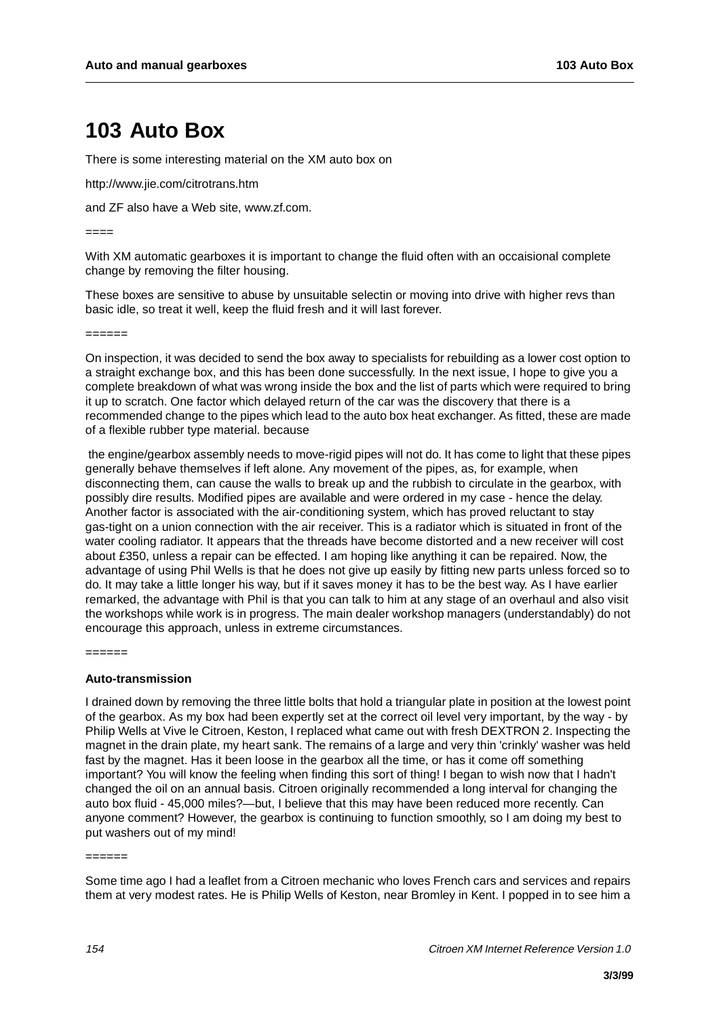### **103 Auto Box**

There is some interesting material on the XM auto box on

http://www.jie.com/citrotrans.htm

and ZF also have a Web site, www.zf.com.

====

With XM automatic gearboxes it is important to change the fluid often with an occaisional complete change by removing the filter housing.

These boxes are sensitive to abuse by unsuitable selectin or moving into drive with higher revs than basic idle, so treat it well, keep the fluid fresh and it will last forever.

======

On inspection, it was decided to send the box away to specialists for rebuilding as a lower cost option to a straight exchange box, and this has been done successfully. In the next issue, I hope to give you a complete breakdown of what was wrong inside the box and the list of parts which were required to bring it up to scratch. One factor which delayed return of the car was the discovery that there is a recommended change to the pipes which lead to the auto box heat exchanger. As fitted, these are made of a flexible rubber type material. because

 the engine/gearbox assembly needs to move-rigid pipes will not do. It has come to light that these pipes generally behave themselves if left alone. Any movement of the pipes, as, for example, when disconnecting them, can cause the walls to break up and the rubbish to circulate in the gearbox, with possibly dire results. Modified pipes are available and were ordered in my case - hence the delay. Another factor is associated with the air-conditioning system, which has proved reluctant to stay gas-tight on a union connection with the air receiver. This is a radiator which is situated in front of the water cooling radiator. It appears that the threads have become distorted and a new receiver will cost about £350, unless a repair can be effected. I am hoping like anything it can be repaired. Now, the advantage of using Phil Wells is that he does not give up easily by fitting new parts unless forced so to do. It may take a little longer his way, but if it saves money it has to be the best way. As I have earlier remarked, the advantage with Phil is that you can talk to him at any stage of an overhaul and also visit the workshops while work is in progress. The main dealer workshop managers (understandably) do not encourage this approach, unless in extreme circumstances.

======

#### **Auto-transmission**

I drained down by removing the three little bolts that hold a triangular plate in position at the lowest point of the gearbox. As my box had been expertly set at the correct oil level very important, by the way - by Philip Wells at Vive le Citroen, Keston, I replaced what came out with fresh DEXTRON 2. Inspecting the magnet in the drain plate, my heart sank. The remains of a large and very thin 'crinkly' washer was held fast by the magnet. Has it been loose in the gearbox all the time, or has it come off something important? You will know the feeling when finding this sort of thing! I began to wish now that I hadn't changed the oil on an annual basis. Citroen originally recommended a long interval for changing the auto box fluid - 45,000 miles?—but, I believe that this may have been reduced more recently. Can anyone comment? However, the gearbox is continuing to function smoothly, so I am doing my best to put washers out of my mind!

======

Some time ago I had a leaflet from a Citroen mechanic who loves French cars and services and repairs them at very modest rates. He is Philip Wells of Keston, near Bromley in Kent. I popped in to see him a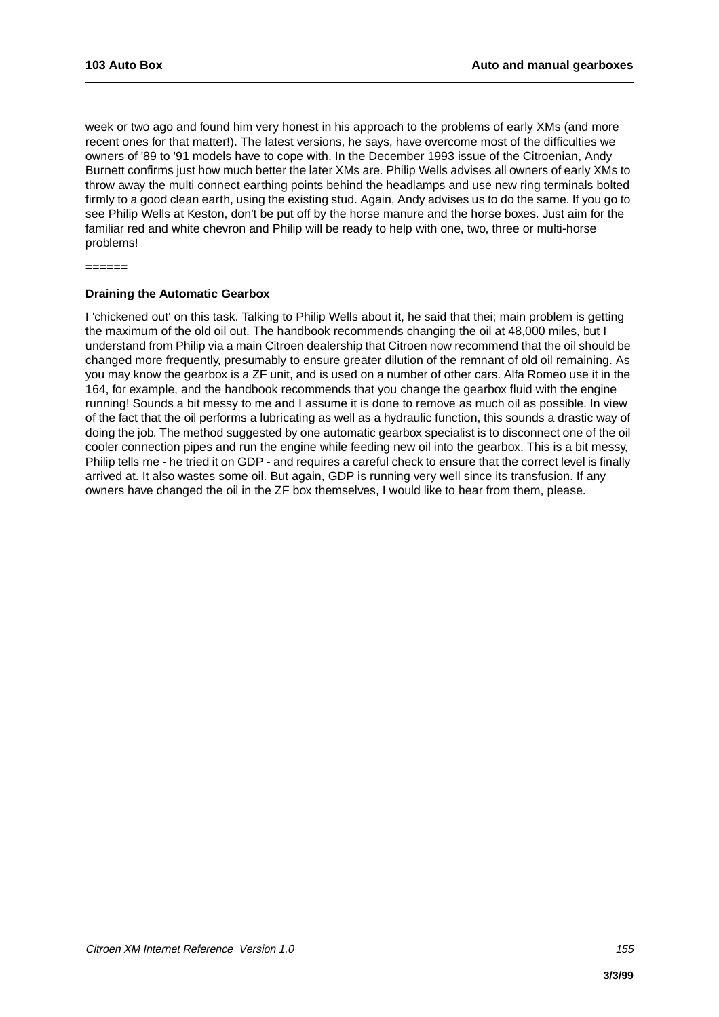week or two ago and found him very honest in his approach to the problems of early XMs (and more recent ones for that matter!). The latest versions, he says, have overcome most of the difficulties we owners of '89 to '91 models have to cope with. In the December 1993 issue of the Citroenian, Andy Burnett confirms just how much better the later XMs are. Philip Wells advises all owners of early XMs to throw away the multi connect earthing points behind the headlamps and use new ring terminals bolted firmly to a good clean earth, using the existing stud. Again, Andy advises us to do the same. If you go to see Philip Wells at Keston, don't be put off by the horse manure and the horse boxes. Just aim for the familiar red and white chevron and Philip will be ready to help with one, two, three or multi-horse problems!

======

#### **Draining the Automatic Gearbox**

I 'chickened out' on this task. Talking to Philip Wells about it, he said that thei; main problem is getting the maximum of the old oil out. The handbook recommends changing the oil at 48,000 miles, but I understand from Philip via a main Citroen dealership that Citroen now recommend that the oil should be changed more frequently, presumably to ensure greater dilution of the remnant of old oil remaining. As you may know the gearbox is a ZF unit, and is used on a number of other cars. Alfa Romeo use it in the 164, for example, and the handbook recommends that you change the gearbox fluid with the engine running! Sounds a bit messy to me and I assume it is done to remove as much oil as possible. In view of the fact that the oil performs a lubricating as well as a hydraulic function, this sounds a drastic way of doing the job. The method suggested by one automatic gearbox specialist is to disconnect one of the oil cooler connection pipes and run the engine while feeding new oil into the gearbox. This is a bit messy, Philip tells me - he tried it on GDP - and requires a careful check to ensure that the correct level is finally arrived at. It also wastes some oil. But again, GDP is running very well since its transfusion. If any owners have changed the oil in the ZF box themselves, I would like to hear from them, please.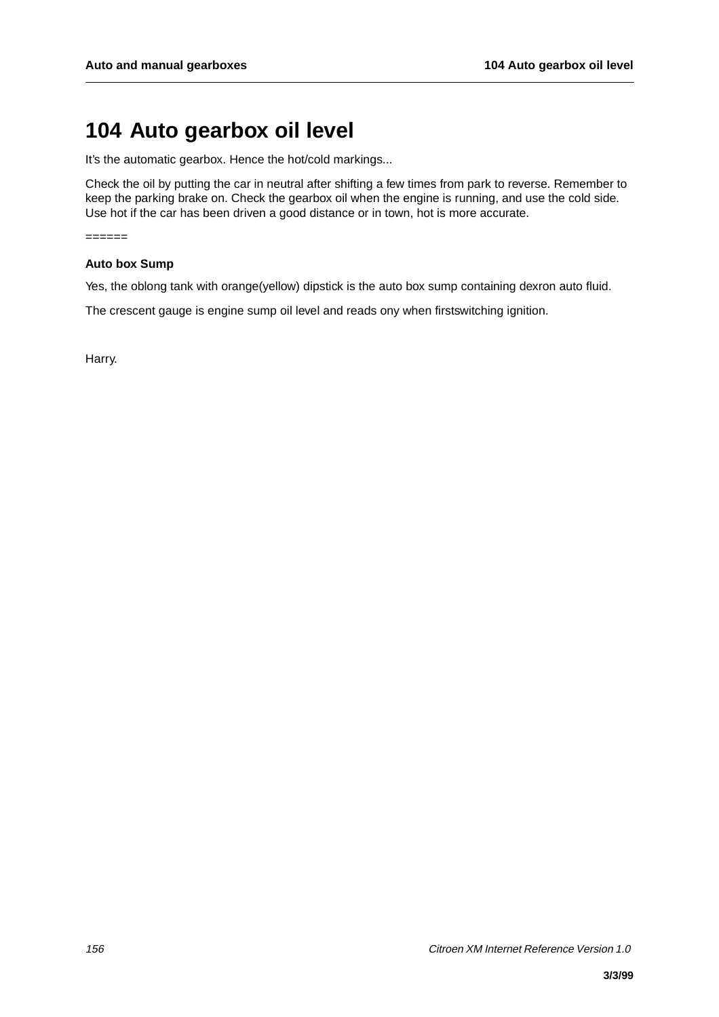### **104 Auto gearbox oil level**

It's the automatic gearbox. Hence the hot/cold markings...

Check the oil by putting the car in neutral after shifting a few times from park to reverse. Remember to keep the parking brake on. Check the gearbox oil when the engine is running, and use the cold side. Use hot if the car has been driven a good distance or in town, hot is more accurate.

======

#### **Auto box Sump**

Yes, the oblong tank with orange(yellow) dipstick is the auto box sump containing dexron auto fluid.

The crescent gauge is engine sump oil level and reads ony when firstswitching ignition.

Harry.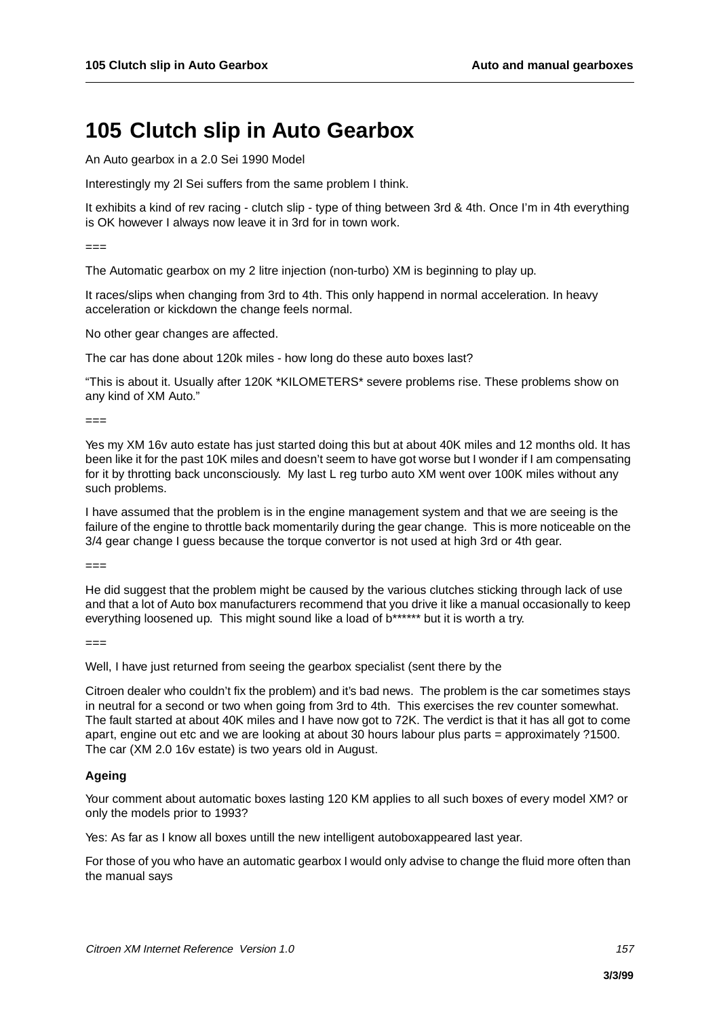### **105 Clutch slip in Auto Gearbox**

An Auto gearbox in a 2.0 Sei 1990 Model

Interestingly my 2l Sei suffers from the same problem I think.

It exhibits a kind of rev racing - clutch slip - type of thing between 3rd & 4th. Once I'm in 4th everything is OK however I always now leave it in 3rd for in town work.

 $==$ 

The Automatic gearbox on my 2 litre injection (non-turbo) XM is beginning to play up.

It races/slips when changing from 3rd to 4th. This only happend in normal acceleration. In heavy acceleration or kickdown the change feels normal.

No other gear changes are affected.

The car has done about 120k miles - how long do these auto boxes last?

"This is about it. Usually after 120K \*KILOMETERS\* severe problems rise. These problems show on any kind of XM Auto."

===

Yes my XM 16v auto estate has just started doing this but at about 40K miles and 12 months old. It has been like it for the past 10K miles and doesn't seem to have got worse but I wonder if I am compensating for it by throtting back unconsciously. My last L reg turbo auto XM went over 100K miles without any such problems.

I have assumed that the problem is in the engine management system and that we are seeing is the failure of the engine to throttle back momentarily during the gear change. This is more noticeable on the 3/4 gear change I guess because the torque convertor is not used at high 3rd or 4th gear.

 $---$ 

He did suggest that the problem might be caused by the various clutches sticking through lack of use and that a lot of Auto box manufacturers recommend that you drive it like a manual occasionally to keep everything loosened up. This might sound like a load of  $b^{****}$  but it is worth a try.

===

Well, I have just returned from seeing the gearbox specialist (sent there by the

Citroen dealer who couldn't fix the problem) and it's bad news. The problem is the car sometimes stays in neutral for a second or two when going from 3rd to 4th. This exercises the rev counter somewhat. The fault started at about 40K miles and I have now got to 72K. The verdict is that it has all got to come apart, engine out etc and we are looking at about 30 hours labour plus parts = approximately ?1500. The car (XM 2.0 16v estate) is two years old in August.

#### **Ageing**

Your comment about automatic boxes lasting 120 KM applies to all such boxes of every model XM? or only the models prior to 1993?

Yes: As far as I know all boxes untill the new intelligent autoboxappeared last year.

For those of you who have an automatic gearbox I would only advise to change the fluid more often than the manual says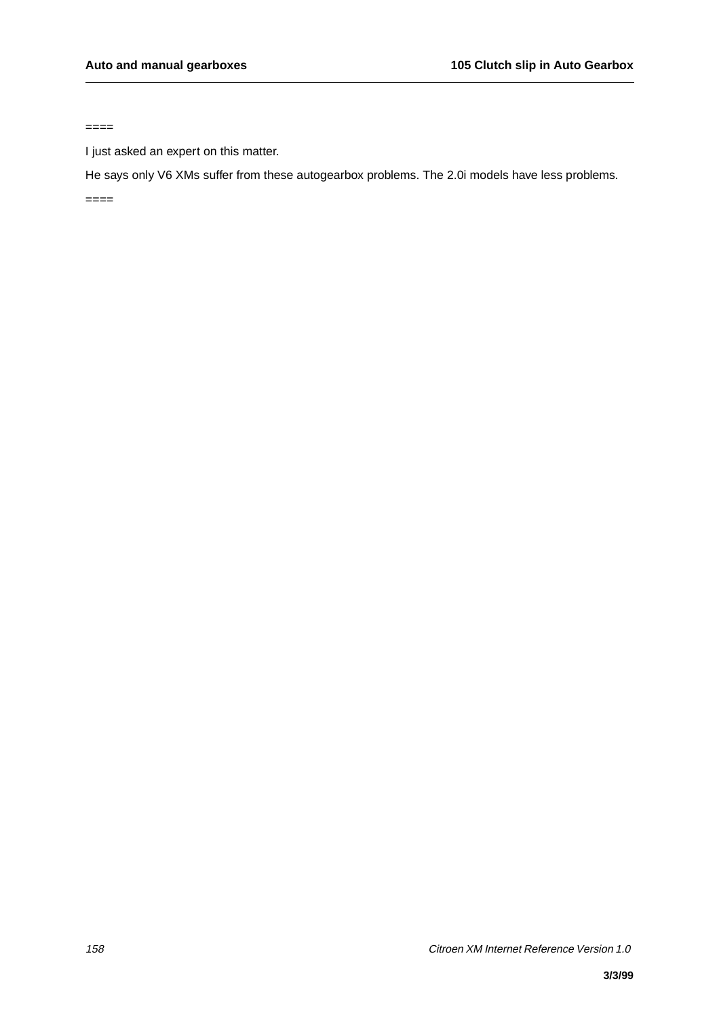$====$ 

I just asked an expert on this matter.

He says only V6 XMs suffer from these autogearbox problems. The 2.0i models have less problems.

 $====$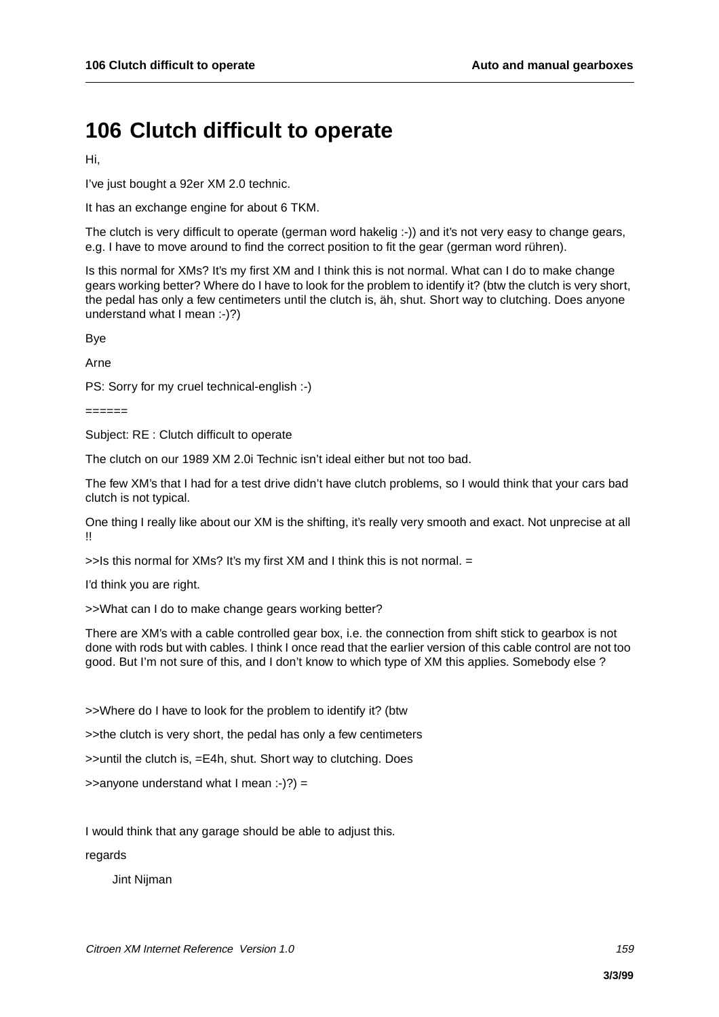### **106 Clutch difficult to operate**

Hi,

I've just bought a 92er XM 2.0 technic.

It has an exchange engine for about 6 TKM.

The clutch is very difficult to operate (german word hakelig :-)) and it's not very easy to change gears, e.g. I have to move around to find the correct position to fit the gear (german word rühren).

Is this normal for XMs? It's my first XM and I think this is not normal. What can I do to make change gears working better? Where do I have to look for the problem to identify it? (btw the clutch is very short, the pedal has only a few centimeters until the clutch is, äh, shut. Short way to clutching. Does anyone understand what I mean :-)?)

Bye

Arne

PS: Sorry for my cruel technical-english :-)

======

Subject: RE : Clutch difficult to operate

The clutch on our 1989 XM 2.0i Technic isn't ideal either but not too bad.

The few XM's that I had for a test drive didn't have clutch problems, so I would think that your cars bad clutch is not typical.

One thing I really like about our XM is the shifting, it's really very smooth and exact. Not unprecise at all !!

>>Is this normal for XMs? It's my first XM and I think this is not normal. =

I'd think you are right.

>>What can I do to make change gears working better?

There are XM's with a cable controlled gear box, i.e. the connection from shift stick to gearbox is not done with rods but with cables. I think I once read that the earlier version of this cable control are not too good. But I'm not sure of this, and I don't know to which type of XM this applies. Somebody else ?

>>Where do I have to look for the problem to identify it? (btw

>>the clutch is very short, the pedal has only a few centimeters

>>until the clutch is, =E4h, shut. Short way to clutching. Does

>>anyone understand what I mean :-)?) =

I would think that any garage should be able to adjust this.

regards

Jint Nijman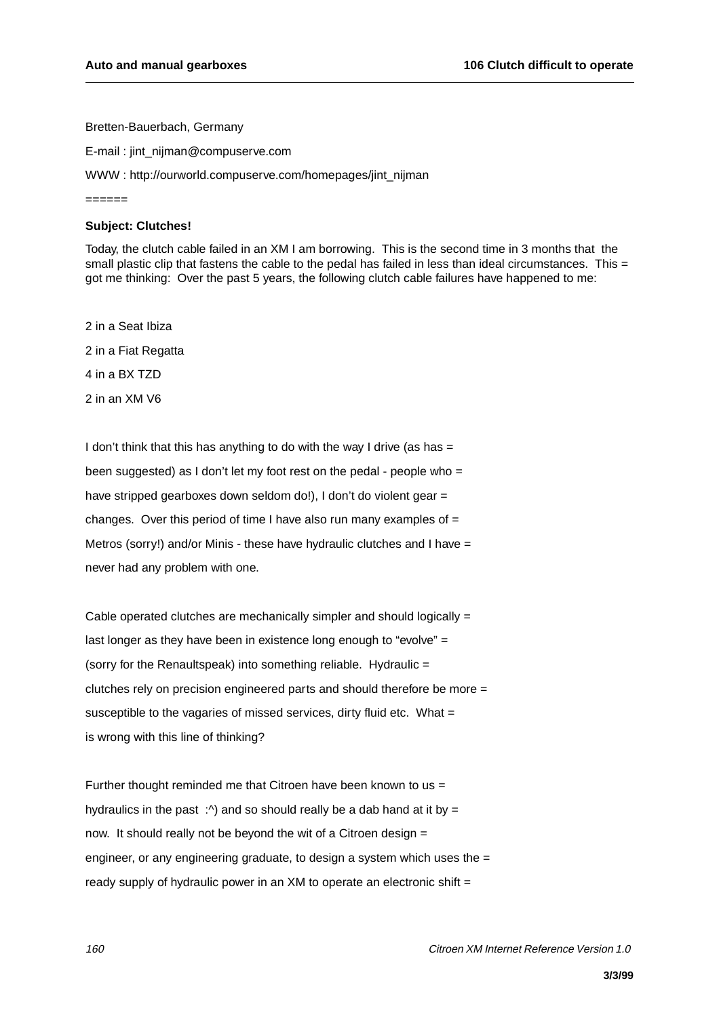Bretten-Bauerbach, Germany

E-mail : jint\_nijman@compuserve.com

WWW : http://ourworld.compuserve.com/homepages/jint\_nijman

======

#### **Subject: Clutches!**

Today, the clutch cable failed in an XM I am borrowing. This is the second time in 3 months that the small plastic clip that fastens the cable to the pedal has failed in less than ideal circumstances. This = got me thinking: Over the past 5 years, the following clutch cable failures have happened to me:

2 in a Seat Ibiza 2 in a Fiat Regatta 4 in a BX TZD 2 in an XM V6

I don't think that this has anything to do with the way I drive (as has  $=$ been suggested) as I don't let my foot rest on the pedal - people who = have stripped gearboxes down seldom do!), I don't do violent gear = changes. Over this period of time I have also run many examples of = Metros (sorry!) and/or Minis - these have hydraulic clutches and I have = never had any problem with one.

Cable operated clutches are mechanically simpler and should logically = last longer as they have been in existence long enough to "evolve" = (sorry for the Renaultspeak) into something reliable. Hydraulic = clutches rely on precision engineered parts and should therefore be more = susceptible to the vagaries of missed services, dirty fluid etc. What = is wrong with this line of thinking?

Further thought reminded me that Citroen have been known to us = hydraulics in the past  $\therefore$  and so should really be a dab hand at it by = now. It should really not be beyond the wit of a Citroen design = engineer, or any engineering graduate, to design a system which uses the = ready supply of hydraulic power in an XM to operate an electronic shift =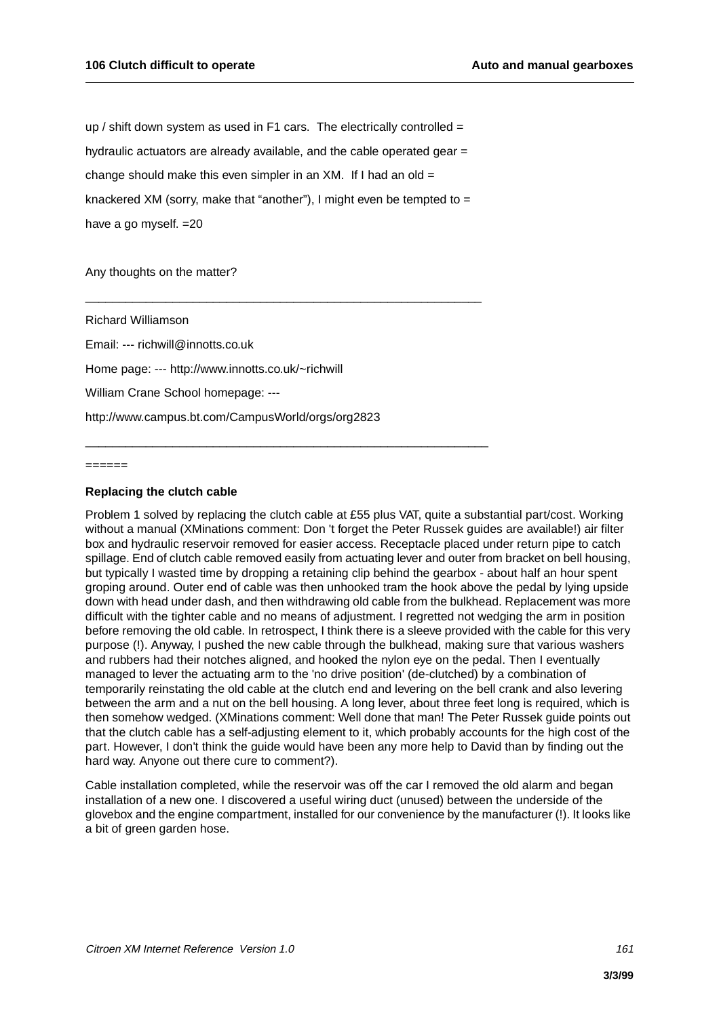up / shift down system as used in F1 cars. The electrically controlled  $=$ hydraulic actuators are already available, and the cable operated gear = change should make this even simpler in an XM. If I had an old  $=$ knackered XM (sorry, make that "another"), I might even be tempted to  $=$ have a go myself. =20

\_\_\_\_\_\_\_\_\_\_\_\_\_\_\_\_\_\_\_\_\_\_\_\_\_\_\_\_\_\_\_\_\_\_\_\_\_\_\_\_\_\_\_\_\_\_\_\_\_\_\_\_\_\_\_\_\_\_\_

\_\_\_\_\_\_\_\_\_\_\_\_\_\_\_\_\_\_\_\_\_\_\_\_\_\_\_\_\_\_\_\_\_\_\_\_\_\_\_\_\_\_\_\_\_\_\_\_\_\_\_\_\_\_\_\_\_\_\_\_

Any thoughts on the matter?

Richard Williamson

Email: --- richwill@innotts.co.uk Home page: --- http://www.innotts.co.uk/~richwill William Crane School homepage: -- http://www.campus.bt.com/CampusWorld/orgs/org2823

======

#### **Replacing the clutch cable**

Problem 1 solved by replacing the clutch cable at £55 plus VAT, quite a substantial part/cost. Working without a manual (XMinations comment: Don 't forget the Peter Russek guides are available!) air filter box and hydraulic reservoir removed for easier access. Receptacle placed under return pipe to catch spillage. End of clutch cable removed easily from actuating lever and outer from bracket on bell housing, but typically I wasted time by dropping a retaining clip behind the gearbox - about half an hour spent groping around. Outer end of cable was then unhooked tram the hook above the pedal by lying upside down with head under dash, and then withdrawing old cable from the bulkhead. Replacement was more difficult with the tighter cable and no means of adjustment. I regretted not wedging the arm in position before removing the old cable. In retrospect, I think there is a sleeve provided with the cable for this very purpose (!). Anyway, I pushed the new cable through the bulkhead, making sure that various washers and rubbers had their notches aligned, and hooked the nylon eye on the pedal. Then I eventually managed to lever the actuating arm to the 'no drive position' (de-clutched) by a combination of temporarily reinstating the old cable at the clutch end and levering on the bell crank and also levering between the arm and a nut on the bell housing. A long lever, about three feet long is required, which is then somehow wedged. (XMinations comment: Well done that man! The Peter Russek guide points out that the clutch cable has a self-adjusting element to it, which probably accounts for the high cost of the part. However, I don't think the guide would have been any more help to David than by finding out the hard way. Anyone out there cure to comment?).

Cable installation completed, while the reservoir was off the car I removed the old alarm and began installation of a new one. I discovered a useful wiring duct (unused) between the underside of the glovebox and the engine compartment, installed for our convenience by the manufacturer (!). It looks like a bit of green garden hose.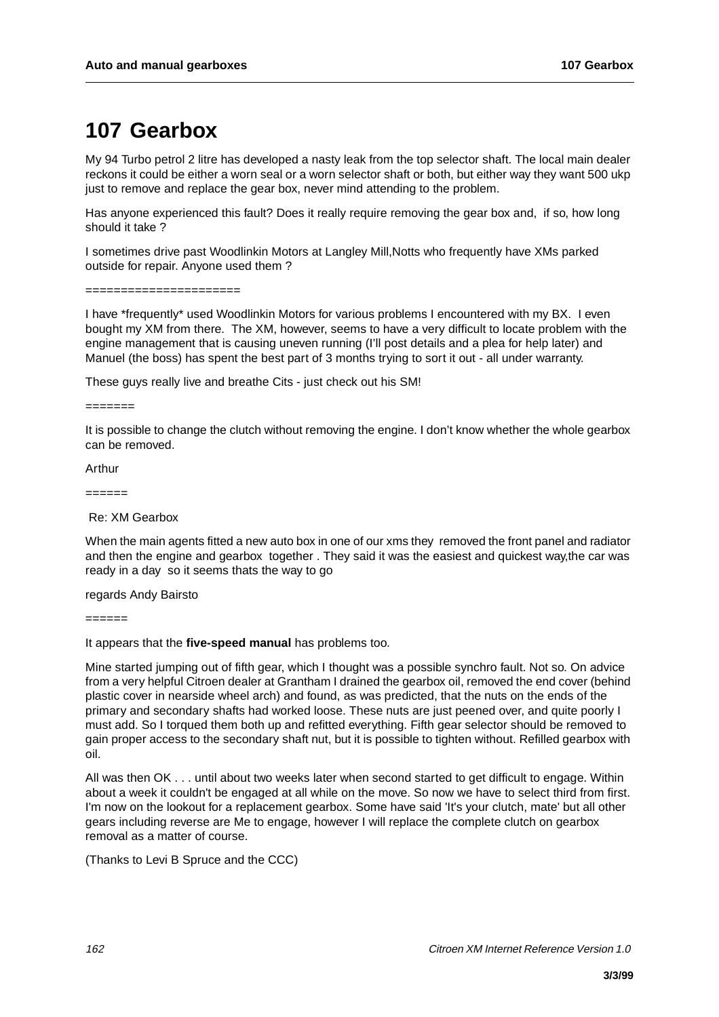### **107 Gearbox**

My 94 Turbo petrol 2 litre has developed a nasty leak from the top selector shaft. The local main dealer reckons it could be either a worn seal or a worn selector shaft or both, but either way they want 500 ukp just to remove and replace the gear box, never mind attending to the problem.

Has anyone experienced this fault? Does it really require removing the gear box and, if so, how long should it take ?

I sometimes drive past Woodlinkin Motors at Langley Mill,Notts who frequently have XMs parked outside for repair. Anyone used them ?

======================

I have \*frequently\* used Woodlinkin Motors for various problems I encountered with my BX. I even bought my XM from there. The XM, however, seems to have a very difficult to locate problem with the engine management that is causing uneven running (I'll post details and a plea for help later) and Manuel (the boss) has spent the best part of 3 months trying to sort it out - all under warranty.

These guys really live and breathe Cits - just check out his SM!

=======

It is possible to change the clutch without removing the engine. I don't know whether the whole gearbox can be removed.

Arthur

======

Re: XM Gearbox

When the main agents fitted a new auto box in one of our xms they removed the front panel and radiator and then the engine and gearbox together . They said it was the easiest and quickest way,the car was ready in a day so it seems thats the way to go

regards Andy Bairsto

======

It appears that the **five-speed manual** has problems too.

Mine started jumping out of fifth gear, which I thought was a possible synchro fault. Not so. On advice from a very helpful Citroen dealer at Grantham I drained the gearbox oil, removed the end cover (behind plastic cover in nearside wheel arch) and found, as was predicted, that the nuts on the ends of the primary and secondary shafts had worked loose. These nuts are just peened over, and quite poorly I must add. So I torqued them both up and refitted everything. Fifth gear selector should be removed to gain proper access to the secondary shaft nut, but it is possible to tighten without. Refilled gearbox with oil.

All was then OK . . . until about two weeks later when second started to get difficult to engage. Within about a week it couldn't be engaged at all while on the move. So now we have to select third from first. I'm now on the lookout for a replacement gearbox. Some have said 'It's your clutch, mate' but all other gears including reverse are Me to engage, however I will replace the complete clutch on gearbox removal as a matter of course.

(Thanks to Levi B Spruce and the CCC)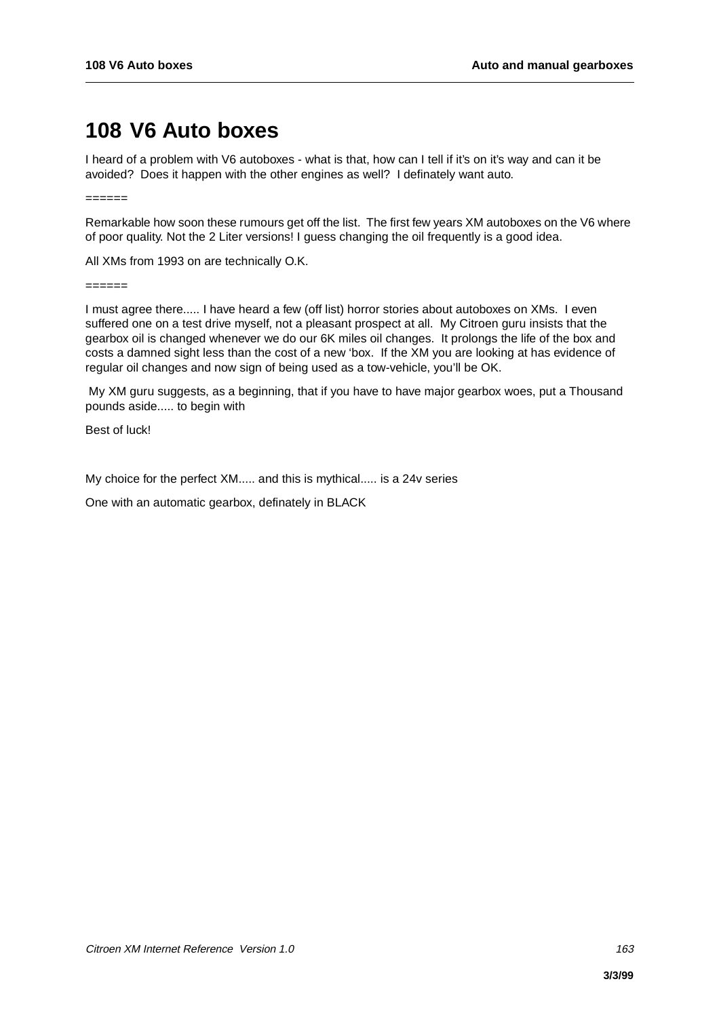### **108 V6 Auto boxes**

I heard of a problem with V6 autoboxes - what is that, how can I tell if it's on it's way and can it be avoided? Does it happen with the other engines as well? I definately want auto.

 $=$ 

 $=$ 

Remarkable how soon these rumours get off the list. The first few years XM autoboxes on the V6 where of poor quality. Not the 2 Liter versions! I guess changing the oil frequently is a good idea.

All XMs from 1993 on are technically O.K.

I must agree there..... I have heard a few (off list) horror stories about autoboxes on XMs. I even suffered one on a test drive myself, not a pleasant prospect at all. My Citroen guru insists that the gearbox oil is changed whenever we do our 6K miles oil changes. It prolongs the life of the box and costs a damned sight less than the cost of a new 'box. If the XM you are looking at has evidence of regular oil changes and now sign of being used as a tow-vehicle, you'll be OK.

 My XM guru suggests, as a beginning, that if you have to have major gearbox woes, put a Thousand pounds aside..... to begin with

Best of luck!

My choice for the perfect XM..... and this is mythical..... is a 24v series

One with an automatic gearbox, definately in BLACK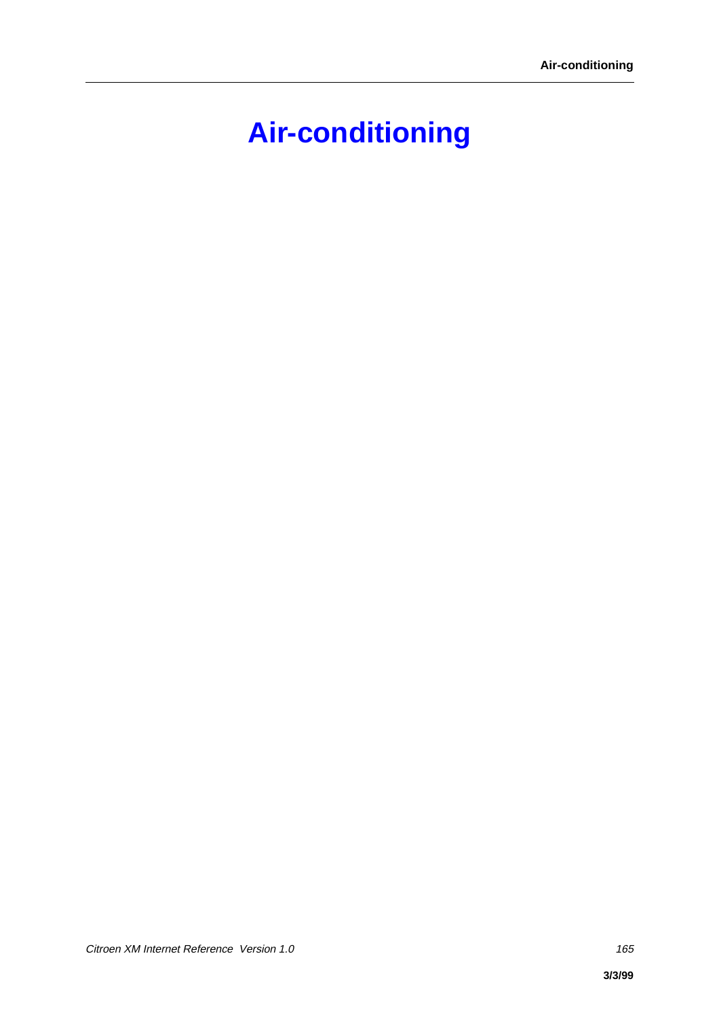# **Air-conditioning**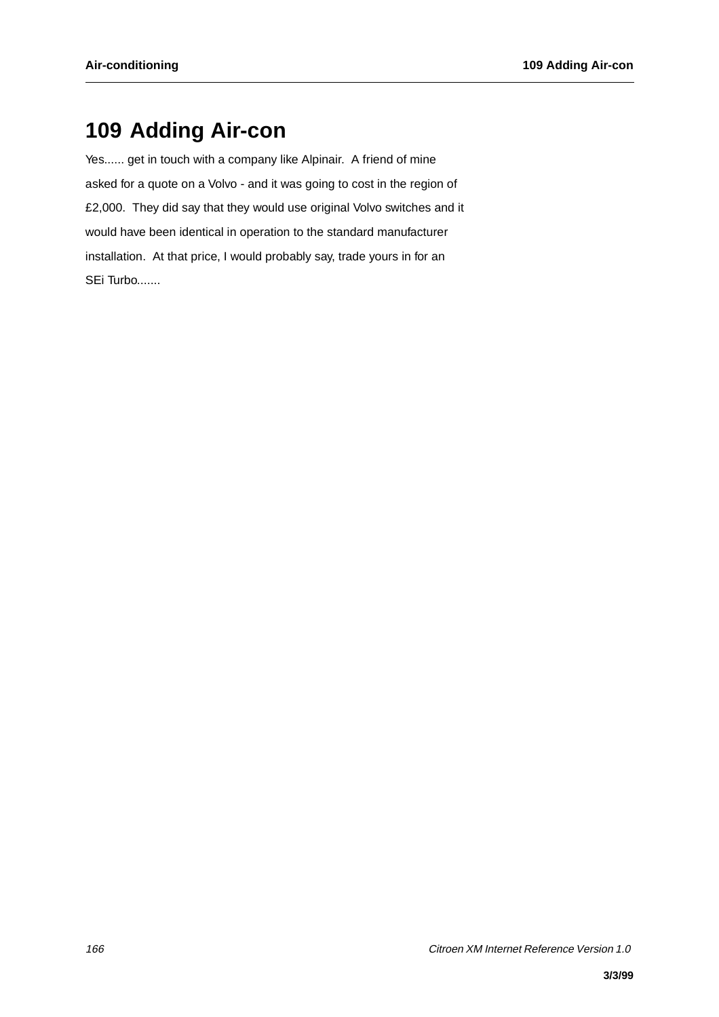# **109 Adding Air-con**

Yes...... get in touch with a company like Alpinair. A friend of mine asked for a quote on a Volvo - and it was going to cost in the region of £2,000. They did say that they would use original Volvo switches and it would have been identical in operation to the standard manufacturer installation. At that price, I would probably say, trade yours in for an SEi Turbo.......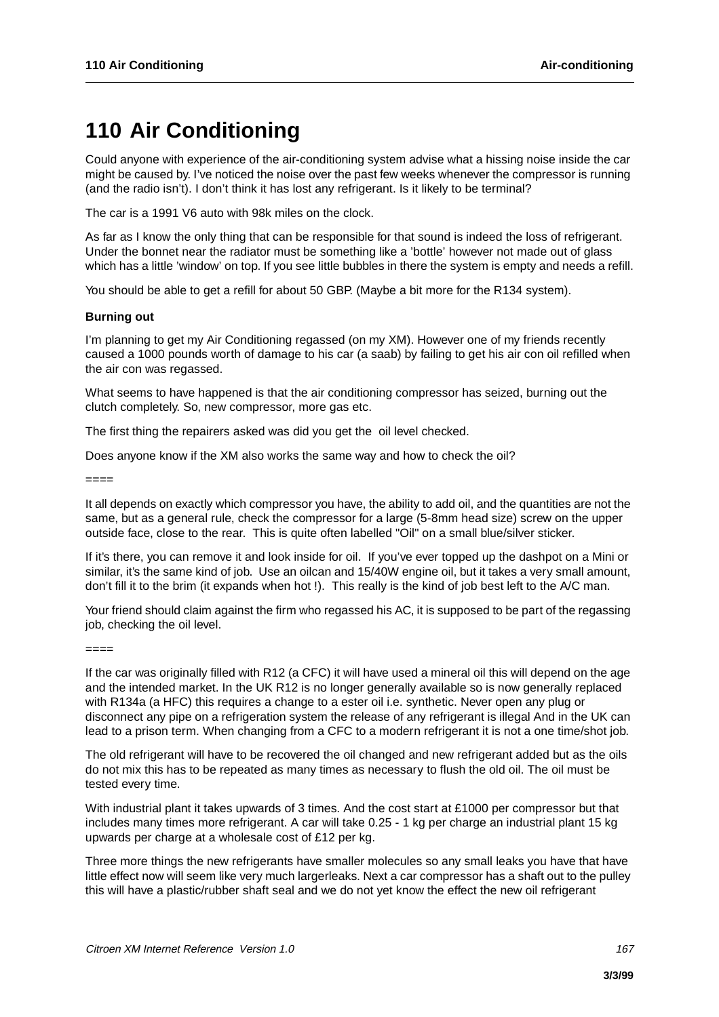# **110 Air Conditioning**

Could anyone with experience of the air-conditioning system advise what a hissing noise inside the car might be caused by. I've noticed the noise over the past few weeks whenever the compressor is running (and the radio isn't). I don't think it has lost any refrigerant. Is it likely to be terminal?

The car is a 1991 V6 auto with 98k miles on the clock.

As far as I know the only thing that can be responsible for that sound is indeed the loss of refrigerant. Under the bonnet near the radiator must be something like a 'bottle' however not made out of glass which has a little 'window' on top. If you see little bubbles in there the system is empty and needs a refill.

You should be able to get a refill for about 50 GBP. (Maybe a bit more for the R134 system).

#### **Burning out**

I'm planning to get my Air Conditioning regassed (on my XM). However one of my friends recently caused a 1000 pounds worth of damage to his car (a saab) by failing to get his air con oil refilled when the air con was regassed.

What seems to have happened is that the air conditioning compressor has seized, burning out the clutch completely. So, new compressor, more gas etc.

The first thing the repairers asked was did you get the oil level checked.

Does anyone know if the XM also works the same way and how to check the oil?

====

It all depends on exactly which compressor you have, the ability to add oil, and the quantities are not the same, but as a general rule, check the compressor for a large (5-8mm head size) screw on the upper outside face, close to the rear. This is quite often labelled "Oil" on a small blue/silver sticker.

If it's there, you can remove it and look inside for oil. If you've ever topped up the dashpot on a Mini or similar, it's the same kind of job. Use an oilcan and 15/40W engine oil, but it takes a very small amount, don't fill it to the brim (it expands when hot !). This really is the kind of job best left to the A/C man.

Your friend should claim against the firm who regassed his AC, it is supposed to be part of the regassing job, checking the oil level.

====

If the car was originally filled with R12 (a CFC) it will have used a mineral oil this will depend on the age and the intended market. In the UK R12 is no longer generally available so is now generally replaced with R134a (a HFC) this requires a change to a ester oil i.e. synthetic. Never open any plug or disconnect any pipe on a refrigeration system the release of any refrigerant is illegal And in the UK can lead to a prison term. When changing from a CFC to a modern refrigerant it is not a one time/shot job.

The old refrigerant will have to be recovered the oil changed and new refrigerant added but as the oils do not mix this has to be repeated as many times as necessary to flush the old oil. The oil must be tested every time.

With industrial plant it takes upwards of 3 times. And the cost start at £1000 per compressor but that includes many times more refrigerant. A car will take 0.25 - 1 kg per charge an industrial plant 15 kg upwards per charge at a wholesale cost of £12 per kg.

Three more things the new refrigerants have smaller molecules so any small leaks you have that have little effect now will seem like very much largerleaks. Next a car compressor has a shaft out to the pulley this will have a plastic/rubber shaft seal and we do not yet know the effect the new oil refrigerant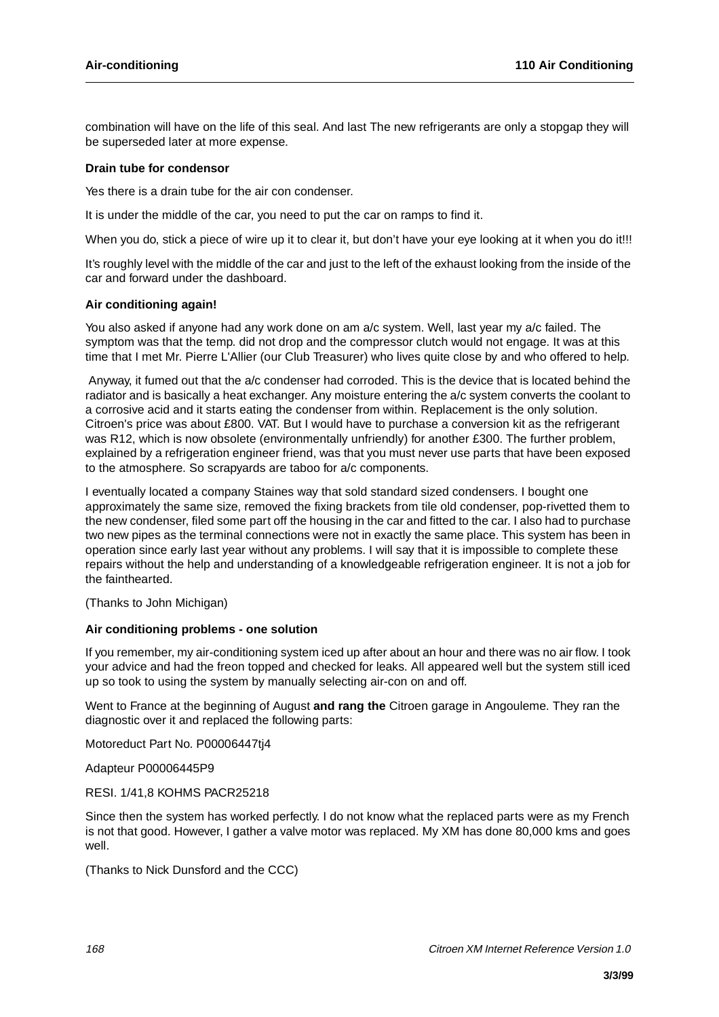combination will have on the life of this seal. And last The new refrigerants are only a stopgap they will be superseded later at more expense.

#### **Drain tube for condensor**

Yes there is a drain tube for the air con condenser.

It is under the middle of the car, you need to put the car on ramps to find it.

When you do, stick a piece of wire up it to clear it, but don't have your eye looking at it when you do it!!!

It's roughly level with the middle of the car and just to the left of the exhaust looking from the inside of the car and forward under the dashboard.

#### **Air conditioning again!**

You also asked if anyone had any work done on am a/c system. Well, last year my a/c failed. The symptom was that the temp. did not drop and the compressor clutch would not engage. It was at this time that I met Mr. Pierre L'Allier (our Club Treasurer) who lives quite close by and who offered to help.

 Anyway, it fumed out that the a/c condenser had corroded. This is the device that is located behind the radiator and is basically a heat exchanger. Any moisture entering the a/c system converts the coolant to a corrosive acid and it starts eating the condenser from within. Replacement is the only solution. Citroen's price was about £800. VAT. But I would have to purchase a conversion kit as the refrigerant was R12, which is now obsolete (environmentally unfriendly) for another £300. The further problem, explained by a refrigeration engineer friend, was that you must never use parts that have been exposed to the atmosphere. So scrapyards are taboo for a/c components.

I eventually located a company Staines way that sold standard sized condensers. I bought one approximately the same size, removed the fixing brackets from tile old condenser, pop-rivetted them to the new condenser, filed some part off the housing in the car and fitted to the car. I also had to purchase two new pipes as the terminal connections were not in exactly the same place. This system has been in operation since early last year without any problems. I will say that it is impossible to complete these repairs without the help and understanding of a knowledgeable refrigeration engineer. It is not a job for the fainthearted.

(Thanks to John Michigan)

#### **Air conditioning problems - one solution**

If you remember, my air-conditioning system iced up after about an hour and there was no air flow. I took your advice and had the freon topped and checked for leaks. All appeared well but the system still iced up so took to using the system by manually selecting air-con on and off.

Went to France at the beginning of August **and rang the** Citroen garage in Angouleme. They ran the diagnostic over it and replaced the following parts:

Motoreduct Part No. P00006447tj4

Adapteur P00006445P9

RESI. 1/41,8 KOHMS PACR25218

Since then the system has worked perfectly. I do not know what the replaced parts were as my French is not that good. However, I gather a valve motor was replaced. My XM has done 80,000 kms and goes well.

(Thanks to Nick Dunsford and the CCC)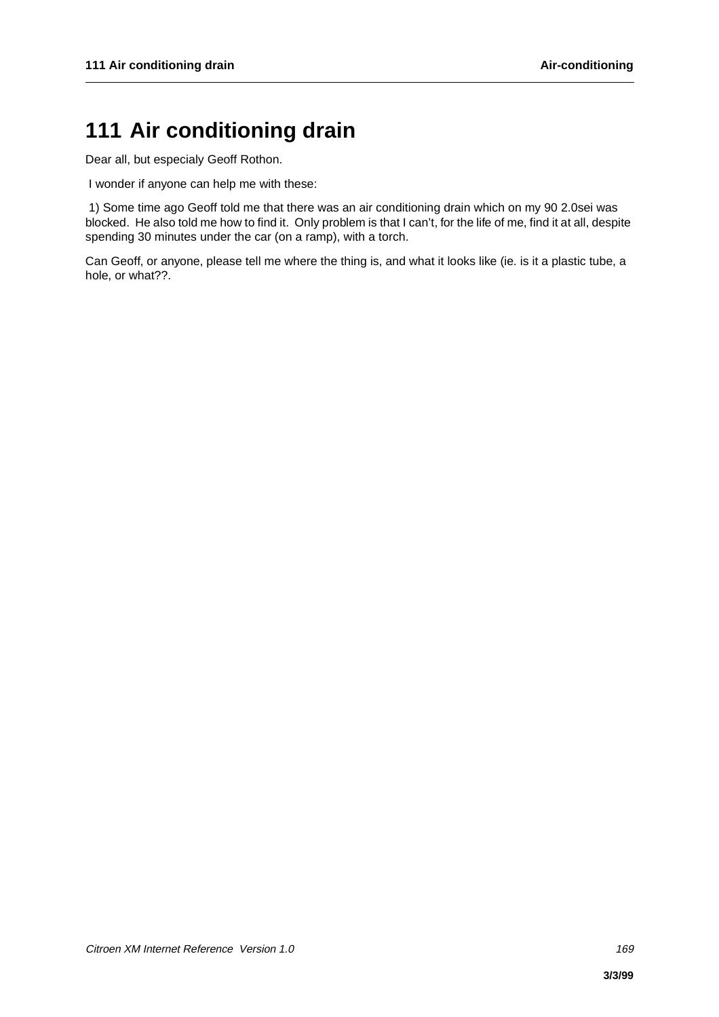# **111 Air conditioning drain**

Dear all, but especialy Geoff Rothon.

I wonder if anyone can help me with these:

 1) Some time ago Geoff told me that there was an air conditioning drain which on my 90 2.0sei was blocked. He also told me how to find it. Only problem is that I can't, for the life of me, find it at all, despite spending 30 minutes under the car (on a ramp), with a torch.

Can Geoff, or anyone, please tell me where the thing is, and what it looks like (ie. is it a plastic tube, a hole, or what??.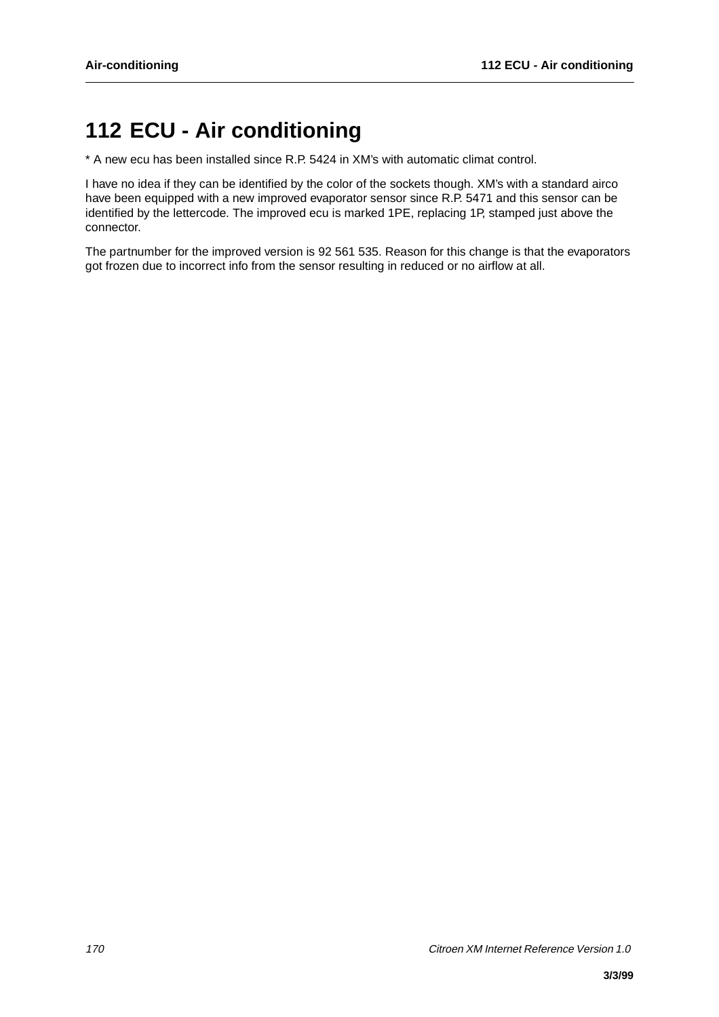# **112 ECU - Air conditioning**

\* A new ecu has been installed since R.P. 5424 in XM's with automatic climat control.

I have no idea if they can be identified by the color of the sockets though. XM's with a standard airco have been equipped with a new improved evaporator sensor since R.P. 5471 and this sensor can be identified by the lettercode. The improved ecu is marked 1PE, replacing 1P, stamped just above the connector.

The partnumber for the improved version is 92 561 535. Reason for this change is that the evaporators got frozen due to incorrect info from the sensor resulting in reduced or no airflow at all.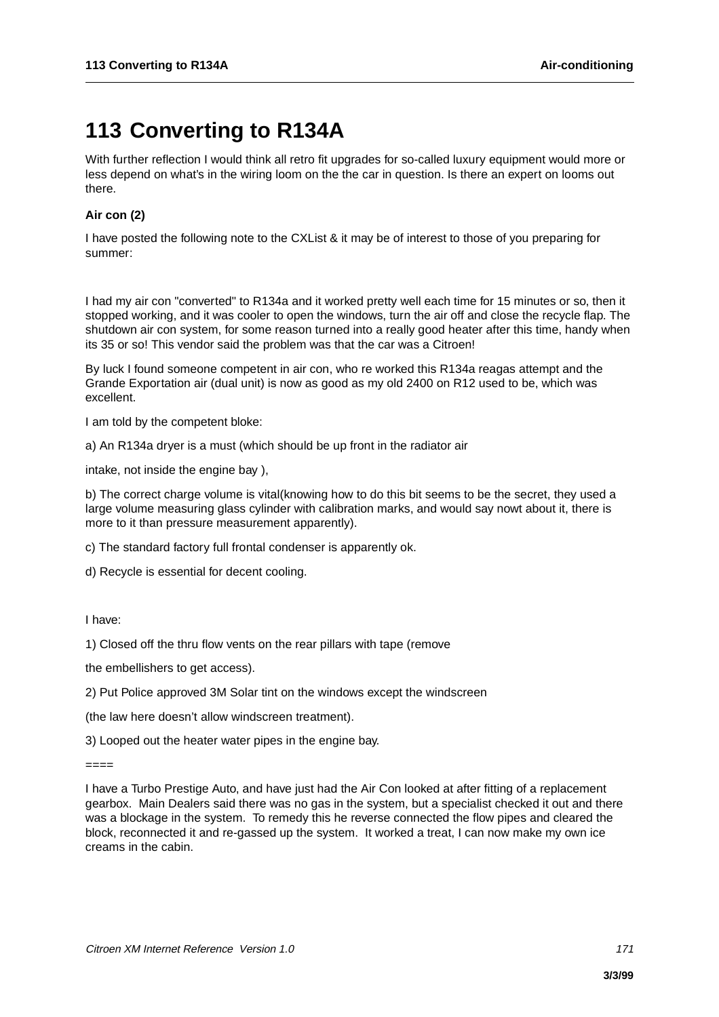# **113 Converting to R134A**

With further reflection I would think all retro fit upgrades for so-called luxury equipment would more or less depend on what's in the wiring loom on the the car in question. Is there an expert on looms out there.

### **Air con (2)**

I have posted the following note to the CXList & it may be of interest to those of you preparing for summer:

I had my air con "converted" to R134a and it worked pretty well each time for 15 minutes or so, then it stopped working, and it was cooler to open the windows, turn the air off and close the recycle flap. The shutdown air con system, for some reason turned into a really good heater after this time, handy when its 35 or so! This vendor said the problem was that the car was a Citroen!

By luck I found someone competent in air con, who re worked this R134a reagas attempt and the Grande Exportation air (dual unit) is now as good as my old 2400 on R12 used to be, which was excellent.

I am told by the competent bloke:

a) An R134a dryer is a must (which should be up front in the radiator air

intake, not inside the engine bay ),

b) The correct charge volume is vital(knowing how to do this bit seems to be the secret, they used a large volume measuring glass cylinder with calibration marks, and would say nowt about it, there is more to it than pressure measurement apparently).

c) The standard factory full frontal condenser is apparently ok.

d) Recycle is essential for decent cooling.

I have:

1) Closed off the thru flow vents on the rear pillars with tape (remove

the embellishers to get access).

2) Put Police approved 3M Solar tint on the windows except the windscreen

(the law here doesn't allow windscreen treatment).

3) Looped out the heater water pipes in the engine bay.

====

I have a Turbo Prestige Auto, and have just had the Air Con looked at after fitting of a replacement gearbox. Main Dealers said there was no gas in the system, but a specialist checked it out and there was a blockage in the system. To remedy this he reverse connected the flow pipes and cleared the block, reconnected it and re-gassed up the system. It worked a treat, I can now make my own ice creams in the cabin.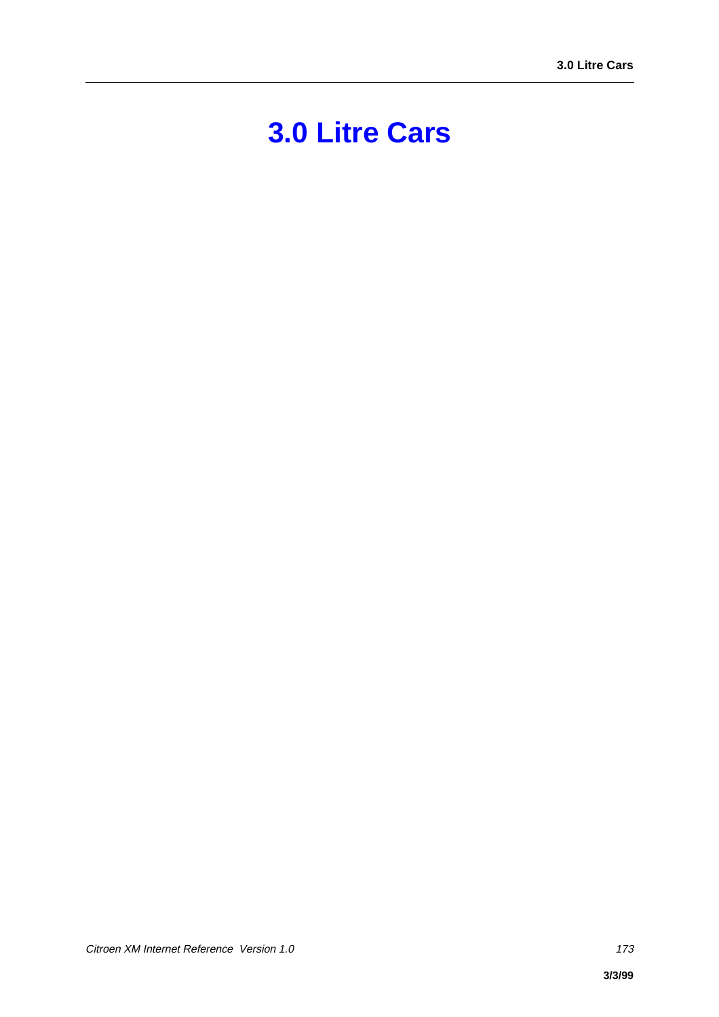# **3.0 Litre Cars**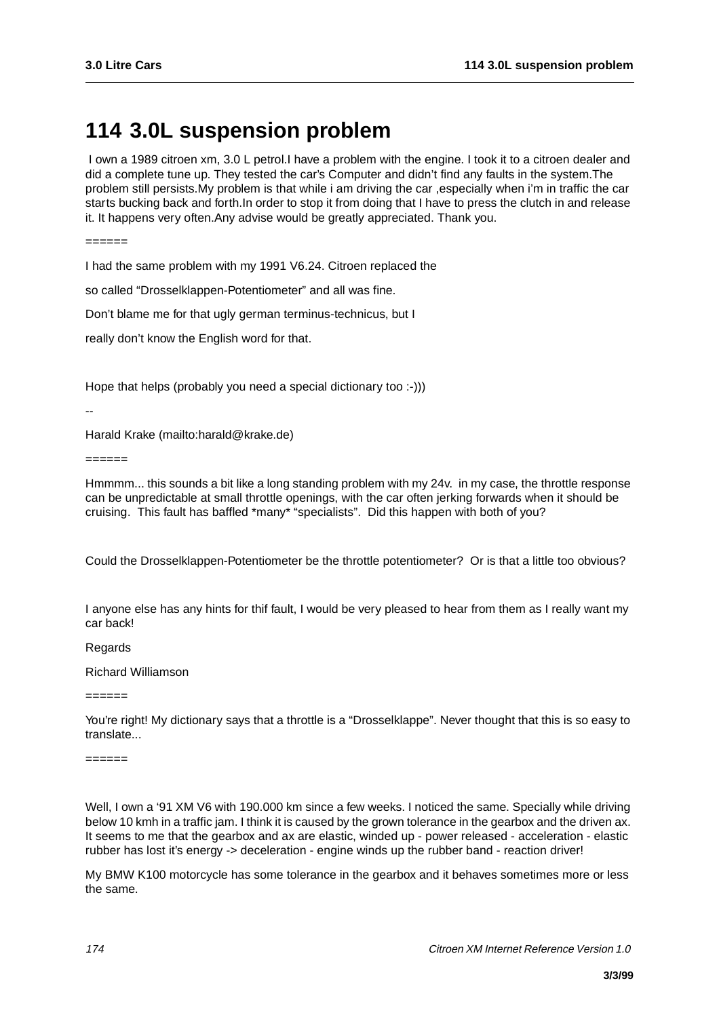### **114 3.0L suspension problem**

 I own a 1989 citroen xm, 3.0 L petrol.I have a problem with the engine. I took it to a citroen dealer and did a complete tune up. They tested the car's Computer and didn't find any faults in the system.The problem still persists.My problem is that while i am driving the car ,especially when i'm in traffic the car starts bucking back and forth.In order to stop it from doing that I have to press the clutch in and release it. It happens very often.Any advise would be greatly appreciated. Thank you.

======

I had the same problem with my 1991 V6.24. Citroen replaced the

so called "Drosselklappen-Potentiometer" and all was fine.

Don't blame me for that ugly german terminus-technicus, but I

really don't know the English word for that.

Hope that helps (probably you need a special dictionary too :-)))

--

Harald Krake (mailto:harald@krake.de)

======

Hmmmm... this sounds a bit like a long standing problem with my 24v. in my case, the throttle response can be unpredictable at small throttle openings, with the car often jerking forwards when it should be cruising. This fault has baffled \*many\* "specialists". Did this happen with both of you?

Could the Drosselklappen-Potentiometer be the throttle potentiometer? Or is that a little too obvious?

I anyone else has any hints for thif fault, I would be very pleased to hear from them as I really want my car back!

Regards

Richard Williamson

======

You're right! My dictionary says that a throttle is a "Drosselklappe". Never thought that this is so easy to translate...

======

Well, I own a '91 XM V6 with 190.000 km since a few weeks. I noticed the same. Specially while driving below 10 kmh in a traffic jam. I think it is caused by the grown tolerance in the gearbox and the driven ax. It seems to me that the gearbox and ax are elastic, winded up - power released - acceleration - elastic rubber has lost it's energy -> deceleration - engine winds up the rubber band - reaction driver!

My BMW K100 motorcycle has some tolerance in the gearbox and it behaves sometimes more or less the same.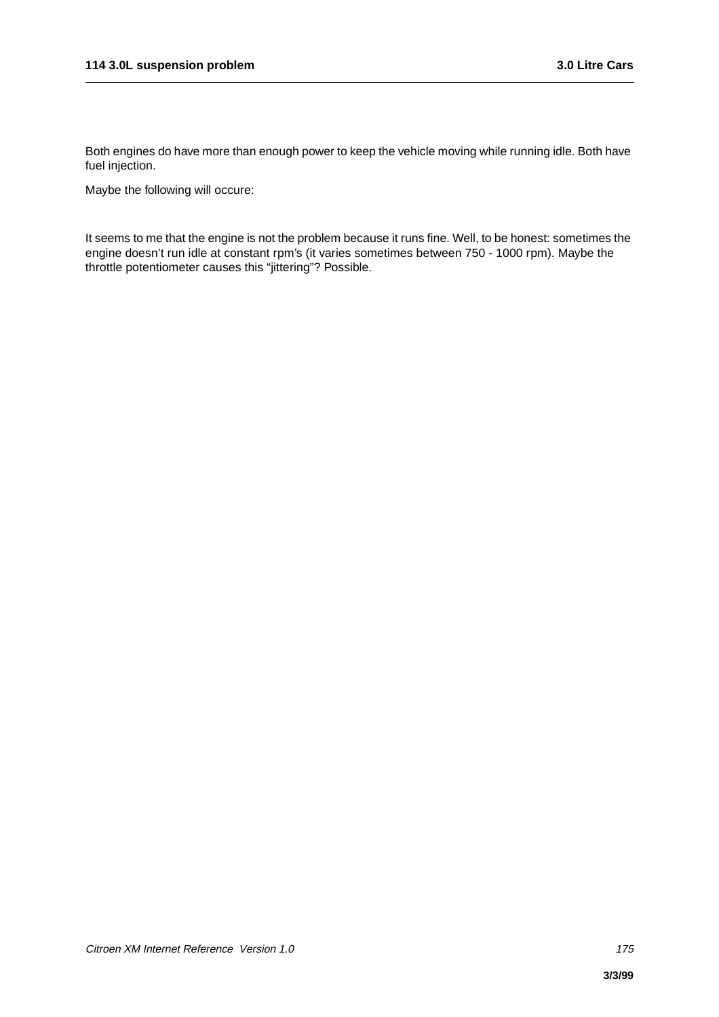Both engines do have more than enough power to keep the vehicle moving while running idle. Both have fuel injection.

Maybe the following will occure:

It seems to me that the engine is not the problem because it runs fine. Well, to be honest: sometimes the engine doesn't run idle at constant rpm's (it varies sometimes between 750 - 1000 rpm). Maybe the throttle potentiometer causes this "jittering"? Possible.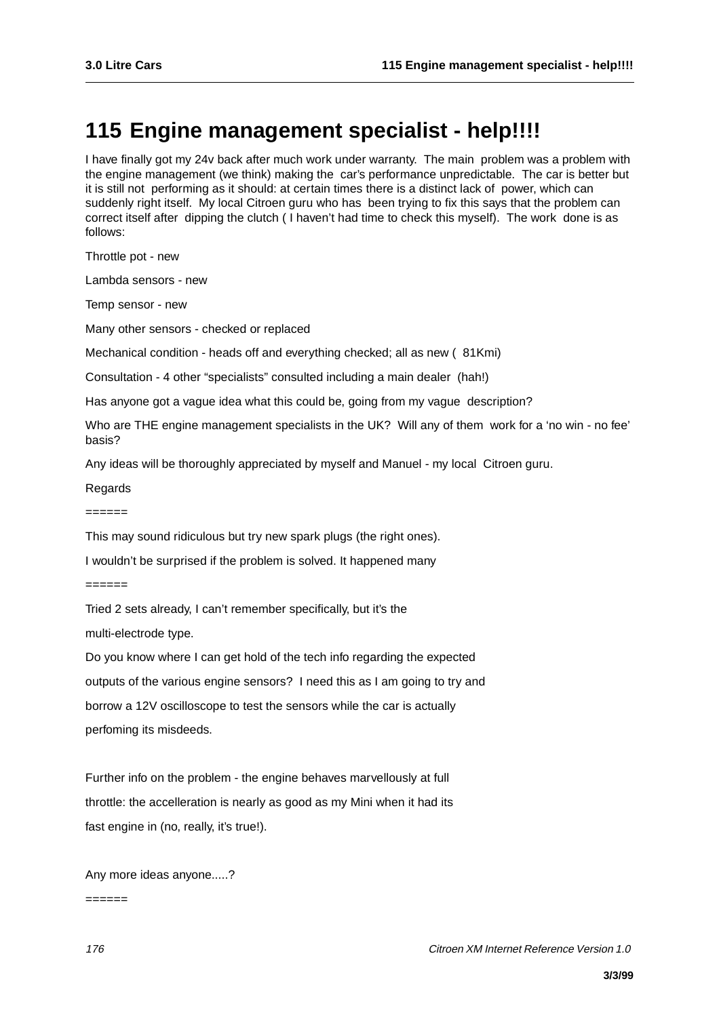### **115 Engine management specialist - help!!!!**

I have finally got my 24v back after much work under warranty. The main problem was a problem with the engine management (we think) making the car's performance unpredictable. The car is better but it is still not performing as it should: at certain times there is a distinct lack of power, which can suddenly right itself. My local Citroen guru who has been trying to fix this says that the problem can correct itself after dipping the clutch ( I haven't had time to check this myself). The work done is as follows:

Throttle pot - new

Lambda sensors - new

Temp sensor - new

Many other sensors - checked or replaced

Mechanical condition - heads off and everything checked; all as new ( 81Kmi)

Consultation - 4 other "specialists" consulted including a main dealer (hah!)

Has anyone got a vague idea what this could be, going from my vague description?

Who are THE engine management specialists in the UK? Will any of them work for a 'no win - no fee' basis?

Any ideas will be thoroughly appreciated by myself and Manuel - my local Citroen guru.

Regards

======

This may sound ridiculous but try new spark plugs (the right ones).

I wouldn't be surprised if the problem is solved. It happened many

======

Tried 2 sets already, I can't remember specifically, but it's the

multi-electrode type.

Do you know where I can get hold of the tech info regarding the expected outputs of the various engine sensors? I need this as I am going to try and borrow a 12V oscilloscope to test the sensors while the car is actually perfoming its misdeeds.

Further info on the problem - the engine behaves marvellously at full throttle: the accelleration is nearly as good as my Mini when it had its fast engine in (no, really, it's true!).

Any more ideas anyone.....?

======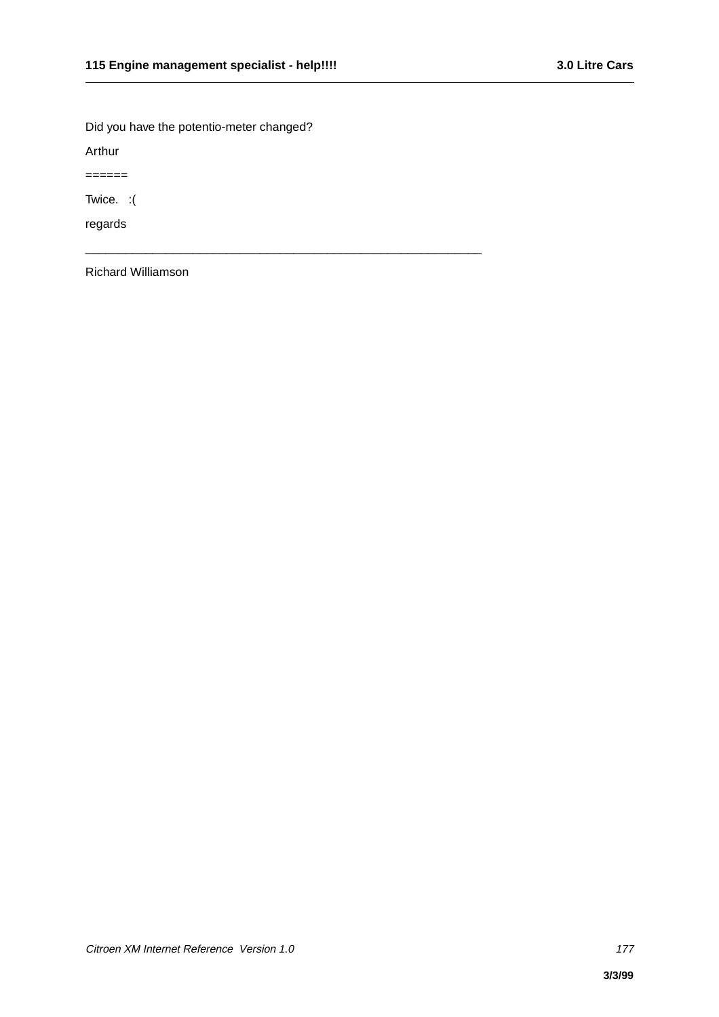\_\_\_\_\_\_\_\_\_\_\_\_\_\_\_\_\_\_\_\_\_\_\_\_\_\_\_\_\_\_\_\_\_\_\_\_\_\_\_\_\_\_\_\_\_\_\_\_\_\_\_\_\_\_\_\_\_\_\_

Did you have the potentio-meter changed?

Arthur

======

Twice. :(

regards

Richard Williamson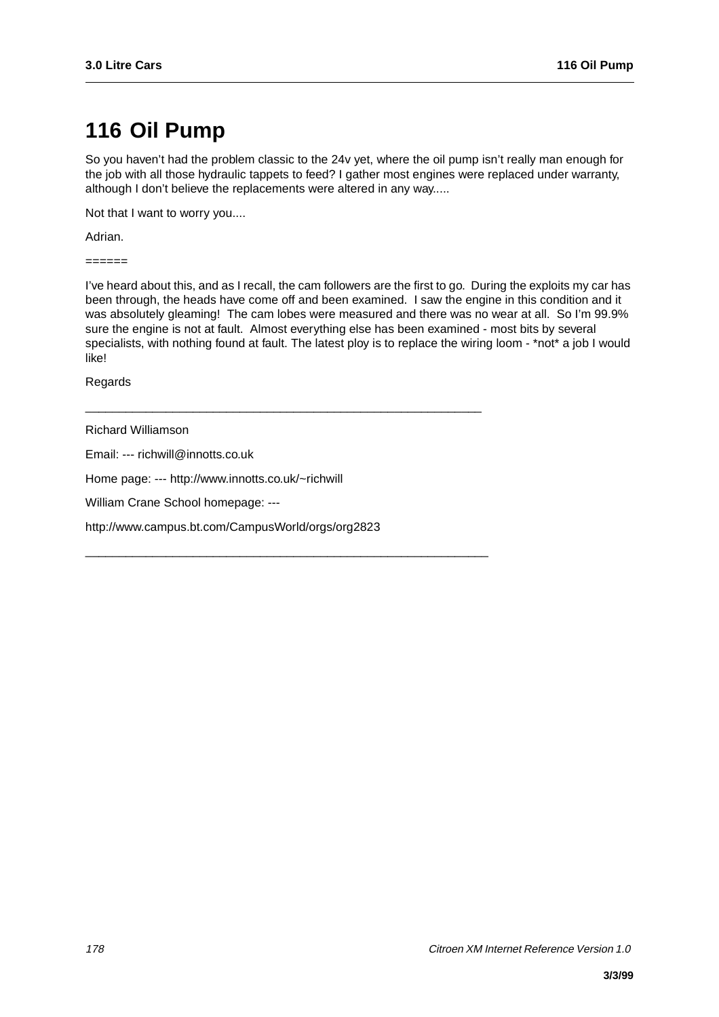# **116 Oil Pump**

So you haven't had the problem classic to the 24v yet, where the oil pump isn't really man enough for the job with all those hydraulic tappets to feed? I gather most engines were replaced under warranty, although I don't believe the replacements were altered in any way.....

Not that I want to worry you....

Adrian.

======

I've heard about this, and as I recall, the cam followers are the first to go. During the exploits my car has been through, the heads have come off and been examined. I saw the engine in this condition and it was absolutely gleaming! The cam lobes were measured and there was no wear at all. So I'm 99.9% sure the engine is not at fault. Almost everything else has been examined - most bits by several specialists, with nothing found at fault. The latest ploy is to replace the wiring loom - \*not\* a job I would like!

Regards

Richard Williamson

Email: --- richwill@innotts.co.uk

Home page: --- http://www.innotts.co.uk/~richwill

William Crane School homepage: ---

http://www.campus.bt.com/CampusWorld/orgs/org2823

\_\_\_\_\_\_\_\_\_\_\_\_\_\_\_\_\_\_\_\_\_\_\_\_\_\_\_\_\_\_\_\_\_\_\_\_\_\_\_\_\_\_\_\_\_\_\_\_\_\_\_\_\_\_\_\_\_\_\_

\_\_\_\_\_\_\_\_\_\_\_\_\_\_\_\_\_\_\_\_\_\_\_\_\_\_\_\_\_\_\_\_\_\_\_\_\_\_\_\_\_\_\_\_\_\_\_\_\_\_\_\_\_\_\_\_\_\_\_\_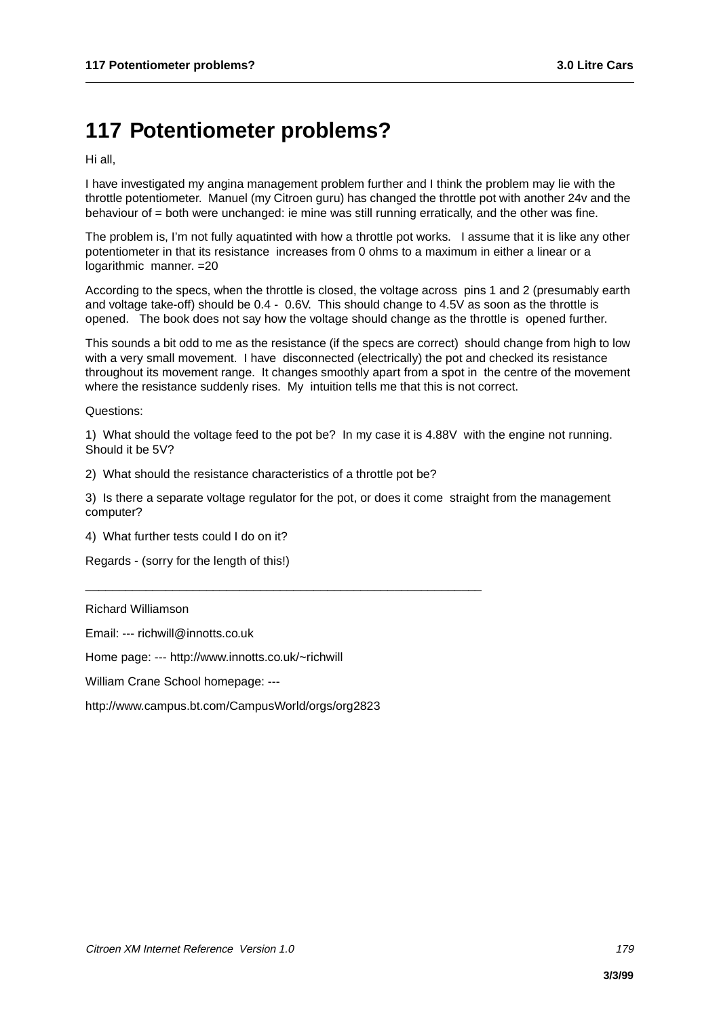## **117 Potentiometer problems?**

Hi all,

I have investigated my angina management problem further and I think the problem may lie with the throttle potentiometer. Manuel (my Citroen guru) has changed the throttle pot with another 24v and the behaviour of = both were unchanged: ie mine was still running erratically, and the other was fine.

The problem is, I'm not fully aquatinted with how a throttle pot works. I assume that it is like any other potentiometer in that its resistance increases from 0 ohms to a maximum in either a linear or a logarithmic manner. =20

According to the specs, when the throttle is closed, the voltage across pins 1 and 2 (presumably earth and voltage take-off) should be 0.4 - 0.6V. This should change to 4.5V as soon as the throttle is opened. The book does not say how the voltage should change as the throttle is opened further.

This sounds a bit odd to me as the resistance (if the specs are correct) should change from high to low with a very small movement. I have disconnected (electrically) the pot and checked its resistance throughout its movement range. It changes smoothly apart from a spot in the centre of the movement where the resistance suddenly rises. My intuition tells me that this is not correct.

Questions:

1) What should the voltage feed to the pot be? In my case it is 4.88V with the engine not running. Should it be 5V?

2) What should the resistance characteristics of a throttle pot be?

\_\_\_\_\_\_\_\_\_\_\_\_\_\_\_\_\_\_\_\_\_\_\_\_\_\_\_\_\_\_\_\_\_\_\_\_\_\_\_\_\_\_\_\_\_\_\_\_\_\_\_\_\_\_\_\_\_\_\_

3) Is there a separate voltage regulator for the pot, or does it come straight from the management computer?

4) What further tests could I do on it?

Regards - (sorry for the length of this!)

Richard Williamson

Email: --- richwill@innotts.co.uk

Home page: --- http://www.innotts.co.uk/~richwill

William Crane School homepage: ---

http://www.campus.bt.com/CampusWorld/orgs/org2823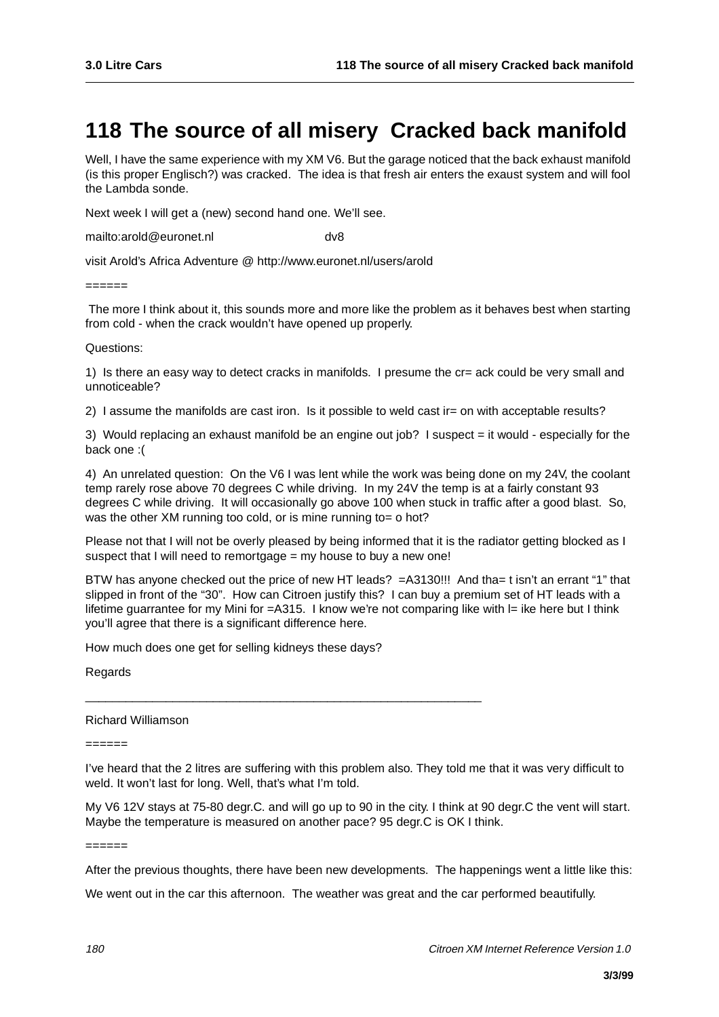### **118 The source of all misery Cracked back manifold**

Well, I have the same experience with my XM V6. But the garage noticed that the back exhaust manifold (is this proper Englisch?) was cracked. The idea is that fresh air enters the exaust system and will fool the Lambda sonde.

Next week I will get a (new) second hand one. We'll see.

mailto:arold@euronet.nl dv8

visit Arold's Africa Adventure @ http://www.euronet.nl/users/arold

======

 The more I think about it, this sounds more and more like the problem as it behaves best when starting from cold - when the crack wouldn't have opened up properly.

Questions:

1) Is there an easy way to detect cracks in manifolds. I presume the cr= ack could be very small and unnoticeable?

2) I assume the manifolds are cast iron. Is it possible to weld cast ir= on with acceptable results?

3) Would replacing an exhaust manifold be an engine out job? I suspect = it would - especially for the back one :(

4) An unrelated question: On the V6 I was lent while the work was being done on my 24V, the coolant temp rarely rose above 70 degrees C while driving. In my 24V the temp is at a fairly constant 93 degrees C while driving. It will occasionally go above 100 when stuck in traffic after a good blast. So, was the other XM running too cold, or is mine running to= o hot?

Please not that I will not be overly pleased by being informed that it is the radiator getting blocked as I suspect that I will need to remortgage  $=$  my house to buy a new one!

BTW has anyone checked out the price of new HT leads? =A3130!!! And tha= t isn't an errant "1" that slipped in front of the "30". How can Citroen justify this? I can buy a premium set of HT leads with a lifetime guarrantee for my Mini for =A315. I know we're not comparing like with l= ike here but I think you'll agree that there is a significant difference here.

How much does one get for selling kidneys these days?

\_\_\_\_\_\_\_\_\_\_\_\_\_\_\_\_\_\_\_\_\_\_\_\_\_\_\_\_\_\_\_\_\_\_\_\_\_\_\_\_\_\_\_\_\_\_\_\_\_\_\_\_\_\_\_\_\_\_\_

Regards

Richard Williamson

======

I've heard that the 2 litres are suffering with this problem also. They told me that it was very difficult to weld. It won't last for long. Well, that's what I'm told.

My V6 12V stays at 75-80 degr.C. and will go up to 90 in the city. I think at 90 degr.C the vent will start. Maybe the temperature is measured on another pace? 95 degr.C is OK I think.

======

After the previous thoughts, there have been new developments. The happenings went a little like this:

We went out in the car this afternoon. The weather was great and the car performed beautifully.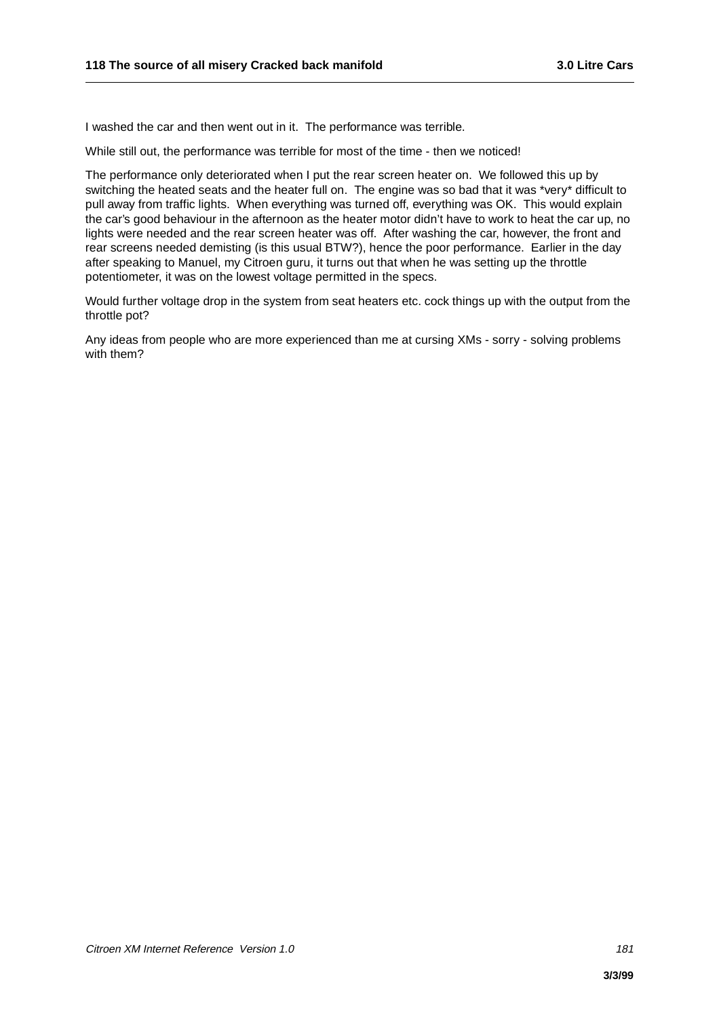I washed the car and then went out in it. The performance was terrible.

While still out, the performance was terrible for most of the time - then we noticed!

The performance only deteriorated when I put the rear screen heater on. We followed this up by switching the heated seats and the heater full on. The engine was so bad that it was \*very\* difficult to pull away from traffic lights. When everything was turned off, everything was OK. This would explain the car's good behaviour in the afternoon as the heater motor didn't have to work to heat the car up, no lights were needed and the rear screen heater was off. After washing the car, however, the front and rear screens needed demisting (is this usual BTW?), hence the poor performance. Earlier in the day after speaking to Manuel, my Citroen guru, it turns out that when he was setting up the throttle potentiometer, it was on the lowest voltage permitted in the specs.

Would further voltage drop in the system from seat heaters etc. cock things up with the output from the throttle pot?

Any ideas from people who are more experienced than me at cursing XMs - sorry - solving problems with them?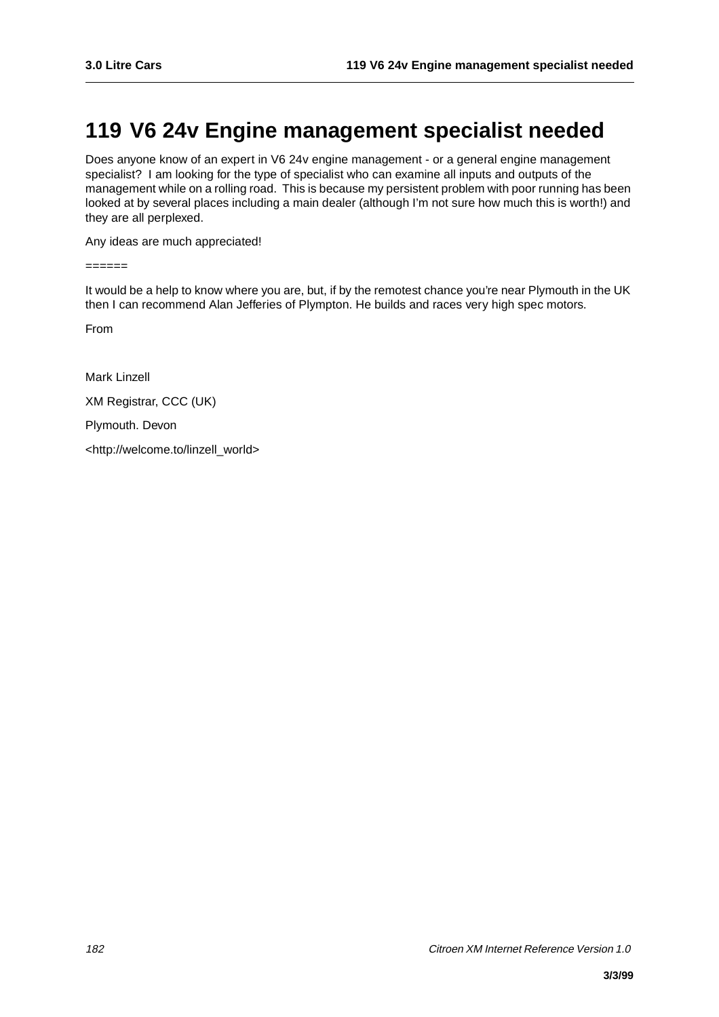## **119 V6 24v Engine management specialist needed**

Does anyone know of an expert in V6 24v engine management - or a general engine management specialist? I am looking for the type of specialist who can examine all inputs and outputs of the management while on a rolling road. This is because my persistent problem with poor running has been looked at by several places including a main dealer (although I'm not sure how much this is worth!) and they are all perplexed.

Any ideas are much appreciated!

======

It would be a help to know where you are, but, if by the remotest chance you're near Plymouth in the UK then I can recommend Alan Jefferies of Plympton. He builds and races very high spec motors.

From

Mark Linzell

XM Registrar, CCC (UK)

Plymouth. Devon

<http://welcome.to/linzell\_world>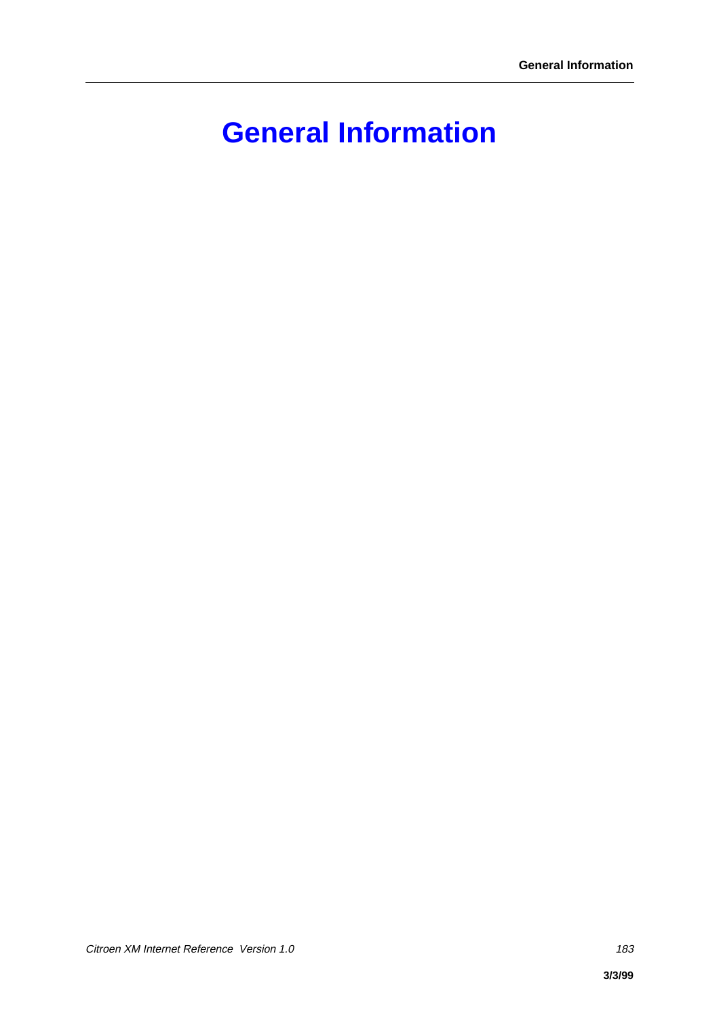# **General Information**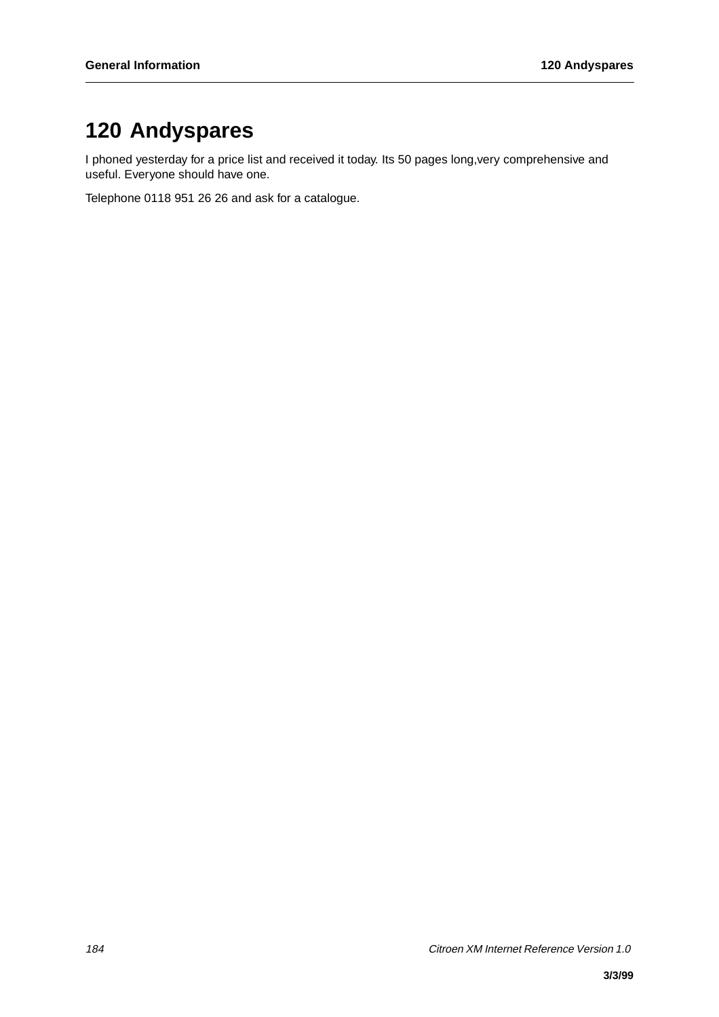# **120 Andyspares**

I phoned yesterday for a price list and received it today. Its 50 pages long,very comprehensive and useful. Everyone should have one.

Telephone 0118 951 26 26 and ask for a catalogue.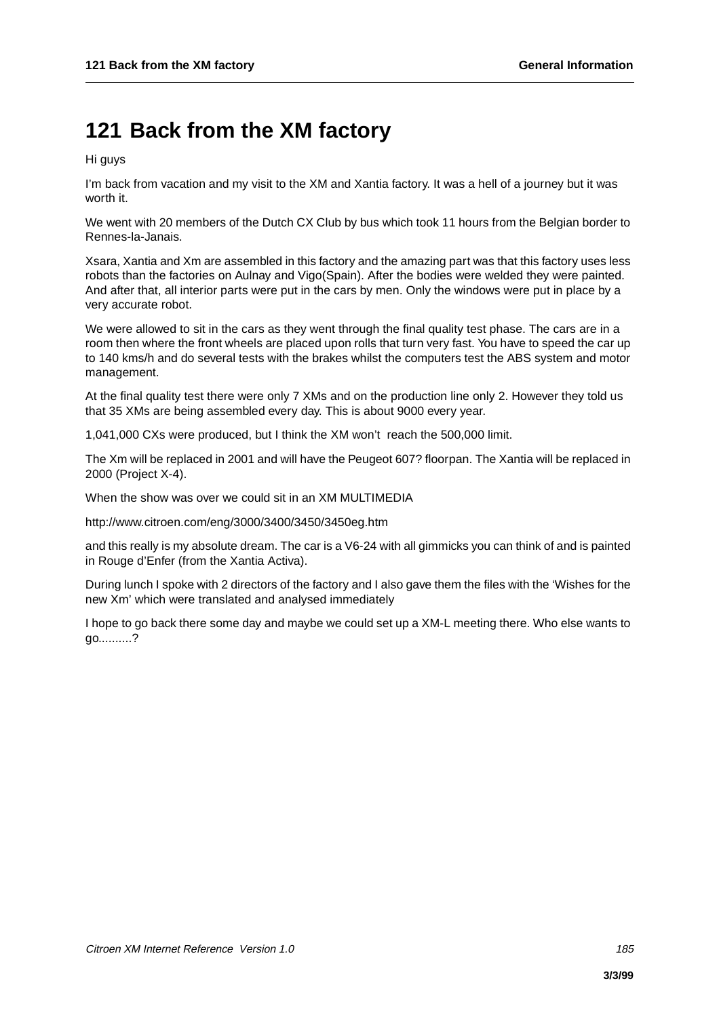### **121 Back from the XM factory**

Hi guys

I'm back from vacation and my visit to the XM and Xantia factory. It was a hell of a journey but it was worth it.

We went with 20 members of the Dutch CX Club by bus which took 11 hours from the Belgian border to Rennes-la-Janais.

Xsara, Xantia and Xm are assembled in this factory and the amazing part was that this factory uses less robots than the factories on Aulnay and Vigo(Spain). After the bodies were welded they were painted. And after that, all interior parts were put in the cars by men. Only the windows were put in place by a very accurate robot.

We were allowed to sit in the cars as they went through the final quality test phase. The cars are in a room then where the front wheels are placed upon rolls that turn very fast. You have to speed the car up to 140 kms/h and do several tests with the brakes whilst the computers test the ABS system and motor management.

At the final quality test there were only 7 XMs and on the production line only 2. However they told us that 35 XMs are being assembled every day. This is about 9000 every year.

1,041,000 CXs were produced, but I think the XM won't reach the 500,000 limit.

The Xm will be replaced in 2001 and will have the Peugeot 607? floorpan. The Xantia will be replaced in 2000 (Project X-4).

When the show was over we could sit in an XM MULTIMEDIA

http://www.citroen.com/eng/3000/3400/3450/3450eg.htm

and this really is my absolute dream. The car is a V6-24 with all gimmicks you can think of and is painted in Rouge d'Enfer (from the Xantia Activa).

During lunch I spoke with 2 directors of the factory and I also gave them the files with the 'Wishes for the new Xm' which were translated and analysed immediately

I hope to go back there some day and maybe we could set up a XM-L meeting there. Who else wants to go..........?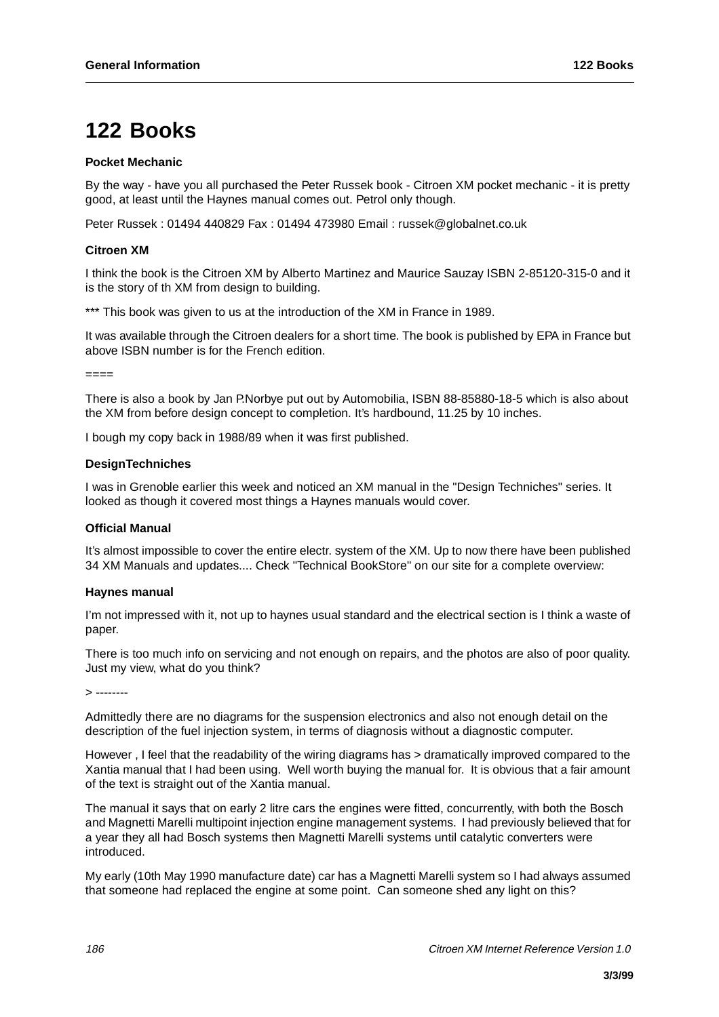# **122 Books**

### **Pocket Mechanic**

By the way - have you all purchased the Peter Russek book - Citroen XM pocket mechanic - it is pretty good, at least until the Haynes manual comes out. Petrol only though.

Peter Russek : 01494 440829 Fax : 01494 473980 Email : russek@globalnet.co.uk

### **Citroen XM**

I think the book is the Citroen XM by Alberto Martinez and Maurice Sauzay ISBN 2-85120-315-0 and it is the story of th XM from design to building.

\*\*\* This book was given to us at the introduction of the XM in France in 1989.

It was available through the Citroen dealers for a short time. The book is published by EPA in France but above ISBN number is for the French edition.

====

There is also a book by Jan P.Norbye put out by Automobilia, ISBN 88-85880-18-5 which is also about the XM from before design concept to completion. It's hardbound, 11.25 by 10 inches.

I bough my copy back in 1988/89 when it was first published.

#### **DesignTechniches**

I was in Grenoble earlier this week and noticed an XM manual in the "Design Techniches" series. It looked as though it covered most things a Haynes manuals would cover.

### **Official Manual**

It's almost impossible to cover the entire electr. system of the XM. Up to now there have been published 34 XM Manuals and updates.... Check "Technical BookStore" on our site for a complete overview:

### **Haynes manual**

I'm not impressed with it, not up to haynes usual standard and the electrical section is I think a waste of paper.

There is too much info on servicing and not enough on repairs, and the photos are also of poor quality. Just my view, what do you think?

> --------

Admittedly there are no diagrams for the suspension electronics and also not enough detail on the description of the fuel injection system, in terms of diagnosis without a diagnostic computer.

However , I feel that the readability of the wiring diagrams has > dramatically improved compared to the Xantia manual that I had been using. Well worth buying the manual for. It is obvious that a fair amount of the text is straight out of the Xantia manual.

The manual it says that on early 2 litre cars the engines were fitted, concurrently, with both the Bosch and Magnetti Marelli multipoint injection engine management systems. I had previously believed that for a year they all had Bosch systems then Magnetti Marelli systems until catalytic converters were introduced.

My early (10th May 1990 manufacture date) car has a Magnetti Marelli system so I had always assumed that someone had replaced the engine at some point. Can someone shed any light on this?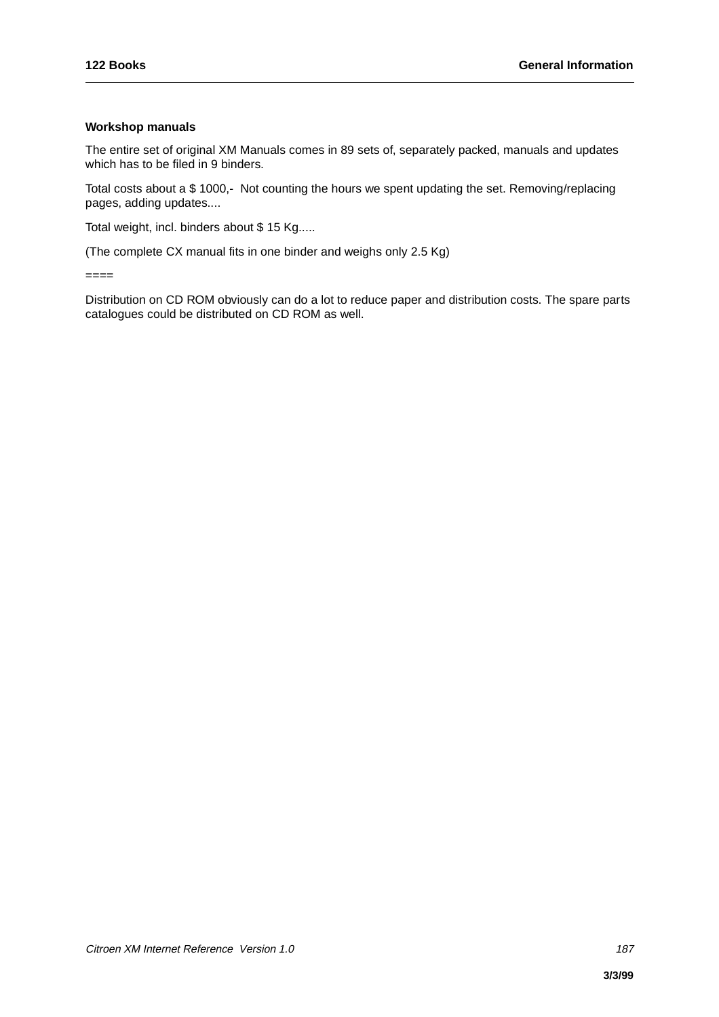#### **Workshop manuals**

The entire set of original XM Manuals comes in 89 sets of, separately packed, manuals and updates which has to be filed in 9 binders.

Total costs about a \$ 1000,- Not counting the hours we spent updating the set. Removing/replacing pages, adding updates....

Total weight, incl. binders about \$ 15 Kg.....

(The complete CX manual fits in one binder and weighs only 2.5 Kg)

====

Distribution on CD ROM obviously can do a lot to reduce paper and distribution costs. The spare parts catalogues could be distributed on CD ROM as well.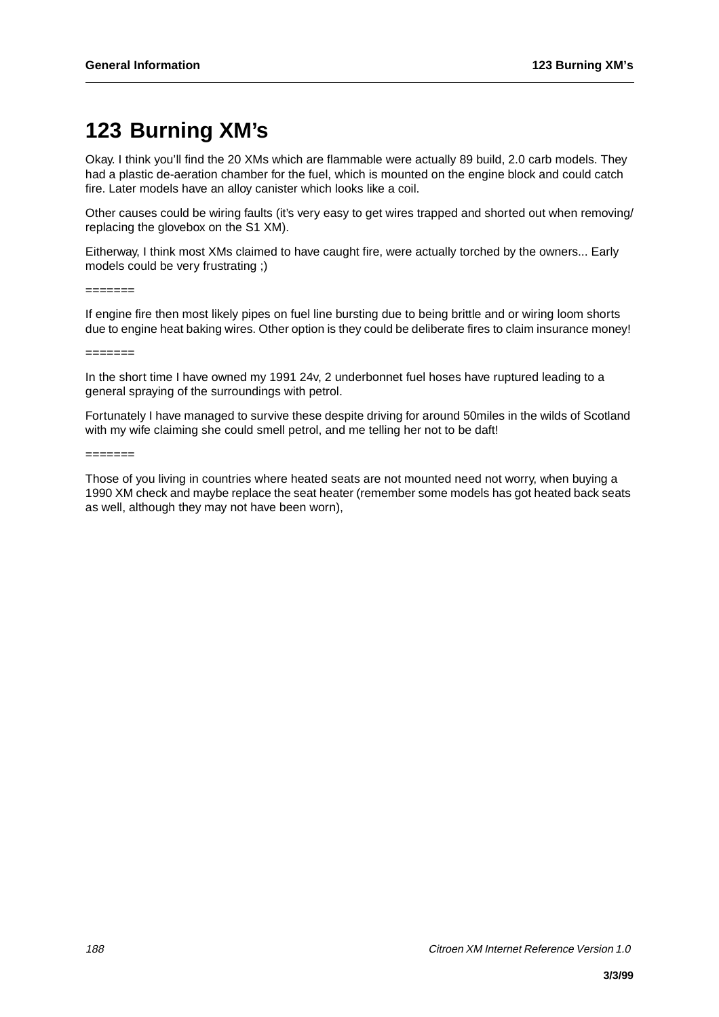# **123 Burning XM's**

Okay. I think you'll find the 20 XMs which are flammable were actually 89 build, 2.0 carb models. They had a plastic de-aeration chamber for the fuel, which is mounted on the engine block and could catch fire. Later models have an alloy canister which looks like a coil.

Other causes could be wiring faults (it's very easy to get wires trapped and shorted out when removing/ replacing the glovebox on the S1 XM).

Eitherway, I think most XMs claimed to have caught fire, were actually torched by the owners... Early models could be very frustrating ;)

=======

If engine fire then most likely pipes on fuel line bursting due to being brittle and or wiring loom shorts due to engine heat baking wires. Other option is they could be deliberate fires to claim insurance money!

=======

In the short time I have owned my 1991 24v, 2 underbonnet fuel hoses have ruptured leading to a general spraying of the surroundings with petrol.

Fortunately I have managed to survive these despite driving for around 50miles in the wilds of Scotland with my wife claiming she could smell petrol, and me telling her not to be daft!

=======

Those of you living in countries where heated seats are not mounted need not worry, when buying a 1990 XM check and maybe replace the seat heater (remember some models has got heated back seats as well, although they may not have been worn),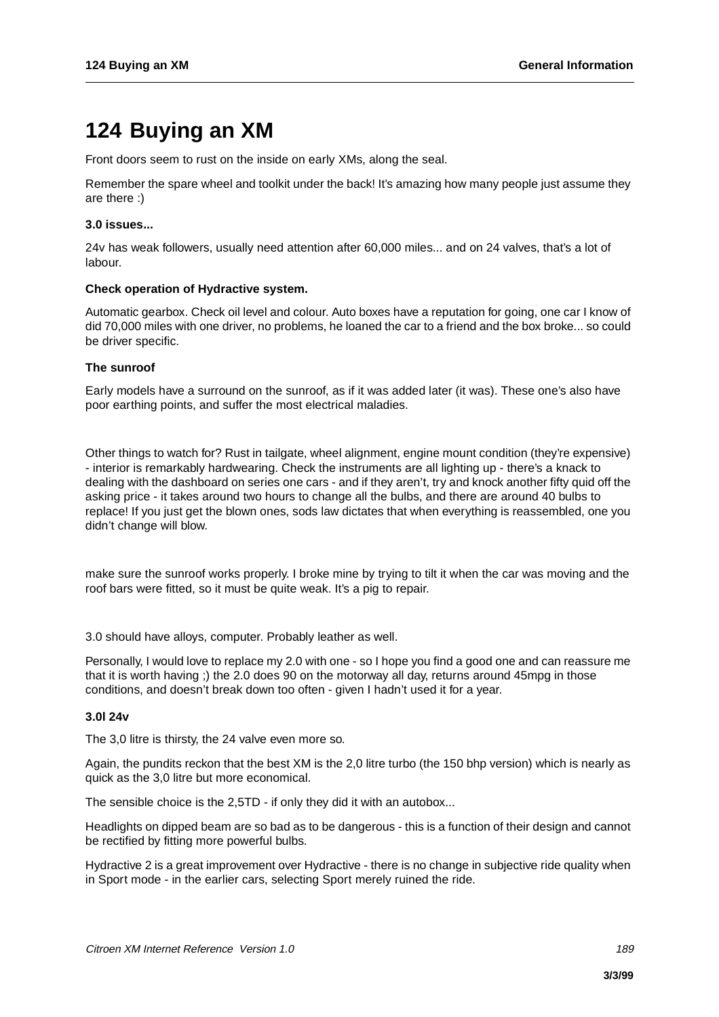# **124 Buying an XM**

Front doors seem to rust on the inside on early XMs, along the seal.

Remember the spare wheel and toolkit under the back! It's amazing how many people just assume they are there :)

#### **3.0 issues...**

24v has weak followers, usually need attention after 60,000 miles... and on 24 valves, that's a lot of labour.

#### **Check operation of Hydractive system.**

Automatic gearbox. Check oil level and colour. Auto boxes have a reputation for going, one car I know of did 70,000 miles with one driver, no problems, he loaned the car to a friend and the box broke... so could be driver specific.

#### **The sunroof**

Early models have a surround on the sunroof, as if it was added later (it was). These one's also have poor earthing points, and suffer the most electrical maladies.

Other things to watch for? Rust in tailgate, wheel alignment, engine mount condition (they're expensive) - interior is remarkably hardwearing. Check the instruments are all lighting up - there's a knack to dealing with the dashboard on series one cars - and if they aren't, try and knock another fifty quid off the asking price - it takes around two hours to change all the bulbs, and there are around 40 bulbs to replace! If you just get the blown ones, sods law dictates that when everything is reassembled, one you didn't change will blow.

make sure the sunroof works properly. I broke mine by trying to tilt it when the car was moving and the roof bars were fitted, so it must be quite weak. It's a pig to repair.

3.0 should have alloys, computer. Probably leather as well.

Personally, I would love to replace my 2.0 with one - so I hope you find a good one and can reassure me that it is worth having ;) the 2.0 does 90 on the motorway all day, returns around 45mpg in those conditions, and doesn't break down too often - given I hadn't used it for a year.

#### **3.0l 24v**

The 3,0 litre is thirsty, the 24 valve even more so.

Again, the pundits reckon that the best XM is the 2,0 litre turbo (the 150 bhp version) which is nearly as quick as the 3,0 litre but more economical.

The sensible choice is the 2,5TD - if only they did it with an autobox...

Headlights on dipped beam are so bad as to be dangerous - this is a function of their design and cannot be rectified by fitting more powerful bulbs.

Hydractive 2 is a great improvement over Hydractive - there is no change in subjective ride quality when in Sport mode - in the earlier cars, selecting Sport merely ruined the ride.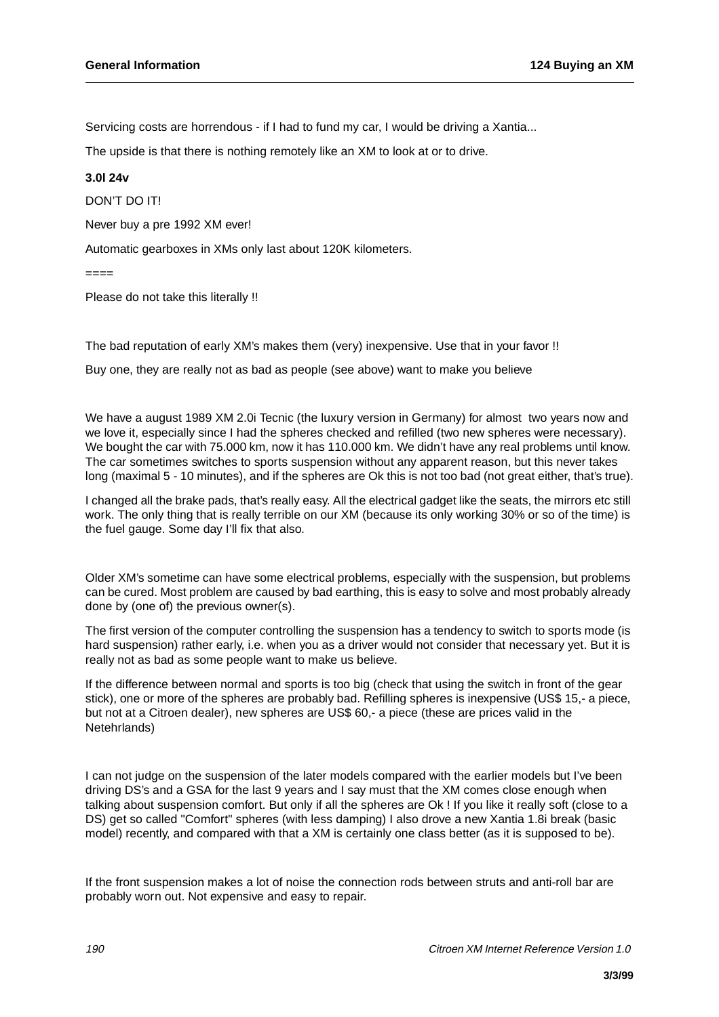Servicing costs are horrendous - if I had to fund my car, I would be driving a Xantia...

The upside is that there is nothing remotely like an XM to look at or to drive.

#### **3.0l 24v**

DON'T DO IT!

Never buy a pre 1992 XM ever!

Automatic gearboxes in XMs only last about 120K kilometers.

====

Please do not take this literally !!

The bad reputation of early XM's makes them (very) inexpensive. Use that in your favor !!

Buy one, they are really not as bad as people (see above) want to make you believe

We have a august 1989 XM 2.0i Tecnic (the luxury version in Germany) for almost two years now and we love it, especially since I had the spheres checked and refilled (two new spheres were necessary). We bought the car with 75.000 km, now it has 110.000 km. We didn't have any real problems until know. The car sometimes switches to sports suspension without any apparent reason, but this never takes long (maximal 5 - 10 minutes), and if the spheres are Ok this is not too bad (not great either, that's true).

I changed all the brake pads, that's really easy. All the electrical gadget like the seats, the mirrors etc still work. The only thing that is really terrible on our XM (because its only working 30% or so of the time) is the fuel gauge. Some day I'll fix that also.

Older XM's sometime can have some electrical problems, especially with the suspension, but problems can be cured. Most problem are caused by bad earthing, this is easy to solve and most probably already done by (one of) the previous owner(s).

The first version of the computer controlling the suspension has a tendency to switch to sports mode (is hard suspension) rather early, i.e. when you as a driver would not consider that necessary yet. But it is really not as bad as some people want to make us believe.

If the difference between normal and sports is too big (check that using the switch in front of the gear stick), one or more of the spheres are probably bad. Refilling spheres is inexpensive (US\$ 15,- a piece, but not at a Citroen dealer), new spheres are US\$ 60,- a piece (these are prices valid in the Netehrlands)

I can not judge on the suspension of the later models compared with the earlier models but I've been driving DS's and a GSA for the last 9 years and I say must that the XM comes close enough when talking about suspension comfort. But only if all the spheres are Ok ! If you like it really soft (close to a DS) get so called "Comfort" spheres (with less damping) I also drove a new Xantia 1.8i break (basic model) recently, and compared with that a XM is certainly one class better (as it is supposed to be).

If the front suspension makes a lot of noise the connection rods between struts and anti-roll bar are probably worn out. Not expensive and easy to repair.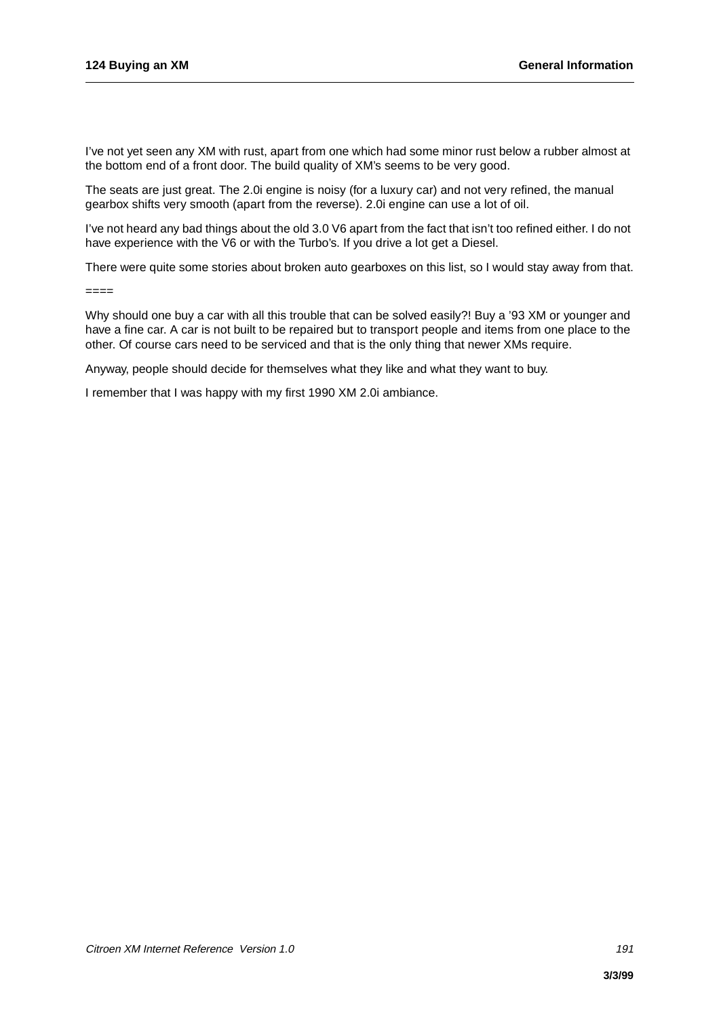I've not yet seen any XM with rust, apart from one which had some minor rust below a rubber almost at the bottom end of a front door. The build quality of XM's seems to be very good.

The seats are just great. The 2.0i engine is noisy (for a luxury car) and not very refined, the manual gearbox shifts very smooth (apart from the reverse). 2.0i engine can use a lot of oil.

I've not heard any bad things about the old 3.0 V6 apart from the fact that isn't too refined either. I do not have experience with the V6 or with the Turbo's. If you drive a lot get a Diesel.

There were quite some stories about broken auto gearboxes on this list, so I would stay away from that.

====

Why should one buy a car with all this trouble that can be solved easily?! Buy a '93 XM or younger and have a fine car. A car is not built to be repaired but to transport people and items from one place to the other. Of course cars need to be serviced and that is the only thing that newer XMs require.

Anyway, people should decide for themselves what they like and what they want to buy.

I remember that I was happy with my first 1990 XM 2.0i ambiance.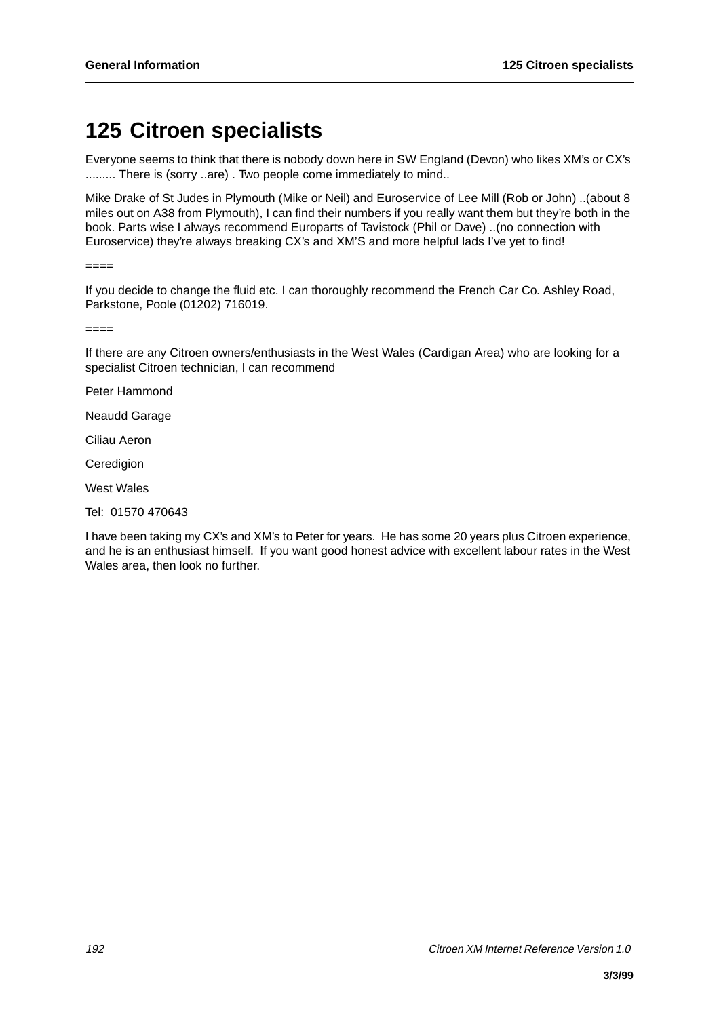### **125 Citroen specialists**

Everyone seems to think that there is nobody down here in SW England (Devon) who likes XM's or CX's ......... There is (sorry ..are). Two people come immediately to mind..

Mike Drake of St Judes in Plymouth (Mike or Neil) and Euroservice of Lee Mill (Rob or John) ..(about 8 miles out on A38 from Plymouth), I can find their numbers if you really want them but they're both in the book. Parts wise I always recommend Europarts of Tavistock (Phil or Dave) ..(no connection with Euroservice) they're always breaking CX's and XM'S and more helpful lads I've yet to find!

 $-$ 

If you decide to change the fluid etc. I can thoroughly recommend the French Car Co. Ashley Road, Parkstone, Poole (01202) 716019.

 $====$ 

If there are any Citroen owners/enthusiasts in the West Wales (Cardigan Area) who are looking for a specialist Citroen technician, I can recommend

Peter Hammond

Neaudd Garage

Ciliau Aeron

Ceredigion

West Wales

Tel: 01570 470643

I have been taking my CX's and XM's to Peter for years. He has some 20 years plus Citroen experience, and he is an enthusiast himself. If you want good honest advice with excellent labour rates in the West Wales area, then look no further.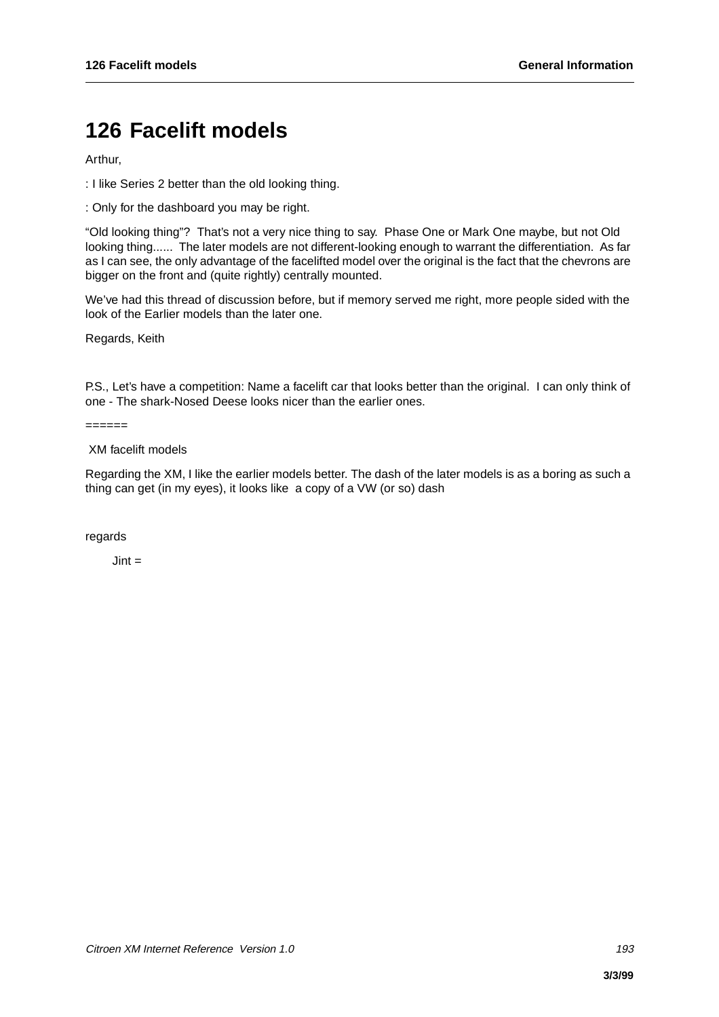### **126 Facelift models**

Arthur,

: I like Series 2 better than the old looking thing.

: Only for the dashboard you may be right.

"Old looking thing"? That's not a very nice thing to say. Phase One or Mark One maybe, but not Old looking thing...... The later models are not different-looking enough to warrant the differentiation. As far as I can see, the only advantage of the facelifted model over the original is the fact that the chevrons are bigger on the front and (quite rightly) centrally mounted.

We've had this thread of discussion before, but if memory served me right, more people sided with the look of the Earlier models than the later one.

Regards, Keith

P.S., Let's have a competition: Name a facelift car that looks better than the original. I can only think of one - The shark-Nosed Deese looks nicer than the earlier ones.

======

XM facelift models

Regarding the XM, I like the earlier models better. The dash of the later models is as a boring as such a thing can get (in my eyes), it looks like a copy of a VW (or so) dash

regards

 $Jint =$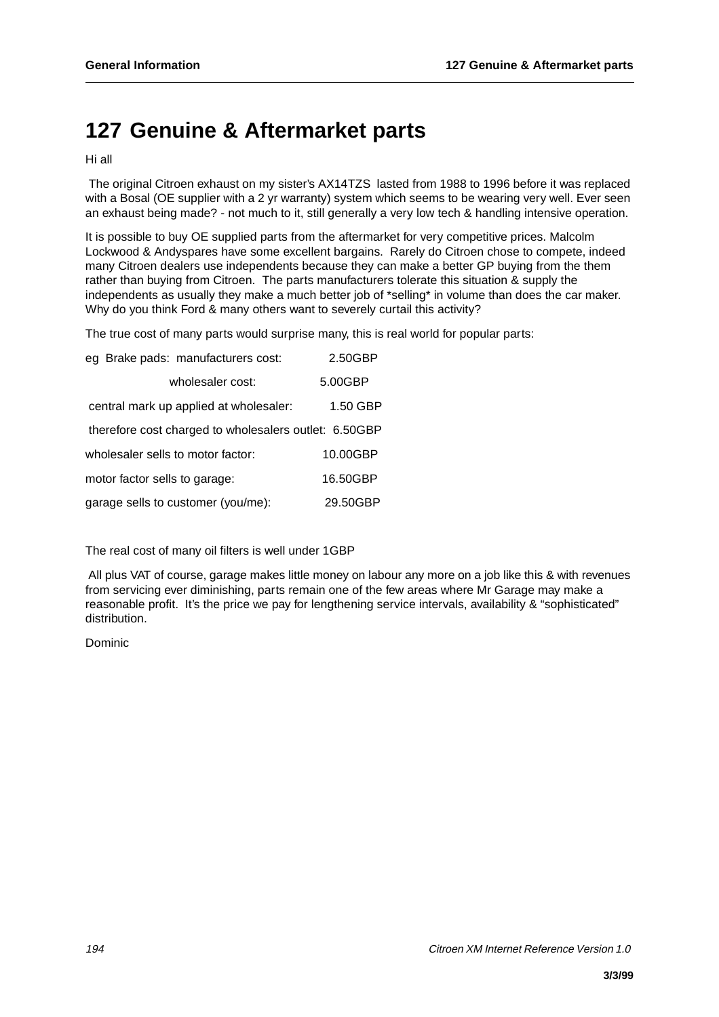### **127 Genuine & Aftermarket parts**

Hi all

 The original Citroen exhaust on my sister's AX14TZS lasted from 1988 to 1996 before it was replaced with a Bosal (OE supplier with a 2 yr warranty) system which seems to be wearing very well. Ever seen an exhaust being made? - not much to it, still generally a very low tech & handling intensive operation.

It is possible to buy OE supplied parts from the aftermarket for very competitive prices. Malcolm Lockwood & Andyspares have some excellent bargains. Rarely do Citroen chose to compete, indeed many Citroen dealers use independents because they can make a better GP buying from the them rather than buying from Citroen. The parts manufacturers tolerate this situation & supply the independents as usually they make a much better job of \*selling\* in volume than does the car maker. Why do you think Ford & many others want to severely curtail this activity?

The true cost of many parts would surprise many, this is real world for popular parts:

| eg Brake pads: manufacturers cost:                    | 2.50GBP  |
|-------------------------------------------------------|----------|
| wholesaler cost:                                      | 5.00GBP  |
| central mark up applied at wholesaler:                | 1.50 GBP |
| therefore cost charged to wholesalers outlet: 6.50GBP |          |
| wholesaler sells to motor factor:                     | 10.00GBP |
| motor factor sells to garage:                         | 16.50GBP |
| garage sells to customer (you/me):                    | 29.50GBP |

The real cost of many oil filters is well under 1GBP

 All plus VAT of course, garage makes little money on labour any more on a job like this & with revenues from servicing ever diminishing, parts remain one of the few areas where Mr Garage may make a reasonable profit. It's the price we pay for lengthening service intervals, availability & "sophisticated" distribution.

Dominic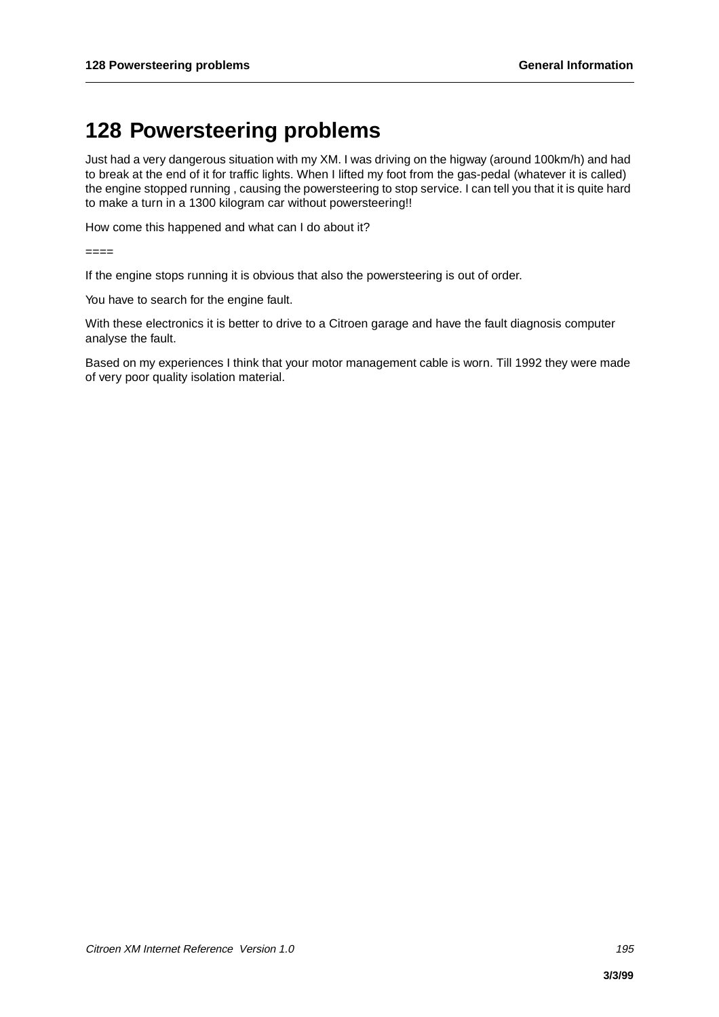### **128 Powersteering problems**

Just had a very dangerous situation with my XM. I was driving on the higway (around 100km/h) and had to break at the end of it for traffic lights. When I lifted my foot from the gas-pedal (whatever it is called) the engine stopped running , causing the powersteering to stop service. I can tell you that it is quite hard to make a turn in a 1300 kilogram car without powersteering!!

How come this happened and what can I do about it?

 $=$ 

If the engine stops running it is obvious that also the powersteering is out of order.

You have to search for the engine fault.

With these electronics it is better to drive to a Citroen garage and have the fault diagnosis computer analyse the fault.

Based on my experiences I think that your motor management cable is worn. Till 1992 they were made of very poor quality isolation material.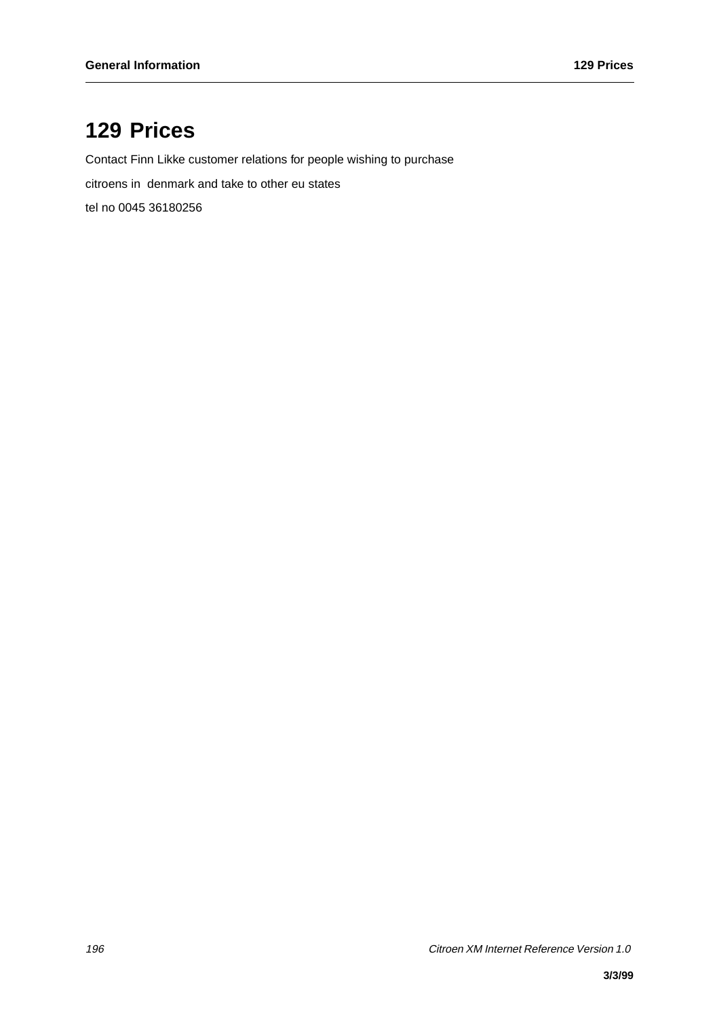# **129 Prices**

Contact Finn Likke customer relations for people wishing to purchase citroens in denmark and take to other eu states tel no 0045 36180256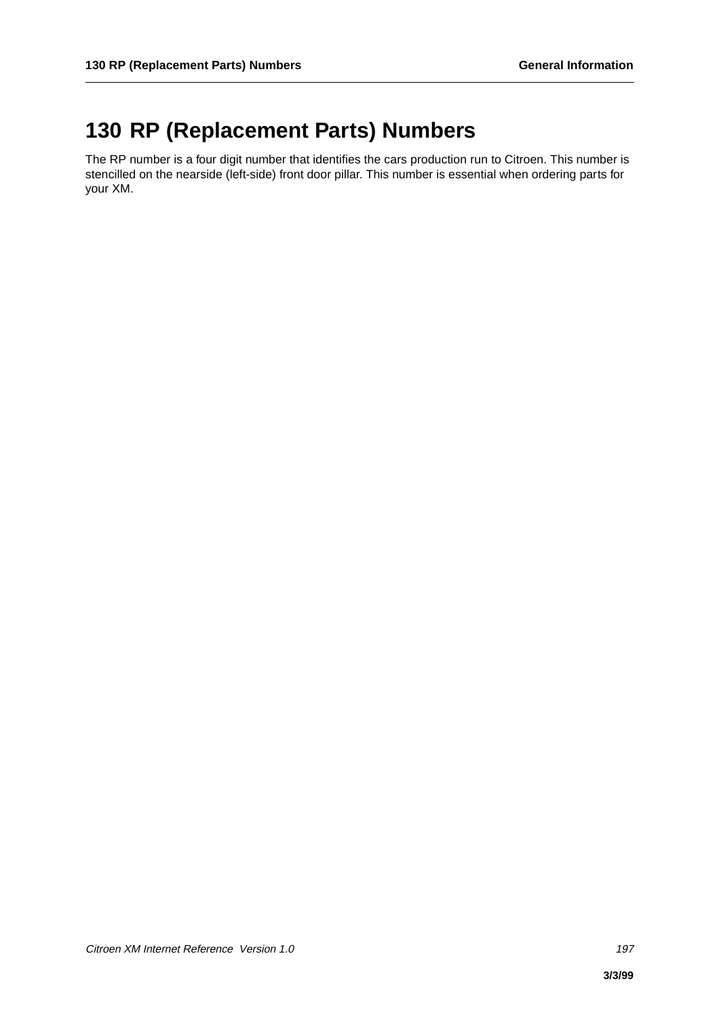# **130 RP (Replacement Parts) Numbers**

The RP number is a four digit number that identifies the cars production run to Citroen. This number is stencilled on the nearside (left-side) front door pillar. This number is essential when ordering parts for your XM.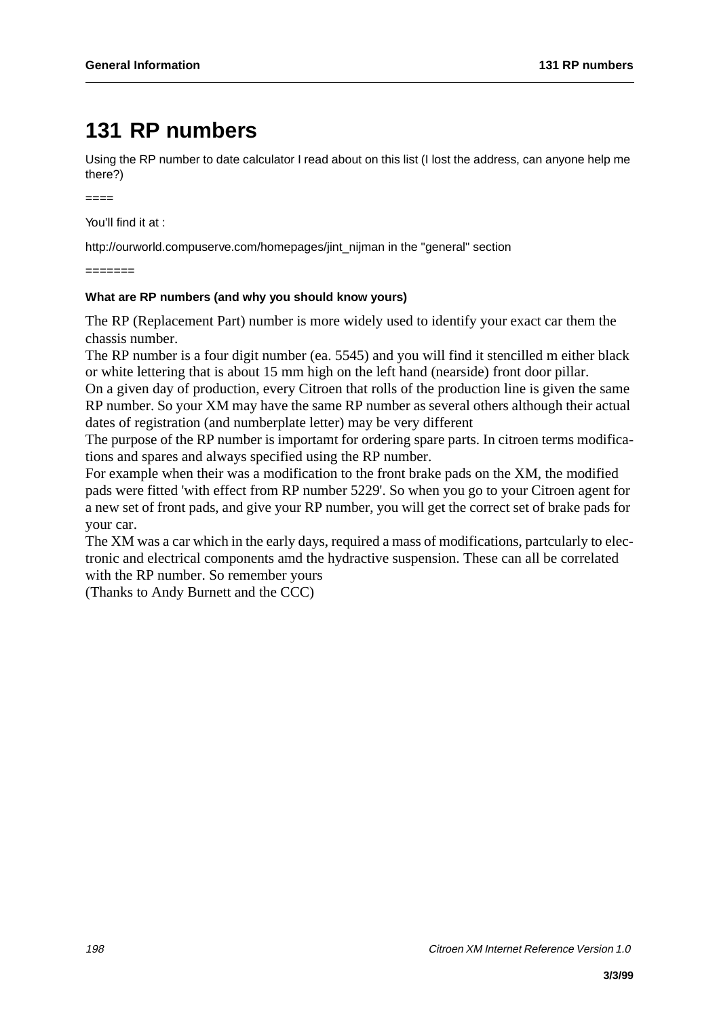# **131 RP numbers**

Using the RP number to date calculator I read about on this list (I lost the address, can anyone help me there?)

 $=$ 

You'll find it at :

http://ourworld.compuserve.com/homepages/jint\_nijman in the "general" section

=======

### **What are RP numbers (and why you should know yours)**

The RP (Replacement Part) number is more widely used to identify your exact car them the chassis number.

The RP number is a four digit number (ea. 5545) and you will find it stencilled m either black or white lettering that is about 15 mm high on the left hand (nearside) front door pillar.

On a given day of production, every Citroen that rolls of the production line is given the same RP number. So your XM may have the same RP number as several others although their actual dates of registration (and numberplate letter) may be very different

The purpose of the RP number is importamt for ordering spare parts. In citroen terms modifications and spares and always specified using the RP number.

For example when their was a modification to the front brake pads on the XM, the modified pads were fitted 'with effect from RP number 5229'. So when you go to your Citroen agent for a new set of front pads, and give your RP number, you will get the correct set of brake pads for your car.

The XM was a car which in the early days, required a mass of modifications, partcularly to electronic and electrical components amd the hydractive suspension. These can all be correlated with the RP number. So remember yours

(Thanks to Andy Burnett and the CCC)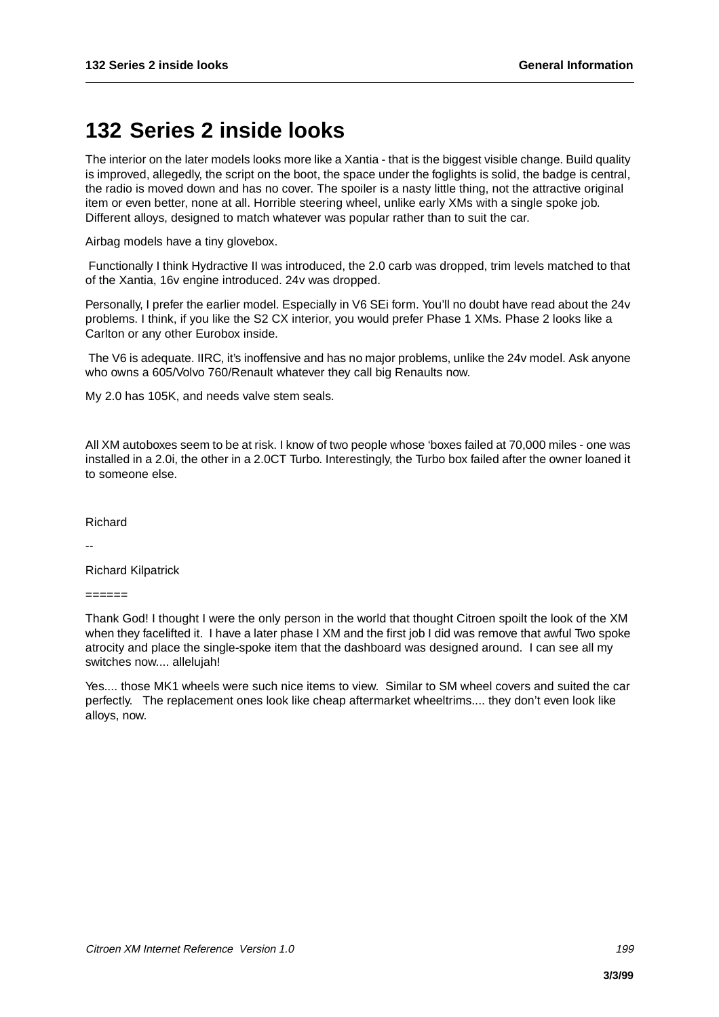### **132 Series 2 inside looks**

The interior on the later models looks more like a Xantia - that is the biggest visible change. Build quality is improved, allegedly, the script on the boot, the space under the foglights is solid, the badge is central, the radio is moved down and has no cover. The spoiler is a nasty little thing, not the attractive original item or even better, none at all. Horrible steering wheel, unlike early XMs with a single spoke job. Different alloys, designed to match whatever was popular rather than to suit the car.

Airbag models have a tiny glovebox.

 Functionally I think Hydractive II was introduced, the 2.0 carb was dropped, trim levels matched to that of the Xantia, 16v engine introduced. 24v was dropped.

Personally, I prefer the earlier model. Especially in V6 SEi form. You'll no doubt have read about the 24v problems. I think, if you like the S2 CX interior, you would prefer Phase 1 XMs. Phase 2 looks like a Carlton or any other Eurobox inside.

 The V6 is adequate. IIRC, it's inoffensive and has no major problems, unlike the 24v model. Ask anyone who owns a 605/Volvo 760/Renault whatever they call big Renaults now.

My 2.0 has 105K, and needs valve stem seals.

All XM autoboxes seem to be at risk. I know of two people whose 'boxes failed at 70,000 miles - one was installed in a 2.0i, the other in a 2.0CT Turbo. Interestingly, the Turbo box failed after the owner loaned it to someone else.

Richard

--

Richard Kilpatrick

======

Thank God! I thought I were the only person in the world that thought Citroen spoilt the look of the XM when they facelifted it. I have a later phase I XM and the first job I did was remove that awful Two spoke atrocity and place the single-spoke item that the dashboard was designed around. I can see all my switches now.... allelujah!

Yes.... those MK1 wheels were such nice items to view. Similar to SM wheel covers and suited the car perfectly. The replacement ones look like cheap aftermarket wheeltrims.... they don't even look like alloys, now.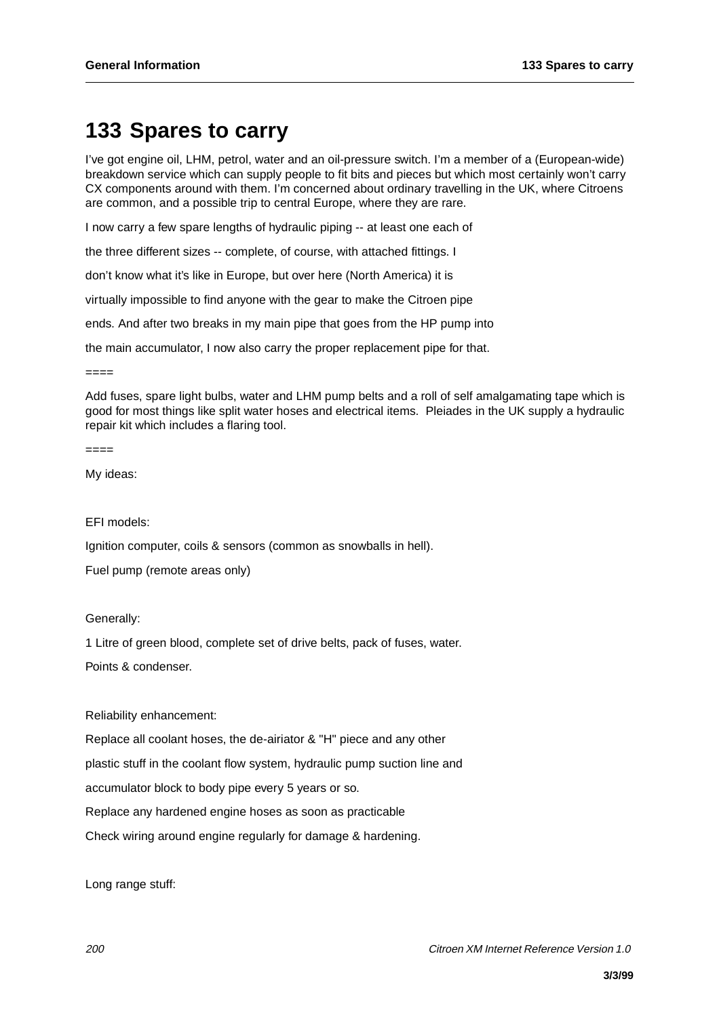# **133 Spares to carry**

I've got engine oil, LHM, petrol, water and an oil-pressure switch. I'm a member of a (European-wide) breakdown service which can supply people to fit bits and pieces but which most certainly won't carry CX components around with them. I'm concerned about ordinary travelling in the UK, where Citroens are common, and a possible trip to central Europe, where they are rare.

I now carry a few spare lengths of hydraulic piping -- at least one each of

the three different sizes -- complete, of course, with attached fittings. I

don't know what it's like in Europe, but over here (North America) it is

virtually impossible to find anyone with the gear to make the Citroen pipe

ends. And after two breaks in my main pipe that goes from the HP pump into

the main accumulator, I now also carry the proper replacement pipe for that.

====

Add fuses, spare light bulbs, water and LHM pump belts and a roll of self amalgamating tape which is good for most things like split water hoses and electrical items. Pleiades in the UK supply a hydraulic repair kit which includes a flaring tool.

====

My ideas:

EFI models:

Ignition computer, coils & sensors (common as snowballs in hell).

Fuel pump (remote areas only)

Generally:

1 Litre of green blood, complete set of drive belts, pack of fuses, water.

Points & condenser.

#### Reliability enhancement:

Replace all coolant hoses, the de-airiator & "H" piece and any other

plastic stuff in the coolant flow system, hydraulic pump suction line and

accumulator block to body pipe every 5 years or so.

Replace any hardened engine hoses as soon as practicable

Check wiring around engine regularly for damage & hardening.

Long range stuff: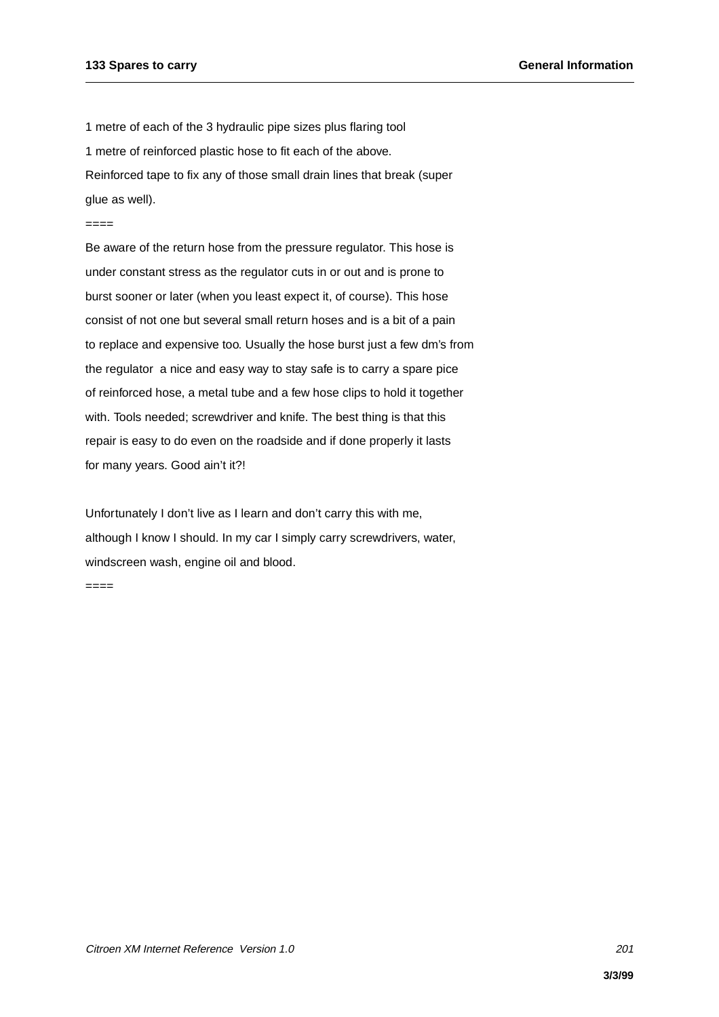1 metre of each of the 3 hydraulic pipe sizes plus flaring tool 1 metre of reinforced plastic hose to fit each of the above. Reinforced tape to fix any of those small drain lines that break (super glue as well).

#### $====$

Be aware of the return hose from the pressure regulator. This hose is under constant stress as the regulator cuts in or out and is prone to burst sooner or later (when you least expect it, of course). This hose consist of not one but several small return hoses and is a bit of a pain to replace and expensive too. Usually the hose burst just a few dm's from the regulator a nice and easy way to stay safe is to carry a spare pice of reinforced hose, a metal tube and a few hose clips to hold it together with. Tools needed; screwdriver and knife. The best thing is that this repair is easy to do even on the roadside and if done properly it lasts for many years. Good ain't it?!

Unfortunately I don't live as I learn and don't carry this with me, although I know I should. In my car I simply carry screwdrivers, water, windscreen wash, engine oil and blood.

====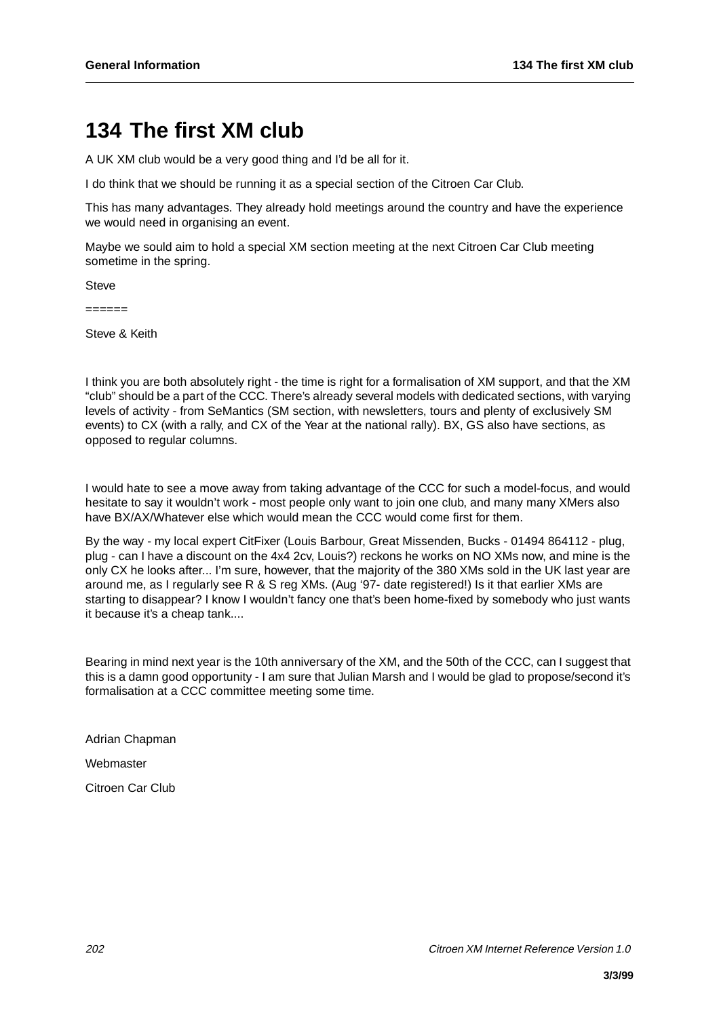### **134 The first XM club**

A UK XM club would be a very good thing and I'd be all for it.

I do think that we should be running it as a special section of the Citroen Car Club.

This has many advantages. They already hold meetings around the country and have the experience we would need in organising an event.

Maybe we sould aim to hold a special XM section meeting at the next Citroen Car Club meeting sometime in the spring.

Steve ======

Steve & Keith

I think you are both absolutely right - the time is right for a formalisation of XM support, and that the XM "club" should be a part of the CCC. There's already several models with dedicated sections, with varying levels of activity - from SeMantics (SM section, with newsletters, tours and plenty of exclusively SM events) to CX (with a rally, and CX of the Year at the national rally). BX, GS also have sections, as opposed to regular columns.

I would hate to see a move away from taking advantage of the CCC for such a model-focus, and would hesitate to say it wouldn't work - most people only want to join one club, and many many XMers also have BX/AX/Whatever else which would mean the CCC would come first for them.

By the way - my local expert CitFixer (Louis Barbour, Great Missenden, Bucks - 01494 864112 - plug, plug - can I have a discount on the 4x4 2cv, Louis?) reckons he works on NO XMs now, and mine is the only CX he looks after... I'm sure, however, that the majority of the 380 XMs sold in the UK last year are around me, as I regularly see R & S reg XMs. (Aug '97- date registered!) Is it that earlier XMs are starting to disappear? I know I wouldn't fancy one that's been home-fixed by somebody who just wants it because it's a cheap tank....

Bearing in mind next year is the 10th anniversary of the XM, and the 50th of the CCC, can I suggest that this is a damn good opportunity - I am sure that Julian Marsh and I would be glad to propose/second it's formalisation at a CCC committee meeting some time.

Adrian Chapman

**Webmaster** 

Citroen Car Club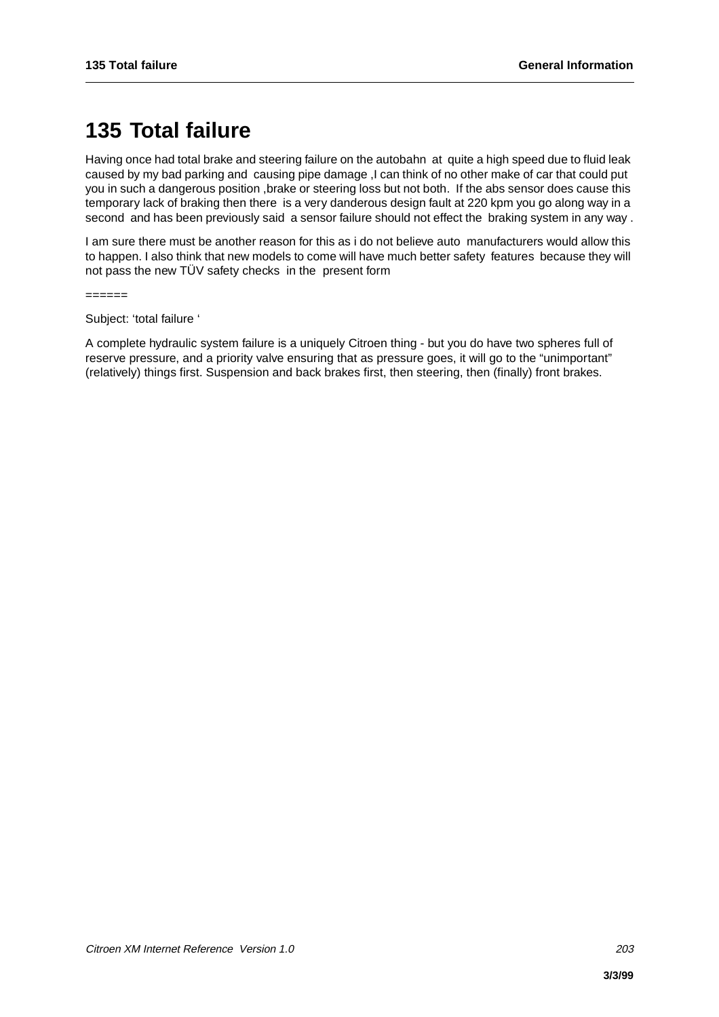# **135 Total failure**

Having once had total brake and steering failure on the autobahn at quite a high speed due to fluid leak caused by my bad parking and causing pipe damage ,I can think of no other make of car that could put you in such a dangerous position ,brake or steering loss but not both. If the abs sensor does cause this temporary lack of braking then there is a very danderous design fault at 220 kpm you go along way in a second and has been previously said a sensor failure should not effect the braking system in any way .

I am sure there must be another reason for this as i do not believe auto manufacturers would allow this to happen. I also think that new models to come will have much better safety features because they will not pass the new TÜV safety checks in the present form

 $=$ 

Subject: 'total failure '

A complete hydraulic system failure is a uniquely Citroen thing - but you do have two spheres full of reserve pressure, and a priority valve ensuring that as pressure goes, it will go to the "unimportant" (relatively) things first. Suspension and back brakes first, then steering, then (finally) front brakes.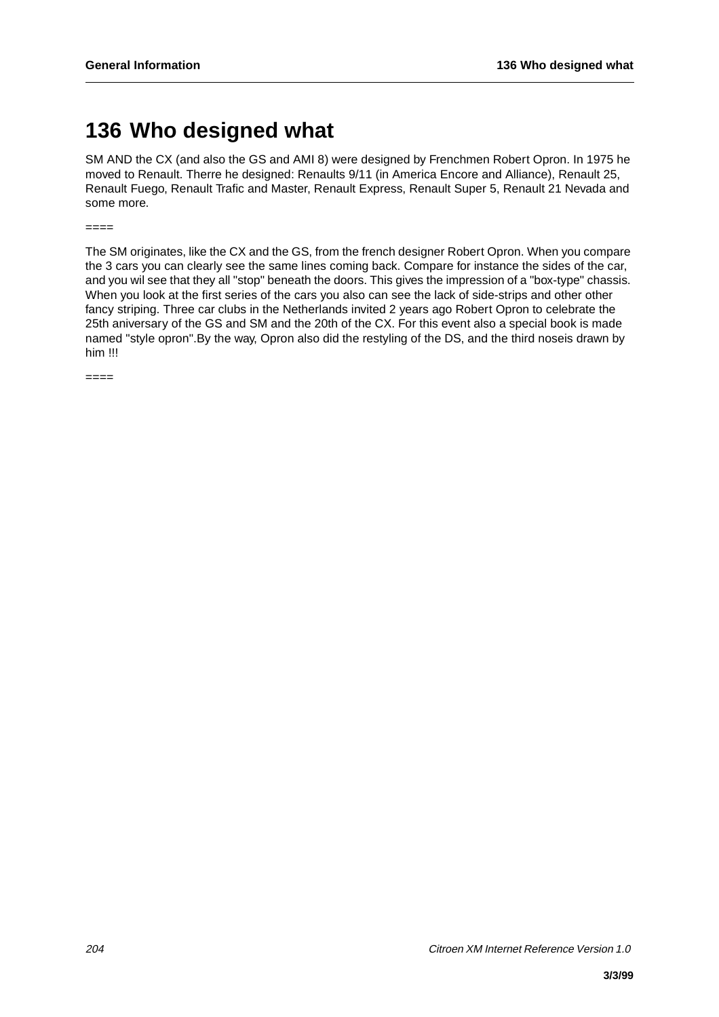### **136 Who designed what**

SM AND the CX (and also the GS and AMI 8) were designed by Frenchmen Robert Opron. In 1975 he moved to Renault. Therre he designed: Renaults 9/11 (in America Encore and Alliance), Renault 25, Renault Fuego, Renault Trafic and Master, Renault Express, Renault Super 5, Renault 21 Nevada and some more.

====

The SM originates, like the CX and the GS, from the french designer Robert Opron. When you compare the 3 cars you can clearly see the same lines coming back. Compare for instance the sides of the car, and you wil see that they all "stop" beneath the doors. This gives the impression of a "box-type" chassis. When you look at the first series of the cars you also can see the lack of side-strips and other other fancy striping. Three car clubs in the Netherlands invited 2 years ago Robert Opron to celebrate the 25th aniversary of the GS and SM and the 20th of the CX. For this event also a special book is made named "style opron".By the way, Opron also did the restyling of the DS, and the third noseis drawn by him !!!

 $====$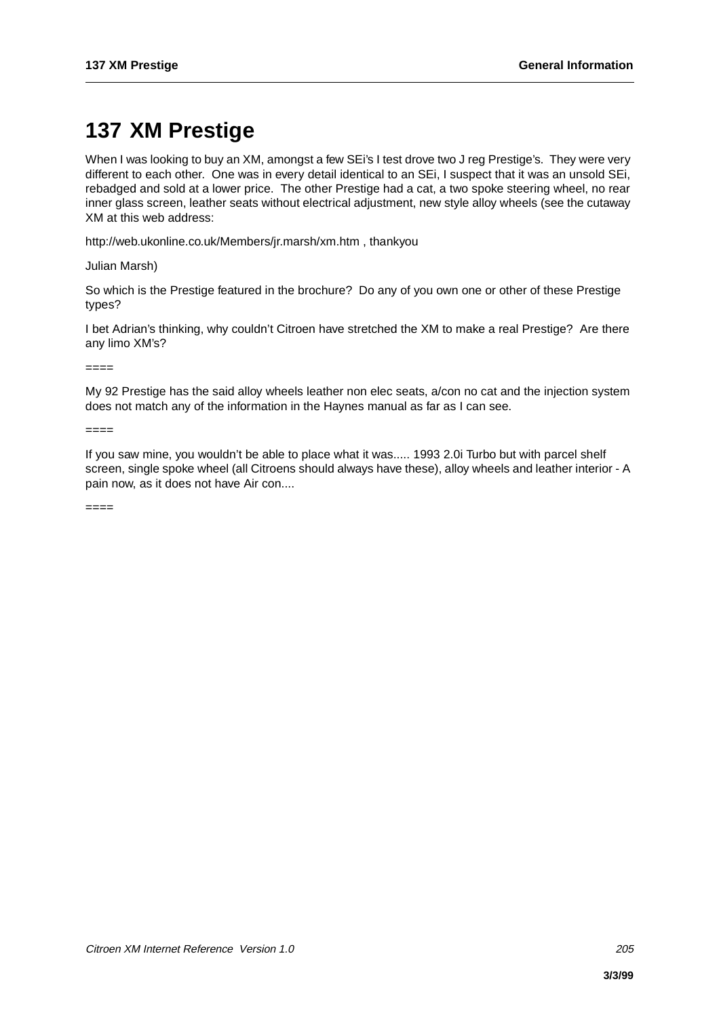# **137 XM Prestige**

When I was looking to buy an XM, amongst a few SEi's I test drove two J reg Prestige's. They were very different to each other. One was in every detail identical to an SEi, I suspect that it was an unsold SEi, rebadged and sold at a lower price. The other Prestige had a cat, a two spoke steering wheel, no rear inner glass screen, leather seats without electrical adjustment, new style alloy wheels (see the cutaway XM at this web address:

http://web.ukonline.co.uk/Members/jr.marsh/xm.htm , thankyou

Julian Marsh)

So which is the Prestige featured in the brochure? Do any of you own one or other of these Prestige types?

I bet Adrian's thinking, why couldn't Citroen have stretched the XM to make a real Prestige? Are there any limo XM's?

====

My 92 Prestige has the said alloy wheels leather non elec seats, a/con no cat and the injection system does not match any of the information in the Haynes manual as far as I can see.

 $====$ 

If you saw mine, you wouldn't be able to place what it was..... 1993 2.0i Turbo but with parcel shelf screen, single spoke wheel (all Citroens should always have these), alloy wheels and leather interior - A pain now, as it does not have Air con....

 $====$